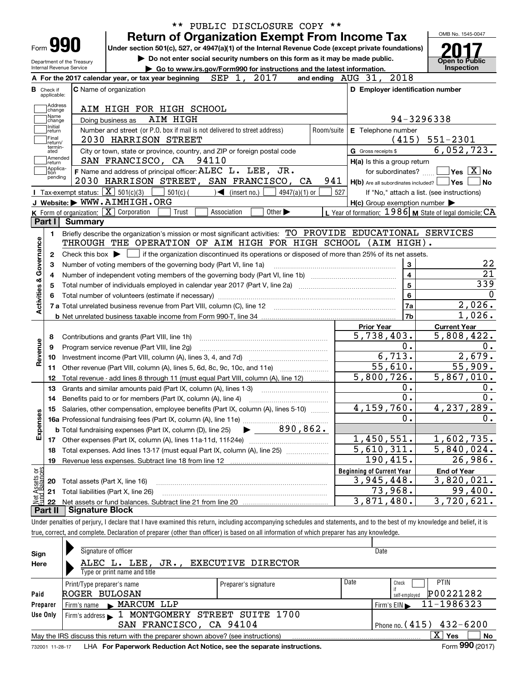|                                                                                              |                |                                                                                                                                           |          |                               |                                                                             |               | ** PUBLIC DISCLOSURE COPY ** |                                                     |                       |                                                           |                                   |
|----------------------------------------------------------------------------------------------|----------------|-------------------------------------------------------------------------------------------------------------------------------------------|----------|-------------------------------|-----------------------------------------------------------------------------|---------------|------------------------------|-----------------------------------------------------|-----------------------|-----------------------------------------------------------|-----------------------------------|
|                                                                                              |                |                                                                                                                                           |          |                               | <b>Return of Organization Exempt From Income Tax</b>                        |               |                              |                                                     |                       | OMB No. 1545-0047                                         |                                   |
| Form <b>990</b>                                                                              |                | Under section 501(c), 527, or 4947(a)(1) of the Internal Revenue Code (except private foundations)                                        |          |                               |                                                                             |               |                              |                                                     |                       |                                                           |                                   |
| Department of the Treasury                                                                   |                |                                                                                                                                           |          |                               | Do not enter social security numbers on this form as it may be made public. |               |                              |                                                     |                       | <b>Open to Public</b>                                     |                                   |
| Internal Revenue Service                                                                     |                |                                                                                                                                           |          |                               | Go to www.irs.gov/Form990 for instructions and the latest information.      |               |                              |                                                     |                       | Inspection                                                |                                   |
|                                                                                              |                | A For the 2017 calendar year, or tax year beginning                                                                                       |          | SEP 1, 2017                   |                                                                             |               |                              | and ending AUG 31, 2018                             |                       |                                                           |                                   |
| Check if<br>applicable:                                                                      |                | C Name of organization                                                                                                                    |          |                               |                                                                             |               |                              |                                                     |                       | D Employer identification number                          |                                   |
| Address                                                                                      |                |                                                                                                                                           |          |                               |                                                                             |               |                              |                                                     |                       |                                                           |                                   |
| change<br>Name                                                                               |                | AIM HIGH FOR HIGH SCHOOL                                                                                                                  |          |                               |                                                                             |               |                              |                                                     |                       |                                                           |                                   |
| change<br>Initial                                                                            |                | Doing business as                                                                                                                         | AIM HIGH |                               |                                                                             |               |                              |                                                     |                       | 94-3296338                                                |                                   |
| return<br> Final                                                                             |                | Number and street (or P.O. box if mail is not delivered to street address)                                                                |          |                               |                                                                             |               | Room/suite                   | E Telephone number                                  |                       |                                                           |                                   |
| return/<br>termin-                                                                           |                | 2030 HARRISON STREET                                                                                                                      |          |                               |                                                                             |               |                              |                                                     | (415)                 | $551 - 2301$                                              |                                   |
| ated<br> Amended                                                                             |                | City or town, state or province, country, and ZIP or foreign postal code                                                                  |          |                               |                                                                             |               |                              | G Gross receipts \$                                 |                       | 6,052,723.                                                |                                   |
| return<br> Applica-                                                                          |                | SAN FRANCISCO, CA 94110                                                                                                                   |          |                               |                                                                             |               |                              | H(a) Is this a group return                         |                       |                                                           |                                   |
| tion<br>pending                                                                              |                | F Name and address of principal officer: ALEC L. LEE, JR.                                                                                 |          |                               |                                                                             |               |                              |                                                     | for subordinates?     | $\sqrt{}$ Yes $\sqrt{}$ X $\sqrt{}$ No                    |                                   |
|                                                                                              |                | 2030 HARRISON STREET, SAN FRANCISCO, CA                                                                                                   |          |                               |                                                                             |               | 941                          |                                                     |                       | $H(b)$ Are all subordinates included? $\Box$ Yes          | No                                |
|                                                                                              |                | Tax-exempt status: $\boxed{\mathbf{X}}$ 501(c)(3) [                                                                                       | 501(c)   | $\sqrt{\bullet}$ (insert no.) |                                                                             | 4947(a)(1) or | 527                          |                                                     |                       | If "No," attach a list. (see instructions)                |                                   |
|                                                                                              |                | J Website: WWW.AIMHIGH.ORG                                                                                                                |          |                               |                                                                             |               |                              | $H(c)$ Group exemption number $\blacktriangleright$ |                       |                                                           |                                   |
|                                                                                              |                | <b>K</b> Form of organization: $\boxed{\mathbf{X}}$ Corporation                                                                           | Trust    | Association                   | Other $\blacktriangleright$                                                 |               |                              |                                                     |                       | L Year of formation: 1986   M State of legal domicile: CA |                                   |
| Part I                                                                                       | <b>Summary</b> |                                                                                                                                           |          |                               |                                                                             |               |                              |                                                     |                       |                                                           |                                   |
| 1.                                                                                           |                | Briefly describe the organization's mission or most significant activities: TO PROVIDE EDUCATIONAL SERVICES                               |          |                               |                                                                             |               |                              |                                                     |                       |                                                           |                                   |
|                                                                                              |                | THROUGH THE OPERATION OF AIM HIGH FOR HIGH SCHOOL (AIM HIGH).                                                                             |          |                               |                                                                             |               |                              |                                                     |                       |                                                           |                                   |
| 2                                                                                            |                | Check this box $\blacktriangleright \Box$ if the organization discontinued its operations or disposed of more than 25% of its net assets. |          |                               |                                                                             |               |                              |                                                     |                       |                                                           |                                   |
| з                                                                                            |                | Number of voting members of the governing body (Part VI, line 1a)                                                                         |          |                               |                                                                             |               |                              |                                                     | 3                     |                                                           |                                   |
| 4                                                                                            |                |                                                                                                                                           |          |                               |                                                                             |               |                              |                                                     |                       |                                                           |                                   |
|                                                                                              |                |                                                                                                                                           |          |                               |                                                                             |               |                              |                                                     | $\overline{4}$        |                                                           |                                   |
| 5                                                                                            |                |                                                                                                                                           |          |                               |                                                                             |               |                              |                                                     | $\overline{5}$        |                                                           |                                   |
|                                                                                              |                |                                                                                                                                           |          |                               |                                                                             |               |                              |                                                     | $6\phantom{1}$        |                                                           |                                   |
|                                                                                              |                |                                                                                                                                           |          |                               |                                                                             |               |                              |                                                     | <b>7a</b>             |                                                           |                                   |
|                                                                                              |                |                                                                                                                                           |          |                               |                                                                             |               |                              |                                                     | 7 <sub>b</sub>        |                                                           |                                   |
|                                                                                              |                |                                                                                                                                           |          |                               |                                                                             |               |                              | <b>Prior Year</b>                                   |                       | <b>Current Year</b>                                       |                                   |
| 8                                                                                            |                | Contributions and grants (Part VIII, line 1h)                                                                                             |          |                               |                                                                             |               |                              | $\overline{5,738}, 403.$                            |                       | 5,808,422.                                                |                                   |
| 9                                                                                            |                | Program service revenue (Part VIII, line 2g)                                                                                              |          |                               |                                                                             |               |                              |                                                     | 0.                    |                                                           |                                   |
| 10                                                                                           |                |                                                                                                                                           |          |                               |                                                                             |               |                              |                                                     | 6,713.                |                                                           |                                   |
| 11                                                                                           |                | Other revenue (Part VIII, column (A), lines 5, 6d, 8c, 9c, 10c, and 11e)                                                                  |          |                               |                                                                             |               |                              |                                                     | $\overline{55,610}$ . | $\overline{55,909}$ .                                     |                                   |
| 12                                                                                           |                | Total revenue - add lines 8 through 11 (must equal Part VIII, column (A), line 12)                                                        |          |                               |                                                                             |               |                              | 5,800,726.                                          |                       | 5,867,010.                                                |                                   |
| 13                                                                                           |                | Grants and similar amounts paid (Part IX, column (A), lines 1-3)                                                                          |          |                               |                                                                             |               |                              |                                                     | 0.                    |                                                           |                                   |
| 14                                                                                           |                | Benefits paid to or for members (Part IX, column (A), line 4)                                                                             |          |                               |                                                                             |               |                              |                                                     | $\overline{0}$ .      |                                                           |                                   |
|                                                                                              |                | 15 Salaries, other compensation, employee benefits (Part IX, column (A), lines 5-10)                                                      |          |                               |                                                                             |               |                              | 4, 159, 760.                                        |                       | 4,237,289.                                                |                                   |
|                                                                                              |                |                                                                                                                                           |          |                               |                                                                             |               |                              |                                                     | 0.                    |                                                           |                                   |
|                                                                                              |                | <b>b</b> Total fundraising expenses (Part IX, column (D), line 25)                                                                        |          |                               | 890, 862.                                                                   |               |                              |                                                     |                       |                                                           |                                   |
|                                                                                              |                |                                                                                                                                           |          |                               |                                                                             |               |                              | 1,450,551.                                          |                       | 1,602,735.                                                |                                   |
| 18                                                                                           |                |                                                                                                                                           |          |                               |                                                                             |               |                              |                                                     |                       |                                                           |                                   |
| 19                                                                                           |                | Total expenses. Add lines 13-17 (must equal Part IX, column (A), line 25)                                                                 |          |                               |                                                                             |               |                              | 5,610,311.                                          |                       | 5,840,024.<br>26,986.                                     |                                   |
|                                                                                              |                | Revenue less expenses. Subtract line 18 from line 12                                                                                      |          |                               |                                                                             |               |                              | $190,415$ .                                         |                       |                                                           |                                   |
|                                                                                              |                |                                                                                                                                           |          |                               |                                                                             |               |                              | <b>Beginning of Current Year</b>                    |                       | <b>End of Year</b>                                        |                                   |
| 20                                                                                           |                | Total assets (Part X, line 16)                                                                                                            |          |                               |                                                                             |               |                              | 3,945,448.                                          |                       | 3,820,021.                                                |                                   |
| Activities & Governance<br>Revenue<br>Expenses<br>Net Assets or<br>Fund Balances<br>21<br>22 |                | Total liabilities (Part X, line 26)                                                                                                       |          |                               |                                                                             |               |                              | 3,871,480.                                          | 73,968.               | 99,400.<br>$\overline{3}$ , 720, 621.                     | 339<br>2,026.<br>1,026.<br>2,679. |

true, correct, and complete. Declaration of preparer (other than officer) is based on all information of which preparer has any knowledge. true, correct, and complete. Declaration of preparer (other than officer) is based on all information of which preparer has any knowledge.

| Sign     | Signature of officer                                                                                         |                      |                                | Date                                     |  |  |  |  |  |  |
|----------|--------------------------------------------------------------------------------------------------------------|----------------------|--------------------------------|------------------------------------------|--|--|--|--|--|--|
| Here     | ALEC L. LEE, JR.,                                                                                            | EXECUTIVE DIRECTOR   |                                |                                          |  |  |  |  |  |  |
|          | Type or print name and title                                                                                 |                      |                                |                                          |  |  |  |  |  |  |
|          | Print/Type preparer's name                                                                                   | Preparer's signature | Date                           | <b>PTIN</b><br>Check                     |  |  |  |  |  |  |
| Paid     | ROGER BULOSAN                                                                                                |                      |                                | P00221282<br>self-emploved               |  |  |  |  |  |  |
| Preparer | Firm's name MARCUM LLP                                                                                       |                      |                                | 11-1986323<br>Firm's $EIN$               |  |  |  |  |  |  |
| Use Only | Firm's address 1 MONTGOMERY STREET SUITE 1700                                                                |                      |                                |                                          |  |  |  |  |  |  |
|          | SAN FRANCISCO, CA 94104                                                                                      |                      | Phone no. $(415)$ $432 - 6200$ |                                          |  |  |  |  |  |  |
|          | May the IRS discuss this return with the preparer shown above? (see instructions)                            |                      |                                | $\overline{\mathrm{X}}$ Yes<br><b>No</b> |  |  |  |  |  |  |
|          | Form 990 (2017)<br>LHA For Paperwork Reduction Act Notice, see the separate instructions.<br>732001 11-28-17 |                      |                                |                                          |  |  |  |  |  |  |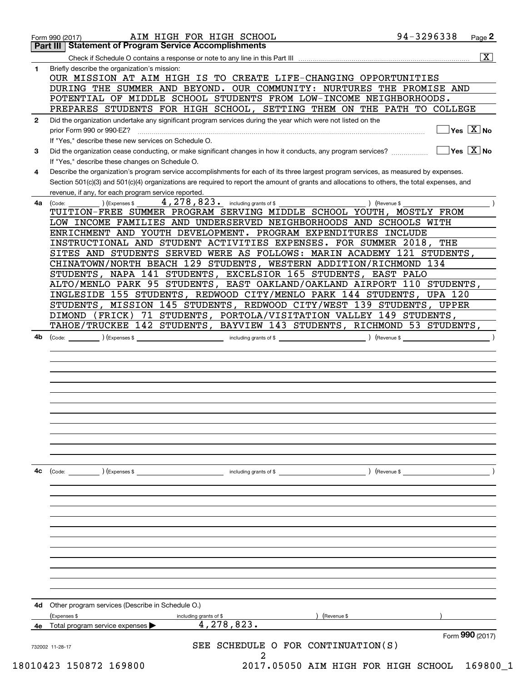|              | 94-3296338<br>AIM HIGH FOR HIGH SCHOOL<br>Page 2<br>Form 990 (2017)<br><b>Statement of Program Service Accomplishments</b>                           |
|--------------|------------------------------------------------------------------------------------------------------------------------------------------------------|
|              | Part III<br>$\overline{\mathbf{x}}$                                                                                                                  |
| 1            | Briefly describe the organization's mission:                                                                                                         |
|              | OUR MISSION AT AIM HIGH IS TO CREATE LIFE-CHANGING OPPORTUNITIES                                                                                     |
|              | DURING THE SUMMER AND BEYOND. OUR COMMUNITY: NURTURES THE PROMISE AND                                                                                |
|              | POTENTIAL OF MIDDLE SCHOOL STUDENTS FROM LOW-INCOME NEIGHBORHOODS.                                                                                   |
|              | PREPARES STUDENTS FOR HIGH SCHOOL, SETTING THEM ON THE PATH TO COLLEGE                                                                               |
| $\mathbf{2}$ | Did the organization undertake any significant program services during the year which were not listed on the                                         |
|              | $\sqrt{}$ Yes $\sqrt{X}$ No<br>prior Form 990 or 990-EZ?                                                                                             |
|              | If "Yes," describe these new services on Schedule O.                                                                                                 |
| 3            | $\exists$ Yes $\sqrt{\mathrm{X}}$ No<br>Did the organization cease conducting, or make significant changes in how it conducts, any program services? |
|              | If "Yes," describe these changes on Schedule O.                                                                                                      |
| 4            | Describe the organization's program service accomplishments for each of its three largest program services, as measured by expenses.                 |
|              | Section 501(c)(3) and 501(c)(4) organizations are required to report the amount of grants and allocations to others, the total expenses, and         |
|              | revenue, if any, for each program service reported.                                                                                                  |
| 4a           | 4, 278, 823. including grants of \$<br>) (Revenue \$<br>) (Expenses \$<br>(Code:                                                                     |
|              | TUITION-FREE SUMMER PROGRAM SERVING MIDDLE SCHOOL YOUTH, MOSTLY FROM                                                                                 |
|              | LOW INCOME FAMILIES AND UNDERSERVED NEIGHBORHOODS AND SCHOOLS WITH                                                                                   |
|              | ENRICHMENT AND YOUTH DEVELOPMENT. PROGRAM EXPENDITURES INCLUDE                                                                                       |
|              | INSTRUCTIONAL AND STUDENT ACTIVITIES EXPENSES. FOR SUMMER 2018, THE                                                                                  |
|              | SITES AND STUDENTS SERVED WERE AS FOLLOWS: MARIN ACADEMY 121 STUDENTS,                                                                               |
|              | CHINATOWN/NORTH BEACH 129 STUDENTS, WESTERN ADDITION/RICHMOND 134                                                                                    |
|              | STUDENTS, NAPA 141 STUDENTS, EXCELSIOR 165 STUDENTS, EAST PALO                                                                                       |
|              | ALTO/MENLO PARK 95 STUDENTS, EAST OAKLAND/OAKLAND AIRPORT 110 STUDENTS,                                                                              |
|              | INGLESIDE 155 STUDENTS, REDWOOD CITY/MENLO PARK 144 STUDENTS, UPA 120                                                                                |
|              | STUDENTS, MISSION 145 STUDENTS, REDWOOD CITY/WEST 139 STUDENTS, UPPER                                                                                |
|              | 71 STUDENTS, PORTOLA/VISITATION VALLEY 149 STUDENTS,<br>DIMOND (FRICK)                                                                               |
|              | TAHOE/TRUCKEE 142 STUDENTS, BAYVIEW 143 STUDENTS, RICHMOND 53 STUDENTS,                                                                              |
|              |                                                                                                                                                      |
|              |                                                                                                                                                      |
|              |                                                                                                                                                      |
|              |                                                                                                                                                      |
|              |                                                                                                                                                      |
|              |                                                                                                                                                      |
|              |                                                                                                                                                      |
| 4c           | (Code:<br>(Expenses \$<br>including grants of \$<br>) (Revenue \$                                                                                    |
|              |                                                                                                                                                      |
|              |                                                                                                                                                      |
|              |                                                                                                                                                      |
|              |                                                                                                                                                      |
|              |                                                                                                                                                      |
|              |                                                                                                                                                      |
| 4d           | Other program services (Describe in Schedule O.)<br>(Expenses \$<br>including grants of \$<br>(Revenue \$                                            |
| 4e           | 4,278,823.<br>Total program service expenses                                                                                                         |
|              | Form 990 (2017)                                                                                                                                      |
|              | SEE SCHEDULE O FOR CONTINUATION(S)<br>732002 11-28-17<br>2                                                                                           |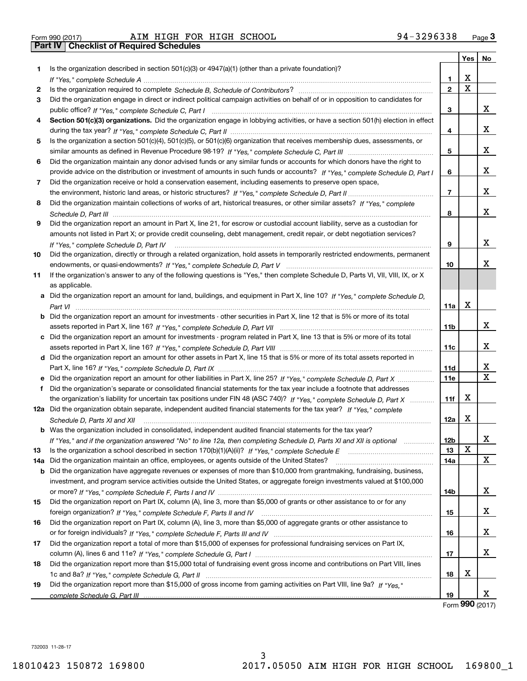| Form 990 (2017) |  |
|-----------------|--|

|     |                                                                                                                                                                                                                                             |                 | <b>Yes</b>              | No                           |
|-----|---------------------------------------------------------------------------------------------------------------------------------------------------------------------------------------------------------------------------------------------|-----------------|-------------------------|------------------------------|
| 1.  | Is the organization described in section $501(c)(3)$ or $4947(a)(1)$ (other than a private foundation)?                                                                                                                                     |                 |                         |                              |
|     |                                                                                                                                                                                                                                             | 1.              | х                       |                              |
| 2   |                                                                                                                                                                                                                                             | $\mathbf{2}$    | $\overline{\mathbf{x}}$ |                              |
| 3   | Did the organization engage in direct or indirect political campaign activities on behalf of or in opposition to candidates for                                                                                                             |                 |                         |                              |
|     |                                                                                                                                                                                                                                             | 3               |                         | x                            |
| 4   | Section 501(c)(3) organizations. Did the organization engage in lobbying activities, or have a section 501(h) election in effect                                                                                                            |                 |                         |                              |
|     |                                                                                                                                                                                                                                             | 4               |                         | x                            |
| 5   | Is the organization a section 501(c)(4), 501(c)(5), or 501(c)(6) organization that receives membership dues, assessments, or                                                                                                                |                 |                         |                              |
|     |                                                                                                                                                                                                                                             | 5               |                         | x                            |
| 6   | Did the organization maintain any donor advised funds or any similar funds or accounts for which donors have the right to                                                                                                                   |                 |                         |                              |
|     | provide advice on the distribution or investment of amounts in such funds or accounts? If "Yes," complete Schedule D, Part I                                                                                                                | 6               |                         | X.                           |
| 7   | Did the organization receive or hold a conservation easement, including easements to preserve open space,                                                                                                                                   |                 |                         |                              |
|     |                                                                                                                                                                                                                                             | 7               |                         | X.                           |
| 8   | Did the organization maintain collections of works of art, historical treasures, or other similar assets? If "Yes," complete                                                                                                                |                 |                         |                              |
|     |                                                                                                                                                                                                                                             | 8               |                         | x                            |
| 9   | Did the organization report an amount in Part X, line 21, for escrow or custodial account liability, serve as a custodian for                                                                                                               |                 |                         |                              |
|     | amounts not listed in Part X; or provide credit counseling, debt management, credit repair, or debt negotiation services?                                                                                                                   |                 |                         |                              |
|     | If "Yes," complete Schedule D, Part IV                                                                                                                                                                                                      | 9               |                         | X.                           |
| 10  | Did the organization, directly or through a related organization, hold assets in temporarily restricted endowments, permanent                                                                                                               |                 |                         |                              |
|     |                                                                                                                                                                                                                                             | 10              |                         | x                            |
| 11  | If the organization's answer to any of the following questions is "Yes," then complete Schedule D, Parts VI, VIII, VIII, IX, or X                                                                                                           |                 |                         |                              |
|     | as applicable.                                                                                                                                                                                                                              |                 |                         |                              |
|     | a Did the organization report an amount for land, buildings, and equipment in Part X, line 10? If "Yes," complete Schedule D,                                                                                                               |                 |                         |                              |
|     |                                                                                                                                                                                                                                             | 11a             | х                       |                              |
|     | <b>b</b> Did the organization report an amount for investments - other securities in Part X, line 12 that is 5% or more of its total                                                                                                        |                 |                         |                              |
|     |                                                                                                                                                                                                                                             | 11b             |                         | X                            |
|     | c Did the organization report an amount for investments - program related in Part X, line 13 that is 5% or more of its total                                                                                                                |                 |                         |                              |
|     |                                                                                                                                                                                                                                             | 11c             |                         | x                            |
|     | d Did the organization report an amount for other assets in Part X, line 15 that is 5% or more of its total assets reported in                                                                                                              |                 |                         |                              |
|     |                                                                                                                                                                                                                                             | 11d             |                         | x<br>$\overline{\mathbf{X}}$ |
|     | e Did the organization report an amount for other liabilities in Part X, line 25? If "Yes," complete Schedule D, Part X                                                                                                                     | <b>11e</b>      |                         |                              |
|     | f Did the organization's separate or consolidated financial statements for the tax year include a footnote that addresses                                                                                                                   |                 | х                       |                              |
|     | the organization's liability for uncertain tax positions under FIN 48 (ASC 740)? If "Yes," complete Schedule D, Part X                                                                                                                      | 11f             |                         |                              |
|     | 12a Did the organization obtain separate, independent audited financial statements for the tax year? If "Yes," complete                                                                                                                     | 12a             | Х                       |                              |
|     | Schedule D, Parts XI and XII                                                                                                                                                                                                                |                 |                         |                              |
|     | <b>b</b> Was the organization included in consolidated, independent audited financial statements for the tax year?<br>If "Yes," and if the organization answered "No" to line 12a, then completing Schedule D, Parts XI and XII is optional | 12 <sub>b</sub> |                         | X,                           |
| 13  |                                                                                                                                                                                                                                             | 13              | х                       |                              |
| 14a | Did the organization maintain an office, employees, or agents outside of the United States?                                                                                                                                                 | 14a             |                         | X                            |
|     | <b>b</b> Did the organization have aggregate revenues or expenses of more than \$10,000 from grantmaking, fundraising, business,                                                                                                            |                 |                         |                              |
|     | investment, and program service activities outside the United States, or aggregate foreign investments valued at \$100,000                                                                                                                  |                 |                         |                              |
|     |                                                                                                                                                                                                                                             | 14b             |                         | x                            |
| 15  | Did the organization report on Part IX, column (A), line 3, more than \$5,000 of grants or other assistance to or for any                                                                                                                   |                 |                         |                              |
|     |                                                                                                                                                                                                                                             | 15              |                         | x                            |
| 16  | Did the organization report on Part IX, column (A), line 3, more than \$5,000 of aggregate grants or other assistance to                                                                                                                    |                 |                         |                              |
|     |                                                                                                                                                                                                                                             | 16              |                         | x                            |
| 17  | Did the organization report a total of more than \$15,000 of expenses for professional fundraising services on Part IX,                                                                                                                     |                 |                         |                              |
|     |                                                                                                                                                                                                                                             | 17              |                         | x                            |
| 18  | Did the organization report more than \$15,000 total of fundraising event gross income and contributions on Part VIII, lines                                                                                                                |                 |                         |                              |
|     |                                                                                                                                                                                                                                             | 18              | х                       |                              |
| 19  | Did the organization report more than \$15,000 of gross income from gaming activities on Part VIII, line 9a? If "Yes."                                                                                                                      |                 |                         |                              |
|     |                                                                                                                                                                                                                                             | 19              |                         | x                            |

Form **990** (2017) Form (2017) **990**

732003 11-28-17 732003 11-28-17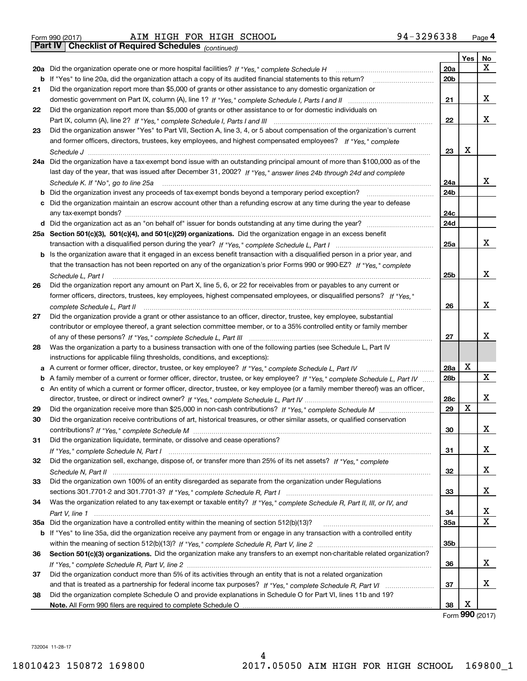| Form 990 (2017) |  |  |
|-----------------|--|--|

*(continued)*

|    |                                                                                                                                                                                                                                                 |                 | Yes | No |
|----|-------------------------------------------------------------------------------------------------------------------------------------------------------------------------------------------------------------------------------------------------|-----------------|-----|----|
|    | 20a Did the organization operate one or more hospital facilities? If "Yes," complete Schedule H                                                                                                                                                 | <b>20a</b>      |     | X  |
|    | b If "Yes" to line 20a, did the organization attach a copy of its audited financial statements to this return?                                                                                                                                  | 20 <sub>b</sub> |     |    |
| 21 | Did the organization report more than \$5,000 of grants or other assistance to any domestic organization or                                                                                                                                     |                 |     |    |
|    |                                                                                                                                                                                                                                                 | 21              |     | х  |
| 22 | Did the organization report more than \$5,000 of grants or other assistance to or for domestic individuals on                                                                                                                                   |                 |     |    |
|    |                                                                                                                                                                                                                                                 | 22              |     | x  |
| 23 | Did the organization answer "Yes" to Part VII, Section A, line 3, 4, or 5 about compensation of the organization's current                                                                                                                      |                 |     |    |
|    | and former officers, directors, trustees, key employees, and highest compensated employees? If "Yes," complete                                                                                                                                  |                 |     |    |
|    |                                                                                                                                                                                                                                                 | 23              | X   |    |
|    | 24a Did the organization have a tax-exempt bond issue with an outstanding principal amount of more than \$100,000 as of the                                                                                                                     |                 |     |    |
|    | last day of the year, that was issued after December 31, 2002? If "Yes," answer lines 24b through 24d and complete                                                                                                                              |                 |     |    |
|    | Schedule K. If "No", go to line 25a                                                                                                                                                                                                             | 24a             |     | x  |
| b  | Did the organization invest any proceeds of tax-exempt bonds beyond a temporary period exception?                                                                                                                                               | 24b             |     |    |
| c  | Did the organization maintain an escrow account other than a refunding escrow at any time during the year to defease                                                                                                                            |                 |     |    |
|    |                                                                                                                                                                                                                                                 | 24c             |     |    |
|    |                                                                                                                                                                                                                                                 | 24d             |     |    |
|    | 25a Section 501(c)(3), 501(c)(4), and 501(c)(29) organizations. Did the organization engage in an excess benefit                                                                                                                                |                 |     |    |
|    |                                                                                                                                                                                                                                                 | 25a             |     | x  |
| b  | Is the organization aware that it engaged in an excess benefit transaction with a disqualified person in a prior year, and                                                                                                                      |                 |     |    |
|    | that the transaction has not been reported on any of the organization's prior Forms 990 or 990-EZ? If "Yes," complete                                                                                                                           |                 |     | X  |
|    | Schedule L, Part I                                                                                                                                                                                                                              | 25b             |     |    |
| 26 | Did the organization report any amount on Part X, line 5, 6, or 22 for receivables from or payables to any current or<br>former officers, directors, trustees, key employees, highest compensated employees, or disqualified persons? If "Yes." |                 |     |    |
|    |                                                                                                                                                                                                                                                 | 26              |     | X  |
| 27 | complete Schedule L, Part II<br>Did the organization provide a grant or other assistance to an officer, director, trustee, key employee, substantial                                                                                            |                 |     |    |
|    | contributor or employee thereof, a grant selection committee member, or to a 35% controlled entity or family member                                                                                                                             |                 |     |    |
|    |                                                                                                                                                                                                                                                 | 27              |     | X  |
| 28 | Was the organization a party to a business transaction with one of the following parties (see Schedule L, Part IV                                                                                                                               |                 |     |    |
|    | instructions for applicable filing thresholds, conditions, and exceptions):                                                                                                                                                                     |                 |     |    |
| а  | A current or former officer, director, trustee, or key employee? If "Yes," complete Schedule L, Part IV                                                                                                                                         | 28a             | X   |    |
| b  | A family member of a current or former officer, director, trustee, or key employee? If "Yes," complete Schedule L, Part IV                                                                                                                      | 28b             |     | X  |
|    | c An entity of which a current or former officer, director, trustee, or key employee (or a family member thereof) was an officer,                                                                                                               |                 |     |    |
|    |                                                                                                                                                                                                                                                 | 28c             |     | X  |
| 29 |                                                                                                                                                                                                                                                 | 29              | X   |    |
| 30 | Did the organization receive contributions of art, historical treasures, or other similar assets, or qualified conservation                                                                                                                     |                 |     |    |
|    |                                                                                                                                                                                                                                                 | 30              |     | х  |
|    | Did the organization liquidate, terminate, or dissolve and cease operations?                                                                                                                                                                    |                 |     |    |
|    |                                                                                                                                                                                                                                                 | 31              |     | х  |
| 32 | Did the organization sell, exchange, dispose of, or transfer more than 25% of its net assets? If "Yes." complete                                                                                                                                |                 |     |    |
|    |                                                                                                                                                                                                                                                 | 32              |     | х  |
| 33 | Did the organization own 100% of an entity disregarded as separate from the organization under Regulations                                                                                                                                      |                 |     |    |
|    |                                                                                                                                                                                                                                                 | 33              |     | х  |
| 34 | Was the organization related to any tax-exempt or taxable entity? If "Yes," complete Schedule R, Part II, III, or IV, and                                                                                                                       |                 |     |    |
|    |                                                                                                                                                                                                                                                 | 34              |     | х  |
|    |                                                                                                                                                                                                                                                 | <b>35a</b>      |     | X  |
|    | b If "Yes" to line 35a, did the organization receive any payment from or engage in any transaction with a controlled entity                                                                                                                     |                 |     |    |
|    |                                                                                                                                                                                                                                                 | 35b             |     |    |
| 36 | Section 501(c)(3) organizations. Did the organization make any transfers to an exempt non-charitable related organization?                                                                                                                      |                 |     |    |
|    |                                                                                                                                                                                                                                                 | 36              |     | x  |
| 37 | Did the organization conduct more than 5% of its activities through an entity that is not a related organization                                                                                                                                |                 |     |    |
|    |                                                                                                                                                                                                                                                 | 37              |     | х  |
| 38 | Did the organization complete Schedule O and provide explanations in Schedule O for Part VI, lines 11b and 19?                                                                                                                                  |                 | X   |    |
|    |                                                                                                                                                                                                                                                 | 38              |     |    |

Form **990** (2017)

732004 11-28-17 732004 11-28-17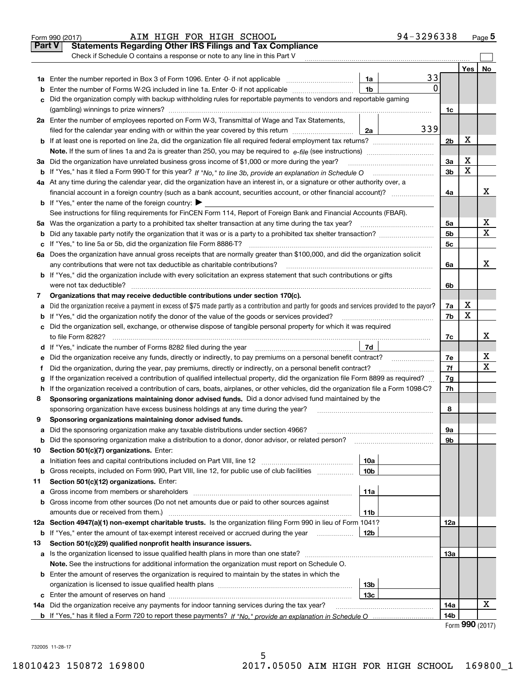|               | 94-3296338<br>AIM HIGH FOR HIGH SCHOOL<br>Form 990 (2017)                                                                                       |                          |             | <u>Page</u> 5 |
|---------------|-------------------------------------------------------------------------------------------------------------------------------------------------|--------------------------|-------------|---------------|
| <b>Part V</b> | <b>Statements Regarding Other IRS Filings and Tax Compliance</b>                                                                                |                          |             |               |
|               | Check if Schedule O contains a response or note to any line in this Part V                                                                      |                          |             |               |
|               |                                                                                                                                                 |                          | Yes         | No            |
|               | 33<br>1a                                                                                                                                        |                          |             |               |
| b             | <sup>0</sup><br>1 <sub>b</sub><br>Enter the number of Forms W-2G included in line 1a. Enter -0- if not applicable                               |                          |             |               |
|               | Did the organization comply with backup withholding rules for reportable payments to vendors and reportable gaming                              |                          |             |               |
|               |                                                                                                                                                 | 1c                       |             |               |
|               | 2a Enter the number of employees reported on Form W-3, Transmittal of Wage and Tax Statements,                                                  |                          |             |               |
|               | 339<br>filed for the calendar year ending with or within the year covered by this return<br>2a                                                  |                          |             |               |
| b             |                                                                                                                                                 | 2 <sub>b</sub>           | X           |               |
|               |                                                                                                                                                 |                          |             |               |
| За            | Did the organization have unrelated business gross income of \$1,000 or more during the year?                                                   | 3a                       | X           |               |
| b             |                                                                                                                                                 | 3b                       | $\mathbf X$ |               |
|               | 4a At any time during the calendar year, did the organization have an interest in, or a signature or other authority over, a                    |                          |             |               |
|               | financial account in a foreign country (such as a bank account, securities account, or other financial account)?                                | 4a                       |             | х             |
|               | <b>b</b> If "Yes," enter the name of the foreign country: $\blacktriangleright$                                                                 |                          |             |               |
|               | See instructions for filing requirements for FinCEN Form 114, Report of Foreign Bank and Financial Accounts (FBAR).                             |                          |             |               |
| 5a            |                                                                                                                                                 | 5a                       |             | х             |
| b             |                                                                                                                                                 | 5 <sub>b</sub>           |             | $\mathbf X$   |
| с             |                                                                                                                                                 | 5c                       |             |               |
| 6a            | Does the organization have annual gross receipts that are normally greater than \$100,000, and did the organization solicit                     |                          |             |               |
|               | any contributions that were not tax deductible as charitable contributions?                                                                     | 6a                       |             | x             |
|               | <b>b</b> If "Yes," did the organization include with every solicitation an express statement that such contributions or gifts                   |                          |             |               |
|               | were not tax deductible?                                                                                                                        | 6b                       |             |               |
| 7             | Organizations that may receive deductible contributions under section 170(c).                                                                   |                          |             |               |
| а             | Did the organization receive a payment in excess of \$75 made partly as a contribution and partly for goods and services provided to the payor? | 7a                       | х           |               |
| b             | If "Yes," did the organization notify the donor of the value of the goods or services provided?                                                 | 7b                       | X           |               |
|               | c Did the organization sell, exchange, or otherwise dispose of tangible personal property for which it was required                             |                          |             |               |
|               |                                                                                                                                                 | 7c                       |             | х             |
| d             | 7d                                                                                                                                              |                          |             |               |
| е             | Did the organization receive any funds, directly or indirectly, to pay premiums on a personal benefit contract?                                 | 7e                       |             | х             |
| f             | Did the organization, during the year, pay premiums, directly or indirectly, on a personal benefit contract?                                    | 7f                       |             | $\mathbf X$   |
| g             | If the organization received a contribution of qualified intellectual property, did the organization file Form 8899 as required?                | 7g                       |             |               |
| h             | If the organization received a contribution of cars, boats, airplanes, or other vehicles, did the organization file a Form 1098-C?              | 7h                       |             |               |
| 8             | Sponsoring organizations maintaining donor advised funds. Did a donor advised fund maintained by the                                            |                          |             |               |
|               | sponsoring organization have excess business holdings at any time during the year?                                                              | 8                        |             |               |
|               | Sponsoring organizations maintaining donor advised funds.                                                                                       |                          |             |               |
| а             | Did the sponsoring organization make any taxable distributions under section 4966?                                                              | 9а                       |             |               |
| b             | Did the sponsoring organization make a distribution to a donor, donor advisor, or related person?                                               | 9b                       |             |               |
| 10            | Section 501(c)(7) organizations. Enter:                                                                                                         |                          |             |               |
| а             | 10a                                                                                                                                             |                          |             |               |
| b             | 10 <sub>b</sub><br>Gross receipts, included on Form 990, Part VIII, line 12, for public use of club facilities<br>.                             |                          |             |               |
| 11            | Section 501(c)(12) organizations. Enter:                                                                                                        |                          |             |               |
| а             | 11a<br>Gross income from members or shareholders                                                                                                |                          |             |               |
| b             | Gross income from other sources (Do not net amounts due or paid to other sources against                                                        |                          |             |               |
|               | amounts due or received from them.)<br>11b                                                                                                      |                          |             |               |
|               | 12a Section 4947(a)(1) non-exempt charitable trusts. Is the organization filing Form 990 in lieu of Form 1041?                                  | 12a                      |             |               |
| b             | 12 <sub>b</sub><br>If "Yes," enter the amount of tax-exempt interest received or accrued during the year                                        |                          |             |               |
| 13            | Section 501(c)(29) qualified nonprofit health insurance issuers.                                                                                |                          |             |               |
| а             | Is the organization licensed to issue qualified health plans in more than one state?                                                            | 13а                      |             |               |
|               | Note. See the instructions for additional information the organization must report on Schedule O.                                               |                          |             |               |
|               | <b>b</b> Enter the amount of reserves the organization is required to maintain by the states in which the                                       |                          |             |               |
|               | 13 <sub>b</sub>                                                                                                                                 |                          |             |               |
| с             | 13 <sub>c</sub>                                                                                                                                 |                          |             | х             |
|               | 14a Did the organization receive any payments for indoor tanning services during the tax year?                                                  | 14a                      |             |               |
|               |                                                                                                                                                 | 14 <sub>b</sub><br>$r =$ |             | QQQ           |

5

5

Form **990** (2017)

732005 11-28-17 732005 11-28-17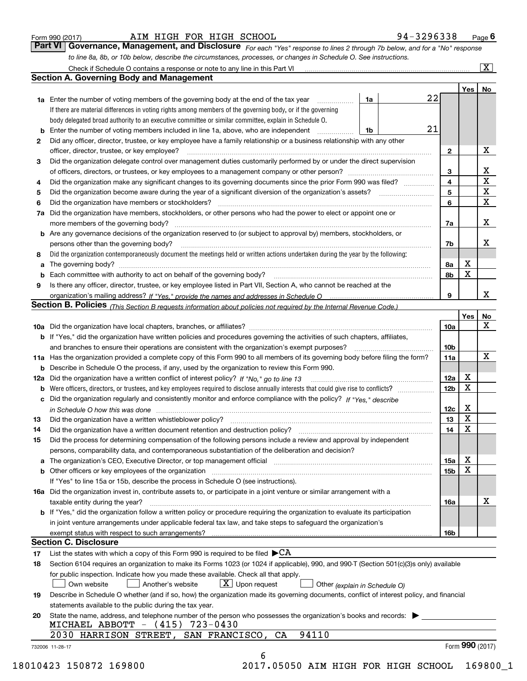|  | Form 990 (2017) |  |
|--|-----------------|--|
|  |                 |  |

#### Form990(2017) AIM HIGH FOR HIGH SCHOOL 94-3296338 Page **6**  AIM HIGH FOR HIGH SCHOOL 94-3296338

**Part VI Governance, Management, and Disclosure** For each "Yes" response to lines 2 through 7b below, and for a "No" response to line 8a, 8b, or 10b below, describe the circumstances, processes, or changes in Schedule O. See instructions. Form 990 (2017) **1998** AIM HIGH FOR HIGH SCHOOL **1998** 94 - 3296338 Page 6<br>**Part VI Governance, Management, and Disclosure** *For each "Yes" response to lines 2 through 7b below, and for a "No" response* 

|    |                                                                                                                                                                         |    |                 | Yes   No        |                         |
|----|-------------------------------------------------------------------------------------------------------------------------------------------------------------------------|----|-----------------|-----------------|-------------------------|
|    | 1a<br>1a Enter the number of voting members of the governing body at the end of the tax year                                                                            | 22 |                 |                 |                         |
|    | If there are material differences in voting rights among members of the governing body, or if the governing                                                             |    |                 |                 |                         |
|    | body delegated broad authority to an executive committee or similar committee, explain in Schedule O.                                                                   |    |                 |                 |                         |
|    | Enter the number of voting members included in line 1a, above, who are independent<br>1b                                                                                | 21 |                 |                 |                         |
| 2  | Did any officer, director, trustee, or key employee have a family relationship or a business relationship with any other                                                |    |                 |                 |                         |
|    | officer, director, trustee, or key employee?                                                                                                                            |    | $\mathbf{2}$    |                 | X                       |
| 3  | Did the organization delegate control over management duties customarily performed by or under the direct supervision                                                   |    |                 |                 |                         |
|    |                                                                                                                                                                         |    | 3               |                 | $\mathbf{X}$            |
| 4  | Did the organization make any significant changes to its governing documents since the prior Form 990 was filed?                                                        |    | 4               |                 | $\overline{\mathbf{x}}$ |
| 5  |                                                                                                                                                                         |    | 5               |                 | $\overline{\mathbf{x}}$ |
| 6  |                                                                                                                                                                         |    | 6               |                 | $\mathbf X$             |
| 7a | Did the organization have members, stockholders, or other persons who had the power to elect or appoint one or                                                          |    |                 |                 |                         |
|    |                                                                                                                                                                         |    | 7a              |                 | X                       |
|    | <b>b</b> Are any governance decisions of the organization reserved to (or subject to approval by) members, stockholders, or                                             |    |                 |                 |                         |
|    | persons other than the governing body?                                                                                                                                  |    | 7b              |                 | X                       |
| 8  | Did the organization contemporaneously document the meetings held or written actions undertaken during the year by the following:                                       |    |                 |                 |                         |
|    |                                                                                                                                                                         |    | 8а              | х               |                         |
|    |                                                                                                                                                                         |    | 8b              | X               |                         |
| 9  | Is there any officer, director, trustee, or key employee listed in Part VII, Section A, who cannot be reached at the                                                    |    |                 |                 |                         |
|    |                                                                                                                                                                         |    | 9               |                 | x                       |
|    | Section B. Policies (This Section B requests information about policies not required by the Internal Revenue Code.)                                                     |    |                 |                 |                         |
|    |                                                                                                                                                                         |    |                 | <b>Yes</b>      | No                      |
|    |                                                                                                                                                                         |    | <b>10a</b>      |                 | X                       |
|    | b If "Yes," did the organization have written policies and procedures governing the activities of such chapters, affiliates,                                            |    |                 |                 |                         |
|    |                                                                                                                                                                         |    | 10 <sub>b</sub> |                 |                         |
|    | 11a Has the organization provided a complete copy of this Form 990 to all members of its governing body before filing the form?                                         |    | 11a             |                 | $\mathbf X$             |
|    |                                                                                                                                                                         |    |                 |                 |                         |
|    | <b>b</b> Describe in Schedule O the process, if any, used by the organization to review this Form 990.                                                                  |    |                 | х               |                         |
|    | 12a Did the organization have a written conflict of interest policy? If "No," go to line 13                                                                             |    | 12a             | Х               |                         |
| b  |                                                                                                                                                                         |    | 12 <sub>b</sub> |                 |                         |
|    | c Did the organization regularly and consistently monitor and enforce compliance with the policy? If "Yes," describe                                                    |    |                 | X               |                         |
|    | in Schedule O how this was done <i>manually contained as a contained a serient</i> and the state of the state of the s                                                  |    | 12c             | X               |                         |
| 13 | Did the organization have a written whistleblower policy?                                                                                                               |    | 13              |                 |                         |
| 14 |                                                                                                                                                                         |    | 14              | X               |                         |
| 15 | Did the process for determining compensation of the following persons include a review and approval by independent                                                      |    |                 |                 |                         |
|    | persons, comparability data, and contemporaneous substantiation of the deliberation and decision?                                                                       |    |                 |                 |                         |
|    | a The organization's CEO, Executive Director, or top management official manufactured content of the organization's CEO, Executive Director, or top management official |    | 15a             | х               |                         |
|    | <b>b</b> Other officers or key employees of the organization                                                                                                            |    | 15 <sub>b</sub> | Х               |                         |
|    | If "Yes" to line 15a or 15b, describe the process in Schedule O (see instructions).                                                                                     |    |                 |                 |                         |
|    | 16a Did the organization invest in, contribute assets to, or participate in a joint venture or similar arrangement with a                                               |    |                 |                 |                         |
|    | taxable entity during the year?                                                                                                                                         |    | 16a             |                 | X                       |
|    | b If "Yes," did the organization follow a written policy or procedure requiring the organization to evaluate its participation                                          |    |                 |                 |                         |
|    | in joint venture arrangements under applicable federal tax law, and take steps to safeguard the organization's                                                          |    |                 |                 |                         |
|    |                                                                                                                                                                         |    | 16 <sub>b</sub> |                 |                         |
|    | <b>Section C. Disclosure</b>                                                                                                                                            |    |                 |                 |                         |
| 17 | List the states with which a copy of this Form 990 is required to be filed $\blacktriangleright$ CA                                                                     |    |                 |                 |                         |
| 18 | Section 6104 requires an organization to make its Forms 1023 (or 1024 if applicable), 990, and 990-T (Section 501(c)(3)s only) available                                |    |                 |                 |                         |
|    | for public inspection. Indicate how you made these available. Check all that apply.                                                                                     |    |                 |                 |                         |
|    | $X$ Upon request<br>Another's website<br>Own website<br>Other (explain in Schedule O)                                                                                   |    |                 |                 |                         |
| 19 | Describe in Schedule O whether (and if so, how) the organization made its governing documents, conflict of interest policy, and financial                               |    |                 |                 |                         |
|    | statements available to the public during the tax year.                                                                                                                 |    |                 |                 |                         |
| 20 | State the name, address, and telephone number of the person who possesses the organization's books and records:                                                         |    |                 |                 |                         |
|    | MICHAEL ABBOTT - (415) 723-0430                                                                                                                                         |    |                 |                 |                         |
|    | 94110<br>2030 HARRISON STREET, SAN FRANCISCO, CA                                                                                                                        |    |                 |                 |                         |
|    |                                                                                                                                                                         |    |                 | Form 990 (2017) |                         |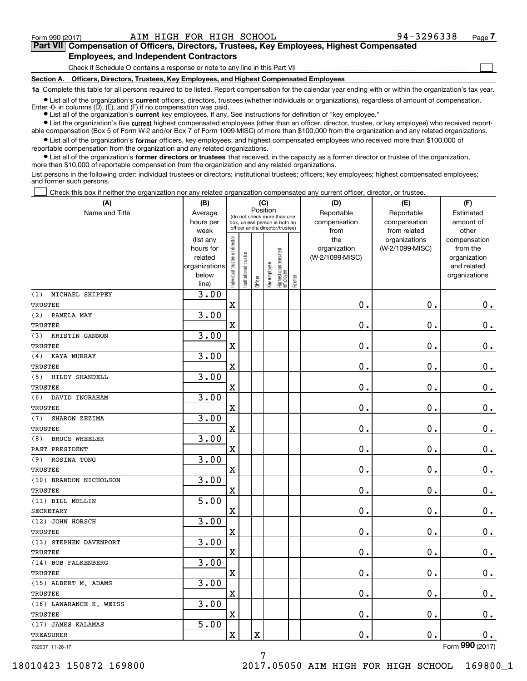$\mathcal{L}^{\text{max}}$ 

## **Part VII Compensation of Officers, Directors, Trustees, Key Employees, Highest Compensated 7Part VII Compensation of Officers, Directors, Trustees, Key Employees, Highest Compensated Employees, and Independent Contractors Employees, and Independent Contractors**

Check if Schedule O contains a response or note to any line in this Part VII <u>mand all communication communication</u>

**Section A. Officers, Directors, Trustees, Key Employees, and Highest Compensated Employees Section A. Officers, Directors, Trustees, Key Employees, and Highest Compensated Employees**

1a Complete this table for all persons required to be listed. Report compensation for the calendar year ending with or within the organization's tax year.

List all of the organization's current officers, directors, trustees (whether individuals or organizations), regardless of amount of compensation. Enter -0- in columns (D), (E), and (F) if no compensation was paid.

● List all of the organization's current key employees, if any. See instructions for definition of "key employee."

• List the organization's five current highest compensated employees (other than an officer, director, trustee, or key employee) who received reportable compensation (Box 5 of Form W-2 and/or Box 7 of Form 1099-MISC) of more than \$100,000 from the organization and any related organizations.

List all of the organization's former officers, key employees, and highest compensated employees who received more than \$100,000 of reportable compensation from the organization and any related organizations. reportable compensation from the organization and any related organizations.

List all of the organization's former directors or trustees that received, in the capacity as a former director or trustee of the organization, more than \$10 , <sup>000</sup>of reportable compensation from the organization and any related organizations. more than \$10,000 of reportable compensation from the organization and any related organizations.

List persons in the following order: individual trustees or directors; institutional trustees; officers; key employees; highest compensated employees; and former such persons. and former such persons.

Check this box if neither the organization nor any related organization compensated any current officer, director, or trustee.  $\mathcal{L}^{\text{max}}$ 

| Name and Title<br>Reportable<br>Reportable<br>Estimated<br>Average<br>(do not check more than one<br>hours per<br>compensation<br>amount of<br>compensation<br>box, unless person is both an<br>officer and a director/trustee)<br>other<br>week<br>from<br>from related<br>Individual trustee or director<br>the<br>organizations<br>(list any<br>compensation<br>(W-2/1099-MISC)<br>hours for<br>organization<br>from the<br>  Highest compensated<br>  employee<br>Institutional trustee<br>(W-2/1099-MISC)<br>related<br>organization<br>Key employee<br>and related<br>organizations<br>below<br>organizations<br>Former<br>Officer<br>line)<br>3.00<br>MICHAEL SHIPPEY<br>$\mathbf 0$ .<br>$\mathbf X$<br>0.<br>0.<br>3.00<br>PAMELA MAY<br>$\mathbf 0$ .<br>$\mathbf X$<br>0.<br>0.<br>3.00<br>KRISTIN GANNON<br>$\rm X$<br>0.<br>0.<br>0.<br>3.00<br>KAYA MURRAY<br>$\mathbf 0$ .<br>$\rm X$<br>0.<br>0.<br>3.00<br>HILDY SHANDELL<br>$\rm X$<br>0.<br>0.<br>0.<br>3.00<br>DAVID INGRAHAM<br>$\mathbf 0$ .<br>$\mathbf X$<br>0.<br>0.<br>3.00<br>SHARON ZEZIMA<br>$\mathbf X$<br>$\mathbf 0$ .<br>0.<br>0.<br>3.00<br><b>BRUCE WHEELER</b><br>$\mathbf 0$ .<br>$\mathbf X$<br>0.<br>0.<br>3.00<br>ROSINA TONG<br>X<br>0.<br>0.<br>0.<br>3.00<br>$\mathbf 0$ .<br>$\mathbf X$<br>0.<br>0.<br>5.00<br>$\mathbf 0$ .<br>$\mathbf X$<br>0.<br>$0$ .<br>3.00<br>$\mathbf 0$ .<br>$\mathbf X$<br>0.<br>$\mathbf 0$ .<br>3.00<br>$\mathbf 0$ .<br>$\mathbf X$<br>0.<br>0.<br>3.00<br>$\rm X$<br>$\mathbf 0$ .<br>0.<br>$0$ .<br>3.00<br>$\mathbf 0$ .<br>$\rm X$<br>0.<br>0.<br>3.00<br>$\rm X$<br>0.<br>0.<br>0.<br>5.00<br>$\rm X$<br>$\mathbf 0$ .<br>0.<br>$\mathbf X$<br>0.<br>nnn | (A)                     | (B) | (C)      |  |  | (D) | (E) | (F) |  |  |
|------------------------------------------------------------------------------------------------------------------------------------------------------------------------------------------------------------------------------------------------------------------------------------------------------------------------------------------------------------------------------------------------------------------------------------------------------------------------------------------------------------------------------------------------------------------------------------------------------------------------------------------------------------------------------------------------------------------------------------------------------------------------------------------------------------------------------------------------------------------------------------------------------------------------------------------------------------------------------------------------------------------------------------------------------------------------------------------------------------------------------------------------------------------------------------------------------------------------------------------------------------------------------------------------------------------------------------------------------------------------------------------------------------------------------------------------------------------------------------------------------------------------------------------------------------------------------------------------------------------------------------------------------------------------------------------|-------------------------|-----|----------|--|--|-----|-----|-----|--|--|
|                                                                                                                                                                                                                                                                                                                                                                                                                                                                                                                                                                                                                                                                                                                                                                                                                                                                                                                                                                                                                                                                                                                                                                                                                                                                                                                                                                                                                                                                                                                                                                                                                                                                                          |                         |     | Position |  |  |     |     |     |  |  |
|                                                                                                                                                                                                                                                                                                                                                                                                                                                                                                                                                                                                                                                                                                                                                                                                                                                                                                                                                                                                                                                                                                                                                                                                                                                                                                                                                                                                                                                                                                                                                                                                                                                                                          |                         |     |          |  |  |     |     |     |  |  |
|                                                                                                                                                                                                                                                                                                                                                                                                                                                                                                                                                                                                                                                                                                                                                                                                                                                                                                                                                                                                                                                                                                                                                                                                                                                                                                                                                                                                                                                                                                                                                                                                                                                                                          |                         |     |          |  |  |     |     |     |  |  |
|                                                                                                                                                                                                                                                                                                                                                                                                                                                                                                                                                                                                                                                                                                                                                                                                                                                                                                                                                                                                                                                                                                                                                                                                                                                                                                                                                                                                                                                                                                                                                                                                                                                                                          |                         |     |          |  |  |     |     |     |  |  |
|                                                                                                                                                                                                                                                                                                                                                                                                                                                                                                                                                                                                                                                                                                                                                                                                                                                                                                                                                                                                                                                                                                                                                                                                                                                                                                                                                                                                                                                                                                                                                                                                                                                                                          |                         |     |          |  |  |     |     |     |  |  |
|                                                                                                                                                                                                                                                                                                                                                                                                                                                                                                                                                                                                                                                                                                                                                                                                                                                                                                                                                                                                                                                                                                                                                                                                                                                                                                                                                                                                                                                                                                                                                                                                                                                                                          |                         |     |          |  |  |     |     |     |  |  |
|                                                                                                                                                                                                                                                                                                                                                                                                                                                                                                                                                                                                                                                                                                                                                                                                                                                                                                                                                                                                                                                                                                                                                                                                                                                                                                                                                                                                                                                                                                                                                                                                                                                                                          |                         |     |          |  |  |     |     |     |  |  |
|                                                                                                                                                                                                                                                                                                                                                                                                                                                                                                                                                                                                                                                                                                                                                                                                                                                                                                                                                                                                                                                                                                                                                                                                                                                                                                                                                                                                                                                                                                                                                                                                                                                                                          |                         |     |          |  |  |     |     |     |  |  |
|                                                                                                                                                                                                                                                                                                                                                                                                                                                                                                                                                                                                                                                                                                                                                                                                                                                                                                                                                                                                                                                                                                                                                                                                                                                                                                                                                                                                                                                                                                                                                                                                                                                                                          | (1)                     |     |          |  |  |     |     |     |  |  |
|                                                                                                                                                                                                                                                                                                                                                                                                                                                                                                                                                                                                                                                                                                                                                                                                                                                                                                                                                                                                                                                                                                                                                                                                                                                                                                                                                                                                                                                                                                                                                                                                                                                                                          | <b>TRUSTEE</b>          |     |          |  |  |     |     |     |  |  |
|                                                                                                                                                                                                                                                                                                                                                                                                                                                                                                                                                                                                                                                                                                                                                                                                                                                                                                                                                                                                                                                                                                                                                                                                                                                                                                                                                                                                                                                                                                                                                                                                                                                                                          | (2)                     |     |          |  |  |     |     |     |  |  |
|                                                                                                                                                                                                                                                                                                                                                                                                                                                                                                                                                                                                                                                                                                                                                                                                                                                                                                                                                                                                                                                                                                                                                                                                                                                                                                                                                                                                                                                                                                                                                                                                                                                                                          | <b>TRUSTEE</b>          |     |          |  |  |     |     |     |  |  |
|                                                                                                                                                                                                                                                                                                                                                                                                                                                                                                                                                                                                                                                                                                                                                                                                                                                                                                                                                                                                                                                                                                                                                                                                                                                                                                                                                                                                                                                                                                                                                                                                                                                                                          | (3)                     |     |          |  |  |     |     |     |  |  |
|                                                                                                                                                                                                                                                                                                                                                                                                                                                                                                                                                                                                                                                                                                                                                                                                                                                                                                                                                                                                                                                                                                                                                                                                                                                                                                                                                                                                                                                                                                                                                                                                                                                                                          | TRUSTEE                 |     |          |  |  |     |     |     |  |  |
|                                                                                                                                                                                                                                                                                                                                                                                                                                                                                                                                                                                                                                                                                                                                                                                                                                                                                                                                                                                                                                                                                                                                                                                                                                                                                                                                                                                                                                                                                                                                                                                                                                                                                          | (4)                     |     |          |  |  |     |     |     |  |  |
|                                                                                                                                                                                                                                                                                                                                                                                                                                                                                                                                                                                                                                                                                                                                                                                                                                                                                                                                                                                                                                                                                                                                                                                                                                                                                                                                                                                                                                                                                                                                                                                                                                                                                          | <b>TRUSTEE</b>          |     |          |  |  |     |     |     |  |  |
|                                                                                                                                                                                                                                                                                                                                                                                                                                                                                                                                                                                                                                                                                                                                                                                                                                                                                                                                                                                                                                                                                                                                                                                                                                                                                                                                                                                                                                                                                                                                                                                                                                                                                          | (5)                     |     |          |  |  |     |     |     |  |  |
|                                                                                                                                                                                                                                                                                                                                                                                                                                                                                                                                                                                                                                                                                                                                                                                                                                                                                                                                                                                                                                                                                                                                                                                                                                                                                                                                                                                                                                                                                                                                                                                                                                                                                          | <b>TRUSTEE</b>          |     |          |  |  |     |     |     |  |  |
|                                                                                                                                                                                                                                                                                                                                                                                                                                                                                                                                                                                                                                                                                                                                                                                                                                                                                                                                                                                                                                                                                                                                                                                                                                                                                                                                                                                                                                                                                                                                                                                                                                                                                          | (6)                     |     |          |  |  |     |     |     |  |  |
|                                                                                                                                                                                                                                                                                                                                                                                                                                                                                                                                                                                                                                                                                                                                                                                                                                                                                                                                                                                                                                                                                                                                                                                                                                                                                                                                                                                                                                                                                                                                                                                                                                                                                          | TRUSTEE                 |     |          |  |  |     |     |     |  |  |
|                                                                                                                                                                                                                                                                                                                                                                                                                                                                                                                                                                                                                                                                                                                                                                                                                                                                                                                                                                                                                                                                                                                                                                                                                                                                                                                                                                                                                                                                                                                                                                                                                                                                                          | (7)                     |     |          |  |  |     |     |     |  |  |
|                                                                                                                                                                                                                                                                                                                                                                                                                                                                                                                                                                                                                                                                                                                                                                                                                                                                                                                                                                                                                                                                                                                                                                                                                                                                                                                                                                                                                                                                                                                                                                                                                                                                                          | <b>TRUSTEE</b>          |     |          |  |  |     |     |     |  |  |
|                                                                                                                                                                                                                                                                                                                                                                                                                                                                                                                                                                                                                                                                                                                                                                                                                                                                                                                                                                                                                                                                                                                                                                                                                                                                                                                                                                                                                                                                                                                                                                                                                                                                                          | (8)                     |     |          |  |  |     |     |     |  |  |
|                                                                                                                                                                                                                                                                                                                                                                                                                                                                                                                                                                                                                                                                                                                                                                                                                                                                                                                                                                                                                                                                                                                                                                                                                                                                                                                                                                                                                                                                                                                                                                                                                                                                                          | PAST PRESIDENT          |     |          |  |  |     |     |     |  |  |
|                                                                                                                                                                                                                                                                                                                                                                                                                                                                                                                                                                                                                                                                                                                                                                                                                                                                                                                                                                                                                                                                                                                                                                                                                                                                                                                                                                                                                                                                                                                                                                                                                                                                                          | (9)                     |     |          |  |  |     |     |     |  |  |
|                                                                                                                                                                                                                                                                                                                                                                                                                                                                                                                                                                                                                                                                                                                                                                                                                                                                                                                                                                                                                                                                                                                                                                                                                                                                                                                                                                                                                                                                                                                                                                                                                                                                                          | <b>TRUSTEE</b>          |     |          |  |  |     |     |     |  |  |
|                                                                                                                                                                                                                                                                                                                                                                                                                                                                                                                                                                                                                                                                                                                                                                                                                                                                                                                                                                                                                                                                                                                                                                                                                                                                                                                                                                                                                                                                                                                                                                                                                                                                                          | (10) BRANDON NICHOLSON  |     |          |  |  |     |     |     |  |  |
|                                                                                                                                                                                                                                                                                                                                                                                                                                                                                                                                                                                                                                                                                                                                                                                                                                                                                                                                                                                                                                                                                                                                                                                                                                                                                                                                                                                                                                                                                                                                                                                                                                                                                          | <b>TRUSTEE</b>          |     |          |  |  |     |     |     |  |  |
|                                                                                                                                                                                                                                                                                                                                                                                                                                                                                                                                                                                                                                                                                                                                                                                                                                                                                                                                                                                                                                                                                                                                                                                                                                                                                                                                                                                                                                                                                                                                                                                                                                                                                          | (11) BILL MELLIN        |     |          |  |  |     |     |     |  |  |
|                                                                                                                                                                                                                                                                                                                                                                                                                                                                                                                                                                                                                                                                                                                                                                                                                                                                                                                                                                                                                                                                                                                                                                                                                                                                                                                                                                                                                                                                                                                                                                                                                                                                                          | <b>SECRETARY</b>        |     |          |  |  |     |     |     |  |  |
|                                                                                                                                                                                                                                                                                                                                                                                                                                                                                                                                                                                                                                                                                                                                                                                                                                                                                                                                                                                                                                                                                                                                                                                                                                                                                                                                                                                                                                                                                                                                                                                                                                                                                          | (12) JOHN HORSCH        |     |          |  |  |     |     |     |  |  |
|                                                                                                                                                                                                                                                                                                                                                                                                                                                                                                                                                                                                                                                                                                                                                                                                                                                                                                                                                                                                                                                                                                                                                                                                                                                                                                                                                                                                                                                                                                                                                                                                                                                                                          | <b>TRUSTEE</b>          |     |          |  |  |     |     |     |  |  |
|                                                                                                                                                                                                                                                                                                                                                                                                                                                                                                                                                                                                                                                                                                                                                                                                                                                                                                                                                                                                                                                                                                                                                                                                                                                                                                                                                                                                                                                                                                                                                                                                                                                                                          | (13) STEPHEN DAVENPORT  |     |          |  |  |     |     |     |  |  |
|                                                                                                                                                                                                                                                                                                                                                                                                                                                                                                                                                                                                                                                                                                                                                                                                                                                                                                                                                                                                                                                                                                                                                                                                                                                                                                                                                                                                                                                                                                                                                                                                                                                                                          | TRUSTEE                 |     |          |  |  |     |     |     |  |  |
|                                                                                                                                                                                                                                                                                                                                                                                                                                                                                                                                                                                                                                                                                                                                                                                                                                                                                                                                                                                                                                                                                                                                                                                                                                                                                                                                                                                                                                                                                                                                                                                                                                                                                          | (14) BOB FALKENBERG     |     |          |  |  |     |     |     |  |  |
|                                                                                                                                                                                                                                                                                                                                                                                                                                                                                                                                                                                                                                                                                                                                                                                                                                                                                                                                                                                                                                                                                                                                                                                                                                                                                                                                                                                                                                                                                                                                                                                                                                                                                          | TRUSTEE                 |     |          |  |  |     |     |     |  |  |
|                                                                                                                                                                                                                                                                                                                                                                                                                                                                                                                                                                                                                                                                                                                                                                                                                                                                                                                                                                                                                                                                                                                                                                                                                                                                                                                                                                                                                                                                                                                                                                                                                                                                                          | (15) ALBERT M. ADAMS    |     |          |  |  |     |     |     |  |  |
|                                                                                                                                                                                                                                                                                                                                                                                                                                                                                                                                                                                                                                                                                                                                                                                                                                                                                                                                                                                                                                                                                                                                                                                                                                                                                                                                                                                                                                                                                                                                                                                                                                                                                          | TRUSTEE                 |     |          |  |  |     |     |     |  |  |
|                                                                                                                                                                                                                                                                                                                                                                                                                                                                                                                                                                                                                                                                                                                                                                                                                                                                                                                                                                                                                                                                                                                                                                                                                                                                                                                                                                                                                                                                                                                                                                                                                                                                                          | (16) LAWARANCE K. WEISS |     |          |  |  |     |     |     |  |  |
|                                                                                                                                                                                                                                                                                                                                                                                                                                                                                                                                                                                                                                                                                                                                                                                                                                                                                                                                                                                                                                                                                                                                                                                                                                                                                                                                                                                                                                                                                                                                                                                                                                                                                          | TRUSTEE                 |     |          |  |  |     |     |     |  |  |
|                                                                                                                                                                                                                                                                                                                                                                                                                                                                                                                                                                                                                                                                                                                                                                                                                                                                                                                                                                                                                                                                                                                                                                                                                                                                                                                                                                                                                                                                                                                                                                                                                                                                                          | (17) JAMES KALAMAS      |     |          |  |  |     |     |     |  |  |
|                                                                                                                                                                                                                                                                                                                                                                                                                                                                                                                                                                                                                                                                                                                                                                                                                                                                                                                                                                                                                                                                                                                                                                                                                                                                                                                                                                                                                                                                                                                                                                                                                                                                                          | <b>TREASURER</b>        |     |          |  |  |     |     |     |  |  |

732007 11-28-17 732007 11-28-17

Form **990** (2017)

7 7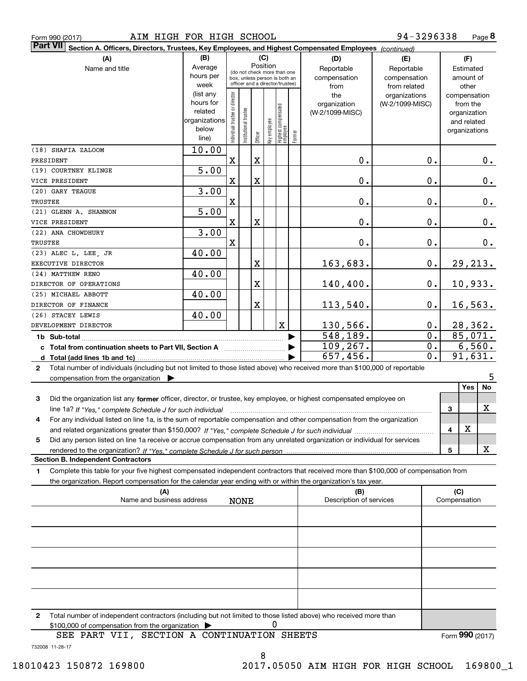| Form 990 (2017) |  |  |
|-----------------|--|--|
|                 |  |  |

| Part VII Section A. Officers, Directors, Trustees, Key Employees, and Highest Compensated Employees (continued)<br>(A)                    | (B)           |                                |                       | (C)      |              |                                                                  |        | (D)                        | (E)                        |   | (F)                    |
|-------------------------------------------------------------------------------------------------------------------------------------------|---------------|--------------------------------|-----------------------|----------|--------------|------------------------------------------------------------------|--------|----------------------------|----------------------------|---|------------------------|
|                                                                                                                                           | Average       |                                |                       | Position |              |                                                                  |        |                            |                            |   |                        |
| Name and title                                                                                                                            | hours per     |                                |                       |          |              | (do not check more than one                                      |        | Reportable<br>compensation | Reportable<br>compensation |   | Estimated<br>amount of |
|                                                                                                                                           | week          |                                |                       |          |              | box, unless person is both an<br>officer and a director/trustee) |        | from                       | from related               |   | other                  |
|                                                                                                                                           | (list any     |                                |                       |          |              |                                                                  |        | the                        | organizations              |   | compensation           |
|                                                                                                                                           | hours for     |                                |                       |          |              |                                                                  |        | organization               | (W-2/1099-MISC)            |   | from the               |
|                                                                                                                                           | related       |                                |                       |          |              |                                                                  |        | (W-2/1099-MISC)            |                            |   | organization           |
|                                                                                                                                           | organizations |                                |                       |          |              |                                                                  |        |                            |                            |   | and related            |
|                                                                                                                                           | below         | Individual trustee or director | Institutional trustee |          | Key employee | Highest compensated<br>  employee                                |        |                            |                            |   | organizations          |
|                                                                                                                                           | line)         |                                |                       | Officer  |              |                                                                  | Former |                            |                            |   |                        |
| (18) SHAFIA ZALOOM                                                                                                                        | 10.00         |                                |                       |          |              |                                                                  |        |                            |                            |   |                        |
| PRESIDENT                                                                                                                                 |               | $\mathbf X$                    |                       | X        |              |                                                                  |        | 0.                         | 0.                         |   | 0.                     |
| (19) COURTNEY KLINGE                                                                                                                      | 5.00          |                                |                       |          |              |                                                                  |        |                            |                            |   |                        |
| VICE PRESIDENT                                                                                                                            |               | $\mathbf X$                    |                       | X        |              |                                                                  |        | 0.                         | 0.                         |   | 0.                     |
| (20) GARY TEAGUE                                                                                                                          | 3.00          |                                |                       |          |              |                                                                  |        |                            |                            |   |                        |
| TRUSTEE                                                                                                                                   |               | $\mathbf X$                    |                       |          |              |                                                                  |        | 0.                         | 0.                         |   | 0.                     |
| (21) GLENN A. SHANNON                                                                                                                     | 5.00          |                                |                       |          |              |                                                                  |        |                            |                            |   |                        |
| VICE PRESIDENT                                                                                                                            |               | $\mathbf X$                    |                       | X        |              |                                                                  |        | 0.                         | 0.                         |   | 0.                     |
| (22) ANA CHOWDHURY                                                                                                                        | 3.00          |                                |                       |          |              |                                                                  |        |                            |                            |   |                        |
| TRUSTEE                                                                                                                                   |               | $\mathbf X$                    |                       |          |              |                                                                  |        | 0.                         | 0.                         |   | 0.                     |
| (23) ALEC L. LEE, JR                                                                                                                      | 40.00         |                                |                       |          |              |                                                                  |        |                            |                            |   |                        |
| EXECUTIVE DIRECTOR                                                                                                                        |               |                                |                       | X        |              |                                                                  |        | 163,683.                   | $0$ .                      |   | 29, 213.               |
| (24) MATTHEW RENO                                                                                                                         | 40.00         |                                |                       |          |              |                                                                  |        |                            |                            |   |                        |
| DIRECTOR OF OPERATIONS                                                                                                                    |               |                                |                       | X        |              |                                                                  |        | 140,400.                   | 0.                         |   | 10,933.                |
| (25) MICHAEL ABBOTT                                                                                                                       | 40.00         |                                |                       |          |              |                                                                  |        |                            |                            |   |                        |
| DIRECTOR OF FINANCE                                                                                                                       |               |                                |                       | X        |              |                                                                  |        | 113,540.                   | 0.                         |   | 16, 563.               |
| (26) STACEY LEWIS                                                                                                                         | 40.00         |                                |                       |          |              |                                                                  |        |                            |                            |   |                        |
| DEVELOPMENT DIRECTOR                                                                                                                      |               |                                |                       |          |              | $\mathbf X$                                                      |        | 130,566.                   | $0$ .                      |   | 28,362.                |
|                                                                                                                                           |               |                                |                       |          |              |                                                                  |        | 548,189.                   | $\overline{0}$ .           |   | 85,071.                |
|                                                                                                                                           |               |                                |                       |          |              |                                                                  |        | 109, 267.                  | $\overline{0}$ .           |   | 6,560.                 |
|                                                                                                                                           |               |                                |                       |          |              |                                                                  |        | 657,456.                   | $\overline{0}$ .           |   | 91,631.                |
| Total number of individuals (including but not limited to those listed above) who received more than \$100,000 of reportable              |               |                                |                       |          |              |                                                                  |        |                            |                            |   |                        |
| 2<br>compensation from the organization $\blacktriangleright$                                                                             |               |                                |                       |          |              |                                                                  |        |                            |                            |   | 5                      |
|                                                                                                                                           |               |                                |                       |          |              |                                                                  |        |                            |                            |   | Yes<br>No              |
| Did the organization list any former officer, director, or trustee, key employee, or highest compensated employee on<br>З                 |               |                                |                       |          |              |                                                                  |        |                            |                            |   |                        |
| line 1a? If "Yes," complete Schedule J for such individual manufactured contained and the Yes," complete Schedule J for such individual   |               |                                |                       |          |              |                                                                  |        |                            |                            | 3 | X                      |
| For any individual listed on line 1a, is the sum of reportable compensation and other compensation from the organization<br>4             |               |                                |                       |          |              |                                                                  |        |                            |                            |   |                        |
|                                                                                                                                           |               |                                |                       |          |              |                                                                  |        |                            |                            | 4 | х                      |
| Did any person listed on line 1a receive or accrue compensation from any unrelated organization or individual for services<br>5           |               |                                |                       |          |              |                                                                  |        |                            |                            |   |                        |
|                                                                                                                                           |               |                                |                       |          |              |                                                                  |        |                            |                            | 5 | х                      |
| <b>Section B. Independent Contractors</b>                                                                                                 |               |                                |                       |          |              |                                                                  |        |                            |                            |   |                        |
| Complete this table for your five highest compensated independent contractors that received more than \$100,000 of compensation from<br>1 |               |                                |                       |          |              |                                                                  |        |                            |                            |   |                        |
| the organization. Report compensation for the calendar year ending with or within the organization's tax year.                            |               |                                |                       |          |              |                                                                  |        |                            |                            |   |                        |
| (A)                                                                                                                                       |               |                                |                       |          |              |                                                                  |        | (B)                        |                            |   | (C)                    |
| Name and business address                                                                                                                 |               |                                | <b>NONE</b>           |          |              |                                                                  |        | Description of services    |                            |   | Compensation           |
|                                                                                                                                           |               |                                |                       |          |              |                                                                  |        |                            |                            |   |                        |
|                                                                                                                                           |               |                                |                       |          |              |                                                                  |        |                            |                            |   |                        |
|                                                                                                                                           |               |                                |                       |          |              |                                                                  |        |                            |                            |   |                        |
|                                                                                                                                           |               |                                |                       |          |              |                                                                  |        |                            |                            |   |                        |
|                                                                                                                                           |               |                                |                       |          |              |                                                                  |        |                            |                            |   |                        |
|                                                                                                                                           |               |                                |                       |          |              |                                                                  |        |                            |                            |   |                        |
|                                                                                                                                           |               |                                |                       |          |              |                                                                  |        |                            |                            |   |                        |
|                                                                                                                                           |               |                                |                       |          |              |                                                                  |        |                            |                            |   |                        |
|                                                                                                                                           |               |                                |                       |          |              |                                                                  |        |                            |                            |   |                        |
|                                                                                                                                           |               |                                |                       |          |              |                                                                  |        |                            |                            |   |                        |
|                                                                                                                                           |               |                                |                       |          |              |                                                                  |        |                            |                            |   |                        |
|                                                                                                                                           |               |                                |                       |          |              |                                                                  |        |                            |                            |   |                        |
| Total number of independent contractors (including but not limited to those listed above) who received more than<br>2                     |               |                                |                       |          |              |                                                                  |        |                            |                            |   |                        |
| \$100,000 of compensation from the organization                                                                                           |               |                                |                       |          | 0            |                                                                  |        |                            |                            |   |                        |
| SEE PART VII, SECTION A CONTINUATION SHEETS<br>732008 11-28-17                                                                            |               |                                |                       |          |              |                                                                  |        |                            |                            |   | Form 990 (2017)        |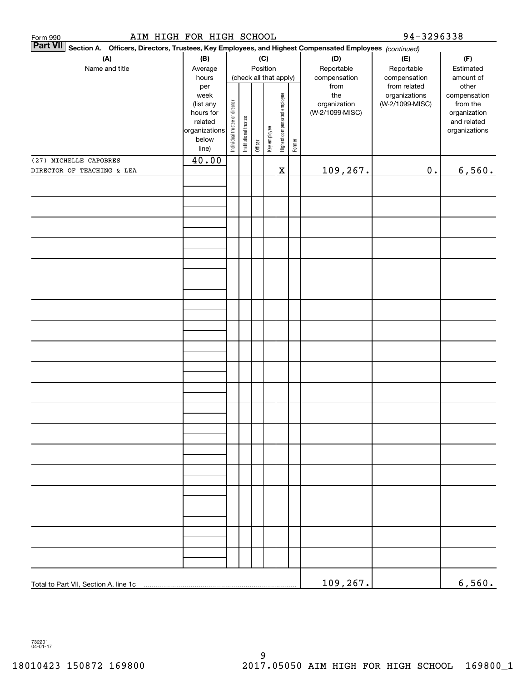| <b>Part VII</b><br>Section A. Officers, Directors, Trustees, Key Employees, and Highest Compensated Employees (continued)<br>(A)<br>Name and title | (B)<br>Average                                                                               |                                |                                                 |         | (C)<br>Position |                              |        | (D)<br>Reportable                                              | (E)<br>Reportable                                                | (F)<br>Estimated                                                                               |
|----------------------------------------------------------------------------------------------------------------------------------------------------|----------------------------------------------------------------------------------------------|--------------------------------|-------------------------------------------------|---------|-----------------|------------------------------|--------|----------------------------------------------------------------|------------------------------------------------------------------|------------------------------------------------------------------------------------------------|
|                                                                                                                                                    | hours<br>per<br>week<br>(list any<br>hours for<br>related<br>organizations<br>below<br>line) | Individual trustee or director | (check all that apply)<br>Institutional trustee | Officer | Key employee    | Highest compensated employee | Former | compensation<br>from<br>the<br>organization<br>(W-2/1099-MISC) | compensation<br>from related<br>organizations<br>(W-2/1099-MISC) | amount of<br>other<br>compensation<br>from the<br>organization<br>and related<br>organizations |
| (27) MICHELLE CAPOBRES<br>DIRECTOR OF TEACHING & LEA                                                                                               | 40.00                                                                                        |                                |                                                 |         |                 | $\mathbf x$                  |        | 109,267.                                                       | $0$ .                                                            | 6,560.                                                                                         |
|                                                                                                                                                    |                                                                                              |                                |                                                 |         |                 |                              |        |                                                                |                                                                  |                                                                                                |
|                                                                                                                                                    |                                                                                              |                                |                                                 |         |                 |                              |        |                                                                |                                                                  |                                                                                                |
|                                                                                                                                                    |                                                                                              |                                |                                                 |         |                 |                              |        |                                                                |                                                                  |                                                                                                |
|                                                                                                                                                    |                                                                                              |                                |                                                 |         |                 |                              |        |                                                                |                                                                  |                                                                                                |
|                                                                                                                                                    |                                                                                              |                                |                                                 |         |                 |                              |        |                                                                |                                                                  |                                                                                                |
|                                                                                                                                                    |                                                                                              |                                |                                                 |         |                 |                              |        |                                                                |                                                                  |                                                                                                |
|                                                                                                                                                    |                                                                                              |                                |                                                 |         |                 |                              |        |                                                                |                                                                  |                                                                                                |
|                                                                                                                                                    |                                                                                              |                                |                                                 |         |                 |                              |        |                                                                |                                                                  |                                                                                                |
|                                                                                                                                                    |                                                                                              |                                |                                                 |         |                 |                              |        |                                                                |                                                                  |                                                                                                |
|                                                                                                                                                    |                                                                                              |                                |                                                 |         |                 |                              |        |                                                                |                                                                  |                                                                                                |
|                                                                                                                                                    |                                                                                              |                                |                                                 |         |                 |                              |        |                                                                |                                                                  |                                                                                                |
|                                                                                                                                                    |                                                                                              |                                |                                                 |         |                 |                              |        |                                                                |                                                                  |                                                                                                |
|                                                                                                                                                    |                                                                                              |                                |                                                 |         |                 |                              |        |                                                                |                                                                  |                                                                                                |
|                                                                                                                                                    |                                                                                              |                                |                                                 |         |                 |                              |        |                                                                |                                                                  |                                                                                                |
|                                                                                                                                                    |                                                                                              |                                |                                                 |         |                 |                              |        |                                                                |                                                                  |                                                                                                |
|                                                                                                                                                    |                                                                                              |                                |                                                 |         |                 |                              |        |                                                                |                                                                  |                                                                                                |
|                                                                                                                                                    |                                                                                              |                                |                                                 |         |                 |                              |        |                                                                |                                                                  |                                                                                                |
|                                                                                                                                                    |                                                                                              |                                |                                                 |         |                 |                              |        |                                                                |                                                                  |                                                                                                |
|                                                                                                                                                    |                                                                                              |                                |                                                 |         |                 |                              |        |                                                                |                                                                  |                                                                                                |
|                                                                                                                                                    |                                                                                              |                                |                                                 |         |                 |                              |        |                                                                |                                                                  |                                                                                                |
|                                                                                                                                                    |                                                                                              |                                |                                                 |         |                 |                              |        |                                                                |                                                                  |                                                                                                |
|                                                                                                                                                    |                                                                                              |                                |                                                 |         |                 |                              |        |                                                                |                                                                  |                                                                                                |
| Total to Part VII, Section A, line 1c                                                                                                              |                                                                                              |                                |                                                 |         |                 |                              |        | 109,267.                                                       |                                                                  | 6,560.                                                                                         |
|                                                                                                                                                    |                                                                                              |                                |                                                 |         |                 |                              |        |                                                                |                                                                  |                                                                                                |
| 732201<br>04-01-17                                                                                                                                 |                                                                                              |                                |                                                 |         |                 |                              |        |                                                                |                                                                  |                                                                                                |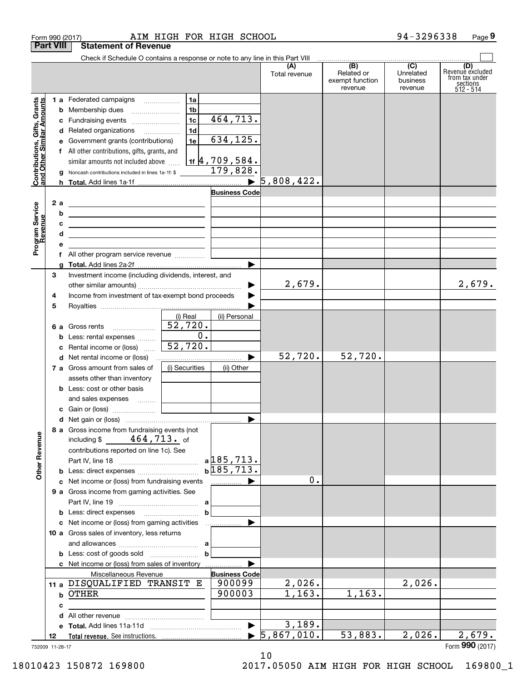|                                                           | Form 990 (2017)  |                                                                                                                       | AIM HIGH FOR HIGH SCHOOL |                       |                                  |                                                 | 94-3296338                                         | Page 9                                                               |
|-----------------------------------------------------------|------------------|-----------------------------------------------------------------------------------------------------------------------|--------------------------|-----------------------|----------------------------------|-------------------------------------------------|----------------------------------------------------|----------------------------------------------------------------------|
|                                                           | <b>Part VIII</b> | <b>Statement of Revenue</b>                                                                                           |                          |                       |                                  |                                                 |                                                    |                                                                      |
|                                                           |                  | Check if Schedule O contains a response or note to any line in this Part VIII                                         |                          |                       |                                  |                                                 |                                                    |                                                                      |
|                                                           |                  |                                                                                                                       |                          |                       | (A)<br>Total revenue             | (B)<br>Related or<br>exempt function<br>revenue | $\overline{C}$<br>Unrelated<br>business<br>revenue | (D)<br>Revenue excluded<br>from tax under<br>sections<br>$512 - 514$ |
|                                                           |                  | 1 a Federated campaigns                                                                                               | 1a                       |                       |                                  |                                                 |                                                    |                                                                      |
| Contributions, Gifts, Grants<br>and Other Similar Amounts |                  | <b>b</b> Membership dues                                                                                              | 1b                       |                       |                                  |                                                 |                                                    |                                                                      |
|                                                           |                  | c Fundraising events                                                                                                  | 1c                       | 464,713.              |                                  |                                                 |                                                    |                                                                      |
|                                                           |                  | d Related organizations                                                                                               | 1d                       |                       |                                  |                                                 |                                                    |                                                                      |
|                                                           |                  | e Government grants (contributions)                                                                                   | 1e                       | 634,125.              |                                  |                                                 |                                                    |                                                                      |
|                                                           |                  | f All other contributions, gifts, grants, and                                                                         |                          |                       |                                  |                                                 |                                                    |                                                                      |
|                                                           |                  | similar amounts not included above $\frac{1}{16}$   $\frac{4}{709}$ , 584.                                            |                          |                       |                                  |                                                 |                                                    |                                                                      |
|                                                           |                  | <b>g</b> Noncash contributions included in lines 1a-1f: $\sqrt[3]{179,828}$                                           |                          |                       |                                  |                                                 |                                                    |                                                                      |
|                                                           |                  |                                                                                                                       |                          |                       |                                  |                                                 |                                                    |                                                                      |
|                                                           |                  |                                                                                                                       |                          | <b>Business Code</b>  |                                  |                                                 |                                                    |                                                                      |
| Program Service<br>Revenue                                | 2a               | <u> 1989 - John Harry Harry Harry Harry Harry Harry Harry Harry Harry Harry Harry Harry Harry Harry Harry Harry H</u> |                          |                       |                                  |                                                 |                                                    |                                                                      |
|                                                           | b                |                                                                                                                       |                          |                       |                                  |                                                 |                                                    |                                                                      |
|                                                           | с<br>d           | <u> 1989 - Johann John Stone, markin film yn y brening yn y brening y brening yn y brening y brening yn y brenin</u>  |                          |                       |                                  |                                                 |                                                    |                                                                      |
|                                                           |                  | <u> 1989 - Johann Stein, marwolaethau a bhann an t-Amhair an t-Amhair an t-Amhair an t-Amhair an t-Amhair an t-A</u>  |                          |                       |                                  |                                                 |                                                    |                                                                      |
|                                                           | f                | All other program service revenue                                                                                     |                          |                       |                                  |                                                 |                                                    |                                                                      |
|                                                           |                  |                                                                                                                       |                          | ▶                     |                                  |                                                 |                                                    |                                                                      |
|                                                           | 3                | Investment income (including dividends, interest, and                                                                 |                          |                       |                                  |                                                 |                                                    |                                                                      |
|                                                           |                  |                                                                                                                       |                          | ▶                     | 2,679.                           |                                                 |                                                    | 2,679.                                                               |
|                                                           | 4                | Income from investment of tax-exempt bond proceeds                                                                    |                          | ▶                     |                                  |                                                 |                                                    |                                                                      |
|                                                           | 5                |                                                                                                                       |                          |                       |                                  |                                                 |                                                    |                                                                      |
|                                                           |                  |                                                                                                                       | (i) Real                 | (ii) Personal         |                                  |                                                 |                                                    |                                                                      |
|                                                           |                  | <b>6 a</b> Gross rents                                                                                                | 52,720.                  |                       |                                  |                                                 |                                                    |                                                                      |
|                                                           |                  | <b>b</b> Less: rental expenses                                                                                        | 0.                       |                       |                                  |                                                 |                                                    |                                                                      |
|                                                           |                  | c Rental income or (loss)                                                                                             | 52,720.                  |                       |                                  |                                                 |                                                    |                                                                      |
|                                                           |                  | d Net rental income or (loss)                                                                                         |                          | ▶                     | 52,720.                          | 52,720.                                         |                                                    |                                                                      |
|                                                           |                  | 7 a Gross amount from sales of                                                                                        | (i) Securities           | (ii) Other            |                                  |                                                 |                                                    |                                                                      |
|                                                           |                  | assets other than inventory                                                                                           |                          |                       |                                  |                                                 |                                                    |                                                                      |
|                                                           |                  | <b>b</b> Less: cost or other basis                                                                                    |                          |                       |                                  |                                                 |                                                    |                                                                      |
|                                                           |                  | and sales expenses<br>c Gain or (loss)                                                                                |                          |                       |                                  |                                                 |                                                    |                                                                      |
|                                                           |                  |                                                                                                                       |                          |                       |                                  |                                                 |                                                    |                                                                      |
|                                                           |                  | 8 a Gross income from fundraising events (not                                                                         |                          |                       |                                  |                                                 |                                                    |                                                                      |
| <b>Other Revenue</b>                                      |                  | $464,713$ of<br>including \$                                                                                          |                          |                       |                                  |                                                 |                                                    |                                                                      |
|                                                           |                  | contributions reported on line 1c). See                                                                               |                          | $a$ 185,713.          |                                  |                                                 |                                                    |                                                                      |
|                                                           |                  |                                                                                                                       |                          | b185,713.             |                                  |                                                 |                                                    |                                                                      |
|                                                           |                  | c Net income or (loss) from fundraising events                                                                        |                          |                       | 0.                               |                                                 |                                                    |                                                                      |
|                                                           |                  | 9 a Gross income from gaming activities. See                                                                          |                          |                       |                                  |                                                 |                                                    |                                                                      |
|                                                           |                  |                                                                                                                       | a                        |                       |                                  |                                                 |                                                    |                                                                      |
|                                                           |                  |                                                                                                                       | b                        |                       |                                  |                                                 |                                                    |                                                                      |
|                                                           |                  | c Net income or (loss) from gaming activities                                                                         |                          | ▶                     |                                  |                                                 |                                                    |                                                                      |
|                                                           |                  | 10 a Gross sales of inventory, less returns                                                                           |                          |                       |                                  |                                                 |                                                    |                                                                      |
|                                                           |                  |                                                                                                                       | а                        |                       |                                  |                                                 |                                                    |                                                                      |
|                                                           |                  |                                                                                                                       | b                        |                       |                                  |                                                 |                                                    |                                                                      |
|                                                           |                  | <b>c</b> Net income or (loss) from sales of inventory                                                                 |                          |                       |                                  |                                                 |                                                    |                                                                      |
|                                                           |                  | Miscellaneous Revenue                                                                                                 |                          | <b>Business Code</b>  |                                  |                                                 |                                                    |                                                                      |
|                                                           |                  | 11 a DISQUALIFIED TRANSIT E                                                                                           |                          | 900099                | 2,026.                           |                                                 | 2,026.                                             |                                                                      |
|                                                           |                  | b OTHER                                                                                                               |                          | 900003                | 1,163.                           | 1, 163.                                         |                                                    |                                                                      |
|                                                           | c                |                                                                                                                       |                          |                       |                                  |                                                 |                                                    |                                                                      |
|                                                           | d                |                                                                                                                       |                          | $\blacktriangleright$ | 3,189.                           |                                                 |                                                    |                                                                      |
|                                                           | 12               |                                                                                                                       |                          |                       | $\blacktriangleright$ 5,867,010. | 53,883.                                         | 2,026.                                             | $\overline{2}$ , 679.                                                |
|                                                           | 732009 11-28-17  |                                                                                                                       |                          |                       |                                  |                                                 |                                                    | Form 990 (2017)                                                      |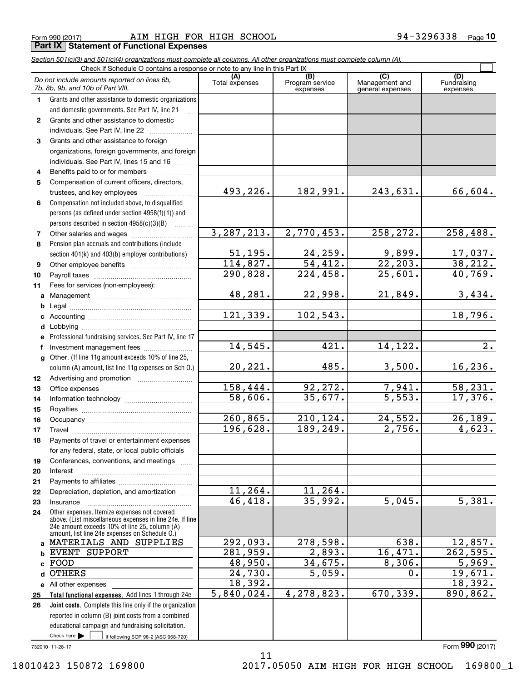Form 990 (2017) **AIM HIGH FOR HIGH SCHOOL** 94-3296338 Page 10 **Part IX | Statement of Functional Expenses** 

Section 501(c)(3) and 501(c)(4) organizations must complete all columns. All other organizations must complete column (A).

|              | Do not include amounts reported on lines 6b,<br>7b, 8b, 9b, and 10b of Part VIII.                                                                                                                           | (A)<br>Total expenses | (B)<br>Program service<br>expenses | (C)<br>Management and<br>general expenses | (D)<br>Fundraising<br>expenses |
|--------------|-------------------------------------------------------------------------------------------------------------------------------------------------------------------------------------------------------------|-----------------------|------------------------------------|-------------------------------------------|--------------------------------|
| 1.           | Grants and other assistance to domestic organizations                                                                                                                                                       |                       |                                    |                                           |                                |
|              | and domestic governments. See Part IV, line 21                                                                                                                                                              |                       |                                    |                                           |                                |
| $\mathbf{2}$ | Grants and other assistance to domestic                                                                                                                                                                     |                       |                                    |                                           |                                |
|              | individuals. See Part IV, line 22                                                                                                                                                                           |                       |                                    |                                           |                                |
| 3            | Grants and other assistance to foreign                                                                                                                                                                      |                       |                                    |                                           |                                |
|              | organizations, foreign governments, and foreign                                                                                                                                                             |                       |                                    |                                           |                                |
|              | individuals. See Part IV, lines 15 and 16                                                                                                                                                                   |                       |                                    |                                           |                                |
| 4            | Benefits paid to or for members                                                                                                                                                                             |                       |                                    |                                           |                                |
| 5            | Compensation of current officers, directors,                                                                                                                                                                |                       |                                    |                                           |                                |
|              |                                                                                                                                                                                                             | 493,226.              | 182,991.                           | 243,631.                                  | 66,604.                        |
| 6            | Compensation not included above, to disqualified                                                                                                                                                            |                       |                                    |                                           |                                |
|              | persons (as defined under section 4958(f)(1)) and<br>persons described in section 4958(c)(3)(B)                                                                                                             |                       |                                    |                                           |                                |
| 7            | $\sim$                                                                                                                                                                                                      | 3, 287, 213.          | 2,770,453.                         | 258,272.                                  | 258,488.                       |
| 8            | Pension plan accruals and contributions (include                                                                                                                                                            |                       |                                    |                                           |                                |
|              | section 401(k) and 403(b) employer contributions)                                                                                                                                                           | 51, 195.              | 24,259.                            | 9,899.                                    |                                |
| 9            |                                                                                                                                                                                                             | 114,827.              | 54,412.                            | $\overline{22, 203}$ .                    | $\frac{17,037.}{38,212.}$      |
| 10           |                                                                                                                                                                                                             | 290,828.              | $\overline{224}$ , 458.            | 25,601.                                   | 40,769.                        |
| 11           | Fees for services (non-employees):                                                                                                                                                                          |                       |                                    |                                           |                                |
| a            |                                                                                                                                                                                                             | 48,281.               | 22,998.                            | 21,849.                                   | 3,434.                         |
| b            |                                                                                                                                                                                                             |                       |                                    |                                           |                                |
| c            |                                                                                                                                                                                                             | 121, 339.             | 102, 543.                          |                                           | 18,796.                        |
| d            |                                                                                                                                                                                                             |                       |                                    |                                           |                                |
| е            | Professional fundraising services. See Part IV, line 17                                                                                                                                                     |                       |                                    |                                           |                                |
| f            | Investment management fees                                                                                                                                                                                  | 14,545.               | 421.                               | 14,122.                                   | $\overline{2}$ .               |
|              | g Other. (If line 11g amount exceeds 10% of line 25,                                                                                                                                                        |                       |                                    |                                           |                                |
|              | column (A) amount, list line 11g expenses on Sch O.)                                                                                                                                                        | 20,221.               | 485.                               | 3,500.                                    | 16, 236.                       |
| 12           |                                                                                                                                                                                                             |                       |                                    |                                           |                                |
| 13           |                                                                                                                                                                                                             | 158,444.              | 92,272.                            | 7,941.                                    | 58,231.                        |
| 14           |                                                                                                                                                                                                             | 58,606.               | 35,677.                            | 5,553.                                    | 17,376.                        |
| 15           |                                                                                                                                                                                                             |                       |                                    |                                           |                                |
| 16           |                                                                                                                                                                                                             | 260, 865.<br>196,628. | 210,124.<br>189,249.               | 24,552.<br>$\overline{2,756}$ .           | 26, 189.<br>4,623.             |
| 17           |                                                                                                                                                                                                             |                       |                                    |                                           |                                |
| 18           | Payments of travel or entertainment expenses<br>for any federal, state, or local public officials                                                                                                           |                       |                                    |                                           |                                |
| 19           | Conferences, conventions, and meetings                                                                                                                                                                      |                       |                                    |                                           |                                |
| 20           | Interest                                                                                                                                                                                                    |                       |                                    |                                           |                                |
| 21           |                                                                                                                                                                                                             |                       |                                    |                                           |                                |
| 22           | Depreciation, depletion, and amortization                                                                                                                                                                   | 11,264.               | 11,264.                            |                                           |                                |
| 23           | Insurance                                                                                                                                                                                                   | 46,418.               | 35,992.                            | 5,045.                                    | 5,381.                         |
| 24           | Other expenses. Itemize expenses not covered<br>above. (List miscellaneous expenses in line 24e. If line<br>24e amount exceeds 10% of line 25, column (A)<br>amount, list line 24e expenses on Schedule O.) |                       |                                    |                                           |                                |
|              | a MATERIALS AND SUPPLIES                                                                                                                                                                                    | 292,093.              | 278,598.                           | 638.                                      | 12,857.                        |
| b.           | <b>EVENT SUPPORT</b>                                                                                                                                                                                        | 281,959.              | 2,893.                             | 16,471.                                   | $\overline{262,595}$ .         |
| c            | FOOD                                                                                                                                                                                                        | 48,950.               | 34,675.                            | 8,306.                                    | 5,969.                         |
| d            | <b>OTHERS</b>                                                                                                                                                                                               | 24,730.               | 5,059.                             | 0.                                        | 19,671.                        |
|              | e All other expenses                                                                                                                                                                                        | 18,392.               |                                    |                                           | 18,392.                        |
| 25           | Total functional expenses. Add lines 1 through 24e                                                                                                                                                          | 5,840,024.            | 4,278,823.                         | 670,339.                                  | 890,862.                       |
| 26           | Joint costs. Complete this line only if the organization                                                                                                                                                    |                       |                                    |                                           |                                |
|              | reported in column (B) joint costs from a combined                                                                                                                                                          |                       |                                    |                                           |                                |
|              | educational campaign and fundraising solicitation.                                                                                                                                                          |                       |                                    |                                           |                                |
|              | Check here $\blacktriangleright$<br>if following SOP 98-2 (ASC 958-720)                                                                                                                                     |                       |                                    |                                           | Form 990 (2017)                |
|              | 732010 11-28-17                                                                                                                                                                                             | 11                    |                                    |                                           |                                |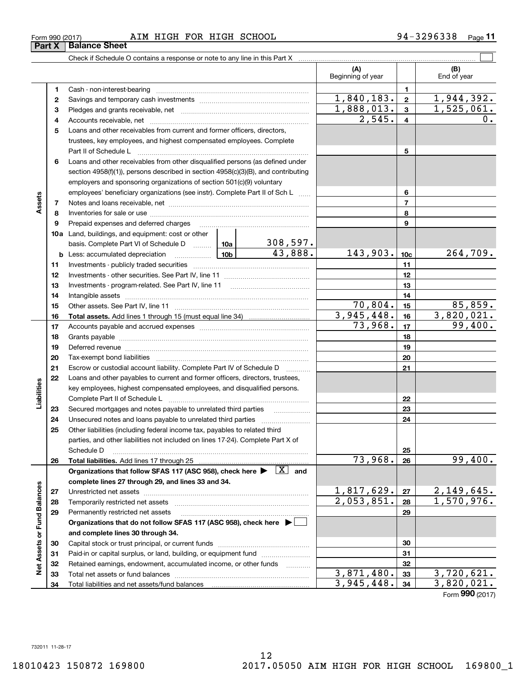**323334**

3,945,448.

**32 32**3, 871,480. **33** 3,720, 621. 3,871,480. 3,720,621.

**3334**

3, 945,448. **34** 3, 820, 021. Form **990** (2017)

|    | section $4958(f)(1)$ , persons described in section $4958(c)(3)(B)$ , and contributing                                    |                 |            |                 |                               |
|----|---------------------------------------------------------------------------------------------------------------------------|-----------------|------------|-----------------|-------------------------------|
|    | employers and sponsoring organizations of section 501(c)(9) voluntary                                                     |                 |            |                 |                               |
|    | employees' beneficiary organizations (see instr). Complete Part II of Sch L                                               |                 |            | 6               |                               |
| 7  |                                                                                                                           |                 |            | $\overline{7}$  |                               |
| 8  |                                                                                                                           |                 |            | 8               |                               |
| 9  | Prepaid expenses and deferred charges                                                                                     |                 |            | 9               |                               |
|    | <b>10a</b> Land, buildings, and equipment: cost or other                                                                  |                 |            |                 |                               |
|    | basis. Complete Part VI of Schedule D  10a                                                                                | <u>308,597.</u> |            |                 |                               |
| b  | Less: accumulated depreciation                                                                                            | 43,888.         | 143,903.   | 10 <sub>c</sub> | 264,709.                      |
| 11 |                                                                                                                           |                 |            | 11              |                               |
| 12 |                                                                                                                           |                 |            | 12              |                               |
| 13 |                                                                                                                           |                 |            | 13              |                               |
| 14 |                                                                                                                           |                 |            | 14              |                               |
| 15 |                                                                                                                           |                 | 70,804.    | 15              | 85,859.                       |
| 16 |                                                                                                                           |                 | 3,945,448. | 16              | 3,820,021.                    |
| 17 |                                                                                                                           |                 | 73,968.    | 17              | 99,400.                       |
| 18 |                                                                                                                           |                 |            | 18              |                               |
| 19 |                                                                                                                           |                 |            | 19              |                               |
| 20 |                                                                                                                           |                 |            | 20              |                               |
| 21 | Escrow or custodial account liability. Complete Part IV of Schedule D                                                     |                 |            | 21              |                               |
| 22 | Loans and other payables to current and former officers, directors, trustees,                                             |                 |            |                 |                               |
|    | key employees, highest compensated employees, and disqualified persons.                                                   |                 |            |                 |                               |
|    | Complete Part II of Schedule L                                                                                            |                 |            | 22              |                               |
| 23 | Secured mortgages and notes payable to unrelated third parties <i>manuming</i>                                            |                 |            | 23              |                               |
| 24 | Unsecured notes and loans payable to unrelated third parties                                                              |                 |            | 24              |                               |
| 25 | Other liabilities (including federal income tax, payables to related third                                                |                 |            |                 |                               |
|    | parties, and other liabilities not included on lines 17-24). Complete Part X of                                           |                 |            |                 |                               |
|    | Schedule D                                                                                                                |                 |            | 25              |                               |
| 26 | Total liabilities. Add lines 17 through 25                                                                                |                 | 73,968.    | 26              | 99,400.                       |
|    | Organizations that follow SFAS 117 (ASC 958), check here $\blacktriangleright \begin{array}{c} \boxed{X} \end{array}$ and |                 |            |                 |                               |
|    | complete lines 27 through 29, and lines 33 and 34.                                                                        |                 |            |                 |                               |
| 27 | Unrestricted net assets                                                                                                   |                 | 1,817,629. | 27              | $\frac{2,149,645}{1,570,976}$ |
| 28 |                                                                                                                           |                 | 2,053,851. | 28              |                               |
| 29 | Permanently restricted net assets                                                                                         |                 |            | 29              |                               |
|    | Organizations that do not follow SFAS 117 (ASC 958), check here ▶ □                                                       |                 |            |                 |                               |
|    | and complete lines 30 through 34.                                                                                         |                 |            |                 |                               |
| 30 |                                                                                                                           |                 |            | 30              |                               |
| 31 | Paid-in or capital surplus, or land, building, or equipment fund                                                          |                 |            | 31              |                               |

Form990(2017) AIM HIGH FOR HIGH SCHOOL 94-3296338 Page **<sup>11</sup>** Form 990 (2017) Page AIM HIGH FOR HIGH SCHOOL 94-3296338

Cash - non-interest-bearing ........................................................................... Cash - non-interest-bearing ~~~~~~~~~~~~~~~~~~~~~~~~~ Savings and temporary cash investments ...................................................... Savings and temporary cash investments ~~~~~~~~~~~~~~~~~~ Pledges and grants receivable, net ............................................................... **3**Pledges and grants receivable, net ~~~~~~~~~~~~~~~~~~~~~Accounts receivable, net .............................................................................. **4**Accounts receivable, net ~~~~~~~~~~~~~~~~~~~~~~~~~~ Loans and other receivables from current and former officers, directors, **5**Loans and other receivables from current and former officers, directors, trustees, key employees, and highest compensated employees. Complete trustees, key employees, and highest compensated employees. Complete Part II of Schedule L .................................................................................... Part II of Schedule L ~~~~~~~~~~~~~~~~~~~~~~~~~~~~ Loans and other receivables from other disqualified persons (as defined under Loans and other receivables from other disqualified persons (as defined under

**32** Retained earnings, endowment, accumulated income, or other funds ............ **33** Total net assets or fund balances ... ... ... ... ... ... ... ... ... ... ... ... ... ... ... ... ... ... ... ... ... ... Total net assets or fund balances ~~~~~~~~~~~~~~~~~~~~~~

Total liabilities and net assets/fund balances

Check if Schedule O contains a response or note to any line in this Part X [11] contains contains contains a contains a response or note to any line in this Part X [11] contains a contain successive or note of the Schedule

**11**

 $\mathcal{L}^{\text{max}}$ 

**(A) (B)**  Beginning of year Fig. Limit of year

**(A) (B)**

Beginning of year | | End of year

**5**

1, 840,183. **2** 1, 944, 392. 1,840,183. 1,944,392. 1, 888, 013. **3** 1,525, 061. 1,888,013. 1,525,061. 2,545. **4** 0. 2,545. 0.

**Part X** | Balance Sheet

**12**

**6**

**Atssse** 

**Assets**

Liabilities

**Liabilities**

**Net Assets or Fund Balances** 

**Net Assets or Fund Balances**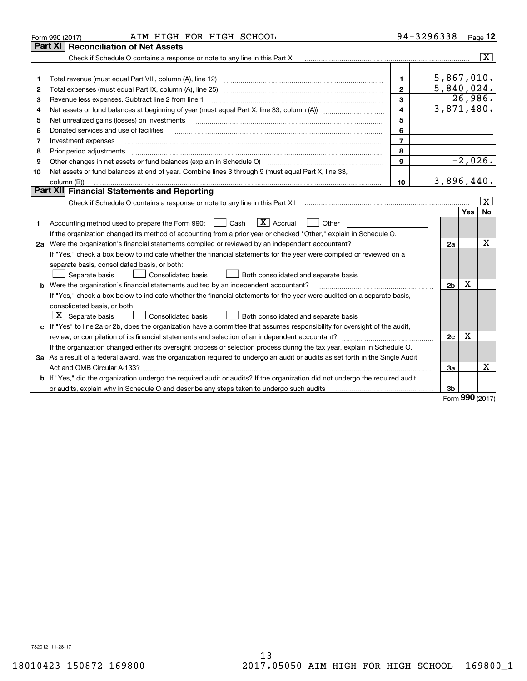|    | AIM HIGH FOR HIGH SCHOOL<br>Form 990 (2017)                                                                                                                       |                         | 94-3296338     |            | Page 12                 |
|----|-------------------------------------------------------------------------------------------------------------------------------------------------------------------|-------------------------|----------------|------------|-------------------------|
|    | <b>Reconciliation of Net Assets</b><br>Part XI                                                                                                                    |                         |                |            |                         |
|    | Check if Schedule O contains a response or note to any line in this Part XI [11] [12] Check if Schedule O contains a response or note to any line in this Part XI |                         |                |            | $\overline{\mathbf{x}}$ |
|    |                                                                                                                                                                   |                         |                |            |                         |
| 1  | Total revenue (must equal Part VIII, column (A), line 12)                                                                                                         | $\mathbf{1}$            | 5,867,010.     |            |                         |
| 2  |                                                                                                                                                                   | $\overline{2}$          | 5,840,024.     |            |                         |
| 3  | Revenue less expenses. Subtract line 2 from line 1                                                                                                                | 3                       |                | 26,986.    |                         |
| 4  |                                                                                                                                                                   | $\overline{\mathbf{4}}$ | 3,871,480.     |            |                         |
| 5  | Net unrealized gains (losses) on investments                                                                                                                      | 5                       |                |            |                         |
| 6  | Donated services and use of facilities                                                                                                                            | 6                       |                |            |                         |
| 7  | Investment expenses                                                                                                                                               | $\overline{7}$          |                |            |                         |
| 8  | Prior period adjustments                                                                                                                                          | 8                       |                |            |                         |
| 9  |                                                                                                                                                                   | $\mathbf{9}$            |                |            | $-2,026.$               |
| 10 | Net assets or fund balances at end of year. Combine lines 3 through 9 (must equal Part X, line 33,                                                                |                         |                |            |                         |
|    | column (B))                                                                                                                                                       | 10                      | 3,896,440.     |            |                         |
|    | <b>Part XII</b> Financial Statements and Reporting                                                                                                                |                         |                |            |                         |
|    |                                                                                                                                                                   |                         |                |            | $\overline{\mathbf{X}}$ |
|    |                                                                                                                                                                   |                         |                | <b>Yes</b> | <b>No</b>               |
| 1  | $\vert X \vert$ Accrual<br>Accounting method used to prepare the Form 990: <u>[</u> Cash<br>Other                                                                 |                         |                |            |                         |
|    | If the organization changed its method of accounting from a prior year or checked "Other," explain in Schedule O.                                                 |                         |                |            |                         |
|    | 2a Were the organization's financial statements compiled or reviewed by an independent accountant?                                                                |                         | 2a             |            | х                       |
|    | If "Yes," check a box below to indicate whether the financial statements for the year were compiled or reviewed on a                                              |                         |                |            |                         |
|    | separate basis, consolidated basis, or both:                                                                                                                      |                         |                |            |                         |
|    | Separate basis<br><b>Consolidated basis</b><br>Both consolidated and separate basis                                                                               |                         |                |            |                         |
|    | <b>b</b> Were the organization's financial statements audited by an independent accountant?                                                                       |                         | 2 <sub>b</sub> | X          |                         |
|    | If "Yes," check a box below to indicate whether the financial statements for the year were audited on a separate basis,                                           |                         |                |            |                         |
|    | consolidated basis, or both:                                                                                                                                      |                         |                |            |                         |
|    | $\boxed{\textbf{X}}$ Separate basis<br><b>Consolidated basis</b><br>Both consolidated and separate basis                                                          |                         |                |            |                         |
|    | c If "Yes" to line 2a or 2b, does the organization have a committee that assumes responsibility for oversight of the audit,                                       |                         |                |            |                         |
|    |                                                                                                                                                                   |                         | 2c             | X          |                         |
|    | If the organization changed either its oversight process or selection process during the tax year, explain in Schedule O.                                         |                         |                |            |                         |
|    | 3a As a result of a federal award, was the organization required to undergo an audit or audits as set forth in the Single Audit                                   |                         |                |            |                         |
|    |                                                                                                                                                                   |                         | За             |            | х                       |
|    | b If "Yes," did the organization undergo the required audit or audits? If the organization did not undergo the required audit                                     |                         |                |            |                         |
|    |                                                                                                                                                                   |                         | 3b             | <u>nnn</u> |                         |

Form **990** (2017) Form (2017) **990**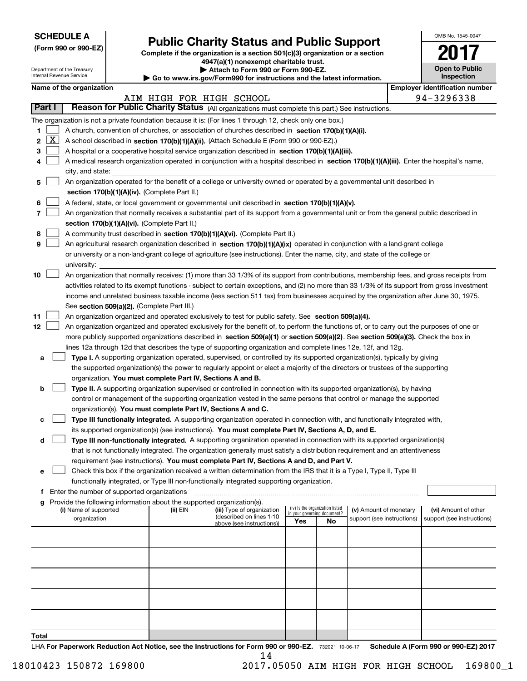|--|

Department of the Treasury Internal Revenue Service

| (Form 990 or 990-EZ) |  |  |  |  |
|----------------------|--|--|--|--|
|----------------------|--|--|--|--|

# **Public Charity Status and Public Support (Form 990 or 990-EZ) Public Charity Status and Public Support**

**Complete if the organization is a section 501(c)(3 ) organization or a section Complete if the organization is a section 501(c)(3) organization or a section <sup>4947</sup>(a)(1 ) nonexempt charitable trust. 4947(a)(1) nonexempt charitable trust.**

Department of the Treasury **| Attach to Form 990 or Form 990-EZ. | Attach to Form 990 or Form 990-EZ.** 

Internal Revenue Service **1990 • Go to www.irs.gov/Form990 for instructions and the latest information.** 

| OMB No 1545-0047                    |
|-------------------------------------|
| 201                                 |
| <b>Open to Public</b><br>Inspection |

|  | Name of the organization |
|--|--------------------------|
|--|--------------------------|

|        |              | Name of the organization                                                                                                                      |                          |                                                        |                             |                                 |                            | <b>Employer identification number</b> |
|--------|--------------|-----------------------------------------------------------------------------------------------------------------------------------------------|--------------------------|--------------------------------------------------------|-----------------------------|---------------------------------|----------------------------|---------------------------------------|
|        |              |                                                                                                                                               | AIM HIGH FOR HIGH SCHOOL |                                                        |                             |                                 |                            | 94-3296338                            |
| Part I |              | Reason for Public Charity Status (All organizations must complete this part.) See instructions.                                               |                          |                                                        |                             |                                 |                            |                                       |
|        |              | The organization is not a private foundation because it is: (For lines 1 through 12, check only one box.)                                     |                          |                                                        |                             |                                 |                            |                                       |
| 1      |              | A church, convention of churches, or association of churches described in section 170(b)(1)(A)(i).                                            |                          |                                                        |                             |                                 |                            |                                       |
| 2      | $\mathbf{X}$ | A school described in section 170(b)(1)(A)(ii). (Attach Schedule E (Form 990 or 990-EZ).)                                                     |                          |                                                        |                             |                                 |                            |                                       |
| 3      |              | A hospital or a cooperative hospital service organization described in section 170(b)(1)(A)(iii).                                             |                          |                                                        |                             |                                 |                            |                                       |
| 4      |              | A medical research organization operated in conjunction with a hospital described in section 170(b)(1)(A)(iii). Enter the hospital's name,    |                          |                                                        |                             |                                 |                            |                                       |
|        |              | city, and state:                                                                                                                              |                          |                                                        |                             |                                 |                            |                                       |
| 5      |              | An organization operated for the benefit of a college or university owned or operated by a governmental unit described in                     |                          |                                                        |                             |                                 |                            |                                       |
|        |              | section 170(b)(1)(A)(iv). (Complete Part II.)                                                                                                 |                          |                                                        |                             |                                 |                            |                                       |
| 6      |              | A federal, state, or local government or governmental unit described in section 170(b)(1)(A)(v).                                              |                          |                                                        |                             |                                 |                            |                                       |
| 7      |              |                                                                                                                                               |                          |                                                        |                             |                                 |                            |                                       |
|        |              | An organization that normally receives a substantial part of its support from a governmental unit or from the general public described in     |                          |                                                        |                             |                                 |                            |                                       |
|        |              | section 170(b)(1)(A)(vi). (Complete Part II.)                                                                                                 |                          |                                                        |                             |                                 |                            |                                       |
| 8      |              | A community trust described in section 170(b)(1)(A)(vi). (Complete Part II.)                                                                  |                          |                                                        |                             |                                 |                            |                                       |
| 9      |              | An agricultural research organization described in section 170(b)(1)(A)(ix) operated in conjunction with a land-grant college                 |                          |                                                        |                             |                                 |                            |                                       |
|        |              | or university or a non-land-grant college of agriculture (see instructions). Enter the name, city, and state of the college or                |                          |                                                        |                             |                                 |                            |                                       |
|        |              | university:                                                                                                                                   |                          |                                                        |                             |                                 |                            |                                       |
| 10     |              | An organization that normally receives: (1) more than 33 1/3% of its support from contributions, membership fees, and gross receipts from     |                          |                                                        |                             |                                 |                            |                                       |
|        |              | activities related to its exempt functions - subject to certain exceptions, and (2) no more than 33 1/3% of its support from gross investment |                          |                                                        |                             |                                 |                            |                                       |
|        |              | income and unrelated business taxable income (less section 511 tax) from businesses acquired by the organization after June 30, 1975.         |                          |                                                        |                             |                                 |                            |                                       |
|        |              | See section 509(a)(2). (Complete Part III.)                                                                                                   |                          |                                                        |                             |                                 |                            |                                       |
| 11     |              | An organization organized and operated exclusively to test for public safety. See section 509(a)(4).                                          |                          |                                                        |                             |                                 |                            |                                       |
| 12     |              | An organization organized and operated exclusively for the benefit of, to perform the functions of, or to carry out the purposes of one or    |                          |                                                        |                             |                                 |                            |                                       |
|        |              | more publicly supported organizations described in section 509(a)(1) or section 509(a)(2). See section 509(a)(3). Check the box in            |                          |                                                        |                             |                                 |                            |                                       |
|        |              | lines 12a through 12d that describes the type of supporting organization and complete lines 12e, 12f, and 12g.                                |                          |                                                        |                             |                                 |                            |                                       |
| а      |              | Type I. A supporting organization operated, supervised, or controlled by its supported organization(s), typically by giving                   |                          |                                                        |                             |                                 |                            |                                       |
|        |              | the supported organization(s) the power to regularly appoint or elect a majority of the directors or trustees of the supporting               |                          |                                                        |                             |                                 |                            |                                       |
|        |              | organization. You must complete Part IV, Sections A and B.                                                                                    |                          |                                                        |                             |                                 |                            |                                       |
| b      |              | Type II. A supporting organization supervised or controlled in connection with its supported organization(s), by having                       |                          |                                                        |                             |                                 |                            |                                       |
|        |              | control or management of the supporting organization vested in the same persons that control or manage the supported                          |                          |                                                        |                             |                                 |                            |                                       |
|        |              | organization(s). You must complete Part IV, Sections A and C.                                                                                 |                          |                                                        |                             |                                 |                            |                                       |
|        |              |                                                                                                                                               |                          |                                                        |                             |                                 |                            |                                       |
| с      |              | Type III functionally integrated. A supporting organization operated in connection with, and functionally integrated with,                    |                          |                                                        |                             |                                 |                            |                                       |
|        |              | its supported organization(s) (see instructions). You must complete Part IV, Sections A, D, and E.                                            |                          |                                                        |                             |                                 |                            |                                       |
| d      |              | Type III non-functionally integrated. A supporting organization operated in connection with its supported organization(s)                     |                          |                                                        |                             |                                 |                            |                                       |
|        |              | that is not functionally integrated. The organization generally must satisfy a distribution requirement and an attentiveness                  |                          |                                                        |                             |                                 |                            |                                       |
|        |              | requirement (see instructions). You must complete Part IV, Sections A and D, and Part V.                                                      |                          |                                                        |                             |                                 |                            |                                       |
|        |              | Check this box if the organization received a written determination from the IRS that it is a Type I, Type II, Type III                       |                          |                                                        |                             |                                 |                            |                                       |
|        |              | functionally integrated, or Type III non-functionally integrated supporting organization.                                                     |                          |                                                        |                             |                                 |                            |                                       |
|        |              | f Enter the number of supported organizations                                                                                                 |                          |                                                        |                             |                                 |                            |                                       |
|        |              | g Provide the following information about the supported organization(s).                                                                      |                          |                                                        |                             | (iv) Is the organization listed |                            |                                       |
|        |              | (i) Name of supported                                                                                                                         | (ii) $EIN$               | (iii) Type of organization<br>(described on lines 1-10 | in your governing document? |                                 | (v) Amount of monetary     | (vi) Amount of other                  |
|        |              | organization                                                                                                                                  |                          | above (see instructions))                              | Yes                         | No                              | support (see instructions) | support (see instructions)            |
|        |              |                                                                                                                                               |                          |                                                        |                             |                                 |                            |                                       |
|        |              |                                                                                                                                               |                          |                                                        |                             |                                 |                            |                                       |
|        |              |                                                                                                                                               |                          |                                                        |                             |                                 |                            |                                       |
|        |              |                                                                                                                                               |                          |                                                        |                             |                                 |                            |                                       |
|        |              |                                                                                                                                               |                          |                                                        |                             |                                 |                            |                                       |
|        |              |                                                                                                                                               |                          |                                                        |                             |                                 |                            |                                       |
|        |              |                                                                                                                                               |                          |                                                        |                             |                                 |                            |                                       |
|        |              |                                                                                                                                               |                          |                                                        |                             |                                 |                            |                                       |
|        |              |                                                                                                                                               |                          |                                                        |                             |                                 |                            |                                       |
|        |              |                                                                                                                                               |                          |                                                        |                             |                                 |                            |                                       |
| Total  |              |                                                                                                                                               |                          |                                                        |                             |                                 |                            |                                       |

LHA For Paperwork Reduction Act Notice, see the Instructions for Form 990 or 990-EZ. 732021 10-06-17 Schedule A (Form 990 or 990-EZ) 2017 14 14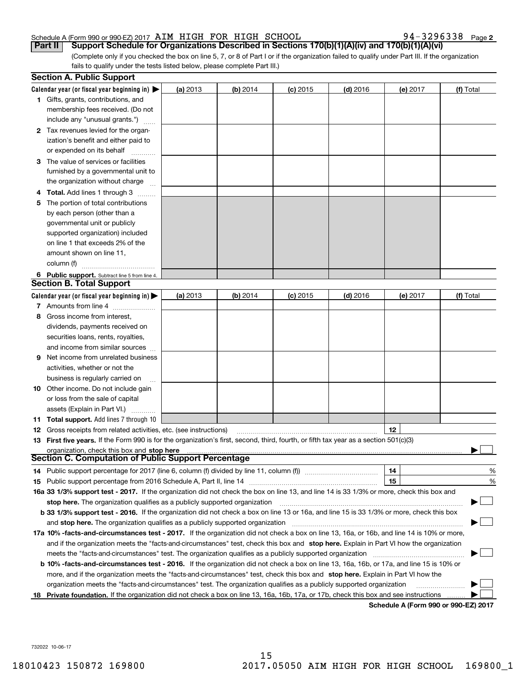## Schedule A (Form 990 or 990-EZ) 2017 AIM HIGH FOR HIGH SCHOOL 94-3296338 Page 2

| Schedule A (Form 990 or 990-EZ) 2017 AIM HIGH FOR HIGH SCHOOL                                                                                                                                                                                              |          |          |            |            |          | 94-3296338 Page 2 |
|------------------------------------------------------------------------------------------------------------------------------------------------------------------------------------------------------------------------------------------------------------|----------|----------|------------|------------|----------|-------------------|
| Support Schedule for Organizations Described in Sections 170(b)(1)(A)(iv) and 170(b)(1)(A)(vi)<br>  Part II                                                                                                                                                |          |          |            |            |          |                   |
| (Complete only if you checked the box on line 5, 7, or 8 of Part I or if the organization failed to qualify under Part III. If the organization<br>fails to qualify under the tests listed below, please complete Part III.)                               |          |          |            |            |          |                   |
| <b>Section A. Public Support</b>                                                                                                                                                                                                                           |          |          |            |            |          |                   |
|                                                                                                                                                                                                                                                            |          |          |            |            |          |                   |
| Calendar year (or fiscal year beginning in)<br>1 Gifts, grants, contributions, and                                                                                                                                                                         | (a) 2013 | (b) 2014 | $(c)$ 2015 | $(d)$ 2016 | (e) 2017 | (f) Total         |
| membership fees received. (Do not                                                                                                                                                                                                                          |          |          |            |            |          |                   |
| include any "unusual grants.")                                                                                                                                                                                                                             |          |          |            |            |          |                   |
| 2 Tax revenues levied for the organ-                                                                                                                                                                                                                       |          |          |            |            |          |                   |
| ization's benefit and either paid to                                                                                                                                                                                                                       |          |          |            |            |          |                   |
| or expended on its behalf                                                                                                                                                                                                                                  |          |          |            |            |          |                   |
| The value of services or facilities<br>3.                                                                                                                                                                                                                  |          |          |            |            |          |                   |
| furnished by a governmental unit to                                                                                                                                                                                                                        |          |          |            |            |          |                   |
| the organization without charge                                                                                                                                                                                                                            |          |          |            |            |          |                   |
| Total. Add lines 1 through 3                                                                                                                                                                                                                               |          |          |            |            |          |                   |
| 5 The portion of total contributions                                                                                                                                                                                                                       |          |          |            |            |          |                   |
| by each person (other than a                                                                                                                                                                                                                               |          |          |            |            |          |                   |
| governmental unit or publicly                                                                                                                                                                                                                              |          |          |            |            |          |                   |
| supported organization) included<br>on line 1 that exceeds 2% of the                                                                                                                                                                                       |          |          |            |            |          |                   |
| amount shown on line 11,                                                                                                                                                                                                                                   |          |          |            |            |          |                   |
| column (f)                                                                                                                                                                                                                                                 |          |          |            |            |          |                   |
| 6 Public support. Subtract line 5 from line 4.                                                                                                                                                                                                             |          |          |            |            |          |                   |
| <b>Section B. Total Support</b>                                                                                                                                                                                                                            |          |          |            |            |          |                   |
| Calendar year (or fiscal year beginning in)                                                                                                                                                                                                                | (a) 2013 | (b) 2014 | $(c)$ 2015 | $(d)$ 2016 | (e) 2017 | (f) Total         |
| 7 Amounts from line 4                                                                                                                                                                                                                                      |          |          |            |            |          |                   |
| Gross income from interest,<br>8                                                                                                                                                                                                                           |          |          |            |            |          |                   |
| dividends, payments received on                                                                                                                                                                                                                            |          |          |            |            |          |                   |
| securities loans, rents, royalties,                                                                                                                                                                                                                        |          |          |            |            |          |                   |
| and income from similar sources                                                                                                                                                                                                                            |          |          |            |            |          |                   |
| Net income from unrelated business<br>9                                                                                                                                                                                                                    |          |          |            |            |          |                   |
| activities, whether or not the                                                                                                                                                                                                                             |          |          |            |            |          |                   |
| business is regularly carried on<br>$\cdots$                                                                                                                                                                                                               |          |          |            |            |          |                   |
| <b>10</b> Other income. Do not include gain                                                                                                                                                                                                                |          |          |            |            |          |                   |
| or loss from the sale of capital                                                                                                                                                                                                                           |          |          |            |            |          |                   |
| assets (Explain in Part VI.)<br>.                                                                                                                                                                                                                          |          |          |            |            |          |                   |
| <b>11 Total support.</b> Add lines 7 through 10                                                                                                                                                                                                            |          |          |            |            |          |                   |
| <b>12</b> Gross receipts from related activities, etc. (see instructions)<br>13 First five years. If the Form 990 is for the organization's first, second, third, fourth, or fifth tax year as a section 501(c)(3)                                         |          |          |            |            | 12       |                   |
| organization, check this box and stop here manufactured and content to the state of the state of the state of the state of the state of the state of the state of the state of the state of the state of the state of the stat                             |          |          |            |            |          |                   |
| Section C. Computation of Public Support Percentage                                                                                                                                                                                                        |          |          |            |            |          |                   |
|                                                                                                                                                                                                                                                            |          |          |            |            | 14       | %                 |
|                                                                                                                                                                                                                                                            |          |          |            |            | 15       | %                 |
| 16a 33 1/3% support test - 2017. If the organization did not check the box on line 13, and line 14 is 33 1/3% or more, check this box and                                                                                                                  |          |          |            |            |          |                   |
| stop here. The organization qualifies as a publicly supported organization manufaction manufacture content and the support of the state of the state of the state of the state of the state of the state of the state of the s                             |          |          |            |            |          |                   |
| b 33 1/3% support test - 2016. If the organization did not check a box on line 13 or 16a, and line 15 is 33 1/3% or more, check this box                                                                                                                   |          |          |            |            |          |                   |
|                                                                                                                                                                                                                                                            |          |          |            |            |          |                   |
| <b>17a 10% -facts-and-circumstances test - 2017.</b> If the organization did not check a box on line 13, 16a, or 16b, and line 14 is 10% or more,                                                                                                          |          |          |            |            |          |                   |
| and if the organization meets the "facts-and-circumstances" test, check this box and stop here. Explain in Part VI how the organization                                                                                                                    |          |          |            |            |          |                   |
|                                                                                                                                                                                                                                                            |          |          |            |            |          |                   |
|                                                                                                                                                                                                                                                            |          |          |            |            |          |                   |
| <b>b 10% -facts-and-circumstances test - 2016.</b> If the organization did not check a box on line 13, 16a, 16b, or 17a, and line 15 is 10% or                                                                                                             |          |          |            |            |          |                   |
| more, and if the organization meets the "facts-and-circumstances" test, check this box and stop here. Explain in Part VI how the<br>organization meets the "facts-and-circumstances" test. The organization qualifies as a publicly supported organization |          |          |            |            |          |                   |

732022 10-06-17 732022 10-06-17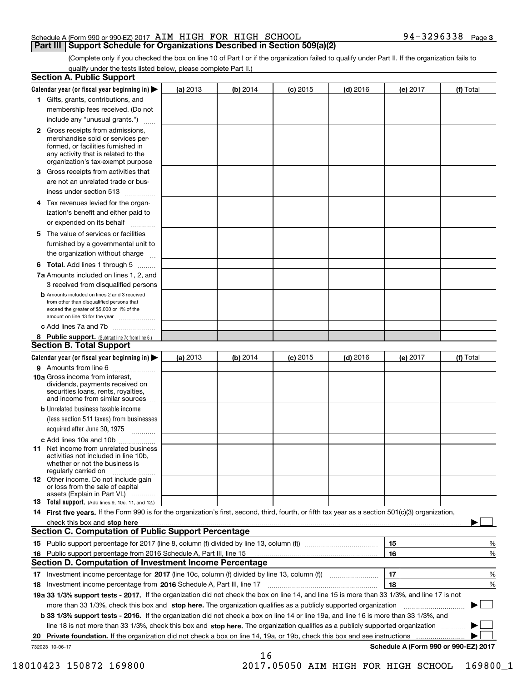## Schedule A (Form 990 or 990-EZ) 2017 AIM HIGH FOR HIGH SCHOOL 94-3296338 Page 3

(Complete only if you checked the box on line 10 of Part I or if the organization failed to qualify under Part II. If the organization fails to qualify under the tests listed below, please complete Part II.) qualify under the tests listed below, please complete Part II.)

| <b>Section A. Public Support</b>                                                                                                                                                                                         |          |            |            |            |                                      |           |
|--------------------------------------------------------------------------------------------------------------------------------------------------------------------------------------------------------------------------|----------|------------|------------|------------|--------------------------------------|-----------|
| Calendar year (or fiscal year beginning in) $\blacktriangleright$                                                                                                                                                        | (a) 2013 | (b) 2014   | $(c)$ 2015 | $(d)$ 2016 | (e) 2017                             | (f) Total |
| <b>1</b> Gifts, grants, contributions, and                                                                                                                                                                               |          |            |            |            |                                      |           |
| membership fees received. (Do not                                                                                                                                                                                        |          |            |            |            |                                      |           |
| include any "unusual grants.")                                                                                                                                                                                           |          |            |            |            |                                      |           |
| 2 Gross receipts from admissions,<br>merchandise sold or services per-<br>formed, or facilities furnished in<br>any activity that is related to the<br>organization's tax-exempt purpose                                 |          |            |            |            |                                      |           |
| 3 Gross receipts from activities that<br>are not an unrelated trade or bus-                                                                                                                                              |          |            |            |            |                                      |           |
| iness under section 513                                                                                                                                                                                                  |          |            |            |            |                                      |           |
| 4 Tax revenues levied for the organ-<br>ization's benefit and either paid to                                                                                                                                             |          |            |            |            |                                      |           |
| or expended on its behalf<br>.                                                                                                                                                                                           |          |            |            |            |                                      |           |
| 5 The value of services or facilities<br>furnished by a governmental unit to                                                                                                                                             |          |            |            |            |                                      |           |
| the organization without charge                                                                                                                                                                                          |          |            |            |            |                                      |           |
| <b>6 Total.</b> Add lines 1 through 5                                                                                                                                                                                    |          |            |            |            |                                      |           |
| 7a Amounts included on lines 1, 2, and                                                                                                                                                                                   |          |            |            |            |                                      |           |
| 3 received from disqualified persons<br><b>b</b> Amounts included on lines 2 and 3 received<br>from other than disqualified persons that<br>exceed the greater of \$5,000 or 1% of the<br>amount on line 13 for the year |          |            |            |            |                                      |           |
| c Add lines 7a and 7b                                                                                                                                                                                                    |          |            |            |            |                                      |           |
| 8 Public support. (Subtract line 7c from line 6.)<br><b>Section B. Total Support</b>                                                                                                                                     |          |            |            |            |                                      |           |
| Calendar year (or fiscal year beginning in) $\blacktriangleright$                                                                                                                                                        | (a) 2013 | (b) $2014$ | $(c)$ 2015 | $(d)$ 2016 | (e) 2017                             | (f) Total |
| 9 Amounts from line 6                                                                                                                                                                                                    |          |            |            |            |                                      |           |
| <b>10a</b> Gross income from interest,<br>dividends, payments received on<br>securities loans, rents, royalties,<br>and income from similar sources                                                                      |          |            |            |            |                                      |           |
| <b>b</b> Unrelated business taxable income<br>(less section 511 taxes) from businesses                                                                                                                                   |          |            |            |            |                                      |           |
| acquired after June 30, 1975                                                                                                                                                                                             |          |            |            |            |                                      |           |
| c Add lines 10a and 10b<br><b>11</b> Net income from unrelated business<br>activities not included in line 10b.<br>whether or not the business is<br>regularly carried on                                                |          |            |            |            |                                      |           |
| 12 Other income. Do not include gain<br>or loss from the sale of capital<br>assets (Explain in Part VI.)                                                                                                                 |          |            |            |            |                                      |           |
| <b>13 Total support.</b> (Add lines 9, 10c, 11, and 12.)                                                                                                                                                                 |          |            |            |            |                                      |           |
| 14 First five years. If the Form 990 is for the organization's first, second, third, fourth, or fifth tax year as a section 501(c)(3) organization,                                                                      |          |            |            |            |                                      |           |
| check this box and stop here <u>www.communication.communication.communication.communication.communication.com</u><br><b>Section C. Computation of Public Support Percentage</b>                                          |          |            |            |            |                                      |           |
|                                                                                                                                                                                                                          |          |            |            |            | 15                                   | %         |
| 16 Public support percentage from 2016 Schedule A, Part III, line 15<br><b>Section D. Computation of Investment Income Percentage</b>                                                                                    |          |            |            |            | 16                                   | $\%$      |
| 17 Investment income percentage for 2017 (line 10c, column (f) divided by line 13, column (f))                                                                                                                           |          |            |            |            | 17                                   | %         |
| 18 Investment income percentage from 2016 Schedule A, Part III, line 17                                                                                                                                                  |          |            |            |            | 18                                   | %         |
| 19a 33 1/3% support tests - 2017. If the organization did not check the box on line 14, and line 15 is more than 33 1/3%, and line 17 is not                                                                             |          |            |            |            |                                      |           |
| more than 33 1/3%, check this box and stop here. The organization qualifies as a publicly supported organization <i>manameromana</i> ,                                                                                   |          |            |            |            |                                      |           |
| b 33 1/3% support tests - 2016. If the organization did not check a box on line 14 or line 19a, and line 16 is more than 33 1/3%, and                                                                                    |          |            |            |            |                                      |           |
| line 18 is not more than 33 1/3%, check this box and stop here. The organization qualifies as a publicly supported organization                                                                                          |          |            |            |            |                                      |           |
| Private foundation. If the organization did not check a box on line 14, 19a, or 19b, check this box and see instructions<br>20                                                                                           |          |            |            |            |                                      |           |
| 732023 10-06-17                                                                                                                                                                                                          |          | 16         |            |            | Schedule A (Form 990 or 990-EZ) 2017 |           |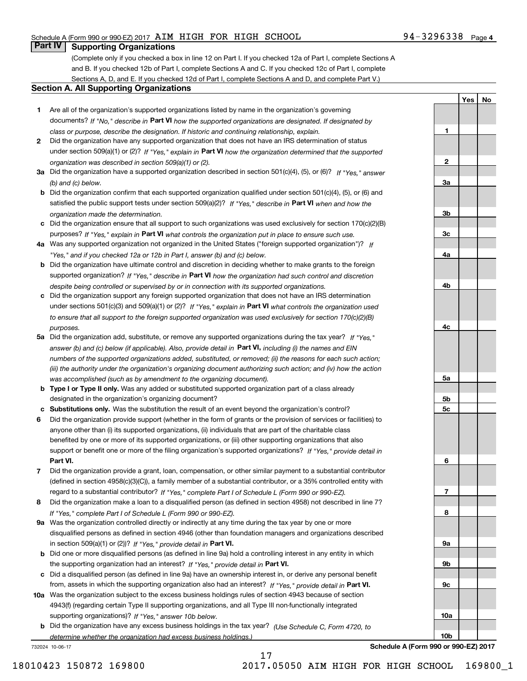## Schedule A (Form 990 or 990-EZ) 2017 AIM HIGH FOR HIGH SCHOOL 94-3296338 Page 4

### **Part IV I Supporting Organizations Part IV Supporting Organizations**

(Complete only if you checked a box in line 12 on Part I. If you checked 12a of Part I, complete Sections A and B. If you checked 12b of Part I, complete Sections A and C. If you checked 12c of Part I, complete and B. If you checked 12b of Part I, complete Sections A and C. If you checked 12c of Part I, complete Sections A, D, and E. If you checked 12d of Part I, complete Sections A and D, and complete Part V.)

#### **Section A. All Supporting Organizations Section A. All Supporting Organizations**

- **1** Are all of the organization's supported organizations listed by name in the organization's governing **1**Are all of the organization's supported organizations listed by name in the organization's governing documents? If "No," describe in Part VI how the supported organizations are designated. If designated by class or purpose, describe the designation. If historic and continuing relationship, explain. **1**  *class or purpose, describe the designation. If historic and continuing relationship, explain.*
- **2** Did the organization have any supported organization that does not have an IRS determination of status **2**Did the organization have any supported organization that does not have an IRS determination of status under section 509(a)(1) or (2)? If "Yes," explain in Part VI how the organization determined that the supported organization was described in section 509 (a) (1) or (2). **2**  *organization was described in section 509(a)(1) or (2).*
- 3a Did the organization have a supported organization described in section 501(c)(4), (5), or (6)? If "Yes, " answer (b) and (c) below. **3** *(b) and (c) below.*
- b Did the organization confirm that each supported organization qualified under section 501(c)(4), (5), or (6) and satisfied the public support tests under section 509(a)(2)? If "Yes," describe in Part VI when and how the organization made the determination. *organization made the determination.*
- c Did the organization ensure that all support to such organizations was used exclusively for section 170(c)(2)(B) purposes? If "Yes," explain in Part VI what controls the organization put in place to ensure such use.
- 4a Was any supported organization not organized in the United States ("foreign supported organization")? If Yes, and if you checked 12a or 12b in Part I, answer (b) and (c) below. **4** *"Yes," and if you checked 12a or 12b in Part I, answer (b) and (c) below.*
- **b** Did the organization have ultimate control and discretion in deciding whether to make grants to the foreign supported organization? If "Yes," describe in Part VI how the organization had such control and discretion despite being controlled or supervised by or in connection with its supported organizations. **4** *despite being controlled or supervised by or in connection with its supported organizations.*
- c Did the organization support any foreign supported organization that does not have an IRS determination under sections 501(c)(3) and 509(a)(1) or (2)? If "Yes, " explain in Part VI what controls the organization used to ensure that all support to the foreign supported organization was used exclusively for section 170(c)(2)(B) purposes.<br>**4** *purposes.*
- 5a Did the organization add, substitute, or remove any supported organizations during the tax year? If "Yes," answer (b) and (c) below (if applicable). Also, provide detail in Part VI, including (i) the names and EIN numbers of the supported organizations added, substituted, or removed; (ii) the reasons for each such action; (iii) the authority under the organization's organizing document authorizing such action; and (iv) how the action was accomplished (such as by amendment to the organizing document). **5** *was accomplished (such as by amendment to the organizing document).*
- **b Type I or Type II only.** Was any added or substituted supported organization part of a class already designated in the organization's organizing document? **5** designated in the organization's organizing document?
- c Substitutions only. Was the substitution the result of an event beyond the organization's control?
- 6 Did the organization provide support (whether in the form of grants or the provision of services or facilities) to anyone other than (i) its supported organizations, (ii) individuals that are part of the charitable class anyone other than (i) its supported organizations, (ii) individuals that are part of the charitable class benefited by one or more of its supported organizations, or (iii) other supporting organizations that also benefited by one or more of its supported organizations, or (iii) other supporting organizations that also support or benefit one or more of the filing organization's supported organizations? If "Yes," provide detail in **Part VI. 6 Part VI.**
- 7 Did the organization provide a grant, loan, compensation, or other similar payment to a substantial contributor (defined in section 4958(c)(3)(C)), a family member of a substantial contributor, or a 35% controlled entity with regard to a substantial contributor? If "Yes," complete Part I of Schedule L (Form 990 or 990-EZ).
- 8 Did the organization make a loan to a disqualified person (as defined in section 4958) not described in line 7? If "Yes," complete Part I of Schedule L (Form 990 or 990-EZ).
- 9a Was the organization controlled directly or indirectly at any time during the tax year by one or more disqualified persons as defined in section 4946 (other than foundation managers and organizations described disqualified persons as defined in section 4946 (other than foundation managers and organizations described in section 509(a)(1) or (2))? If "Yes," provide detail in **Part VI. Part VI. Part VI. Part VI. Part VI. Part VI. Part VI. Part VI. Part VI. Part VI. Part VI. Part VI. Part VI. Part VI. Part VI.**
- **b** Did one or more disqualified persons (as defined in line 9a) hold a controlling interest in any entity in which the supporting organization had an interest? If "Yes," provide detail in Part VI.
- c Did a disqualified person (as defined in line 9a) have an ownership interest in, or derive any personal benefit from, assets in which the supporting organization also had an interest? If "Yes," provide detail in Part VI.
- 10a Was the organization subject to the excess business holdings rules of section 4943 because of section 4943(f) (regarding certain Type II supporting organizations, and all Type III non-functionally integrated 4943(f) (regarding certain Type II supporting organizations, and all Type III non-functionally integrated supporting organizations)? If "Yes," answer 10b below. **10a**
- **b** Did the organization have any excess business holdings in the tax year? (Use Schedule C, Form 4720, to determine whether the organization had excess business holdings.) **10<sup>b</sup>** *determine whether the organization had excess business holdings.)*

732024 10-06-17

**10a**

**10b**

**Yes** I **No Yes**

**No**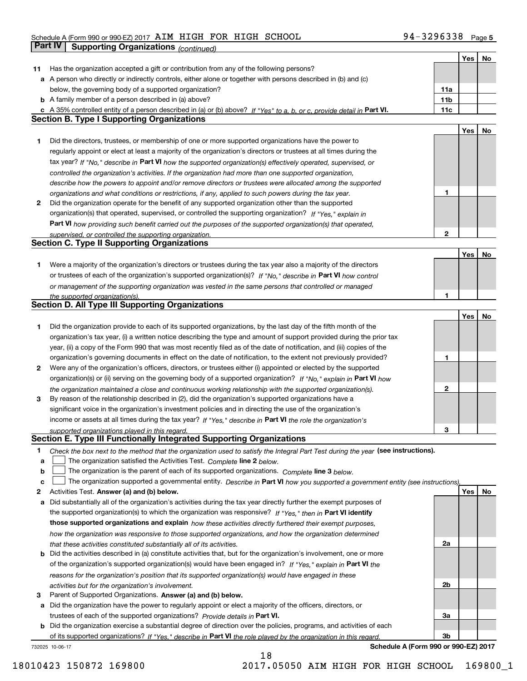#### Schedule A (Form 990 or 990-EZ) 2017 AIM HIGH FOR HIGH SCHOOL 30 94-3296338 Page **Part IV** Supporting Organizations *(continued)*

|    |                                                                                                                                                                                                        |                 | Yes | No |
|----|--------------------------------------------------------------------------------------------------------------------------------------------------------------------------------------------------------|-----------------|-----|----|
| 11 | Has the organization accepted a gift or contribution from any of the following persons?                                                                                                                |                 |     |    |
|    | a A person who directly or indirectly controls, either alone or together with persons described in (b) and (c)                                                                                         |                 |     |    |
|    | below, the governing body of a supported organization?                                                                                                                                                 | 11a             |     |    |
|    | <b>b</b> A family member of a person described in (a) above?                                                                                                                                           | 11 <sub>b</sub> |     |    |
|    | c A 35% controlled entity of a person described in (a) or (b) above? If "Yes" to a, b, or c, provide detail in Part VI.                                                                                | 11c             |     |    |
|    | <b>Section B. Type I Supporting Organizations</b>                                                                                                                                                      |                 |     |    |
|    |                                                                                                                                                                                                        |                 | Yes | No |
| 1  | Did the directors, trustees, or membership of one or more supported organizations have the power to                                                                                                    |                 |     |    |
|    | regularly appoint or elect at least a majority of the organization's directors or trustees at all times during the                                                                                     |                 |     |    |
|    | tax year? If "No," describe in Part VI how the supported organization(s) effectively operated, supervised, or                                                                                          |                 |     |    |
|    | controlled the organization's activities. If the organization had more than one supported organization,                                                                                                |                 |     |    |
|    | describe how the powers to appoint and/or remove directors or trustees were allocated among the supported                                                                                              |                 |     |    |
|    | organizations and what conditions or restrictions, if any, applied to such powers during the tax year.                                                                                                 | 1               |     |    |
| 2  | Did the organization operate for the benefit of any supported organization other than the supported                                                                                                    |                 |     |    |
|    | organization(s) that operated, supervised, or controlled the supporting organization? If "Yes," explain in                                                                                             |                 |     |    |
|    | Part VI how providing such benefit carried out the purposes of the supported organization(s) that operated,                                                                                            |                 |     |    |
|    | supervised, or controlled the supporting organization.                                                                                                                                                 | $\mathbf{2}$    |     |    |
|    | <b>Section C. Type II Supporting Organizations</b>                                                                                                                                                     |                 |     |    |
|    |                                                                                                                                                                                                        |                 | Yes | No |
| 1. | Were a majority of the organization's directors or trustees during the tax year also a majority of the directors                                                                                       |                 |     |    |
|    | or trustees of each of the organization's supported organization(s)? If "No," describe in Part VI how control                                                                                          |                 |     |    |
|    | or management of the supporting organization was vested in the same persons that controlled or managed                                                                                                 |                 |     |    |
|    | the supported organization(s).                                                                                                                                                                         | 1               |     |    |
|    | <b>Section D. All Type III Supporting Organizations</b>                                                                                                                                                |                 |     |    |
|    |                                                                                                                                                                                                        |                 | Yes | No |
| 1  | Did the organization provide to each of its supported organizations, by the last day of the fifth month of the                                                                                         |                 |     |    |
|    | organization's tax year, (i) a written notice describing the type and amount of support provided during the prior tax                                                                                  |                 |     |    |
|    | year, (ii) a copy of the Form 990 that was most recently filed as of the date of notification, and (iii) copies of the                                                                                 |                 |     |    |
|    | organization's governing documents in effect on the date of notification, to the extent not previously provided?                                                                                       | 1               |     |    |
| 2  | Were any of the organization's officers, directors, or trustees either (i) appointed or elected by the supported                                                                                       |                 |     |    |
|    | organization(s) or (ii) serving on the governing body of a supported organization? If "No," explain in Part VI how                                                                                     |                 |     |    |
|    | the organization maintained a close and continuous working relationship with the supported organization(s).                                                                                            | $\mathbf{2}$    |     |    |
| 3  | By reason of the relationship described in (2), did the organization's supported organizations have a                                                                                                  |                 |     |    |
|    | significant voice in the organization's investment policies and in directing the use of the organization's                                                                                             |                 |     |    |
|    | income or assets at all times during the tax year? If "Yes," describe in Part VI the role the organization's                                                                                           |                 |     |    |
|    | supported organizations played in this regard.<br>Section E. Type III Functionally Integrated Supporting Organizations                                                                                 | 3               |     |    |
|    |                                                                                                                                                                                                        |                 |     |    |
| 1  | Check the box next to the method that the organization used to satisfy the Integral Part Test during the year (see instructions).                                                                      |                 |     |    |
| a  | The organization satisfied the Activities Test. Complete line 2 below.                                                                                                                                 |                 |     |    |
| b  | The organization is the parent of each of its supported organizations. Complete line 3 below.                                                                                                          |                 |     |    |
| c  | The organization supported a governmental entity. Describe in Part VI how you supported a government entity (see instructions).                                                                        |                 |     |    |
| 2  | Activities Test. Answer (a) and (b) below.                                                                                                                                                             |                 | Yes | No |
| а  | Did substantially all of the organization's activities during the tax year directly further the exempt purposes of                                                                                     |                 |     |    |
|    | the supported organization(s) to which the organization was responsive? If "Yes," then in Part VI identify                                                                                             |                 |     |    |
|    | those supported organizations and explain how these activities directly furthered their exempt purposes,                                                                                               |                 |     |    |
|    | how the organization was responsive to those supported organizations, and how the organization determined                                                                                              |                 |     |    |
|    | that these activities constituted substantially all of its activities.<br><b>b</b> Did the activities described in (a) constitute activities that, but for the organization's involvement, one or more | 2a              |     |    |
|    |                                                                                                                                                                                                        |                 |     |    |
|    | of the organization's supported organization(s) would have been engaged in? If "Yes," explain in Part VI the                                                                                           |                 |     |    |
|    | reasons for the organization's position that its supported organization(s) would have engaged in these                                                                                                 | 2b              |     |    |
| з  | activities but for the organization's involvement.<br>Parent of Supported Organizations. Answer (a) and (b) below.                                                                                     |                 |     |    |
| а  | Did the organization have the power to regularly appoint or elect a majority of the officers, directors, or                                                                                            |                 |     |    |
|    | trustees of each of the supported organizations? Provide details in Part VI.                                                                                                                           | За              |     |    |
|    | <b>b</b> Did the organization exercise a substantial degree of direction over the policies, programs, and activities of each                                                                           |                 |     |    |
|    | of its supported organizations? If "Yes," describe in Part VI the role played by the organization in this regard.                                                                                      | Зb              |     |    |
|    | Schedule A (Form 990 or 990-EZ) 2017<br>732025 10-06-17                                                                                                                                                |                 |     |    |
|    |                                                                                                                                                                                                        |                 |     |    |

18 18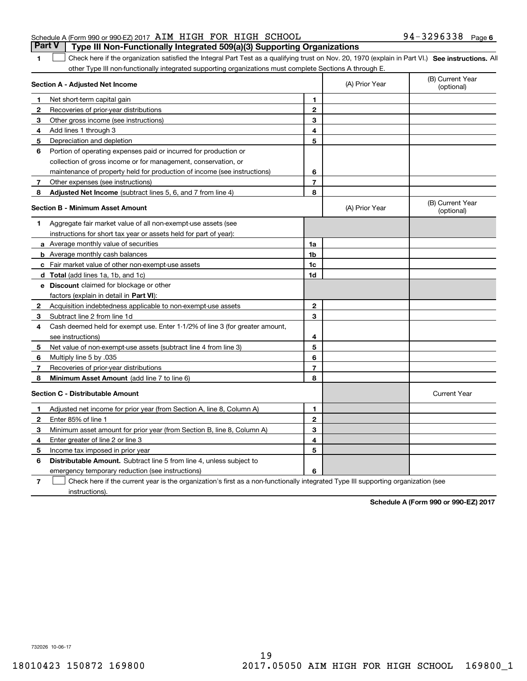## Schedule A (Form 990 or 990-EZ) 2017 AIM HIGH FOR HIGH SCHOOL 94-3296338 Page 6 Part V | Type III Non-Functionally Integrated 509(a)(3) Supporting Organizations

1 Check here if the organization satisfied the Integral Part Test as a qualifying trust on Nov. 20, 1970 (explain in Part VI.) See instructions. All other Type III non-functionally integrated supporting organizations must complete Sections A through E.

|                | Section A - Adjusted Net Income                                                                                                   |                | (A) Prior Year | (B) Current Year<br>(optional) |
|----------------|-----------------------------------------------------------------------------------------------------------------------------------|----------------|----------------|--------------------------------|
| 1.             | Net short-term capital gain                                                                                                       | 1              |                |                                |
| 2              | Recoveries of prior-year distributions                                                                                            | $\mathbf{2}$   |                |                                |
| 3              | Other gross income (see instructions)                                                                                             | 3              |                |                                |
| 4              | Add lines 1 through 3                                                                                                             | 4              |                |                                |
| 5              | Depreciation and depletion                                                                                                        | 5              |                |                                |
| 6              | Portion of operating expenses paid or incurred for production or                                                                  |                |                |                                |
|                | collection of gross income or for management, conservation, or                                                                    |                |                |                                |
|                | maintenance of property held for production of income (see instructions)                                                          | 6              |                |                                |
| 7              | Other expenses (see instructions)                                                                                                 | $\overline{7}$ |                |                                |
| 8              | Adjusted Net Income (subtract lines 5, 6, and 7 from line 4)                                                                      | 8              |                |                                |
|                | <b>Section B - Minimum Asset Amount</b>                                                                                           |                | (A) Prior Year | (B) Current Year<br>(optional) |
| 1              | Aggregate fair market value of all non-exempt-use assets (see                                                                     |                |                |                                |
|                | instructions for short tax year or assets held for part of year):                                                                 |                |                |                                |
|                | <b>a</b> Average monthly value of securities                                                                                      | 1a             |                |                                |
|                | <b>b</b> Average monthly cash balances                                                                                            | 1 <sub>b</sub> |                |                                |
|                | c Fair market value of other non-exempt-use assets                                                                                | 1 <sub>c</sub> |                |                                |
|                | <b>d</b> Total (add lines 1a, 1b, and 1c)                                                                                         | 1d             |                |                                |
|                | e Discount claimed for blockage or other                                                                                          |                |                |                                |
|                | factors (explain in detail in Part VI):                                                                                           |                |                |                                |
| $\mathbf{2}$   | Acquisition indebtedness applicable to non-exempt-use assets                                                                      | $\mathbf{2}$   |                |                                |
| 3              | Subtract line 2 from line 1d                                                                                                      | 3              |                |                                |
| 4              | Cash deemed held for exempt use. Enter 1-1/2% of line 3 (for greater amount,                                                      |                |                |                                |
|                | see instructions)                                                                                                                 | 4              |                |                                |
| 5              | Net value of non-exempt-use assets (subtract line 4 from line 3)                                                                  | 5              |                |                                |
| 6              | Multiply line 5 by .035                                                                                                           | 6              |                |                                |
| 7              | Recoveries of prior-year distributions                                                                                            | 7              |                |                                |
| 8              | Minimum Asset Amount (add line 7 to line 6)                                                                                       | 8              |                |                                |
|                | <b>Section C - Distributable Amount</b>                                                                                           |                |                | <b>Current Year</b>            |
| 1              | Adjusted net income for prior year (from Section A, line 8, Column A)                                                             | 1              |                |                                |
| $\mathbf{2}$   | Enter 85% of line 1                                                                                                               | $\mathbf{2}$   |                |                                |
| 3              | Minimum asset amount for prior year (from Section B, line 8, Column A)                                                            | 3              |                |                                |
| 4              | Enter greater of line 2 or line 3                                                                                                 | 4              |                |                                |
| 5              | Income tax imposed in prior year                                                                                                  | 5              |                |                                |
| 6              | <b>Distributable Amount.</b> Subtract line 5 from line 4, unless subject to                                                       |                |                |                                |
|                | emergency temporary reduction (see instructions)                                                                                  | 6              |                |                                |
| $\overline{7}$ | Check here if the current year is the organization's first as a non-functionally integrated Type III supporting organization (see |                |                |                                |

instructions). instructions).

**1**

**Schedule A (Form 990 or 990-EZ) <sup>2017</sup> Schedule A (Form 990 or 990-EZ) 2017**

732026 10-06-17 732026 10-06-17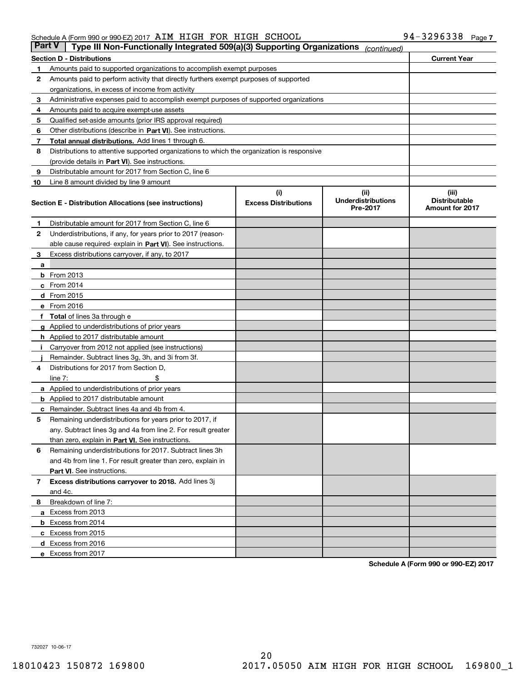## Schedule A (Form 990 or 990-EZ) 2017 AIM HIGH FOR HIGH SCHOOL

|               | Schedule A (Form 990 or 990-EZ) 2017 AIM HIGH FOR HIGH SCHOOL                              |                                    |                                               | 94-3296338 Page 7                                       |  |
|---------------|--------------------------------------------------------------------------------------------|------------------------------------|-----------------------------------------------|---------------------------------------------------------|--|
| <b>Part V</b> | Type III Non-Functionally Integrated 509(a)(3) Supporting Organizations                    |                                    | (continued)                                   |                                                         |  |
|               | <b>Section D - Distributions</b>                                                           |                                    |                                               | <b>Current Year</b>                                     |  |
| 1             | Amounts paid to supported organizations to accomplish exempt purposes                      |                                    |                                               |                                                         |  |
| 2             | Amounts paid to perform activity that directly furthers exempt purposes of supported       |                                    |                                               |                                                         |  |
|               | organizations, in excess of income from activity                                           |                                    |                                               |                                                         |  |
| 3             | Administrative expenses paid to accomplish exempt purposes of supported organizations      |                                    |                                               |                                                         |  |
| 4             | Amounts paid to acquire exempt-use assets                                                  |                                    |                                               |                                                         |  |
| 5             | Qualified set-aside amounts (prior IRS approval required)                                  |                                    |                                               |                                                         |  |
| 6             | Other distributions (describe in Part VI). See instructions.                               |                                    |                                               |                                                         |  |
| 7             | Total annual distributions. Add lines 1 through 6.                                         |                                    |                                               |                                                         |  |
| 8             | Distributions to attentive supported organizations to which the organization is responsive |                                    |                                               |                                                         |  |
|               | (provide details in Part VI). See instructions.                                            |                                    |                                               |                                                         |  |
| 9             | Distributable amount for 2017 from Section C, line 6                                       |                                    |                                               |                                                         |  |
| 10            | Line 8 amount divided by line 9 amount                                                     |                                    |                                               |                                                         |  |
|               | <b>Section E - Distribution Allocations (see instructions)</b>                             | (i)<br><b>Excess Distributions</b> | (ii)<br><b>Underdistributions</b><br>Pre-2017 | (iii)<br><b>Distributable</b><br><b>Amount for 2017</b> |  |
| 1             | Distributable amount for 2017 from Section C, line 6                                       |                                    |                                               |                                                         |  |
| 2             | Underdistributions, if any, for years prior to 2017 (reason-                               |                                    |                                               |                                                         |  |
|               | able cause required-explain in Part VI). See instructions.                                 |                                    |                                               |                                                         |  |
| 3             | Excess distributions carryover, if any, to 2017                                            |                                    |                                               |                                                         |  |
| a             |                                                                                            |                                    |                                               |                                                         |  |
|               | <b>b</b> From 2013                                                                         |                                    |                                               |                                                         |  |
|               | $c$ From 2014                                                                              |                                    |                                               |                                                         |  |
|               | d From 2015                                                                                |                                    |                                               |                                                         |  |
|               | e From 2016                                                                                |                                    |                                               |                                                         |  |
|               | f Total of lines 3a through e                                                              |                                    |                                               |                                                         |  |
|               | g Applied to underdistributions of prior years                                             |                                    |                                               |                                                         |  |
|               | <b>h</b> Applied to 2017 distributable amount                                              |                                    |                                               |                                                         |  |
|               | Carryover from 2012 not applied (see instructions)                                         |                                    |                                               |                                                         |  |
|               | Remainder. Subtract lines 3g, 3h, and 3i from 3f.                                          |                                    |                                               |                                                         |  |
| 4             | Distributions for 2017 from Section D.                                                     |                                    |                                               |                                                         |  |
|               | \$<br>line $7:$                                                                            |                                    |                                               |                                                         |  |
|               | a Applied to underdistributions of prior years                                             |                                    |                                               |                                                         |  |
|               | <b>b</b> Applied to 2017 distributable amount                                              |                                    |                                               |                                                         |  |
|               | <b>c</b> Remainder. Subtract lines 4a and 4b from 4.                                       |                                    |                                               |                                                         |  |
|               | Remaining underdistributions for years prior to 2017, if                                   |                                    |                                               |                                                         |  |
|               | any. Subtract lines 3g and 4a from line 2. For result greater                              |                                    |                                               |                                                         |  |
|               | than zero, explain in Part VI. See instructions.                                           |                                    |                                               |                                                         |  |
| 6             | Remaining underdistributions for 2017. Subtract lines 3h                                   |                                    |                                               |                                                         |  |
|               | and 4b from line 1. For result greater than zero, explain in                               |                                    |                                               |                                                         |  |
|               | Part VI. See instructions.                                                                 |                                    |                                               |                                                         |  |
| 7             | Excess distributions carryover to 2018. Add lines 3j                                       |                                    |                                               |                                                         |  |
|               | and 4c.                                                                                    |                                    |                                               |                                                         |  |
| 8             | Breakdown of line 7:                                                                       |                                    |                                               |                                                         |  |
|               | a Excess from 2013                                                                         |                                    |                                               |                                                         |  |
|               | <b>b</b> Excess from 2014                                                                  |                                    |                                               |                                                         |  |
|               | c Excess from 2015                                                                         |                                    |                                               |                                                         |  |
|               | d Excess from 2016                                                                         |                                    |                                               |                                                         |  |
|               | e Excess from 2017                                                                         |                                    |                                               |                                                         |  |
|               |                                                                                            |                                    |                                               |                                                         |  |

**Schedule A (Form 990 or 990-EZ) <sup>2017</sup> Schedule A (Form 990 or 990-EZ) 2017**

732027 10-06-17 732027 10-06-17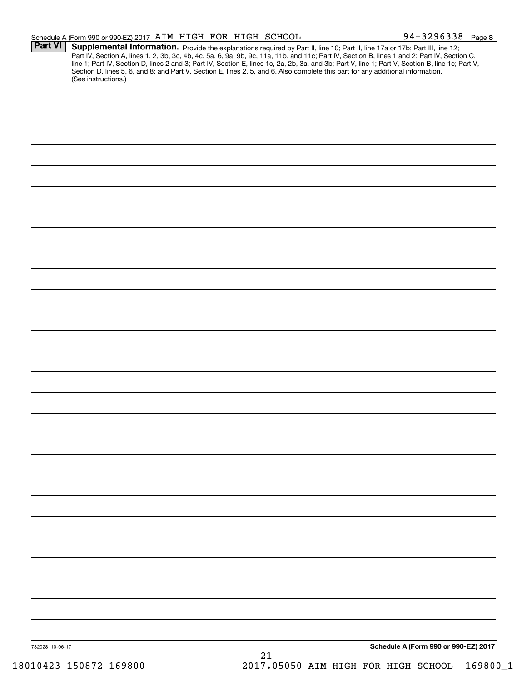|                 | Schedule A (Form 990 or 990-EZ) 2017 AIM HIGH FOR HIGH SCHOOL |  |                                                                                                                                 | 94-3296338 Page 8                                                                                                                                                                                                                                                                                                                                                                                                                 |
|-----------------|---------------------------------------------------------------|--|---------------------------------------------------------------------------------------------------------------------------------|-----------------------------------------------------------------------------------------------------------------------------------------------------------------------------------------------------------------------------------------------------------------------------------------------------------------------------------------------------------------------------------------------------------------------------------|
| <b>Part VI</b>  | (See instructions.)                                           |  | Section D, lines 5, 6, and 8; and Part V, Section E, lines 2, 5, and 6. Also complete this part for any additional information. | Supplemental Information. Provide the explanations required by Part II, line 10; Part II, line 17a or 17b; Part III, line 12;<br>Part IV, Section A, lines 1, 2, 3b, 3c, 4b, 4c, 5a, 6, 9a, 9b, 9c, 11a, 11b, and 11c; Part IV, Section B, lines 1 and 2; Part IV, Section C,<br>line 1; Part IV, Section D, lines 2 and 3; Part IV, Section E, lines 1c, 2a, 2b, 3a, and 3b; Part V, line 1; Part V, Section B, line 1e; Part V, |
|                 |                                                               |  |                                                                                                                                 |                                                                                                                                                                                                                                                                                                                                                                                                                                   |
|                 |                                                               |  |                                                                                                                                 |                                                                                                                                                                                                                                                                                                                                                                                                                                   |
|                 |                                                               |  |                                                                                                                                 |                                                                                                                                                                                                                                                                                                                                                                                                                                   |
|                 |                                                               |  |                                                                                                                                 |                                                                                                                                                                                                                                                                                                                                                                                                                                   |
|                 |                                                               |  |                                                                                                                                 |                                                                                                                                                                                                                                                                                                                                                                                                                                   |
|                 |                                                               |  |                                                                                                                                 |                                                                                                                                                                                                                                                                                                                                                                                                                                   |
|                 |                                                               |  |                                                                                                                                 |                                                                                                                                                                                                                                                                                                                                                                                                                                   |
|                 |                                                               |  |                                                                                                                                 |                                                                                                                                                                                                                                                                                                                                                                                                                                   |
|                 |                                                               |  |                                                                                                                                 |                                                                                                                                                                                                                                                                                                                                                                                                                                   |
|                 |                                                               |  |                                                                                                                                 |                                                                                                                                                                                                                                                                                                                                                                                                                                   |
|                 |                                                               |  |                                                                                                                                 |                                                                                                                                                                                                                                                                                                                                                                                                                                   |
|                 |                                                               |  |                                                                                                                                 |                                                                                                                                                                                                                                                                                                                                                                                                                                   |
|                 |                                                               |  |                                                                                                                                 |                                                                                                                                                                                                                                                                                                                                                                                                                                   |
|                 |                                                               |  |                                                                                                                                 |                                                                                                                                                                                                                                                                                                                                                                                                                                   |
|                 |                                                               |  |                                                                                                                                 |                                                                                                                                                                                                                                                                                                                                                                                                                                   |
|                 |                                                               |  |                                                                                                                                 |                                                                                                                                                                                                                                                                                                                                                                                                                                   |
|                 |                                                               |  |                                                                                                                                 |                                                                                                                                                                                                                                                                                                                                                                                                                                   |
|                 |                                                               |  |                                                                                                                                 |                                                                                                                                                                                                                                                                                                                                                                                                                                   |
|                 |                                                               |  |                                                                                                                                 |                                                                                                                                                                                                                                                                                                                                                                                                                                   |
|                 |                                                               |  |                                                                                                                                 |                                                                                                                                                                                                                                                                                                                                                                                                                                   |
|                 |                                                               |  |                                                                                                                                 |                                                                                                                                                                                                                                                                                                                                                                                                                                   |
|                 |                                                               |  |                                                                                                                                 |                                                                                                                                                                                                                                                                                                                                                                                                                                   |
|                 |                                                               |  |                                                                                                                                 |                                                                                                                                                                                                                                                                                                                                                                                                                                   |
|                 |                                                               |  |                                                                                                                                 |                                                                                                                                                                                                                                                                                                                                                                                                                                   |
|                 |                                                               |  |                                                                                                                                 |                                                                                                                                                                                                                                                                                                                                                                                                                                   |
|                 |                                                               |  |                                                                                                                                 |                                                                                                                                                                                                                                                                                                                                                                                                                                   |
|                 |                                                               |  |                                                                                                                                 |                                                                                                                                                                                                                                                                                                                                                                                                                                   |
|                 |                                                               |  |                                                                                                                                 |                                                                                                                                                                                                                                                                                                                                                                                                                                   |
| 732028 10-06-17 |                                                               |  | 21                                                                                                                              | Schedule A (Form 990 or 990-EZ) 2017                                                                                                                                                                                                                                                                                                                                                                                              |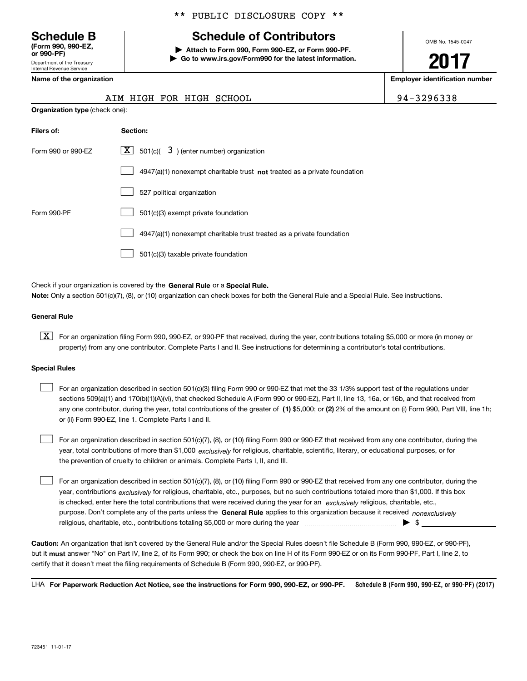**Schedule B (Form 990 , 990-EZ, (Form 990, 990-EZ, or 990-PF) or 990-PF)** Department of the Treasury Department of the Treasury Internal Revenue Service Internal Revenue Service

**Name of the organization** 

#### \*\* PUBLIC DISCLOSURE COPY \*\* \*\* PUBLIC DISCLOSURE COPY \*\*

# **Schedule of Contributors Schedule B Schedule of Contributors**

**| Attach to Form 990, Form 990-EZ, or Form 990-PF. | Attach to Form 990, Form 990-EZ, or Form 990-PF. | Go to www.irs.gov/Form990 for the latest information. | Go to www.irs.gov/Form990 for the latest information.** OMB No. 1545-0047 OMB No. 1545-0047

**2017 2017**

**Employer identification number Name of the organization Employer identification number**

|  |  |  |  | AIM HIGH FOR HIGH SCHOOL | 94-3296338 |
|--|--|--|--|--------------------------|------------|
|--|--|--|--|--------------------------|------------|

| <b>Organization type (check one):</b> |                                                                           |  |  |  |  |
|---------------------------------------|---------------------------------------------------------------------------|--|--|--|--|
| Filers of:                            | Section:                                                                  |  |  |  |  |
| Form 990 or 990-EZ                    | $\lfloor x \rfloor$ 501(c)( 3) (enter number) organization                |  |  |  |  |
|                                       | 4947(a)(1) nonexempt charitable trust not treated as a private foundation |  |  |  |  |
|                                       | 527 political organization                                                |  |  |  |  |
| Form 990-PF                           | 501(c)(3) exempt private foundation                                       |  |  |  |  |
|                                       | 4947(a)(1) nonexempt charitable trust treated as a private foundation     |  |  |  |  |
|                                       | 501(c)(3) taxable private foundation                                      |  |  |  |  |

Check if your organization is covered by the General Rule or a Special Rule. Note: Only a section 501(c)(7), (8), or (10) organization can check boxes for both the General Rule and a Special Rule. See instructions.

#### **General Rule General Rule**

 $\boxed{\textbf{X}}$  For an organization filing Form 990, 990-EZ, or 990-PF that received, during the year, contributions totaling \$5,000 or more (in money or property) from any one contributor. Complete Parts I and II. See instructions for determining a contributor's total contributions.

#### **Special Rules Special Rules**

 $\mathcal{L}^{\text{max}}$ 

| For an organization described in section 501(c)(3) filing Form 990 or 990-EZ that met the 33 1/3% support test of the regulations under               |
|-------------------------------------------------------------------------------------------------------------------------------------------------------|
| sections 509(a)(1) and 170(b)(1)(A)(vi), that checked Schedule A (Form 990 or 990-EZ), Part II, line 13, 16a, or 16b, and that received from          |
| any one contributor, during the year, total contributions of the greater of (1) \$5,000; or (2) 2% of the amount on (i) Form 990, Part VIII, line 1h; |
| or (ii) Form 990-EZ, line 1. Complete Parts I and II.                                                                                                 |

For an organization described in section 501(c)(7), (8), or (10) filing Form 990 or 990-EZ that received from any one contributor, during the year, total contributions of more than \$1,000 *exclusively* for religious, charitable, scientific, literary, or educational purposes, or for the prevention of cruelty to children or animals. Complete Parts I, II, and III. the prevention of cruelty to children or animals. Complete Parts I, II, and III.

For an organization described in section 501(c)(7), (8), or (10) filing Form 990 or 990-EZ that received from any one contributor, during the year, contributions <sub>exclusively</sub> for religious, charitable, etc., purposes, but no such contributions totaled more than \$1,000. If this box is checked, enter here the total contributions that were received during the year for an exclusively religious, charitable, etc., purpose. Don't complete any of the parts unless the General Rule applies to this organization because it received *nonexclusively* religious, charitable, etc., contributions totaling \$5 , <sup>000</sup>or more during the year ~ ~ ~ ~ ~ ~ ~ ~ ~ ~ ~ ~ ~ ~ ~ | \$ \_\_\_\_\_\_\_\_\_\_\_\_\_\_\_ religious, charitable, etc., contributions totaling \$5,000 or more during the year ~~~~~~~~~~~~~~~ | \$

Caution: An organization that isn't covered by the General Rule and/or the Special Rules doesn't file Schedule B (Form 990, 990-EZ, or 990-PF), but it <mark>must</mark> answer "No" on Part IV, line 2, of its Form 990; or check the box on line H of its Form 990-EZ or on its Form 990-PF, Part I, line 2, to certify that it doesn't meet the filing requirements of Schedule B (Form 990 , 990-EZ, or 990-PF). certify that it doesn't meet the filing requirements of Schedule B (Form 990, 990-EZ, or 990-PF).

LHA For Paperwork Reduction Act Notice, see the instructions for Form 990, 990-EZ, or 990-PF. Schedule B (Form 990 **, 990-EZ, or 990-PF) (2017) Schedule B (Form 990, 990-EZ, or 990-PF) (2017)**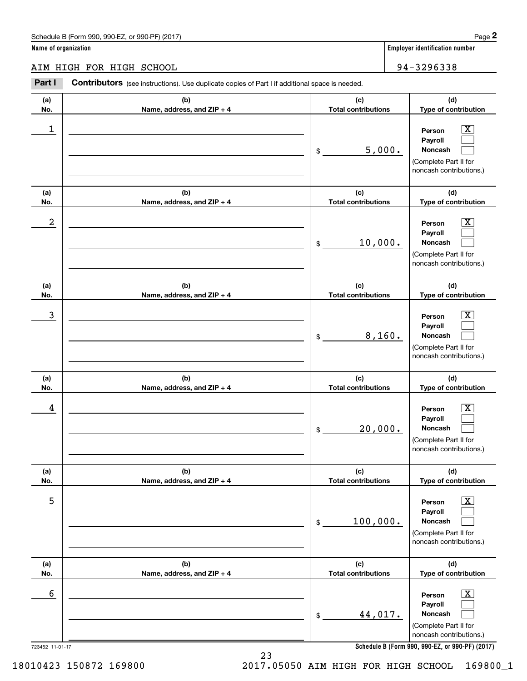#### AIM HIGH FOR HIGH SCHOOL 94-32 96 33 8 AIM HIGH FOR HIGH SCHOOL 94-3296338

**Part I Contributors** (see instructions). Use duplicate copies of Part I if additional space is needed. **(a) (b) (c) (d) No. Name, address, and ZIP + 4 Total contributions Type of contribution Name, address, and ZIP + 4** 1 \_\_\_\_\_\_\_\_\_\_\_\_\_\_\_\_\_\_\_\_\_\_\_\_\_\_\_\_\_\_\_\_\_\_\_\_\_\_\_\_\_\_\_\_\_\_\_\_\_\_\_\_\_\_\_\_\_\_\_\_ **Person** X **Payroll Payroll**\_\_\_\_\_\_\_\_\_\_\_\_\_\_\_\_\_\_\_\_\_\_\_\_\_\_\_\_\_\_\_\_\_\_\_\_\_\_\_\_\_\_ \$ 5, 000. **Noncash**  (Complete Part II for (Complete Part II for noncash contributions.) noncash contributions.) **(a) (b) (c) (d) No.** Name, address, and ZIP + 4 **1 <b>1 Total contributions** Type of contribution 2 \_\_\_\_\_\_\_\_\_\_\_\_\_\_\_\_\_\_\_\_\_\_\_\_\_\_\_\_\_\_\_\_\_\_\_\_\_\_\_\_\_\_\_\_\_\_\_\_\_\_\_\_\_\_\_\_\_\_\_\_ **Person** X **Payroll Payroll**\_\_\_\_\_\_\_\_\_\_\_\_\_\_\_\_\_\_\_\_\_\_\_\_\_\_\_\_\_\_\_\_\_\_\_\_\_\_\_\_\_\_ \$ 10, 000. **Noncash**  (Complete Part II for (Complete Part II for noncash contributions.) noncash contributions.) **(a) (a)No. No.**3 **(a) (a) No. No.**4 **(b) (b)e ss, and ZIP + 4 Name, address, and ZIP + 4 (b) (b) e ss, and ZIP + 4 Name, address, and ZIP + 4 (c) (d) Total contributions Type of contribution Type of contribution Person** X **PersonPayroll Payroll**\$ 8,160. **Noncash**  8,160. (Complete Part II for (Complete Part II for noncash contributions.) noncash contributions.) **(c) (d) Total contributions Type of contribution Type of contribution Person** X **PersonPayroll Payroll**\$ 20, 000. **Noncash**  20,000. (Complete Part II for (Complete Part II for noncash contributions.) noncash contributions.) **(a) (a) No. No.**5 **(a) (a) No. No.**6 **(b) (c) (d) e ss, and ZIP + 4 Total contributions Type of contribution Type of contribution** \_\_\_\_\_\_\_\_\_\_\_\_\_\_\_\_\_\_\_\_\_\_\_\_\_\_\_\_\_\_\_ **Person** X **Payroll Payroll**\_\_\_\_\_\_\_\_\_\_\_\_\_\_\_\_\_\_\_\_\_\_ \$ 100, 000. **Noncash**  100,000. (Complete Part II for (Complete Part II for noncash contributions.) noncash contributions.) **(b) (c) (d) e ss, and ZIP + 4 Total contributions Type of contribution Type of contribution** \_\_\_\_\_\_\_\_\_\_\_\_\_\_\_\_\_\_\_\_\_\_\_\_\_\_\_\_\_\_\_ **Person** X **Payroll Payroll**\_\_\_\_\_\_\_\_\_\_\_\_\_\_\_\_\_\_\_\_\_\_ \$ 44, 017. **Noncash**  44,017. (Complete Part II for (Complete Part II for noncash contributions.) noncash contributions.) **(a)No.(b)(c)Total contributions (d)Type of contribution PersonNoncash (a)No.(b)(c)Total contributions (d)Type of contribution PersonNoncash (c)Total contributions (d)Noncash (c) Total contributions (d) Noncash (b) Name, address, and ZIP + 4 (c) Total contributions (d) PersonNoncash (b)Name, address, and ZIP + 4 (c) Total contributions (d)PersonNoncash** \$\$\$\$\$\$Employer identification Page 2<br> **2** ame of organization<br> **2Part I Contributors** (see instructions). Use duplicate copies of Part I if additional space is needed.<br>
2Part I **Contributors** (see instructions). Use duplicate  $|X|$  $\mathcal{L}^{\text{max}}$  $\mathcal{L}^{\text{max}}$  $\boxed{\text{X}}$  $\mathcal{L}^{\text{max}}$  $\mathcal{L}^{\text{max}}$  $|X|$  $\mathcal{L}^{\text{max}}$  $\mathcal{L}^{\text{max}}$  $\boxed{\text{X}}$  $\mathcal{L}^{\text{max}}$  $\mathcal{L}^{\text{max}}$  $\boxed{\text{X}}$  $\mathcal{L}^{\text{max}}$  $\mathcal{L}^{\text{max}}$  $\boxed{\text{X}}$  $\mathcal{L}^{\text{max}}$  $\mathcal{L}^{\text{max}}$  $\begin{array}{c|c|c|c|c|c} 1 & \hspace{1.5cm} & \hspace{1.5cm} & \hspace{1.5cm} & \hspace{1.5cm} & \hspace{1.5cm} & \hspace{1.5cm} & \hspace{1.5cm} & \hspace{1.5cm} & \hspace{1.5cm} & \hspace{1.5cm} & \hspace{1.5cm} & \hspace{1.5cm} & \hspace{1.5cm} & \hspace{1.5cm} & \hspace{1.5cm} & \hspace{1.5cm} & \hspace{1.5cm} & \hspace{1.5cm} & \hspace{1.5cm} & \hspace{1.5cm} &$ 5,000.  $2$  | Person  $\overline{\text{X}}$ 10,000.  $\overline{3}$  | Person  $\overline{X}$  $4$  | Person  $\overline{\text{X}}$  $\sim$  5 | Person X  $\sim$  6 | Person X

**Schedule B (Form 990 , 990-EZ, or 990-PF) (2017) Schedule B (Form 990, 990-EZ, or 990-PF) (2017)**

723452 11-01-17 723452 11-01-17

2017.05050 AIM HIGH FOR HIGH SCHOOL 169800\_1 18010423 150872 169800 2017.05050 AIM HIGH FOR HIGH SCHOOL 169800\_1

23 23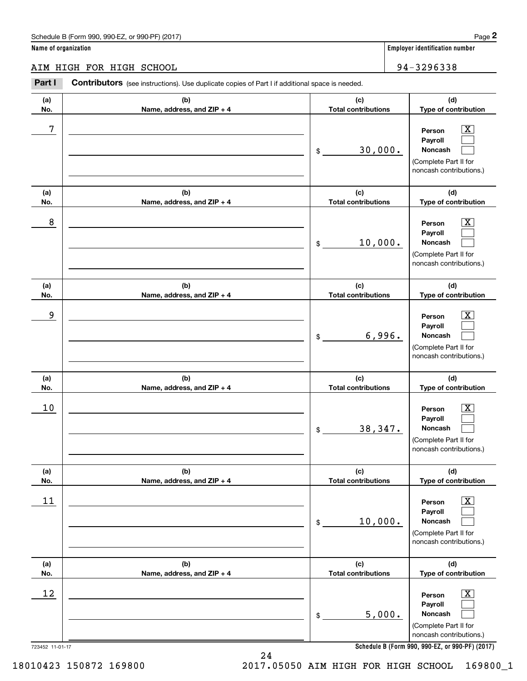#### AIM HIGH FOR HIGH SCHOOL 94-32 96 33 8 AIM HIGH FOR HIGH SCHOOL 94-3296338

|                      | Schedule B (Form 990, 990-EZ, or 990-PF) (2017)                                                |                                   | Page 2                                                                                                      |
|----------------------|------------------------------------------------------------------------------------------------|-----------------------------------|-------------------------------------------------------------------------------------------------------------|
| Name of organization |                                                                                                |                                   | <b>Employer identification number</b>                                                                       |
|                      | AIM HIGH FOR HIGH SCHOOL                                                                       |                                   | 94-3296338                                                                                                  |
| Part I               | Contributors (see instructions). Use duplicate copies of Part I if additional space is needed. |                                   |                                                                                                             |
| (a)<br>No.           | (b)<br>Name, address, and ZIP + 4                                                              | (c)<br><b>Total contributions</b> | (d)<br>Type of contribution                                                                                 |
| 7                    |                                                                                                | \$<br>30,000.                     | $\overline{\text{X}}$<br>Person<br>Payroll<br>Noncash<br>(Complete Part II for<br>noncash contributions.)   |
| (a)<br>No.           | (b)<br>Name, address, and ZIP + 4                                                              | (c)<br><b>Total contributions</b> | (d)<br>Type of contribution                                                                                 |
| 8                    |                                                                                                | \$<br>10,000.                     | $\overline{\text{X}}$<br>Person<br>Payroll<br>Noncash<br>(Complete Part II for<br>noncash contributions.)   |
| (a)<br>No.           | (b)<br>Name, address, and ZIP + 4                                                              | (c)<br><b>Total contributions</b> | (d)<br>Type of contribution                                                                                 |
| 9                    |                                                                                                | \$<br>6,996.                      | X<br>Person<br>Payroll<br>Noncash<br>(Complete Part II for<br>noncash contributions.)                       |
| (a)<br>No.           | (b)<br>Name, address, and ZIP + 4                                                              | (c)<br><b>Total contributions</b> | (d)<br>Type of contribution                                                                                 |
| 10                   |                                                                                                | \$<br>38,347.                     | $\mathbf{X}$<br>Person<br>Payroll<br>Noncash<br>(Complete Part II for<br>noncash contributions.)            |
| (a)<br>No.           | (b)<br>Name, address, and ZIP + 4                                                              | (c)<br><b>Total contributions</b> | (d)<br>Type of contribution                                                                                 |
| 11                   |                                                                                                | \$<br>10,000.                     | $\overline{\mathbf{X}}$<br>Person<br>Payroll<br>Noncash<br>(Complete Part II for<br>noncash contributions.) |
| (a)<br>No.           | (b)<br>Name, address, and ZIP + 4                                                              | (c)<br><b>Total contributions</b> | (d)<br>Type of contribution                                                                                 |
| 12                   |                                                                                                | \$<br>5,000.                      | $\overline{\mathbf{X}}$<br>Person<br>Payroll<br>Noncash<br>(Complete Part II for<br>noncash contributions.) |
| 723452 11-01-17      |                                                                                                |                                   | Schedule B (Form 990, 990-EZ, or 990-PF) (2017)                                                             |

**Schedule B (Form 990 , 990-EZ, or 990-PF) (2017) Schedule B (Form 990, 990-EZ, or 990-PF) (2017)**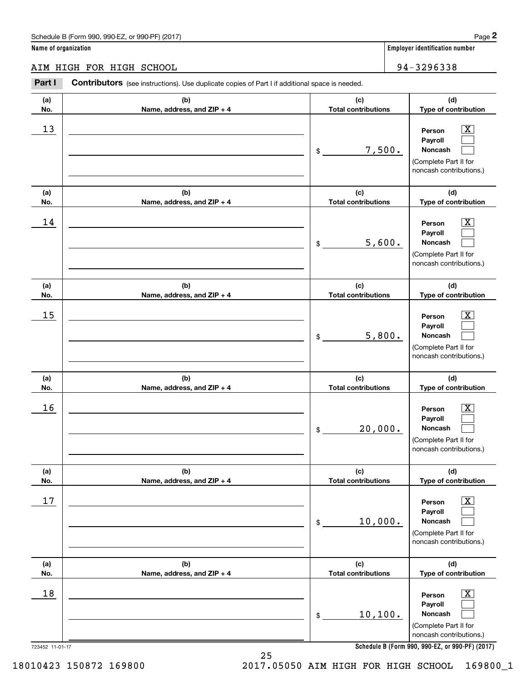#### AIM HIGH FOR HIGH SCHOOL 34-3296338

|                      | Schedule B (Form 990, 990-EZ, or 990-PF) (2017)                                                |                                   | Page 2                                                                                                      |
|----------------------|------------------------------------------------------------------------------------------------|-----------------------------------|-------------------------------------------------------------------------------------------------------------|
| Name of organization |                                                                                                |                                   | <b>Employer identification number</b>                                                                       |
|                      | AIM HIGH FOR HIGH SCHOOL                                                                       |                                   | 94-3296338                                                                                                  |
| Part I               | Contributors (see instructions). Use duplicate copies of Part I if additional space is needed. |                                   |                                                                                                             |
| (a)<br>No.           | (b)<br>Name, address, and ZIP + 4                                                              | (c)<br><b>Total contributions</b> | (d)<br>Type of contribution                                                                                 |
| 13                   |                                                                                                | 7,500.<br>\$                      | $\mathbf{X}$<br>Person<br>Payroll<br>Noncash<br>(Complete Part II for<br>noncash contributions.)            |
| (a)<br>No.           | (b)<br>Name, address, and ZIP + 4                                                              | (c)<br><b>Total contributions</b> | (d)<br>Type of contribution                                                                                 |
| 14                   |                                                                                                | 5,600.<br>\$                      | $\mathbf{X}$<br>Person<br>Payroll<br>Noncash<br>(Complete Part II for<br>noncash contributions.)            |
| (a)<br>No.           | (b)<br>Name, address, and ZIP + 4                                                              | (c)<br><b>Total contributions</b> | (d)<br>Type of contribution                                                                                 |
| 15                   |                                                                                                | 5,800.<br>\$                      | $\mathbf{X}$<br>Person<br>Payroll<br>Noncash<br>(Complete Part II for<br>noncash contributions.)            |
| (a)<br>No.           | (b)<br>Name, address, and ZIP + 4                                                              | (c)<br><b>Total contributions</b> | (d)<br>Type of contribution                                                                                 |
| 16                   |                                                                                                | 20,000.<br>\$                     | $\overline{\mathbf{X}}$<br>Person<br>Payroll<br>Noncash<br>(Complete Part II for<br>noncash contributions.) |
| (a)<br>No.           | (b)<br>Name, address, and ZIP + 4                                                              | (c)<br><b>Total contributions</b> | (d)<br>Type of contribution                                                                                 |
| 17                   |                                                                                                | 10,000.<br>\$                     | $\boxed{\text{X}}$<br>Person<br>Payroll<br>Noncash<br>(Complete Part II for<br>noncash contributions.)      |
| (a)<br>No.           | (b)<br>Name, address, and ZIP + 4                                                              | (c)<br><b>Total contributions</b> | (d)<br>Type of contribution                                                                                 |
| 18                   |                                                                                                | 10, 100.<br>\$                    | $\boxed{\text{X}}$<br>Person<br>Payroll<br>Noncash<br>(Complete Part II for<br>noncash contributions.)      |
| 723452 11-01-17      |                                                                                                |                                   | Schedule B (Form 990, 990-EZ, or 990-PF) (2017)                                                             |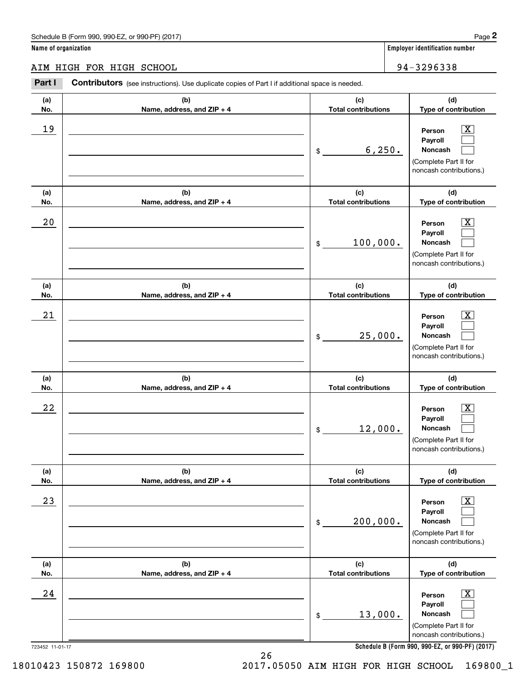|                      | Schedule B (Form 990, 990-EZ, or 990-PF) (2017)                                                       |                                   | Page 2                                                                                                      |
|----------------------|-------------------------------------------------------------------------------------------------------|-----------------------------------|-------------------------------------------------------------------------------------------------------------|
| Name of organization |                                                                                                       |                                   | <b>Employer identification number</b>                                                                       |
|                      | AIM HIGH FOR HIGH SCHOOL                                                                              |                                   | 94-3296338                                                                                                  |
| Part I               | <b>Contributors</b> (see instructions). Use duplicate copies of Part I if additional space is needed. |                                   |                                                                                                             |
| (a)<br>No.           | (b)<br>Name, address, and ZIP + 4                                                                     | (c)<br><b>Total contributions</b> | (d)<br>Type of contribution                                                                                 |
| 19                   |                                                                                                       | \$<br>6, 250.                     | $\overline{\mathbf{X}}$<br>Person<br>Payroll<br>Noncash<br>(Complete Part II for<br>noncash contributions.) |
| (a)<br>No.           | (b)<br>Name, address, and ZIP + 4                                                                     | (c)<br><b>Total contributions</b> | (d)<br>Type of contribution                                                                                 |
| 20                   |                                                                                                       | \$<br>100,000.                    | $\overline{\mathbf{X}}$<br>Person<br>Payroll<br>Noncash<br>(Complete Part II for<br>noncash contributions.) |
| (a)<br>No.           | (b)<br>Name, address, and ZIP + 4                                                                     | (c)<br><b>Total contributions</b> | (d)<br>Type of contribution                                                                                 |
| 21                   |                                                                                                       | \$<br>25,000.                     | $\overline{\mathbf{X}}$<br>Person<br>Payroll<br>Noncash<br>(Complete Part II for<br>noncash contributions.) |
| (a)<br>No.           | (b)<br>Name, address, and ZIP + 4                                                                     | (c)<br><b>Total contributions</b> | (d)<br>Type of contribution                                                                                 |
| 22                   |                                                                                                       | \$<br>12,000.                     | $\mathbf{X}$<br>Person<br>Payroll<br>Noncash<br>(Complete Part II for<br>noncash contributions.)            |
| (a)<br>No.           | (b)<br>Name, address, and ZIP + 4                                                                     | (c)<br><b>Total contributions</b> | (d)<br>Type of contribution                                                                                 |
| 23                   |                                                                                                       | \$<br>200,000.                    | $\overline{\mathbf{X}}$<br>Person<br>Payroll<br>Noncash<br>(Complete Part II for<br>noncash contributions.) |
| (a)<br>No.           | (b)<br>Name, address, and ZIP + 4                                                                     | (c)<br><b>Total contributions</b> | (d)<br>Type of contribution                                                                                 |
| 24                   |                                                                                                       | \$<br>13,000.                     | $\boxed{\text{X}}$<br>Person<br>Payroll<br>Noncash<br>(Complete Part II for<br>noncash contributions.)      |
| 723452 11-01-17      |                                                                                                       |                                   | Schedule B (Form 990, 990-EZ, or 990-PF) (2017)                                                             |

**Schedule B (Form 990 , 990-EZ, or 990-PF) (2017) Schedule B (Form 990, 990-EZ, or 990-PF) (2017)**

26 26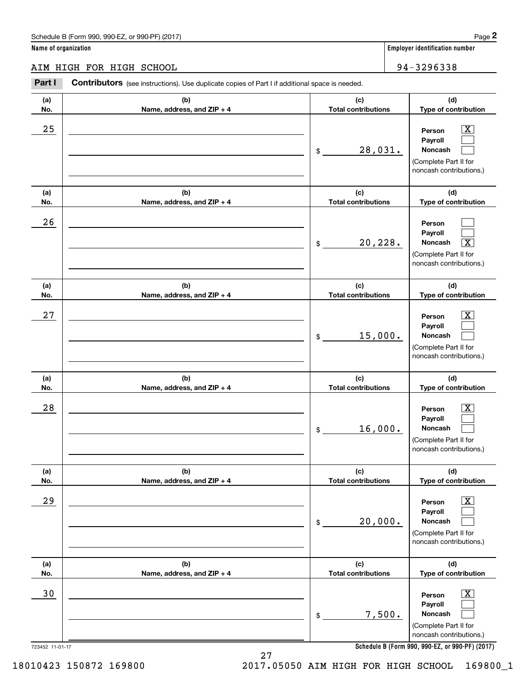|                      | Schedule B (Form 990, 990-EZ, or 990-PF) (2017)                                                       |                                   |         | Page 2                                                                                                      |
|----------------------|-------------------------------------------------------------------------------------------------------|-----------------------------------|---------|-------------------------------------------------------------------------------------------------------------|
| Name of organization |                                                                                                       |                                   |         | <b>Employer identification number</b>                                                                       |
|                      | AIM HIGH FOR HIGH SCHOOL                                                                              |                                   |         | 94-3296338                                                                                                  |
| Part I               | <b>Contributors</b> (see instructions). Use duplicate copies of Part I if additional space is needed. |                                   |         |                                                                                                             |
| (a)<br>No.           | (b)<br>Name, address, and ZIP + 4                                                                     | (c)<br><b>Total contributions</b> |         | (d)<br>Type of contribution                                                                                 |
| 25                   |                                                                                                       | \$                                | 28,031. | $\overline{\text{X}}$<br>Person<br>Payroll<br>Noncash<br>(Complete Part II for<br>noncash contributions.)   |
| (a)<br>No.           | (b)<br>Name, address, and ZIP + 4                                                                     | (c)<br><b>Total contributions</b> |         | (d)<br>Type of contribution                                                                                 |
| 26                   |                                                                                                       | \$                                | 20,228. | Person<br>Payroll<br>Noncash<br>$\overline{\text{X}}$<br>(Complete Part II for<br>noncash contributions.)   |
| (a)<br>No.           | (b)<br>Name, address, and ZIP + 4                                                                     | (c)<br><b>Total contributions</b> |         | (d)<br>Type of contribution                                                                                 |
| 27                   |                                                                                                       | \$                                | 15,000. | X<br>Person<br>Payroll<br>Noncash<br>(Complete Part II for<br>noncash contributions.)                       |
| (a)<br>No.           | (b)<br>Name, address, and ZIP + 4                                                                     | (c)<br><b>Total contributions</b> |         | (d)<br>Type of contribution                                                                                 |
| 28                   |                                                                                                       | \$                                | 16,000. | $\overline{\text{X}}$<br>Person<br>Payroll<br>Noncash<br>(Complete Part II for<br>noncash contributions.)   |
| (a)<br>No.           | (b)<br>Name, address, and ZIP + 4                                                                     | (c)<br><b>Total contributions</b> |         | (d)<br>Type of contribution                                                                                 |
| 29                   |                                                                                                       | \$                                | 20,000. | $\overline{\mathbf{X}}$<br>Person<br>Payroll<br>Noncash<br>(Complete Part II for<br>noncash contributions.) |
| (a)<br>No.           | (b)<br>Name, address, and ZIP + 4                                                                     | (c)<br><b>Total contributions</b> |         | (d)<br>Type of contribution                                                                                 |
| 30                   |                                                                                                       | \$                                | 7,500.  | $\overline{\mathbf{X}}$<br>Person<br>Payroll<br>Noncash<br>(Complete Part II for<br>noncash contributions.) |
| 723452 11-01-17      |                                                                                                       |                                   |         | Schedule B (Form 990, 990-EZ, or 990-PF) (2017)                                                             |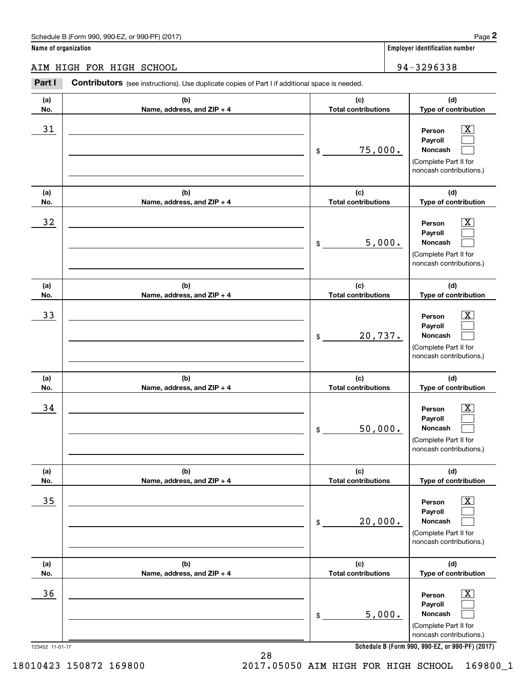|                      | Schedule B (Form 990, 990-EZ, or 990-PF) (2017)                                                       |                                   | Page 2                                                                                                      |
|----------------------|-------------------------------------------------------------------------------------------------------|-----------------------------------|-------------------------------------------------------------------------------------------------------------|
| Name of organization |                                                                                                       |                                   | <b>Employer identification number</b>                                                                       |
|                      | AIM HIGH FOR HIGH SCHOOL                                                                              |                                   | 94-3296338                                                                                                  |
| Part I               | <b>Contributors</b> (see instructions). Use duplicate copies of Part I if additional space is needed. |                                   |                                                                                                             |
| (a)<br>No.           | (b)<br>Name, address, and ZIP + 4                                                                     | (c)<br><b>Total contributions</b> | (d)<br>Type of contribution                                                                                 |
| 31                   |                                                                                                       | \$<br>75,000.                     | $\overline{\mathbf{X}}$<br>Person<br>Payroll<br>Noncash<br>(Complete Part II for<br>noncash contributions.) |
| (a)<br>No.           | (b)<br>Name, address, and ZIP + 4                                                                     | (c)<br><b>Total contributions</b> | (d)<br>Type of contribution                                                                                 |
| 32                   |                                                                                                       | \$<br>5,000.                      | $\overline{\mathbf{X}}$<br>Person<br>Payroll<br>Noncash<br>(Complete Part II for<br>noncash contributions.) |
| (a)<br>No.           | (b)<br>Name, address, and ZIP + 4                                                                     | (c)<br><b>Total contributions</b> | (d)<br>Type of contribution                                                                                 |
| 33                   |                                                                                                       | \$<br>20,737.                     | $\overline{\mathbf{X}}$<br>Person<br>Payroll<br>Noncash<br>(Complete Part II for<br>noncash contributions.) |
| (a)<br>No.           | (b)<br>Name, address, and ZIP + 4                                                                     | (c)<br><b>Total contributions</b> | (d)<br>Type of contribution                                                                                 |
| 34                   |                                                                                                       | \$<br>50,000.                     | $\mathbf{X}$<br>Person<br>Payroll<br>Noncash<br>(Complete Part II for<br>noncash contributions.)            |
| (a)<br>No.           | (b)<br>Name, address, and ZIP + 4                                                                     | (c)<br><b>Total contributions</b> | (d)<br>Type of contribution                                                                                 |
| 35                   |                                                                                                       | \$<br>20,000.                     | $\overline{\mathbf{X}}$<br>Person<br>Payroll<br>Noncash<br>(Complete Part II for<br>noncash contributions.) |
| (a)<br>No.           | (b)<br>Name, address, and ZIP + 4                                                                     | (c)<br><b>Total contributions</b> | (d)<br>Type of contribution                                                                                 |
| 36                   |                                                                                                       | \$<br>5,000.                      | $\boxed{\text{X}}$<br>Person<br>Payroll<br>Noncash<br>(Complete Part II for<br>noncash contributions.)      |
| 723452 11-01-17      |                                                                                                       |                                   | Schedule B (Form 990, 990-EZ, or 990-PF) (2017)                                                             |

**Schedule B (Form 990 , 990-EZ, or 990-PF) (2017) Schedule B (Form 990, 990-EZ, or 990-PF) (2017)**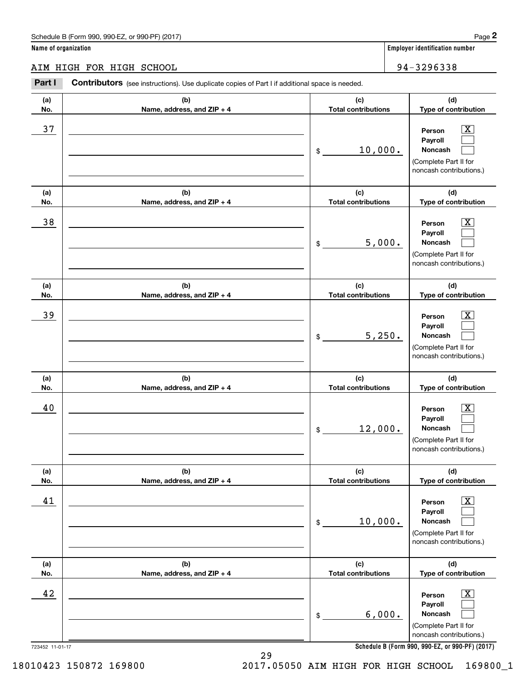|                      | Schedule B (Form 990, 990-EZ, or 990-PF) (2017)                                                |                                   |                                       | Page 2                                                                                                    |
|----------------------|------------------------------------------------------------------------------------------------|-----------------------------------|---------------------------------------|-----------------------------------------------------------------------------------------------------------|
| Name of organization |                                                                                                |                                   | <b>Employer identification number</b> |                                                                                                           |
|                      | AIM HIGH FOR HIGH SCHOOL                                                                       |                                   | 94-3296338                            |                                                                                                           |
| Part I               | Contributors (see instructions). Use duplicate copies of Part I if additional space is needed. |                                   |                                       |                                                                                                           |
| (a)<br>No.           | (b)<br>Name, address, and ZIP + 4                                                              | (c)<br><b>Total contributions</b> | (d)<br>Type of contribution           |                                                                                                           |
| 37                   |                                                                                                | 10,000.<br>\$                     |                                       | $\overline{\text{X}}$<br>Person<br>Payroll<br>Noncash<br>(Complete Part II for<br>noncash contributions.) |
| (a)<br>No.           | (b)<br>Name, address, and ZIP + 4                                                              | (c)<br><b>Total contributions</b> |                                       | (d)<br>Type of contribution                                                                               |
| 38                   |                                                                                                | \$                                | 5,000.                                | $\overline{\text{X}}$<br>Person<br>Payroll<br>Noncash<br>(Complete Part II for<br>noncash contributions.) |
| (a)<br>No.           | (b)<br>Name, address, and ZIP + 4                                                              | (c)<br><b>Total contributions</b> |                                       | (d)<br>Type of contribution                                                                               |
| 39                   |                                                                                                | \$                                | 5,250.                                | X<br>Person<br>Payroll<br>Noncash<br>(Complete Part II for<br>noncash contributions.)                     |
| (a)<br>No.           | (b)<br>Name, address, and ZIP + 4                                                              | (c)<br><b>Total contributions</b> |                                       | (d)<br>Type of contribution                                                                               |
| 40                   |                                                                                                | 12,000.<br>\$                     |                                       | $\overline{\text{X}}$<br>Person<br>Payroll<br>Noncash<br>(Complete Part II for<br>noncash contributions.) |
| (a)<br>No.           | (b)<br>Name, address, and ZIP + 4                                                              | (c)<br><b>Total contributions</b> |                                       | (d)<br>Type of contribution                                                                               |
| 41                   |                                                                                                | 10,000.<br>\$                     |                                       | $\overline{\text{X}}$<br>Person<br>Payroll<br>Noncash<br>(Complete Part II for<br>noncash contributions.) |
| (a)<br>No.           | (b)<br>Name, address, and ZIP + 4                                                              | (c)<br><b>Total contributions</b> |                                       | (d)<br>Type of contribution                                                                               |
| 42                   |                                                                                                | \$                                | 6,000.                                | $\overline{\text{X}}$<br>Person<br>Payroll<br>Noncash<br>(Complete Part II for<br>noncash contributions.) |
| 723452 11-01-17      |                                                                                                |                                   |                                       | Schedule B (Form 990, 990-EZ, or 990-PF) (2017)                                                           |

**Schedule B (Form 990 , 990-EZ, or 990-PF) (2017) Schedule B (Form 990, 990-EZ, or 990-PF) (2017)**

29 29

18010423 150872 169800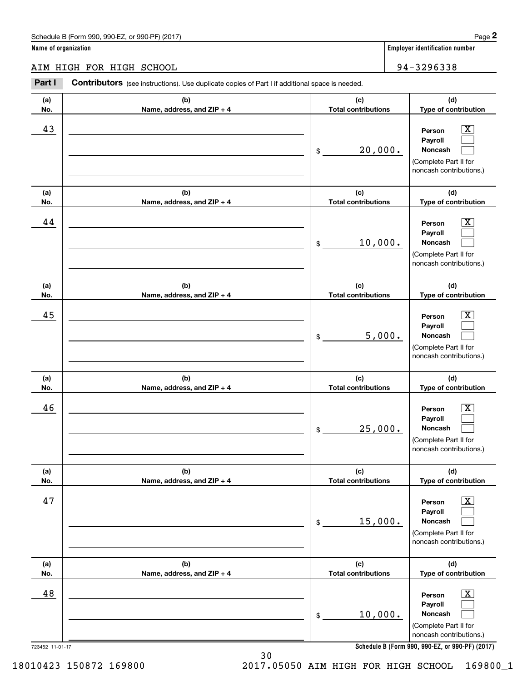|                      | Schedule B (Form 990, 990-EZ, or 990-PF) (2017)                                                       |                                   | Page 2                                                                                                      |
|----------------------|-------------------------------------------------------------------------------------------------------|-----------------------------------|-------------------------------------------------------------------------------------------------------------|
| Name of organization |                                                                                                       |                                   | <b>Employer identification number</b>                                                                       |
|                      | AIM HIGH FOR HIGH SCHOOL                                                                              |                                   | 94-3296338                                                                                                  |
| Part I               | <b>Contributors</b> (see instructions). Use duplicate copies of Part I if additional space is needed. |                                   |                                                                                                             |
| (a)<br>No.           | (b)<br>Name, address, and ZIP + 4                                                                     | (c)<br><b>Total contributions</b> | (d)<br>Type of contribution                                                                                 |
| 43                   |                                                                                                       | \$<br>20,000.                     | $\overline{\mathbf{X}}$<br>Person<br>Payroll<br>Noncash<br>(Complete Part II for<br>noncash contributions.) |
| (a)<br>No.           | (b)<br>Name, address, and ZIP + 4                                                                     | (c)<br><b>Total contributions</b> | (d)<br>Type of contribution                                                                                 |
| 44                   |                                                                                                       | \$<br>10,000.                     | $\overline{\mathbf{X}}$<br>Person<br>Payroll<br>Noncash<br>(Complete Part II for<br>noncash contributions.) |
| (a)<br>No.           | (b)<br>Name, address, and ZIP + 4                                                                     | (c)<br><b>Total contributions</b> | (d)<br>Type of contribution                                                                                 |
| 45                   |                                                                                                       | \$<br>5,000.                      | $\overline{\mathbf{X}}$<br>Person<br>Payroll<br>Noncash<br>(Complete Part II for<br>noncash contributions.) |
| (a)<br>No.           | (b)<br>Name, address, and ZIP + 4                                                                     | (c)<br><b>Total contributions</b> | (d)<br>Type of contribution                                                                                 |
| 46                   |                                                                                                       | \$<br>25,000.                     | $\mathbf{X}$<br>Person<br>Payroll<br>Noncash<br>(Complete Part II for<br>noncash contributions.)            |
| (a)<br>No.           | (b)<br>Name, address, and ZIP + 4                                                                     | (c)<br><b>Total contributions</b> | (d)<br>Type of contribution                                                                                 |
| 47                   |                                                                                                       | \$<br>15,000.                     | $\boxed{\text{X}}$<br>Person<br>Payroll<br>Noncash<br>(Complete Part II for<br>noncash contributions.)      |
| (a)<br>No.           | (b)<br>Name, address, and ZIP + 4                                                                     | (c)<br><b>Total contributions</b> | (d)<br>Type of contribution                                                                                 |
| 48                   |                                                                                                       | \$<br>10,000.                     | $\boxed{\text{X}}$<br>Person<br>Payroll<br>Noncash<br>(Complete Part II for<br>noncash contributions.)      |
| 723452 11-01-17      |                                                                                                       |                                   | Schedule B (Form 990, 990-EZ, or 990-PF) (2017)                                                             |

**Schedule B (Form 990 , 990-EZ, or 990-PF) (2017) Schedule B (Form 990, 990-EZ, or 990-PF) (2017)**

18010423 150872 169800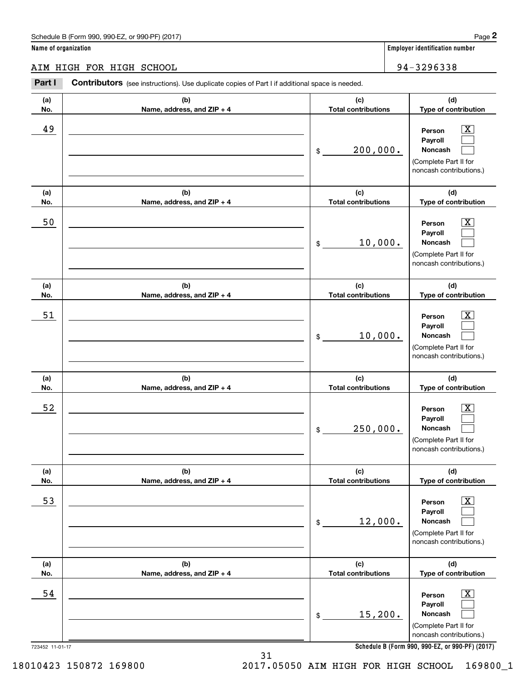AIM HIGH FOR HIGH SCHOOL 94-32 96 33 8 AIM HIGH FOR HIGH SCHOOL 94-3296338 **Part I Contributors** (see instructions). Use duplicate copies of Part I if additional space is needed. **(a) (b) (c) (d) No. Name, address, and ZIP + 4 Total contributions Type of contribution Name, address, and ZIP + 4**  $\begin{array}{|c|c|c|c|c|}\hline 49 & \text{\hspace{1cm}} & \text{\hspace{1cm}} & \text{\hspace{1cm}} & \text{\hspace{1cm}} & \text{\hspace{1cm}} & \text{\hspace{1cm}} & \text{\hspace{1cm}} & \text{\hspace{1cm}} & \text{\hspace{1cm}} & \text{\hspace{1cm}} & \text{\hspace{1cm}} & \text{\hspace{1cm}} & \text{\hspace{1cm}} & \text{\hspace{1cm}} & \text{\hspace{1cm}} & \text{\hspace{1cm}} & \text{\hspace{1cm}} & \text{\hspace{1cm}} & \text{\hspace{1cm}} & \text{\hspace{1cm$ **Payroll Payroll**\_\_\_\_\_\_\_\_\_\_\_\_\_\_\_\_\_\_\_\_\_\_\_\_\_\_\_\_\_\_\_\_\_\_\_\_\_\_\_\_\_\_ \$ 200, 000. **Noncash**  200,000. (Complete Part II for (Complete Part II for noncash contributions.) noncash contributions.) **(a) (b) (c) (d) No.** Name, address, and ZIP + 4 **1 <b>1 Total contributions** Type of contribution 50 \_\_\_\_\_\_\_\_\_\_\_\_\_\_\_\_\_\_\_\_\_\_\_\_\_\_\_\_\_\_\_\_\_\_\_\_\_\_\_\_\_\_\_\_\_\_\_\_ **Person** X **Payroll Payroll**\_\_\_\_\_\_\_\_\_\_\_\_\_\_\_\_\_\_\_\_\_\_\_\_\_\_\_\_\_\_\_\_\_\_\_\_\_\_\_\_\_\_ \$ 10, 000. **Noncash**  (Complete Part II for (Complete Part II for noncash contributions.) noncash contributions.) **(a) (a)No. No.**51 **(a) (a) No. No.**52 **(b) (b)e ss, and ZIP + 4 Name, address, and ZIP + 4 (b) (b) e ss, and ZIP + 4 Name, address, and ZIP + 4 (c) (d) Total contributions Type of contribution Type of contribution Person** X **PersonPayroll Payroll**\$ 10, 000. **Noncash**  10,000. (Complete Part II for (Complete Part II for noncash contributions.) noncash contributions.) **(c) (d) Total contributions Type of contribution Type of contribution Person** X **PersonPayroll Payroll**\$ 250, 000. **Noncash**  250,000. (Complete Part II for (Complete Part II for noncash contributions.) noncash contributions.) **(a) (a) No. No.**53 **(a) (a) No. No.**54 **(b) (c) (d) e ss, and ZIP + 4 Total contributions Type of contribution Type of contribution** \_\_\_\_\_\_\_\_\_\_\_\_\_\_\_\_\_\_\_\_\_\_\_\_\_\_\_\_\_\_\_ **Person** X **Payroll Payroll**\_\_\_\_\_\_\_\_\_\_\_\_\_\_\_\_\_\_\_\_\_\_ \$ 12, 000. **Noncash**  12,000. (Complete Part II for (Complete Part II for noncash contributions.) noncash contributions.) **(b) (c) (d) e ss, and ZIP + 4 Total contributions Type of contribution Type of contribution** \_\_\_\_\_\_\_\_\_\_\_\_\_\_\_\_\_\_\_\_\_\_\_\_\_\_\_\_\_\_\_ **Person** X **Payroll Payroll**\_\_\_\_\_\_\_\_\_\_\_\_\_\_\_\_\_\_\_\_\_\_ \$ 15,200. **Noncash**  15,200. (Complete Part II for (Complete Part II for noncash contributions.) noncash contributions.) **(a)No.(b)(c)Total contributions (d)Type of contribution PersonNoncash (a)No.(b)(c)Total contributions (d)Type of contribution PersonNoncash (c)Total contributions (d)Noncash (c) Total contributions (d) Noncash (b) Name, address, and ZIP + 4 (c) Total contributions (d) PersonNoncash (b)Name, address, and ZIP + 4 (c) Total contributions (d)PersonNoncash** \$\$\$\$\$\$Employer identification Page 2<br> **2** ame of organization<br> **2Part I Contributors** (see instructions). Use duplicate copies of Part I if additional space is needed.<br>
2Part I **Contributors** (see instructions). Use duplicate  $|X|$  $\mathcal{L}^{\text{max}}$  $\mathcal{L}^{\text{max}}$  $\boxed{\text{X}}$  $\mathcal{L}^{\text{max}}$  $\mathcal{L}^{\text{max}}$  $|X|$  $\mathcal{L}^{\text{max}}$  $\mathcal{L}^{\text{max}}$  $\boxed{\text{X}}$  $\mathcal{L}^{\text{max}}$  $\mathcal{L}^{\text{max}}$  $\boxed{\text{X}}$  $\mathcal{L}^{\text{max}}$  $\mathcal{L}^{\text{max}}$  $\boxed{\text{X}}$  $\mathcal{L}^{\text{max}}$  $\mathcal{L}^{\text{max}}$ 49 X 50 Person X 10,000. 51 X 52 | Person X 53 | Person X 54 X

**Schedule B (Form 990 , 990-EZ, or 990-PF) (2017) Schedule B (Form 990, 990-EZ, or 990-PF) (2017)**

723452 11-01-17 723452 11-01-17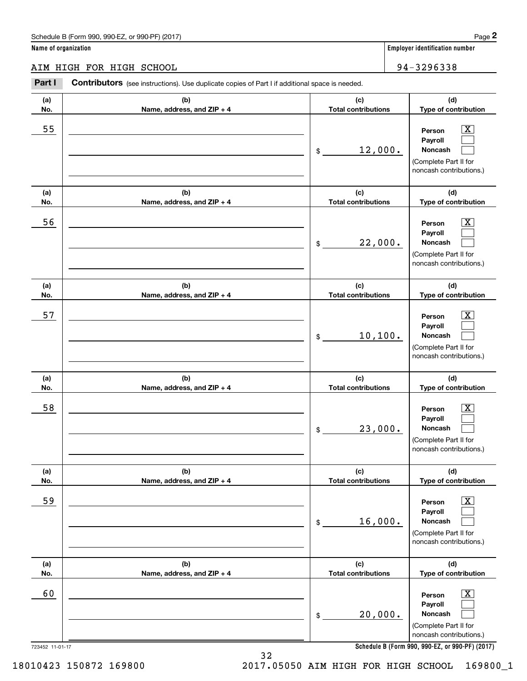#### AIM HIGH FOR HIGH SCHOOL 94-32 96 33 8 AIM HIGH FOR HIGH SCHOOL 94-3296338

**Part I Contributors** (see instructions). Use duplicate copies of Part I if additional space is needed. **(a) (b) (c) (d) No. Name, address, and ZIP + 4 Total contributions Type of contribution Name, address, and ZIP + 4** 55 \_\_\_\_\_\_\_\_\_\_\_\_\_\_\_\_\_\_\_\_\_\_\_\_\_\_\_\_\_\_\_\_\_\_\_\_\_\_\_\_\_\_\_\_\_\_\_\_\_\_ **Person** X **Payroll Payroll**\_\_\_\_\_\_\_\_\_\_\_\_\_\_\_\_\_\_\_\_\_\_\_\_\_\_\_\_\_\_\_\_\_\_\_\_\_\_\_\_\_\_ \$ 12, 000. **Noncash**  (Complete Part II for (Complete Part II for noncash contributions.) noncash contributions.) **(a) (b) (c) (d) No.** Name, address, and ZIP + 4 **1 <b>1 Total contributions** Type of contribution 56 \_\_\_\_\_\_\_\_\_\_\_\_\_\_\_\_\_\_\_\_\_\_\_\_\_\_\_\_\_\_\_\_\_\_\_\_\_\_\_\_\_\_\_\_\_\_\_\_ **Person** X **Payroll Payroll**\_\_\_\_\_\_\_\_\_\_\_\_\_\_\_\_\_\_\_\_\_\_\_\_\_\_\_\_\_\_\_\_\_\_\_\_\_\_\_\_\_\_ \$ 22, 000. **Noncash**  (Complete Part II for (Complete Part II for noncash contributions.) noncash contributions.) **(a) (a)No. No.**57 **(a) (a) No. No.**58 **(b) (b)e ss, and ZIP + 4 Name, address, and ZIP + 4 (b) (b) e ss, and ZIP + 4 Name, address, and ZIP + 4 (c) (d) Total contributions Type of contribution Type of contribution Person** X **PersonPayroll Payroll**\$ 10,100. **Noncash**  10,100. (Complete Part II for (Complete Part II for noncash contributions.) noncash contributions.) **(c) (d) Total contributions Type of contribution Type of contribution Person** X **PersonPayroll Payroll**\$ 23, 000. **Noncash**  23,000. (Complete Part II for (Complete Part II for noncash contributions.) noncash contributions.) **(a) (a) No. No.**59 **(a) (a) No. No.**60 723452 11-01-17 723452 11-01-17 **(b) (c) (d) e ss, and ZIP + 4 Total contributions Type of contribution Type of contribution** \_\_\_\_\_\_\_\_\_\_\_\_\_\_\_\_\_\_\_\_\_\_\_\_\_\_\_\_\_\_\_ **Person** X **Payroll Payroll**\_\_\_\_\_\_\_\_\_\_\_\_\_\_\_\_\_\_\_\_\_\_ \$ 16, 000. **Noncash**  16,000. (Complete Part II for (Complete Part II for noncash contributions.) noncash contributions.) **(b) (c) (d) e ss, and ZIP + 4 Total contributions Type of contribution Type of contribution** \_\_\_\_\_\_\_\_\_\_\_\_\_\_\_\_\_\_\_\_\_\_\_\_\_\_\_\_\_\_\_ **Person** X **Payroll Payroll**\_\_\_\_\_\_\_\_\_\_\_\_\_\_\_\_\_\_\_\_\_\_ \$ 20, 000. **Noncash**  20,000. (Complete Part II for (Complete Part II for noncash contributions.) noncash contributions.) **Schedule B (Form 990 , 990-EZ, or 990-PF) (2017) Schedule B (Form 990, 990-EZ, or 990-PF) (2017) (a)No.(b)(c)Total contributions (d)Type of contribution PersonNoncash (a)No.(b)(c)Total contributions (d)Type of contribution PersonNoncash (c)Total contributions (d)Noncash (c) Total contributions (d) Noncash (b) Name, address, and ZIP + 4 (c) Total contributions (d) PersonNoncash (b)Name, address, and ZIP + 4 (c) Total contributions (d)PersonNoncash** \$\$\$\$\$\$Employer identification Page 2<br> **2** ame of organization<br> **2Part I Contributors** (see instructions). Use duplicate copies of Part I if additional space is needed.<br>
2Part I **Contributors** (see instructions). Use duplicate  $|X|$  $\mathcal{L}^{\text{max}}$  $\mathcal{L}^{\text{max}}$  $\boxed{\text{X}}$  $\mathcal{L}^{\text{max}}$  $\mathcal{L}^{\text{max}}$  $|X|$  $\mathcal{L}^{\text{max}}$  $\mathcal{L}^{\text{max}}$  $\boxed{\text{X}}$  $\mathcal{L}^{\text{max}}$  $\mathcal{L}^{\text{max}}$  $\boxed{\text{X}}$  $\mathcal{L}^{\text{max}}$  $\mathcal{L}^{\text{max}}$  $\boxed{\text{X}}$  $\mathcal{L}^{\text{max}}$  $\mathcal{L}^{\text{max}}$ 55 | Person X 12,000. 56 | Person X 22,000. 57 X 58 X 59 X 60 Person X

18010423 150872 169800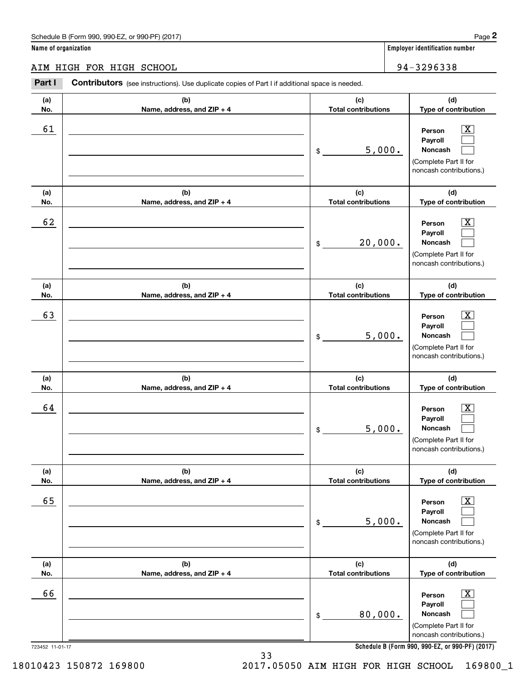|                      | Schedule B (Form 990, 990-EZ, or 990-PF) (2017)                                                       |    |                                   |                             | Page 2                                                                                                             |
|----------------------|-------------------------------------------------------------------------------------------------------|----|-----------------------------------|-----------------------------|--------------------------------------------------------------------------------------------------------------------|
| Name of organization |                                                                                                       |    |                                   |                             | <b>Employer identification number</b>                                                                              |
|                      | AIM HIGH FOR HIGH SCHOOL                                                                              |    |                                   |                             | 94-3296338                                                                                                         |
| Part I               | <b>Contributors</b> (see instructions). Use duplicate copies of Part I if additional space is needed. |    |                                   |                             |                                                                                                                    |
| (a)<br>No.           | (b)<br>Name, address, and ZIP + 4                                                                     |    | (c)<br><b>Total contributions</b> | (d)<br>Type of contribution |                                                                                                                    |
| 61                   |                                                                                                       | \$ | 5,000.                            |                             | $\overline{\text{X}}$<br>Person<br>Payroll<br>Noncash<br>(Complete Part II for<br>noncash contributions.)          |
| (a)<br>No.           | (b)<br>Name, address, and ZIP + 4                                                                     |    | (c)<br><b>Total contributions</b> |                             | (d)<br>Type of contribution                                                                                        |
| 62                   |                                                                                                       | \$ | 20,000.                           |                             | X<br>Person<br>Payroll<br>Noncash<br>(Complete Part II for<br>noncash contributions.)                              |
| (a)<br>No.           | (b)<br>Name, address, and ZIP + 4                                                                     |    | (c)<br><b>Total contributions</b> |                             | (d)<br>Type of contribution                                                                                        |
| 63                   |                                                                                                       | \$ |                                   | 5,000.                      | X<br>Person<br>Payroll<br>Noncash<br>(Complete Part II for<br>noncash contributions.)                              |
| (a)<br>No.           | (b)<br>Name, address, and ZIP + 4                                                                     |    | (c)<br><b>Total contributions</b> |                             | (d)<br>Type of contribution                                                                                        |
| 64                   |                                                                                                       | \$ | 5,000.                            |                             | $\mathbf{X}$<br>Person<br>Payroll<br>Noncash<br>(Complete Part II for<br>noncash contributions.)                   |
| (a)<br>No.           | (b)<br>Name, address, and ZIP + 4                                                                     |    | (c)<br><b>Total contributions</b> |                             | (d)<br>Type of contribution                                                                                        |
| 65                   |                                                                                                       | \$ | 5,000.                            |                             | $\overline{\mathbf{X}}$<br>Person<br>Payroll<br><b>Noncash</b><br>(Complete Part II for<br>noncash contributions.) |
| (a)<br>No.           | (b)<br>Name, address, and ZIP + 4                                                                     |    | (c)<br><b>Total contributions</b> |                             | (d)<br>Type of contribution                                                                                        |
| 66                   |                                                                                                       | \$ | 80,000.                           |                             | $\boxed{\text{X}}$<br>Person<br>Payroll<br><b>Noncash</b><br>(Complete Part II for<br>noncash contributions.)      |
| 723452 11-01-17      |                                                                                                       |    |                                   |                             | Schedule B (Form 990, 990-EZ, or 990-PF) (2017)                                                                    |

**Schedule B (Form 990 , 990-EZ, or 990-PF) (2017) Schedule B (Form 990, 990-EZ, or 990-PF) (2017)**

33 33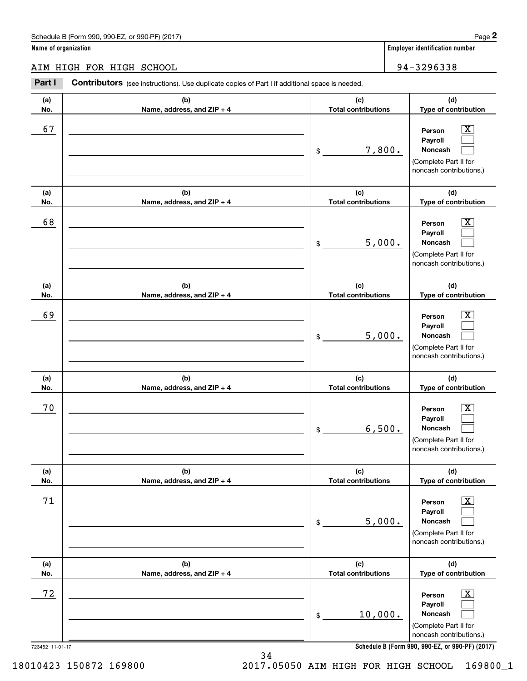|                      | Schedule B (Form 990, 990-EZ, or 990-PF) (2017)                                                       |                                   | Page 2                                                                                                      |
|----------------------|-------------------------------------------------------------------------------------------------------|-----------------------------------|-------------------------------------------------------------------------------------------------------------|
| Name of organization |                                                                                                       |                                   | <b>Employer identification number</b>                                                                       |
|                      | AIM HIGH FOR HIGH SCHOOL                                                                              |                                   | 94-3296338                                                                                                  |
| Part I               | <b>Contributors</b> (see instructions). Use duplicate copies of Part I if additional space is needed. |                                   |                                                                                                             |
| (a)<br>No.           | (b)<br>Name, address, and ZIP + 4                                                                     | (c)<br><b>Total contributions</b> | (d)<br>Type of contribution                                                                                 |
| 67                   |                                                                                                       | \$<br>7,800.                      | $\overline{\mathbf{X}}$<br>Person<br>Payroll<br>Noncash<br>(Complete Part II for<br>noncash contributions.) |
| (a)<br>No.           | (b)<br>Name, address, and ZIP + 4                                                                     | (c)<br><b>Total contributions</b> | (d)<br>Type of contribution                                                                                 |
| 68                   |                                                                                                       | \$<br>5,000.                      | $\overline{\mathbf{X}}$<br>Person<br>Payroll<br>Noncash<br>(Complete Part II for<br>noncash contributions.) |
| (a)<br>No.           | (b)<br>Name, address, and ZIP + 4                                                                     | (c)<br><b>Total contributions</b> | (d)<br>Type of contribution                                                                                 |
| 69                   |                                                                                                       | \$<br>5,000.                      | $\overline{\text{X}}$<br>Person<br>Payroll<br>Noncash<br>(Complete Part II for<br>noncash contributions.)   |
| (a)<br>No.           | (b)<br>Name, address, and ZIP + 4                                                                     | (c)<br><b>Total contributions</b> | (d)<br>Type of contribution                                                                                 |
| 70                   |                                                                                                       | \$<br>6,500.                      | $\mathbf{X}$<br>Person<br>Payroll<br>Noncash<br>(Complete Part II for<br>noncash contributions.)            |
| (a)<br>No.           | (b)<br>Name, address, and ZIP + 4                                                                     | (c)<br><b>Total contributions</b> | (d)<br>Type of contribution                                                                                 |
| 71                   |                                                                                                       | \$<br>5,000.                      | $\overline{\mathbf{X}}$<br>Person<br>Payroll<br>Noncash<br>(Complete Part II for<br>noncash contributions.) |
| (a)<br>No.           | (b)<br>Name, address, and ZIP + 4                                                                     | (c)<br><b>Total contributions</b> | (d)<br>Type of contribution                                                                                 |
| 72                   |                                                                                                       | \$<br>10,000.                     | $\overline{\mathbf{X}}$<br>Person<br>Payroll<br>Noncash<br>(Complete Part II for<br>noncash contributions.) |
| 723452 11-01-17      |                                                                                                       |                                   | Schedule B (Form 990, 990-EZ, or 990-PF) (2017)                                                             |

**Schedule B (Form 990 , 990-EZ, or 990-PF) (2017) Schedule B (Form 990, 990-EZ, or 990-PF) (2017)**

34 34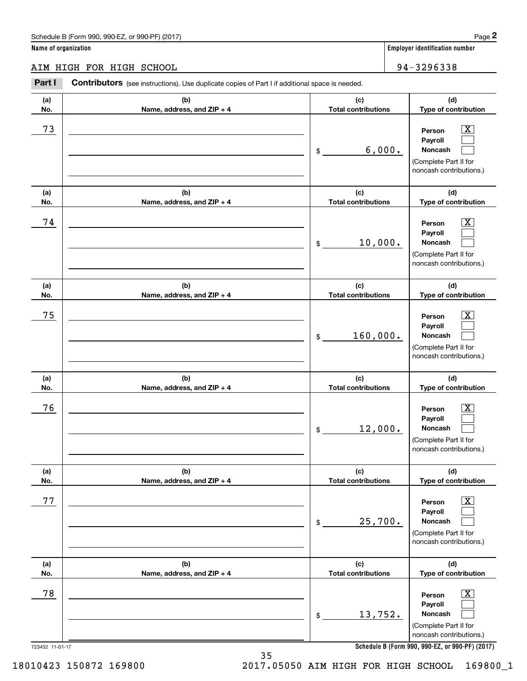|                          | Schedule B (Form 990, 990-EZ, or 990-PF) (2017)                                                       |    |                                   | Page 2                                                                                                                                                    |
|--------------------------|-------------------------------------------------------------------------------------------------------|----|-----------------------------------|-----------------------------------------------------------------------------------------------------------------------------------------------------------|
| Name of organization     |                                                                                                       |    |                                   | <b>Employer identification number</b>                                                                                                                     |
| AIM HIGH FOR HIGH SCHOOL |                                                                                                       |    |                                   | 94-3296338                                                                                                                                                |
| Part I                   | <b>Contributors</b> (see instructions). Use duplicate copies of Part I if additional space is needed. |    |                                   |                                                                                                                                                           |
| (a)<br>No.               | (b)<br>Name, address, and ZIP + 4                                                                     |    | (c)<br><b>Total contributions</b> | (d)<br>Type of contribution                                                                                                                               |
| 73                       |                                                                                                       | \$ | 6,000.                            | $\overline{\mathbf{X}}$<br>Person<br>Payroll<br>Noncash<br>(Complete Part II for<br>noncash contributions.)                                               |
| (a)<br>No.               | (b)<br>Name, address, and ZIP + 4                                                                     |    | (c)<br><b>Total contributions</b> | (d)<br>Type of contribution                                                                                                                               |
| 74                       |                                                                                                       | \$ | 10,000.                           | $\overline{\mathbf{X}}$<br>Person<br>Payroll<br>Noncash<br>(Complete Part II for<br>noncash contributions.)                                               |
| (a)<br>No.               | (b)                                                                                                   |    | (c)<br><b>Total contributions</b> | (d)                                                                                                                                                       |
| 75                       | Name, address, and ZIP + 4                                                                            | \$ | 160,000.                          | Type of contribution<br>$\overline{\text{X}}$<br>Person<br>Payroll<br>Noncash<br>(Complete Part II for<br>noncash contributions.)                         |
| (a)<br>No.               | (b)<br>Name, address, and ZIP + 4                                                                     |    | (c)<br><b>Total contributions</b> | (d)<br>Type of contribution                                                                                                                               |
| 76                       |                                                                                                       | \$ | 12,000.                           | $\mathbf{X}$<br>Person<br>Payroll<br>Noncash<br>(Complete Part II for<br>noncash contributions.)                                                          |
| (a)<br>No.               | (b)<br>Name, address, and ZIP + 4                                                                     |    | (c)<br><b>Total contributions</b> | (d)<br>Type of contribution                                                                                                                               |
| 77                       |                                                                                                       | \$ | 25,700.                           | $\overline{\mathbf{X}}$<br>Person<br>Payroll<br>Noncash<br>(Complete Part II for<br>noncash contributions.)                                               |
| (a)<br>No.               | (b)<br>Name, address, and ZIP + 4                                                                     |    | (c)<br><b>Total contributions</b> | (d)<br>Type of contribution                                                                                                                               |
| 78                       |                                                                                                       | \$ | 13,752.                           | $\boxed{\text{X}}$<br>Person<br>Payroll<br>Noncash<br>(Complete Part II for<br>noncash contributions.)<br>Cabadule D (Farm 000, 000 F7, as 000 DE) (0047) |

**Schedule B (Form 990 , 990-EZ, or 990-PF) (2017) Schedule B (Form 990, 990-EZ, or 990-PF) (2017)**

2017.05050 AIM HIGH FOR HIGH SCHOOL 169800\_1 18010423 150872 169800 2017.05050 AIM HIGH FOR HIGH SCHOOL 169800\_1

18010423 150872 169800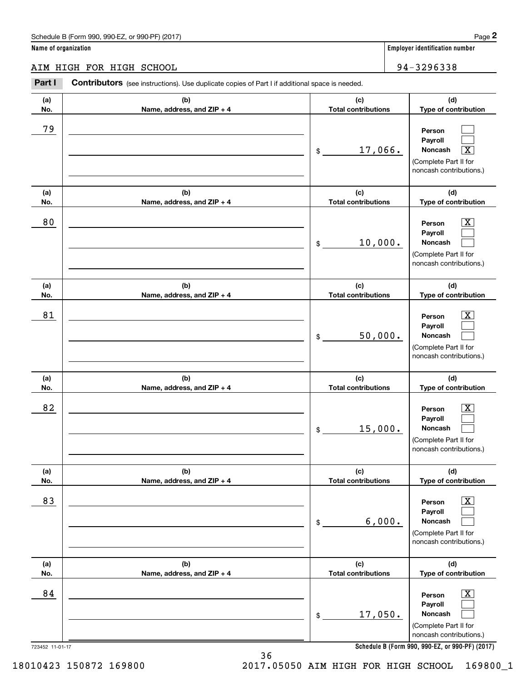#### AIM HIGH FOR HIGH SCHOOL 94-32 96 33 8 AIM HIGH FOR HIGH SCHOOL 94-3296338 **Part I Contributors** (see instructions). Use duplicate copies of Part I if additional space is needed. **(a) (b) (c) (d) No. Name, address, and ZIP + 4 Total contributions Type of contribution Name, address, and ZIP + 4** 79 \_\_\_\_\_\_\_\_\_\_\_\_\_\_\_\_\_\_\_\_\_\_\_\_\_\_\_\_\_\_\_\_\_\_\_\_\_\_\_\_\_\_\_\_\_\_\_\_ **Person Payroll Payroll**\_\_\_\_\_\_\_\_\_\_\_\_\_\_\_\_\_\_\_\_\_\_\_\_\_\_\_\_\_\_\_\_\_\_\_\_\_\_\_\_\_\_ \$ 17, 066. **Noncash** X (Complete Part II for (Complete Part II for noncash contributions.) noncash contributions.) **(a) (b) (c) (d) No.** Name, address, and ZIP + 4 **1 <b>1 Total contributions** Type of contribution 80 \_\_\_\_\_\_\_\_\_\_\_\_\_\_\_\_\_\_\_\_\_\_\_\_\_\_\_\_\_\_\_\_\_\_\_\_\_\_\_\_\_\_\_\_\_\_\_\_ **Person** X **Payroll Payroll**\_\_\_\_\_\_\_\_\_\_\_\_\_\_\_\_\_\_\_\_\_\_\_\_\_\_\_\_\_\_\_\_\_\_\_\_\_\_\_\_\_\_ \$ 10, 000. **Noncash**  (Complete Part II for (Complete Part II for noncash contributions.) noncash contributions.) **(a) (a)No. No.**81 **(a) (a) No. No.**82 **(b) (b)e ss, and ZIP + 4 Name, address, and ZIP + 4 (b) (b) e ss, and ZIP + 4 Name, address, and ZIP + 4 (c) (d) Total contributions Type of contribution Type of contribution Person** X **PersonPayroll Payroll**\$ 50, 000. **Noncash**  50,000. (Complete Part II for (Complete Part II for noncash contributions.) noncash contributions.) **(c) (d) Total contributions Type of contribution Type of contribution Person** X **PersonPayroll Payroll**\$ 15, 000. **Noncash**  15,000. (Complete Part II for (Complete Part II for noncash contributions.) noncash contributions.) **(a) (a) No. No.**83 **(a) (a) No. No.**84 **(b) (c) (d) e ss, and ZIP + 4 Total contributions Type of contribution Type of contribution** \_\_\_\_\_\_\_\_\_\_\_\_\_\_\_\_\_\_\_\_\_\_\_\_\_\_\_\_\_\_\_ **Person** X **Payroll Payroll**\_\_\_\_\_\_\_\_\_\_\_\_\_\_\_\_\_\_\_\_\_\_ \$ 6, 000. **Noncash**  (Complete Part II for (Complete Part II for noncash contributions.) noncash contributions.) **(b) (c) (d) e ss, and ZIP + 4 Total contributions Type of contribution Type of contribution** \_\_\_\_\_\_\_\_\_\_\_\_\_\_\_\_\_\_\_\_\_\_\_\_\_\_\_\_\_\_\_ **Person** X **Payroll Payroll**\_\_\_\_\_\_\_\_\_\_\_\_\_\_\_\_\_\_\_\_\_\_ \$ 17, 050. **Noncash**  17,050. (Complete Part II for (Complete Part II for noncash contributions.) noncash contributions.) **(a)No.(b)(c)Total contributions (d)Type of contribution PersonNoncash (a)No.(b)(c)Total contributions (d)Type of contribution PersonNoncash (c)Total contributions (d)Noncash (c) Total contributions (d) Noncash (b) Name, address, and ZIP + 4 (c) Total contributions (d) PersonNoncash (b)Name, address, and ZIP + 4 (c) Total contributions (d)PersonNoncash** \$\$\$\$\$\$Employer identification Page 2<br> **2** ame of organization<br> **2Part I Contributors** (see instructions). Use duplicate copies of Part I if additional space is needed.<br>
2Part I **Contributors** (see instructions). Use duplicate  $\mathcal{L}^{\text{max}}$  $\mathcal{L}^{\text{max}}$  $\boxed{\text{X}}$  $\boxed{\text{X}}$  $\mathcal{L}^{\text{max}}$  $\mathcal{L}^{\text{max}}$  $|X|$  $\mathcal{L}^{\text{max}}$  $\mathcal{L}^{\text{max}}$  $\boxed{\text{X}}$  $\mathcal{L}^{\text{max}}$  $\mathcal{L}^{\text{max}}$  $\boxed{\text{X}}$  $\mathcal{L}^{\text{max}}$  $\mathcal{L}^{\text{max}}$  $\boxed{\text{X}}$  $\mathcal{L}^{\text{max}}$  $\mathcal{L}^{\text{max}}$ 79 17,066. 80 X 10,000. 81 X 82 X 83 X 6,000. 84 X

**Schedule B (Form 990 , 990-EZ, or 990-PF) (2017) Schedule B (Form 990, 990-EZ, or 990-PF) (2017)**

18010423 150872 169800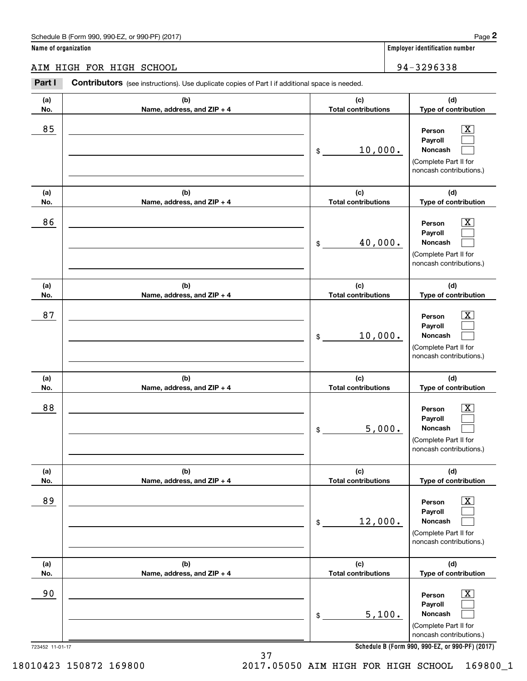|                      | Schedule B (Form 990, 990-EZ, or 990-PF) (2017)                                                |                                   | Page 2                                                                                                 |
|----------------------|------------------------------------------------------------------------------------------------|-----------------------------------|--------------------------------------------------------------------------------------------------------|
| Name of organization |                                                                                                |                                   | <b>Employer identification number</b>                                                                  |
|                      | AIM HIGH FOR HIGH SCHOOL                                                                       |                                   | 94-3296338                                                                                             |
| Part I               | Contributors (see instructions). Use duplicate copies of Part I if additional space is needed. |                                   |                                                                                                        |
| (a)<br>No.           | (b)<br>Name, address, and ZIP + 4                                                              | (c)<br><b>Total contributions</b> | (d)<br>Type of contribution                                                                            |
| 85                   |                                                                                                | 10,000.<br>\$                     | X<br>Person<br>Payroll<br>Noncash<br>(Complete Part II for<br>noncash contributions.)                  |
| (a)<br>No.           | (b)<br>Name, address, and ZIP + 4                                                              | (c)<br><b>Total contributions</b> | (d)<br>Type of contribution                                                                            |
| 86                   |                                                                                                | 40,000.<br>\$                     | $\mathbf{X}$<br>Person<br>Payroll<br>Noncash<br>(Complete Part II for<br>noncash contributions.)       |
| (a)<br>No.           | (b)<br>Name, address, and ZIP + 4                                                              | (c)<br><b>Total contributions</b> | (d)<br>Type of contribution                                                                            |
| 87                   |                                                                                                | 10,000.<br>\$                     | X<br>Person<br>Payroll<br>Noncash<br>(Complete Part II for<br>noncash contributions.)                  |
| (a)<br>No.           | (b)<br>Name, address, and ZIP + 4                                                              | (c)<br><b>Total contributions</b> | (d)<br>Type of contribution                                                                            |
| 88                   |                                                                                                | 5,000.<br>\$                      | $\vert$ X<br>Person<br>Payroll<br>Noncash<br>(Complete Part II for<br>noncash contributions.)          |
| (a)<br>No.           | (b)<br>Name, address, and ZIP + 4                                                              | (c)<br><b>Total contributions</b> | (d)<br>Type of contribution                                                                            |
| 89                   |                                                                                                | 12,000.<br>\$                     | $\boxed{\text{X}}$<br>Person<br>Payroll<br>Noncash<br>(Complete Part II for<br>noncash contributions.) |
| (a)<br>No.           | (b)<br>Name, address, and ZIP + 4                                                              | (c)<br><b>Total contributions</b> | (d)<br>Type of contribution                                                                            |
| 90                   |                                                                                                | 5,100.<br>\$                      | $\boxed{\text{X}}$<br>Person<br>Payroll<br>Noncash<br>(Complete Part II for<br>noncash contributions.) |
| 723452 11-01-17      |                                                                                                |                                   | Schedule B (Form 990, 990-EZ, or 990-PF) (2017)                                                        |

2017.05050 AIM HIGH FOR HIGH SCHOOL 169800\_1 18010423 150872 169800 2017.05050 AIM HIGH FOR HIGH SCHOOL 169800\_1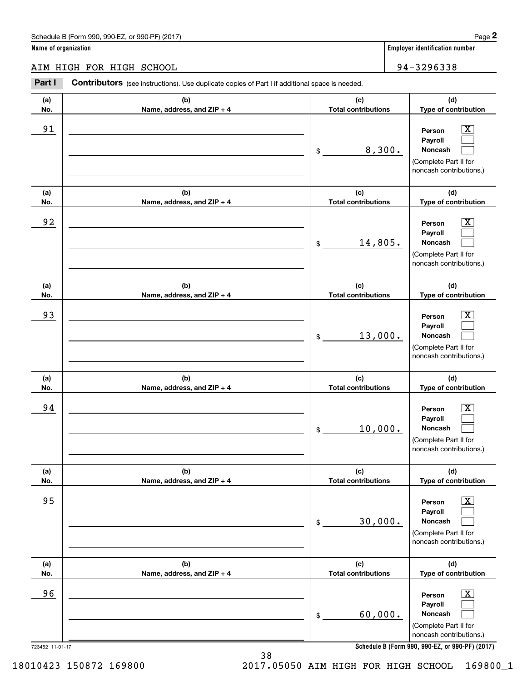AIM HIGH FOR HIGH SCHOOL 94-32 96 33 8 AIM HIGH FOR HIGH SCHOOL 94-3296338

#### **Part I Contributors** (see instructions). Use duplicate copies of Part I if additional space is needed. **(a) (b) (c) (d) No.** Name, address, and ZIP + 4 **1 <b>1 Total contributions** Type of contribution 91 \_\_\_\_\_\_\_\_\_\_\_\_\_\_\_\_\_\_\_\_\_\_\_\_\_\_\_\_\_\_\_\_\_\_\_\_\_\_\_\_\_\_\_\_\_\_\_\_\_\_ **Person** X **Payroll Payroll**\_\_\_\_\_\_\_\_\_\_\_\_\_\_\_\_\_\_\_\_\_\_\_\_\_\_\_\_\_\_\_\_\_\_\_\_\_\_\_\_\_\_ \$ 8, 300. **Noncash**  (Complete Part II for (Complete Part II for noncash contributions.) noncash contributions.) **(a) (b) (c) (d) No.** Name, address, and ZIP + 4 **1 <b>1 Total contributions** Type of contribution  $\begin{array}{|c|c|c|c|c|}\hline 92 & \text{} & \text{Person} & \underline{X} \ \hline \end{array}$ **Payroll Payroll**\_\_\_\_\_\_\_\_\_\_\_\_\_\_\_\_\_\_\_\_\_\_\_\_\_\_\_\_\_\_\_\_\_\_\_\_\_\_\_\_\_\_ \$ 14, 805. **Noncash**  (Complete Part II for (Complete Part II for noncash contributions.) noncash contributions.) **(a) (a)No. No.**93 **(a) (a) No. No.**94 **(b) (b)e ss, and ZIP + 4 Name, address, and ZIP + 4 (b) (b) e ss, and ZIP + 4 Name, address, and ZIP + 4 (c) (d) Total contributions Type of contribution Type of contribution Person** X **PersonPayroll Payroll**\$ 13, 000. **Noncash**  13,000. (Complete Part II for (Complete Part II for noncash contributions.) noncash contributions.) **(c) (d) Total contributions Type of contribution Type of contribution Person** X **PersonPayroll Payroll**\$ 10, 000. **Noncash**  10,000. (Complete Part II for (Complete Part II for noncash contributions.) noncash contributions.) **(a) (a) No. No.**95 **(a) (a) No. No.**96 723452 11-01-17 723452 11-01-17 **(b) (c) (d) e ss, and ZIP + 4 Total contributions Type of contribution Type of contribution** \_\_\_\_\_\_\_\_\_\_\_\_\_\_\_\_\_\_\_\_\_\_\_\_\_\_\_\_\_\_\_ **Person** X **Payroll Payroll**\_\_\_\_\_\_\_\_\_\_\_\_\_\_\_\_\_\_\_\_\_\_ \$ 30, 000. **Noncash**  30,000. (Complete Part II for (Complete Part II for noncash contributions.) noncash contributions.) **(b) (c) (d) e ss, and ZIP + 4 Total contributions Type of contribution Type of contribution** \_\_\_\_\_\_\_\_\_\_\_\_\_\_\_\_\_\_\_\_\_\_\_\_\_\_\_\_\_\_\_ **Person** X **Payroll Payroll**\_\_\_\_\_\_\_\_\_\_\_\_\_\_\_\_\_\_\_\_\_\_ \$ 60, 000. **Noncash**  60,000. (Complete Part II for (Complete Part II for noncash contributions.) noncash contributions.) **(a)No.(b)(c)Total contributions (d)Type of contribution PersonNoncash (a)No.(b)(c)Total contributions (d)Type of contribution PersonNoncash (c)Total contributions (d)Noncash (c) Total contributions (d) Noncash (b) Name, address, and ZIP + 4 (c) Total contributions (d) PersonNoncash (b)Name, address, and ZIP + 4 (c) Total contributions (d)PersonNoncash** \$\$\$\$\$\$Employer identification Page 2<br> **2** ame of organization<br> **2Part I Contributors** (see instructions). Use duplicate copies of Part I if additional space is needed.<br>
2Part I **Contributors** (see instructions). Use duplicate  $|X|$  $\mathcal{L}^{\text{max}}$  $\mathcal{L}^{\text{max}}$  $\boxed{\text{X}}$  $\mathcal{L}^{\text{max}}$  $\mathcal{L}^{\text{max}}$  $|X|$  $\mathcal{L}^{\text{max}}$  $\mathcal{L}^{\text{max}}$  $\boxed{\text{X}}$  $\mathcal{L}^{\text{max}}$  $\mathcal{L}^{\text{max}}$  $\boxed{\text{X}}$  $\mathcal{L}^{\text{max}}$  $\mathcal{L}^{\text{max}}$  $\boxed{\text{X}}$  $\mathcal{L}^{\text{max}}$  $\mathcal{L}^{\text{max}}$ 91 X 8,300. 92 X 14,805. 93 | Person X 94 X 95 X 96 X

**Schedule B (Form 990 , 990-EZ, or 990-PF) (2017) Schedule B (Form 990, 990-EZ, or 990-PF) (2017)**

38 38

2017.05050 AIM HIGH FOR HIGH SCHOOL 169800\_1 18010423 150872 169800 2017.05050 AIM HIGH FOR HIGH SCHOOL 169800\_1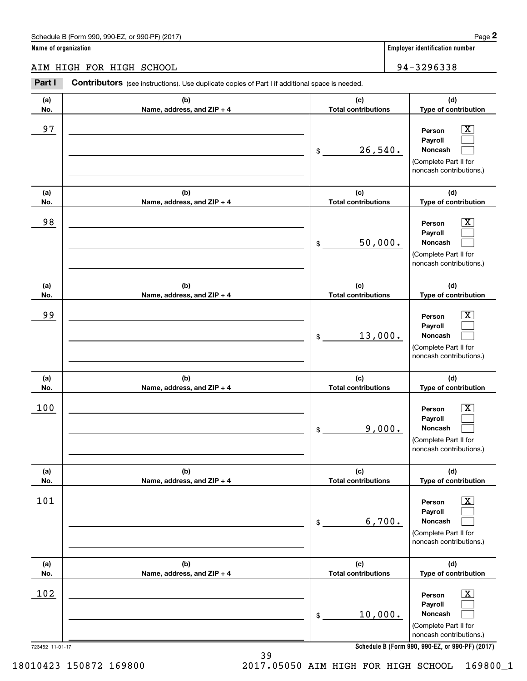AIM HIGH FOR HIGH SCHOOL 94-32 96 33 8 AIM HIGH FOR HIGH SCHOOL 94-3296338

**Part I Contributors** (see instructions). Use duplicate copies of Part I if additional space is needed. **(a) (b) (c) (d) No.** Name, address, and ZIP + 4 **1 <b>1 Total contributions** Type of contribution  $\begin{array}{|c|c|c|c|c|}\hline 97 & \text{} & \text{Person} & \underline{X} \ \hline \end{array}$ **Payroll Payroll**\_\_\_\_\_\_\_\_\_\_\_\_\_\_\_\_\_\_\_\_\_\_\_\_\_\_\_\_\_\_\_\_\_\_\_\_\_\_\_\_\_\_\_\_ \$ 26,540. **Noncash**  (Complete Part II for (Complete Part II for noncash contributions.) noncash contributions.) **(a) (b) (c) (d) No.** Name, address, and ZIP + 4 **1 <b>1 Total contributions** Type of contribution 98 \_\_\_\_\_\_\_\_\_\_\_\_\_\_\_\_\_\_\_\_\_\_\_\_\_\_\_\_\_\_\_\_\_\_\_\_\_\_\_\_\_\_\_\_\_\_\_\_ **Person** X **Payroll Payroll**\_\_\_\_\_\_\_\_\_\_\_\_\_\_\_\_\_\_\_\_\_\_\_\_\_\_\_\_\_\_\_\_\_\_\_\_\_\_\_\_\_\_ \$ 50, 000. **Noncash**  (Complete Part II for (Complete Part II for noncash contributions.) noncash contributions.) **(a) (a)No. No.**99 **(a) (a) No. No.**100 **(b) (b)e ss, and ZIP + 4 Name, address, and ZIP + 4 (b) (b) e ss, and ZIP + 4 Name, address, and ZIP + 4 (c) (d) Total contributions Type of contribution Type of contribution Person** X **PersonPayroll Payroll**\$ 13, 000. **Noncash**  13,000. (Complete Part II for (Complete Part II for noncash contributions.) noncash contributions.) **(c) (d) Total contributions Type of contribution Type of contribution Person** X **PersonPayroll Payroll**\$ 9, 000. **Noncash**  9,000. (Complete Part II for (Complete Part II for noncash contributions.) noncash contributions.) **(a) (a) No. No.**101 **(a) (a) No. No.**102 723452 11-01-17 723452 11-01-17 **(b) (c) (d) e ss, and ZIP + 4 Total contributions Type of contribution Type of contribution** \_\_\_\_\_\_\_\_\_\_\_\_\_\_\_\_\_\_\_\_\_\_\_\_\_\_\_\_\_\_\_ **Person** X **Payroll Payroll**\_\_\_\_\_\_\_\_\_\_\_\_\_\_\_\_\_\_\_\_\_\_ \$ 6,700. **Noncash**  (Complete Part II for (Complete Part II for noncash contributions.) noncash contributions.) **(b) (c) (d) e ss, and ZIP + 4 Total contributions Type of contribution Type of contribution** \_\_\_\_\_\_\_\_\_\_\_\_\_\_\_\_\_\_\_\_\_\_\_\_\_\_\_\_\_\_\_ **Person** X **Payroll Payroll**\_\_\_\_\_\_\_\_\_\_\_\_\_\_\_\_\_\_\_\_\_\_ \$ 10, 000. **Noncash**  10,000. (Complete Part II for (Complete Part II for noncash contributions.) noncash contributions.) **(a)No.(b)(c)Total contributions (d)Type of contribution PersonNoncash (a)No.(b)(c)Total contributions (d)Type of contribution PersonNoncash (c)Total contributions (d)Noncash (c) Total contributions (d) Noncash (b) Name, address, and ZIP + 4 (c) Total contributions (d) PersonNoncash (b)Name, address, and ZIP + 4 (c) Total contributions (d)PersonNoncash** \$\$\$\$\$\$Employer identification Page 2<br> **2** ame of organization<br> **2Part I Contributors** (see instructions). Use duplicate copies of Part I if additional space is needed.<br>
2Part I **Contributors** (see instructions). Use duplicate  $|X|$  $\mathcal{L}^{\text{max}}$  $\mathcal{L}^{\text{max}}$  $\boxed{\text{X}}$  $\mathcal{L}^{\text{max}}$  $\mathcal{L}^{\text{max}}$  $|X|$  $\mathcal{L}^{\text{max}}$  $\mathcal{L}^{\text{max}}$  $\boxed{\text{X}}$  $\mathcal{L}^{\text{max}}$  $\mathcal{L}^{\text{max}}$  $\boxed{\text{X}}$  $\mathcal{L}^{\text{max}}$  $\mathcal{L}^{\text{max}}$  $\boxed{\text{X}}$  $\mathcal{L}^{\text{max}}$  $\mathcal{L}^{\text{max}}$ 97 X 26,540. 98 X 50,000. 99 X 100 X 101 X 6,700.  $102$  Person  $\overline{\text{X}}$ 

**Schedule B (Form 990 , 990-EZ, or 990-PF) (2017) Schedule B (Form 990, 990-EZ, or 990-PF) (2017)**

18010423 150872 169800

39 39 2017.05050 AIM HIGH FOR HIGH SCHOOL 169800\_1 18010423 150872 169800 2017.05050 AIM HIGH FOR HIGH SCHOOL 169800\_1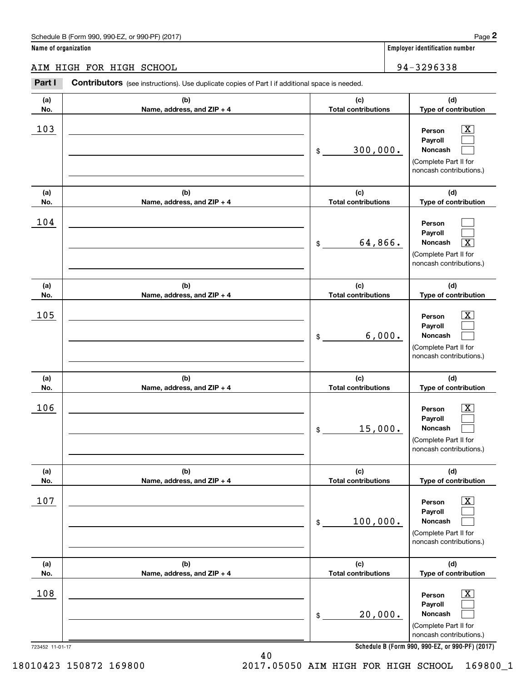|                      | Schedule B (Form 990, 990-EZ, or 990-PF) (2017)                                                       |                                   | Page 2                                                                                                      |
|----------------------|-------------------------------------------------------------------------------------------------------|-----------------------------------|-------------------------------------------------------------------------------------------------------------|
| Name of organization |                                                                                                       |                                   | <b>Employer identification number</b>                                                                       |
|                      | AIM HIGH FOR HIGH SCHOOL                                                                              |                                   | 94-3296338                                                                                                  |
| Part I               | <b>Contributors</b> (see instructions). Use duplicate copies of Part I if additional space is needed. |                                   |                                                                                                             |
| (a)<br>No.           | (b)<br>Name, address, and ZIP + 4                                                                     | (c)<br><b>Total contributions</b> | (d)<br>Type of contribution                                                                                 |
| 103                  |                                                                                                       | 300,000.<br>\$                    | $\mathbf{X}$<br>Person<br>Payroll<br>Noncash<br>(Complete Part II for<br>noncash contributions.)            |
| (a)<br>No.           | (b)<br>Name, address, and ZIP + 4                                                                     | (c)<br><b>Total contributions</b> | (d)<br>Type of contribution                                                                                 |
| 104                  |                                                                                                       | 64,866.<br>\$                     | Person<br>Payroll<br>$\overline{\mathbf{x}}$<br>Noncash<br>(Complete Part II for<br>noncash contributions.) |
| (a)<br>No.           | (b)<br>Name, address, and ZIP + 4                                                                     | (c)<br><b>Total contributions</b> | (d)<br>Type of contribution                                                                                 |
| 105                  |                                                                                                       | 6,000.<br>\$                      | X<br>Person<br>Payroll<br>Noncash<br>(Complete Part II for<br>noncash contributions.)                       |
| (a)<br>No.           | (b)<br>Name, address, and ZIP + 4                                                                     | (c)<br><b>Total contributions</b> | (d)<br>Type of contribution                                                                                 |
| 106                  |                                                                                                       | 15,000.<br>\$                     | X<br>Person<br>Payroll<br>Noncash<br>(Complete Part II for<br>noncash contributions.)                       |
| (a)<br>No.           | (b)<br>Name, address, and ZIP + 4                                                                     | (c)<br><b>Total contributions</b> | (d)<br>Type of contribution                                                                                 |
| 107                  |                                                                                                       | 100,000.<br>\$                    | $\boxed{\text{X}}$<br>Person<br>Payroll<br>Noncash<br>(Complete Part II for<br>noncash contributions.)      |
| (a)<br>No.           | (b)<br>Name, address, and ZIP + 4                                                                     | (c)<br><b>Total contributions</b> | (d)<br>Type of contribution                                                                                 |
| 108                  |                                                                                                       | 20,000.<br>\$                     | $\boxed{\text{X}}$<br>Person<br>Payroll<br>Noncash<br>(Complete Part II for<br>noncash contributions.)      |
| 723452 11-01-17      |                                                                                                       |                                   | Schedule B (Form 990, 990-EZ, or 990-PF) (2017)                                                             |

40 40 2017.05050 AIM HIGH FOR HIGH SCHOOL 169800\_1 18010423 150872 169800 2017.05050 AIM HIGH FOR HIGH SCHOOL 169800\_1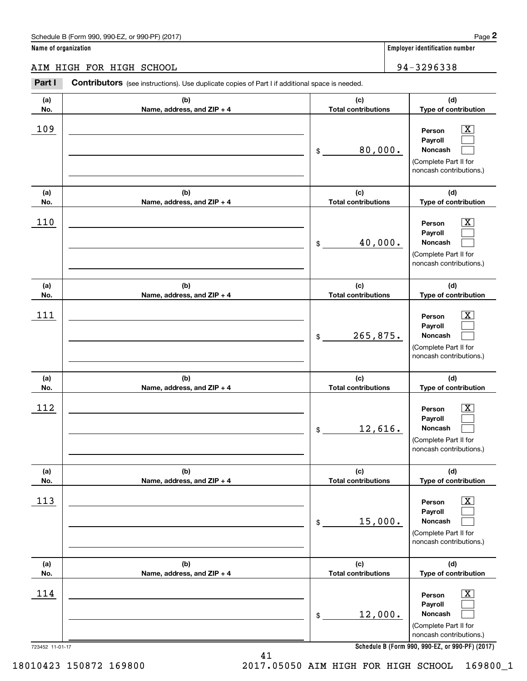AIM HIGH FOR HIGH SCHOOL 34-3296338 **Part I Contributors** (see instructions). Use duplicate copies of Part I if additional space is needed. **(a) (b) (c) (d) No.** Name, address, and ZIP + 4 **1 <b>1 Total contributions** Type of contribution  $\begin{array}{|c|c|c|c|c|}\hline 109 & \textcolor{red}{\overline{\textbf{109}}} & \textcolor{red}{\overline{\textbf{109}}} & \textcolor{red}{\overline{\textbf{109}}} & \textcolor{red}{\overline{\textbf{109}}} & \textcolor{red}{\overline{\textbf{109}}} & \textcolor{red}{\overline{\textbf{109}}} & \textcolor{red}{\overline{\textbf{109}}} & \textcolor{red}{\overline{\textbf{109}}} & \textcolor{red}{\overline{\textbf{109}}} & \textcolor{red}{\overline{\textbf{109}}} & \textcolor{red}{\overline{\textbf{109}}}$ **Payroll Payroll**\_\_\_\_\_\_\_\_\_\_\_\_\_\_\_\_\_\_\_\_\_\_\_\_\_\_\_\_\_\_\_\_\_\_\_\_\_\_\_\_\_\_ \$ 80, 000. **Noncash**  (Complete Part II for (Complete Part II for noncash contributions.) noncash contributions.) **(a) (b) (c) (d) No.** Name, address, and ZIP + 4 **1 <b>1 Total contributions** Type of contribution 110 \_\_\_\_\_\_\_\_\_\_\_\_\_\_\_\_\_\_\_\_\_\_\_\_\_\_\_\_\_\_\_\_\_\_\_\_\_\_\_\_\_\_\_\_\_\_ **Person** X **Payroll Payroll** $\overline{\phantom{a}}$  , and the contract of the contract of the contract of the contract of the contract of the contract of the contract of the contract of the contract of the contract of the contract of the contract of the contrac \$ 40, 000. **Noncash**  40,000. (Complete Part II for (Complete Part II for noncash contributions.) noncash contributions.) **(a) (a)No. No.**111 **(a) (a) No. No.**112 **(b) (b)e ss, and ZIP + 4 Name, address, and ZIP + 4 (b) (b) e ss, and ZIP + 4 Name, address, and ZIP + 4 (c) (d) Total contributions Type of contribution Type of contribution Person** X **PersonPayroll Payroll**\$ 265, 875. **Noncash**  265,875. (Complete Part II for (Complete Part II for noncash contributions.) noncash contributions.) **(c) (d) Total contributions Type of contribution Type of contribution Person** X **PersonPayroll Payroll**\$ 12, 616. **Noncash**  12,616. (Complete Part II for (Complete Part II for noncash contributions.) noncash contributions.) **(a) (a) No. No.**113 **(a) (a) No. No.**114 **(b) (c) (d) e ss, and ZIP + 4 Total contributions Type of contribution Type of contribution** \_\_\_\_\_\_\_\_\_\_\_\_\_\_\_\_\_\_\_\_\_\_\_\_\_\_\_\_\_\_\_ **Person** X **Payroll Payroll**\_\_\_\_\_\_\_\_\_\_\_\_\_\_\_\_\_\_\_\_\_\_ \$ 15, 000. **Noncash**  (Complete Part II for (Complete Part II for noncash contributions.) noncash contributions.) **(b) (c) (d) e ss, and ZIP + 4 Total contributions Type of contribution Type of contribution** \_\_\_\_\_\_\_\_\_\_\_\_\_\_\_\_\_\_\_\_\_\_\_\_\_\_\_\_\_\_\_ **Person** X **Payroll Payroll**\_\_\_\_\_\_\_\_\_\_\_\_\_\_\_\_\_\_\_\_\_\_ \$ 12, 000. **Noncash**  12,000. (Complete Part II for (Complete Part II for noncash contributions.) noncash contributions.) **(a)No.(b)(c)Total contributions (d)Type of contribution PersonNoncash (a)No.(b)(c)Total contributions (d)Type of contribution PersonNoncash (c)Total contributions (d)Noncash (c) Total contributions (d) Noncash (b) Name, address, and ZIP + 4 (c) Total contributions (d) PersonNoncash (b)Name, address, and ZIP + 4 (c) Total contributions (d)PersonNoncash** \$\$\$\$\$\$Employer identification Page 2<br> **2** ame of organization<br> **2Part I Contributors** (see instructions). Use duplicate copies of Part I if additional space is needed.<br>
2Part I **Contributors** (see instructions). Use duplicate  $|X|$  $\mathcal{L}^{\text{max}}$  $\mathcal{L}^{\text{max}}$  $\boxed{\text{X}}$  $\mathcal{L}^{\text{max}}$  $\mathcal{L}^{\text{max}}$  $|X|$  $\mathcal{L}^{\text{max}}$  $\mathcal{L}^{\text{max}}$  $\boxed{\text{X}}$  $\mathcal{L}^{\text{max}}$  $\mathcal{L}^{\text{max}}$  $\boxed{\text{X}}$  $\mathcal{L}^{\text{max}}$  $\mathcal{L}^{\text{max}}$  $\boxed{\text{X}}$  $\mathcal{L}^{\text{max}}$  $\mathcal{L}^{\text{max}}$ 109 X 80,000. 110 Person X  $111$  Person  $\overline{\text{X}}$  $112$  Person  $\overline{\text{X}}$ 113 X 15,000.  $114$  Person  $\overline{\text{X}}$ 

**Schedule B (Form 990 , 990-EZ, or 990-PF) (2017) Schedule B (Form 990, 990-EZ, or 990-PF) (2017)**

18010423 150872 169800

723452 11-01-17 723452 11-01-17

2017.05050 AIM HIGH FOR HIGH SCHOOL 169800\_1 18010423 150872 169800 2017.05050 AIM HIGH FOR HIGH SCHOOL 169800\_1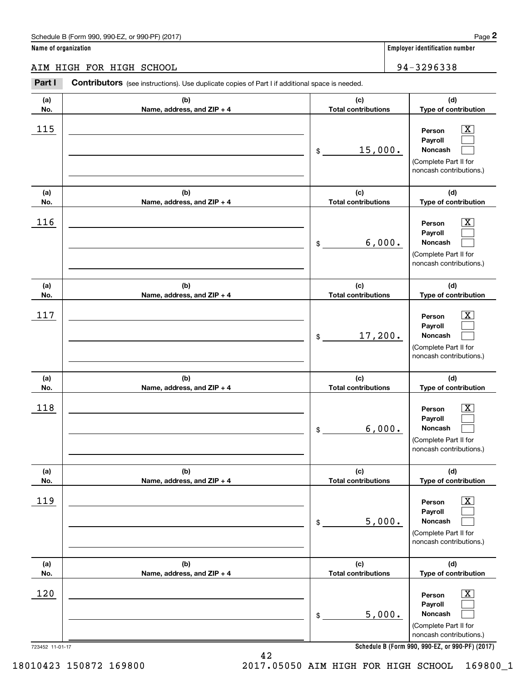#### AIM HIGH FOR HIGH SCHOOL 94-32 96 33 8 AIM HIGH FOR HIGH SCHOOL 94-3296338

|                      | Schedule B (Form 990, 990-EZ, or 990-PF) (2017)                                                |                                   | Page 2                                                                                                      |
|----------------------|------------------------------------------------------------------------------------------------|-----------------------------------|-------------------------------------------------------------------------------------------------------------|
| Name of organization |                                                                                                |                                   | Employer identification number                                                                              |
|                      | AIM HIGH FOR HIGH SCHOOL                                                                       |                                   | 94-3296338                                                                                                  |
| Part I               | Contributors (see instructions). Use duplicate copies of Part I if additional space is needed. |                                   |                                                                                                             |
| (a)<br>No.           | (b)<br>Name, address, and ZIP + 4                                                              | (c)<br><b>Total contributions</b> | (d)<br>Type of contribution                                                                                 |
| 115                  |                                                                                                | 15,000.<br>\$                     | $\mathbf{X}$<br>Person<br>Payroll<br>Noncash<br>(Complete Part II for<br>noncash contributions.)            |
| (a)<br>No.           | (b)<br>Name, address, and ZIP + 4                                                              | (c)<br><b>Total contributions</b> | (d)<br>Type of contribution                                                                                 |
| 116                  |                                                                                                | 6,000.<br>\$                      | $\mathbf{X}$<br>Person<br>Payroll<br>Noncash<br>(Complete Part II for<br>noncash contributions.)            |
| (a)<br>No.           | (b)<br>Name, address, and ZIP + 4                                                              | (c)<br><b>Total contributions</b> | (d)<br>Type of contribution                                                                                 |
| 117                  |                                                                                                | 17,200.<br>\$                     | $\mathbf{X}$<br>Person<br>Payroll<br>Noncash<br>(Complete Part II for<br>noncash contributions.)            |
| (a)<br>No.           | (b)<br>Name, address, and ZIP + 4                                                              | (c)<br><b>Total contributions</b> | (d)<br>Type of contribution                                                                                 |
| 118                  |                                                                                                | 6,000.<br>\$                      | $\overline{\mathbf{X}}$<br>Person<br>Payroll<br>Noncash<br>(Complete Part II for<br>noncash contributions.) |
| (a)<br>No.           | (b)<br>Name, address, and ZIP + 4                                                              | (c)<br><b>Total contributions</b> | (d)<br>Type of contribution                                                                                 |
| 119                  |                                                                                                | 5,000.<br>\$                      | $\boxed{\text{X}}$<br>Person<br>Payroll<br>Noncash<br>(Complete Part II for<br>noncash contributions.)      |
| (a)<br>No.           | (b)<br>Name, address, and ZIP + 4                                                              | (c)<br><b>Total contributions</b> | (d)<br>Type of contribution                                                                                 |
| 120                  |                                                                                                | 5,000.<br>\$                      | $\boxed{\text{X}}$<br>Person<br>Payroll<br>Noncash<br>(Complete Part II for<br>noncash contributions.)      |
| 723452 11-01-17      |                                                                                                |                                   | Schedule B (Form 990, 990-EZ, or 990-PF) (2017)                                                             |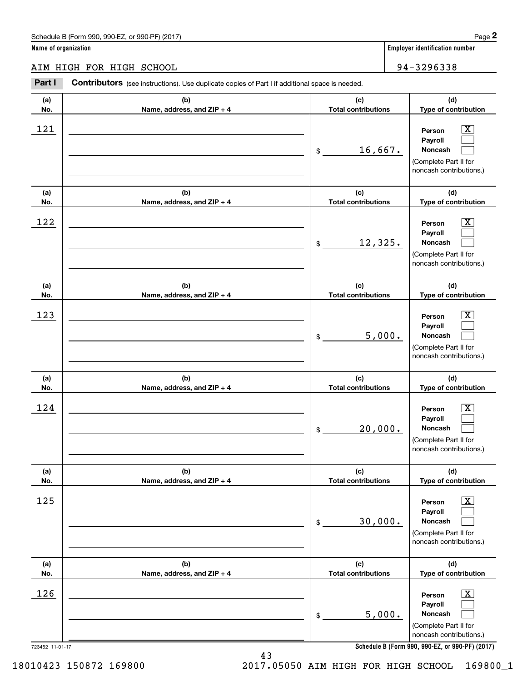AIM HIGH FOR HIGH SCHOOL 94 -32 96 33 8 AIM HIGH FOR HIGH SCHOOL 94-3296338 **Part I Contributors** (see instructions). Use duplicate copies of Part I if additional space is needed. **(a) (b) (c) (d) No. Name, address, and ZIP + 4 Total contributions Type of contribution Name, address, and ZIP + 4** 121 \_\_\_\_\_\_\_\_\_\_\_\_\_\_\_\_\_\_\_\_\_\_\_\_\_\_\_\_\_\_\_\_\_\_\_\_\_\_\_\_\_\_\_\_\_\_ **Person** X **Payroll Payroll**\_\_\_\_\_\_\_\_\_\_\_\_\_\_\_\_\_\_\_\_\_\_\_\_\_\_\_\_\_\_\_\_\_\_\_\_\_\_\_\_\_\_ \$ 16, 667. **Noncash**  (Complete Part II for (Complete Part II for noncash contributions.) noncash contributions.) **(a) (b) (c) (d) No.** Name, address, and ZIP + 4 **1 <b>1 Total contributions** Type of contribution 122 \_\_\_\_\_\_\_\_\_\_\_\_\_\_\_\_\_\_\_\_\_\_\_\_\_\_\_\_\_\_\_\_\_\_\_\_\_\_\_\_\_\_\_\_\_\_ **Person** X **Payroll Payroll**\_\_\_\_\_\_\_\_\_\_\_\_\_\_\_\_\_\_\_\_\_\_\_\_\_\_\_\_\_\_\_\_\_\_\_\_\_\_\_\_\_\_ \$ 12, 325. **Noncash**  (Complete Part II for (Complete Part II for noncash contributions.) noncash contributions.) **(a) (a)No. No.**123 **(a) (a) No. No.**124 **(b) (b)e ss, and ZIP + 4 Name, address, and ZIP + 4 (b) (b) e ss, and ZIP + 4 Name, address, and ZIP + 4 (c) (d) Total contributions Type of contribution Type of contribution Person** X **PersonPayroll Payroll**\$ 5, 000. **Noncash**  5,000. (Complete Part II for (Complete Part II for noncash contributions.) noncash contributions.) **(c) (d) Total contributions Type of contribution Type of contribution Person** X **PersonPayroll Payroll**\$ 20, 000. **Noncash**  20,000. (Complete Part II for (Complete Part II for noncash contributions.) noncash contributions.) **(a) (a) No. No.**125 **(a) (a) No. No.**126 **(b) (c) (d) e ss, and ZIP + 4 Total contributions Type of contribution Type of contribution** \_\_\_\_\_\_\_\_\_\_\_\_\_\_\_\_\_\_\_\_\_\_\_\_\_\_\_\_\_\_\_ **Person** X **Payroll Payroll**\_\_\_\_\_\_\_\_\_\_\_\_\_\_\_\_\_\_\_\_\_\_ \$ 30, 000. **Noncash**  30,000. (Complete Part II for (Complete Part II for noncash contributions.) noncash contributions.) **(b) (c) (d) e ss, and ZIP + 4 Total contributions Type of contribution Type of contribution** \_\_\_\_\_\_\_\_\_\_\_\_\_\_\_\_\_\_\_\_\_\_\_\_\_\_\_\_\_\_\_ **Person** X **Payroll Payroll**\_\_\_\_\_\_\_\_\_\_\_\_\_\_\_\_\_\_\_\_\_\_ \$ 5, 000. **Noncash**  5,000. (Complete Part II for (Complete Part II for noncash contributions.) noncash contributions.) **(a)No.(b)(c)Total contributions (d)Type of contribution PersonNoncash (a)No.(b)(c)Total contributions (d)Type of contribution PersonNoncash (c)Total contributions (d)Noncash (c) Total contributions (d) Noncash (b) Name, address, and ZIP + 4 (c) Total contributions (d) PersonNoncash (b)Name, address, and ZIP + 4 (c) Total contributions (d)PersonNoncash** \$\$\$\$\$\$Employer identification Page 2<br> **2** ame of organization<br> **2Part I Contributors** (see instructions). Use duplicate copies of Part I if additional space is needed.<br>
2Part I **Contributors** (see instructions). Use duplicate  $|X|$  $\mathcal{L}^{\text{max}}$  $\mathcal{L}^{\text{max}}$  $\boxed{\text{X}}$  $\mathcal{L}^{\text{max}}$  $\mathcal{L}^{\text{max}}$  $|X|$  $\mathcal{L}^{\text{max}}$  $\mathcal{L}^{\text{max}}$  $\boxed{\text{X}}$  $\mathcal{L}^{\text{max}}$  $\mathcal{L}^{\text{max}}$  $\boxed{\text{X}}$  $\mathcal{L}^{\text{max}}$  $\mathcal{L}^{\text{max}}$  $\boxed{\text{X}}$  $\mathcal{L}^{\text{max}}$  $\mathcal{L}^{\text{max}}$  $121$  | Person  $\overline{\text{X}}$ 16,667.  $122$  | Person  $\overline{\text{X}}$ 12,325.  $123$  | Person  $\overline{\text{X}}$  $124$  | Person  $\overline{\text{X}}$  $125$  Person  $\overline{\text{X}}$  $126$  Person  $\overline{\text{X}}$ 

**Schedule B (Form 990 , 990-EZ, or 990-PF) (2017) Schedule B (Form 990, 990-EZ, or 990-PF) (2017)**

18010423 150872 169800

723452 11-01-17 723452 11-01-17

2017.05050 AIM HIGH FOR HIGH SCHOOL 169800\_1 18010423 150872 169800 2017.05050 AIM HIGH FOR HIGH SCHOOL 169800\_1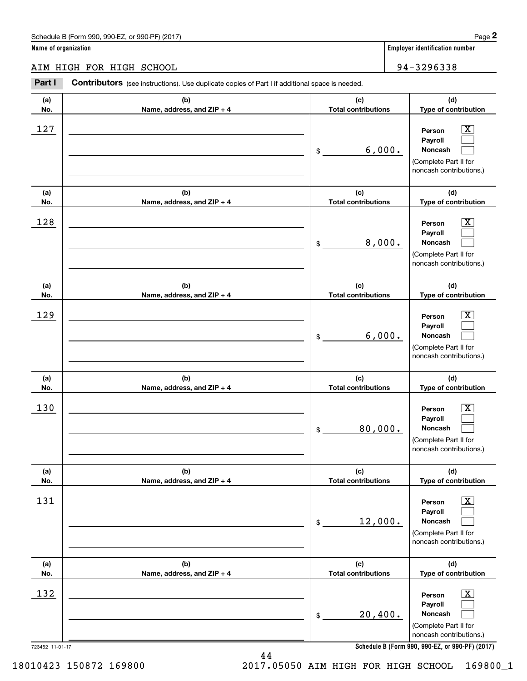#### AIM HIGH FOR HIGH SCHOOL 94-32 96 33 8 AIM HIGH FOR HIGH SCHOOL 94-3296338

**Part I Contributors** (see instructions). Use duplicate copies of Part I if additional space is needed. **(a) (b) (c) (d) No. Name, address, and ZIP + 4 Total contributions Type of contribution Name, address, and ZIP + 4**  $\begin{array}{|c|c|c|c|c|}\hline 127 & \text{} & \text{Person} & \underline{X} \\\hline \end{array}$ **Payroll Payroll**\_\_\_\_\_\_\_\_\_\_\_\_\_\_\_\_\_\_\_\_\_\_\_\_\_\_\_\_\_\_\_\_\_\_\_\_\_\_\_\_\_\_ \$ 6, 000. **Noncash**  (Complete Part II for (Complete Part II for noncash contributions.) noncash contributions.) **(a) (b) (c) (d) No.** Name, address, and ZIP + 4 **1 <b>1 Total contributions** Type of contribution 128 \_\_\_\_\_\_\_\_\_\_\_\_\_\_\_\_\_\_\_\_\_\_\_\_\_\_\_\_\_\_\_\_\_\_\_\_\_\_\_\_\_\_\_\_\_\_ **Person** X **Payroll Payroll** $\overline{\phantom{a}}$  , where  $\overline{\phantom{a}}$  , where  $\overline{\phantom{a}}$  ,  $\overline{\phantom{a}}$  ,  $\overline{\phantom{a}}$  ,  $\overline{\phantom{a}}$  ,  $\overline{\phantom{a}}$  ,  $\overline{\phantom{a}}$  ,  $\overline{\phantom{a}}$  ,  $\overline{\phantom{a}}$  ,  $\overline{\phantom{a}}$  ,  $\overline{\phantom{a}}$  ,  $\overline{\phantom{a}}$  ,  $\overline{\phantom{a}}$  ,  $\overline{\phantom{a}}$  , \$ 8, 000. **Noncash**  8,000. (Complete Part II for (Complete Part II for noncash contributions.) noncash contributions.) **(a) (a)No. No.**129 **(a) (a) No. No.**130 **(b) (b)e ss, and ZIP + 4 Name, address, and ZIP + 4 (b) (b) e ss, and ZIP + 4 Name, address, and ZIP + 4 (c) (d) Total contributions Type of contribution Type of contribution Person** X **PersonPayroll Payroll**\$ 6, 000. **Noncash**  6,000. (Complete Part II for (Complete Part II for noncash contributions.) noncash contributions.) **(c) (d) Total contributions Type of contribution Type of contribution Person** X **PersonPayroll Payroll**\$ 80, 000. **Noncash**  80,000. (Complete Part II for (Complete Part II for noncash contributions.) noncash contributions.) **(a) (a) No. No.**131 **(a) (a) No. No.**132 723452 11-01-17 723452 11-01-17 **(b) (c) (d) e ss, and ZIP + 4 Total contributions Type of contribution Type of contribution** \_\_\_\_\_\_\_\_\_\_\_\_\_\_\_\_\_\_\_\_\_\_\_\_\_\_\_\_\_\_\_ **Person** X **Payroll Payroll**\_\_\_\_\_\_\_\_\_\_\_\_\_\_\_\_\_\_\_\_\_\_ \$ 12, 000. **Noncash**  12,000. (Complete Part II for (Complete Part II for noncash contributions.) noncash contributions.) **(b) (c) (d) e ss, and ZIP + 4 Total contributions Type of contribution Type of contribution** \_\_\_\_\_\_\_\_\_\_\_\_\_\_\_\_\_\_\_\_\_\_\_\_\_\_\_\_\_\_\_ **Person** X **Payroll Payroll**\_\_\_\_\_\_\_\_\_\_\_\_\_\_\_\_\_\_\_\_\_\_\_ \$ 20,400. **Noncash**  20,400. (Complete Part II for (Complete Part II for noncash contributions.) noncash contributions.) **Schedule B (Form 990 , 990-EZ, or 990-PF) (2017) Schedule B (Form 990, 990-EZ, or 990-PF) (2017) (a)No.(b)(c)Total contributions (d)Type of contribution PersonNoncash (a)No.(b)(c)Total contributions (d)Type of contribution PersonNoncash (c)Total contributions (d)Noncash (c) Total contributions (d) Noncash (b) Name, address, and ZIP + 4 (c) Total contributions (d) PersonNoncash (b)Name, address, and ZIP + 4 (c) Total contributions (d)PersonNoncash** \$\$\$\$\$\$Employer identification Page 2<br> **2** ame of organization<br> **2Part I Contributors** (see instructions). Use duplicate copies of Part I if additional space is needed.<br>
2Part I **Contributors** (see instructions). Use duplicate  $|X|$  $\mathcal{L}^{\text{max}}$  $\mathcal{L}^{\text{max}}$  $\boxed{\text{X}}$  $\mathcal{L}^{\text{max}}$  $\mathcal{L}^{\text{max}}$  $|X|$  $\mathcal{L}^{\text{max}}$  $\mathcal{L}^{\text{max}}$  $\boxed{\text{X}}$  $\mathcal{L}^{\text{max}}$  $\mathcal{L}^{\text{max}}$  $\boxed{\text{X}}$  $\mathcal{L}^{\text{max}}$  $\mathcal{L}^{\text{max}}$  $\boxed{\text{X}}$  $\mathcal{L}^{\text{max}}$  $\mathcal{L}^{\text{max}}$  $127$  | Person  $\overline{\text{X}}$ 6,000.  $128$  | Person  $\overline{\text{X}}$ 129 X 130 X 131 X  $132$  Person  $\overline{\text{X}}$ 

44 44

18010423 150872 169800

2017.05050 AIM HIGH FOR HIGH SCHOOL 169800\_1 18010423 150872 169800 2017.05050 AIM HIGH FOR HIGH SCHOOL 169800\_1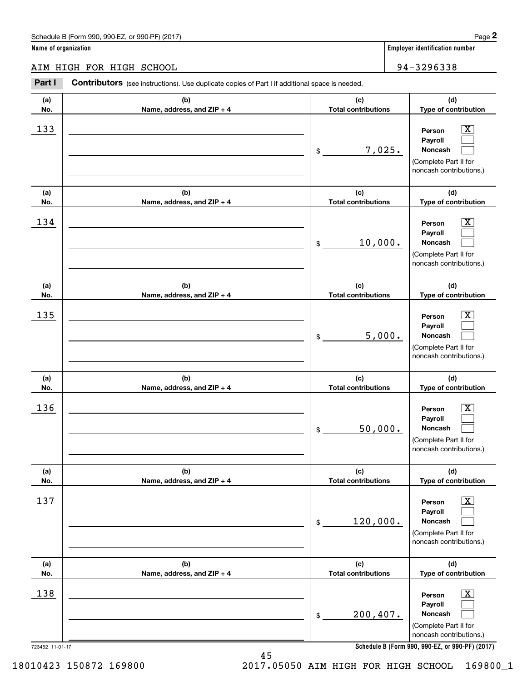AIM HIGH FOR HIGH SCHOOL 34-3296338

**Part I Contributors** (see instructions). Use duplicate copies of Part I if additional space is needed. **(a) (b) (c) (d) No. Name, address, and ZIP + 4 Total contributions Type of contribution Name, address, and ZIP + 4** 133 \_\_\_\_\_\_\_\_\_\_\_\_\_\_\_\_\_\_\_\_\_\_\_\_\_\_\_\_\_\_\_\_\_\_\_\_\_\_\_\_\_\_\_\_\_\_ **Person** X **Payroll Payroll**\_\_\_\_\_\_\_\_\_\_\_\_\_\_\_\_\_\_\_\_\_\_\_\_\_\_\_\_\_\_\_\_\_\_\_\_\_\_\_\_\_\_ \$ 7, 025. **Noncash**  (Complete Part II for (Complete Part II for noncash contributions.) noncash contributions.) **(a) (b) (c) (d) No.** Name, address, and ZIP + 4 **1 <b>1 Total contributions** Type of contribution 134 \_\_\_\_\_\_\_\_\_\_\_\_\_\_\_\_\_\_\_\_\_\_\_\_\_\_\_\_\_\_\_\_\_\_\_\_\_\_\_\_\_\_\_\_\_\_ **Person** X **Payroll Payroll**\_\_\_\_\_\_\_\_\_\_\_\_\_\_\_\_\_\_\_\_\_\_\_\_\_\_\_\_\_\_\_\_\_\_\_\_\_\_\_\_\_\_ \$ 10, 000. **Noncash**  (Complete Part II for (Complete Part II for noncash contributions.) noncash contributions.) **(a) (a)No. No.**135 **(a) (a) No. No.**136 **(b) (b)e ss, and ZIP + 4 Name, address, and ZIP + 4 (b) (b) e ss, and ZIP + 4 Name, address, and ZIP + 4 (c) (d) Total contributions Type of contribution Type of contribution Person** X **PersonPayroll Payroll**\$ 5, 000. **Noncash**  5,000. (Complete Part II for (Complete Part II for noncash contributions.) noncash contributions.) **(c) (d) Total contributions Type of contribution Type of contribution Person** X **PersonPayroll Payroll**\$ 50, 000. **Noncash**  50,000. (Complete Part II for (Complete Part II for noncash contributions.) noncash contributions.) **(a) (a) No. No.**137 **(a) (a) No. No.**138 723452 11-01-17 723452 11-01-17 **(b) (c) (d) e ss, and ZIP + 4 Total contributions Type of contribution Type of contribution** \_\_\_\_\_\_\_\_\_\_\_\_\_\_\_\_\_\_\_\_\_\_\_\_\_\_\_\_\_\_\_ **Person** X **Payroll Payroll**\_\_\_\_\_\_\_\_\_\_\_\_\_\_\_\_\_\_\_\_\_\_ \$ 120, 000. **Noncash**  120,000. (Complete Part II for (Complete Part II for noncash contributions.) noncash contributions.) **(b) (c) (d) e ss, and ZIP + 4 Total contributions Type of contribution Type of contribution** \_\_\_\_\_\_\_\_\_\_\_\_\_\_\_\_\_\_\_\_\_\_\_\_\_\_\_\_\_\_\_ **Person** X **Payroll Payroll**\_\_\_\_\_\_\_\_\_\_\_\_\_\_\_\_\_\_\_\_\_\_\_ \$ 200,407. **Noncash**  200,407. (Complete Part II for (Complete Part II for noncash contributions.) noncash contributions.) **(a)No.(b)(c)Total contributions (d)Type of contribution PersonNoncash (a)No.(b)(c)Total contributions (d)Type of contribution PersonNoncash (c)Total contributions (d)Noncash (c) Total contributions (d) Noncash (b) Name, address, and ZIP + 4 (c) Total contributions (d) PersonNoncash (b)Name, address, and ZIP + 4 (c) Total contributions (d)PersonNoncash** \$\$\$\$\$\$Employer identification Page 2<br> **2** ame of organization<br> **2Part I Contributors** (see instructions). Use duplicate copies of Part I if additional space is needed.<br>
2Part I **Contributors** (see instructions). Use duplicate  $|X|$  $\mathcal{L}^{\text{max}}$  $\mathcal{L}^{\text{max}}$  $\boxed{\text{X}}$  $\mathcal{L}^{\text{max}}$  $\mathcal{L}^{\text{max}}$  $|X|$  $\mathcal{L}^{\text{max}}$  $\mathcal{L}^{\text{max}}$  $\boxed{\text{X}}$  $\mathcal{L}^{\text{max}}$  $\mathcal{L}^{\text{max}}$  $\boxed{\text{X}}$  $\mathcal{L}^{\text{max}}$  $\mathcal{L}^{\text{max}}$  $\boxed{\text{X}}$  $\mathcal{L}^{\text{max}}$  $\mathcal{L}^{\text{max}}$ 133 X 7,025.  $134$  | Person  $\overline{\text{X}}$ 10,000.  $135$  Person  $\overline{\text{X}}$  $136$  Person  $\overline{\text{X}}$  $137$  | Person  $\overline{\text{X}}$  $138$  Person  $\overline{\text{X}}$ 

**Schedule B (Form 990 , 990-EZ, or 990-PF) (2017) Schedule B (Form 990, 990-EZ, or 990-PF) (2017)**

45 45

2017.05050 AIM HIGH FOR HIGH SCHOOL 169800\_1 18010423 150872 169800 2017.05050 AIM HIGH FOR HIGH SCHOOL 169800\_1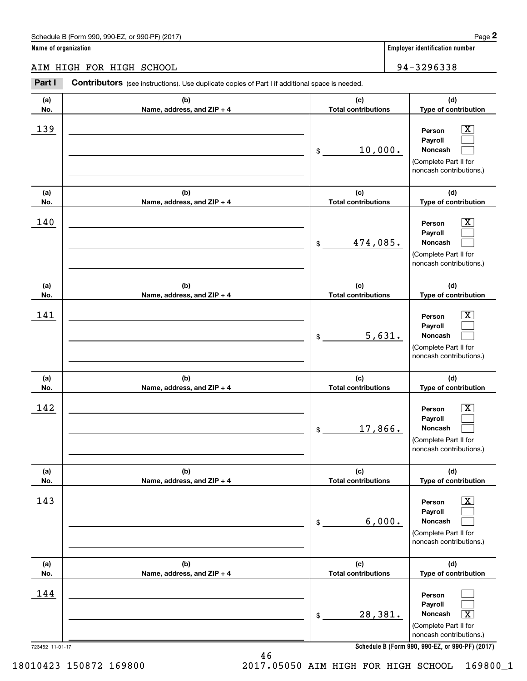|                      | Schedule B (Form 990, 990-EZ, or 990-PF) (2017)                                                       |                                   | Page 2                                                                                                      |
|----------------------|-------------------------------------------------------------------------------------------------------|-----------------------------------|-------------------------------------------------------------------------------------------------------------|
| Name of organization |                                                                                                       |                                   | Employer identification number                                                                              |
|                      | AIM HIGH FOR HIGH SCHOOL                                                                              |                                   | 94-3296338                                                                                                  |
| Part I               | <b>Contributors</b> (see instructions). Use duplicate copies of Part I if additional space is needed. |                                   |                                                                                                             |
| (a)<br>No.           | (b)<br>Name, address, and ZIP + 4                                                                     | (c)<br><b>Total contributions</b> | (d)<br>Type of contribution                                                                                 |
| 139                  |                                                                                                       | 10,000.<br>\$                     | $\mathbf{X}$<br>Person<br>Payroll<br>Noncash<br>(Complete Part II for<br>noncash contributions.)            |
| (a)<br>No.           | (b)<br>Name, address, and ZIP + 4                                                                     | (c)<br><b>Total contributions</b> | (d)<br>Type of contribution                                                                                 |
| 140                  |                                                                                                       | 474,085.<br>\$                    | $\mathbf{X}$<br>Person<br>Payroll<br>Noncash<br>(Complete Part II for<br>noncash contributions.)            |
| (a)<br>No.           | (b)<br>Name, address, and ZIP + 4                                                                     | (c)<br><b>Total contributions</b> | (d)<br>Type of contribution                                                                                 |
| 141                  |                                                                                                       | 5,631.<br>\$                      | $\overline{\mathbf{X}}$<br>Person<br>Payroll<br>Noncash<br>(Complete Part II for<br>noncash contributions.) |
| (a)<br>No.           | (b)<br>Name, address, and ZIP + 4                                                                     | (c)<br><b>Total contributions</b> | (d)<br>Type of contribution                                                                                 |
| 142                  |                                                                                                       | 17,866.<br>\$                     | $\mathbf{X}$<br>Person<br>Payroll<br>Noncash<br>(Complete Part II for<br>noncash contributions.)            |
| (a)<br>No.           | (b)<br>Name, address, and ZIP + 4                                                                     | (c)<br><b>Total contributions</b> | (d)<br>Type of contribution                                                                                 |
| 143                  |                                                                                                       | 6,000.<br>\$                      | $\boxed{\text{X}}$<br>Person<br>Payroll<br>Noncash<br>(Complete Part II for<br>noncash contributions.)      |
| (a)<br>No.           | (b)<br>Name, address, and ZIP + 4                                                                     | (c)<br><b>Total contributions</b> | (d)<br>Type of contribution                                                                                 |
| 144                  |                                                                                                       | 28,381.<br>\$                     | Person<br>Payroll<br>Noncash<br>$\boxed{\text{X}}$<br>(Complete Part II for<br>noncash contributions.)      |
| 723452 11-01-17      |                                                                                                       |                                   | Schedule B (Form 990, 990-EZ, or 990-PF) (2017)                                                             |

**Schedule B (Form 990 , 990-EZ, or 990-PF) (2017) Schedule B (Form 990, 990-EZ, or 990-PF) (2017)**

18010423 150872 169800

46 46 2017.05050 AIM HIGH FOR HIGH SCHOOL 169800\_1 18010423 150872 169800 2017.05050 AIM HIGH FOR HIGH SCHOOL 169800\_1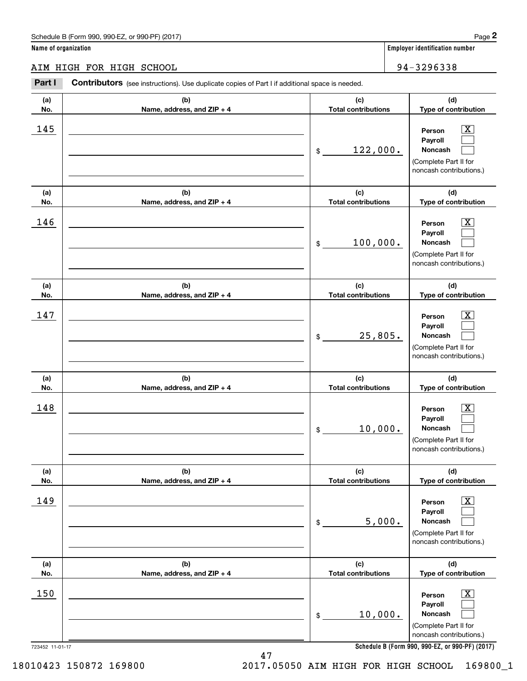|                      | Schedule B (Form 990, 990-EZ, or 990-PF) (2017)                                                       |                                   | Page 2                                                                                                                                                         |
|----------------------|-------------------------------------------------------------------------------------------------------|-----------------------------------|----------------------------------------------------------------------------------------------------------------------------------------------------------------|
| Name of organization |                                                                                                       |                                   | <b>Employer identification number</b>                                                                                                                          |
|                      | AIM HIGH FOR HIGH SCHOOL                                                                              |                                   | 94-3296338                                                                                                                                                     |
| Part I               | <b>Contributors</b> (see instructions). Use duplicate copies of Part I if additional space is needed. |                                   |                                                                                                                                                                |
| (a)<br>No.           | (b)<br>Name, address, and ZIP + 4                                                                     | (c)<br><b>Total contributions</b> | (d)<br>Type of contribution                                                                                                                                    |
| 145                  |                                                                                                       | 122,000.<br>\$                    | $\overline{\mathbf{X}}$<br>Person<br>Payroll<br>Noncash<br>(Complete Part II for<br>noncash contributions.)                                                    |
| (a)<br>No.           | (b)<br>Name, address, and ZIP + 4                                                                     | (c)<br><b>Total contributions</b> | (d)<br>Type of contribution                                                                                                                                    |
| 146                  |                                                                                                       | 100,000.<br>\$                    | $\overline{\mathbf{X}}$<br>Person<br>Payroll<br>Noncash<br>(Complete Part II for<br>noncash contributions.)                                                    |
| (a)<br>No.           | (b)<br>Name, address, and ZIP + 4                                                                     | (c)<br><b>Total contributions</b> | (d)<br>Type of contribution                                                                                                                                    |
| 147                  |                                                                                                       | 25,805.<br>\$                     | $\overline{\mathbf{X}}$<br>Person<br>Payroll<br>Noncash<br>(Complete Part II for<br>noncash contributions.)                                                    |
| (a)<br>No.           | (b)<br>Name, address, and ZIP + 4                                                                     | (c)<br><b>Total contributions</b> | (d)<br>Type of contribution                                                                                                                                    |
| 148                  |                                                                                                       | 10,000.<br>\$                     | $\overline{\text{X}}$<br>Person<br>Payroll<br>Noncash<br>(Complete Part II for<br>noncash contributions.)                                                      |
| (a)<br>No.           | (b)<br>Name, address, and ZIP + 4                                                                     | (c)<br><b>Total contributions</b> | (d)<br>Type of contribution                                                                                                                                    |
| 149                  |                                                                                                       | 5,000.<br>\$                      | $\overline{\mathbf{x}}$<br>Person<br>Payroll<br>Noncash<br>(Complete Part II for<br>noncash contributions.)                                                    |
| (a)<br>No.           | (b)<br>Name, address, and ZIP + 4                                                                     | (c)<br><b>Total contributions</b> | (d)<br>Type of contribution                                                                                                                                    |
| 150                  |                                                                                                       | 10,000.<br>\$                     | $\overline{\mathbf{x}}$<br>Person<br>Payroll<br>Noncash<br>(Complete Part II for<br>noncash contributions.)<br>Schedule B (Form 990, 990-EZ, or 990-PF) (2017) |

**Schedule B (Form 990 , 990-EZ, or 990-PF) (2017) Schedule B (Form 990, 990-EZ, or 990-PF) (2017)**

2017.05050 AIM HIGH FOR HIGH SCHOOL 169800\_1 18010423 150872 169800 2017.05050 AIM HIGH FOR HIGH SCHOOL 169800\_1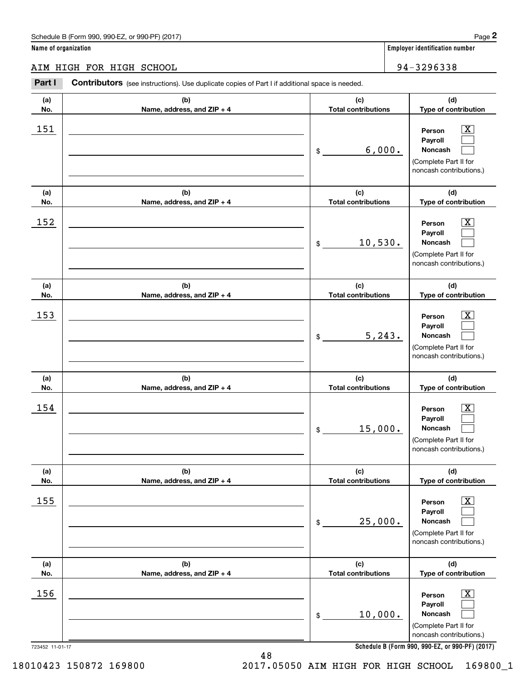#### AIM HIGH FOR HIGH SCHOOL 94-32 96 33 8 AIM HIGH FOR HIGH SCHOOL 94-3296338

**Part I Contributors** (see instructions). Use duplicate copies of Part I if additional space is needed. **(a) (b) (c) (d) No. Name, address, and ZIP + 4 Total contributions Type of contribution Name, address, and ZIP + 4** 151 \_\_\_\_\_\_\_\_\_\_\_\_\_\_\_\_\_\_\_\_\_\_\_\_\_\_\_\_\_\_\_\_\_\_\_\_\_\_\_\_\_\_\_\_\_\_ **Person** X **Payroll Payroll**\_\_\_\_\_\_\_\_\_\_\_\_\_\_\_\_\_\_\_\_\_\_\_\_\_\_\_\_\_\_\_\_\_\_\_\_\_\_\_\_\_\_ \$ 6, 000. **Noncash**  (Complete Part II for (Complete Part II for noncash contributions.) noncash contributions.) **(a) (b) (c) (d) No.** Name, address, and ZIP + 4 **1 <b>1 Total contributions** Type of contribution 152 \_\_\_\_\_\_\_\_\_\_\_\_\_\_\_\_\_\_\_\_\_\_\_\_\_\_\_\_\_\_\_\_\_\_\_\_\_\_\_\_\_\_\_\_\_\_ **Person** X **Payroll Payroll**\_\_\_\_\_\_\_\_\_\_\_\_\_\_\_\_\_\_\_\_\_\_\_\_\_\_\_\_\_\_\_\_\_\_\_\_\_\_\_\_\_\_\_\_ \$ 10,530. **Noncash**  (Complete Part II for (Complete Part II for noncash contributions.) noncash contributions.) **(a) (a)No. No.**153 **(a) (a) No. No.**154 **(b) (b)e ss, and ZIP + 4 Name, address, and ZIP + 4 (b) (b) e ss, and ZIP + 4 Name, address, and ZIP + 4 (c) (d) Total contributions Type of contribution Type of contribution Person** X **PersonPayroll Payroll**\$ 5,243. **Noncash**  5,243. (Complete Part II for (Complete Part II for noncash contributions.) noncash contributions.) **(c) (d) Total contributions Type of contribution Type of contribution Person** X **PersonPayroll Payroll**\$ 15, 000. **Noncash**  15,000. (Complete Part II for (Complete Part II for noncash contributions.) noncash contributions.) **(a) (a) No. No.**155 **(a) (a) No. No.**156 723452 11-01-17 723452 11-01-17 **(b) (c) (d) e ss, and ZIP + 4 Total contributions Type of contribution Type of contribution** \_\_\_\_\_\_\_\_\_\_\_\_\_\_\_\_\_\_\_\_\_\_\_\_\_\_\_\_\_\_\_ **Person** X **Payroll Payroll**\_\_\_\_\_\_\_\_\_\_\_\_\_\_\_\_\_\_\_\_\_\_ \$ 25, 000. **Noncash**  25,000. (Complete Part II for (Complete Part II for noncash contributions.) noncash contributions.) **(b) (c) (d) e ss, and ZIP + 4 Total contributions Type of contribution Type of contribution** \_\_\_\_\_\_\_\_\_\_\_\_\_\_\_\_\_\_\_\_\_\_\_\_\_\_\_\_\_\_\_ **Person** X **Payroll Payroll**\_\_\_\_\_\_\_\_\_\_\_\_\_\_\_\_\_\_\_\_\_\_ \$ 10, 000. **Noncash**  10,000. (Complete Part II for (Complete Part II for noncash contributions.) noncash contributions.) **Schedule B (Form 990 , 990-EZ, or 990-PF) (2017) Schedule B (Form 990, 990-EZ, or 990-PF) (2017) (a)No.(b)(c)Total contributions (d)Type of contribution PersonNoncash (a)No.(b)(c)Total contributions (d)Type of contribution PersonNoncash (c)Total contributions (d)Noncash (c) Total contributions (d) Noncash (b) Name, address, and ZIP + 4 (c) Total contributions (d) PersonNoncash (b)Name, address, and ZIP + 4 (c) Total contributions (d)PersonNoncash** \$\$\$\$\$\$Employer identification Page 2<br> **2** ame of organization<br> **2Part I Contributors** (see instructions). Use duplicate copies of Part I if additional space is needed.<br>
2Part I **Contributors** (see instructions). Use duplicate  $|X|$  $\mathcal{L}^{\text{max}}$  $\mathcal{L}^{\text{max}}$  $\boxed{\text{X}}$  $\mathcal{L}^{\text{max}}$  $\mathcal{L}^{\text{max}}$  $|X|$  $\mathcal{L}^{\text{max}}$  $\mathcal{L}^{\text{max}}$  $\boxed{\text{X}}$  $\mathcal{L}^{\text{max}}$  $\mathcal{L}^{\text{max}}$  $\boxed{\text{X}}$  $\mathcal{L}^{\text{max}}$  $\mathcal{L}^{\text{max}}$  $\boxed{\text{X}}$  $\mathcal{L}^{\text{max}}$  $\mathcal{L}^{\text{max}}$ 151 X 6,000.  $152$  Person  $\overline{\text{X}}$ 10,530.  $153$  Person  $\overline{\text{X}}$  $154$  Person  $\overline{\text{X}}$  $155$  Person  $\overline{\text{X}}$  $156$  Person  $\overline{\text{X}}$ 

2017.05050 AIM HIGH FOR HIGH SCHOOL 169800\_1 18010423 150872 169800 2017.05050 AIM HIGH FOR HIGH SCHOOL 169800\_1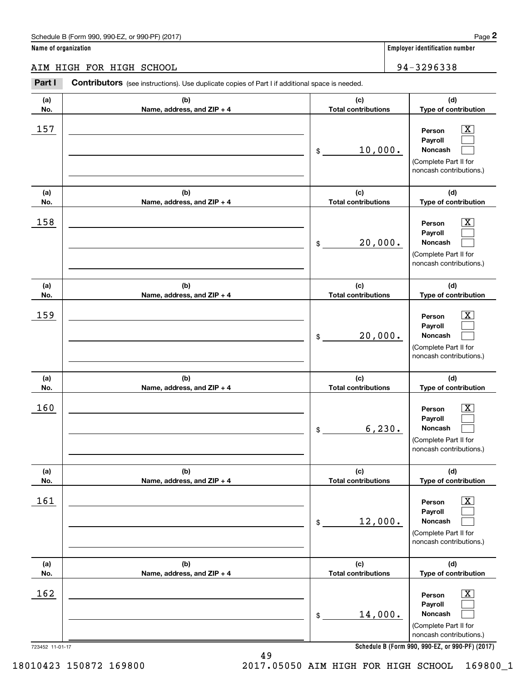AIM HIGH FOR HIGH SCHOOL 94-32 96 33 8 AIM HIGH FOR HIGH SCHOOL 94-3296338 Schedule B (Form 990, 990-EZ, or 990-PF) (2017)<br>Iame of organization<br>TM HIGH FOR HIGH SCHOOL 94-3296338<br>Part I Contributors (see instructions). Use duplicate copies of Part I if additional space is needed.

| . u.            | <b>Correlators</b> (See instructions). Ose duplicate copies of Fare in additional space is needed. |                                   |                                                                                                             |
|-----------------|----------------------------------------------------------------------------------------------------|-----------------------------------|-------------------------------------------------------------------------------------------------------------|
| (a)<br>No.      | (b)<br>Name, address, and ZIP + 4                                                                  | (c)<br><b>Total contributions</b> | (d)<br>Type of contribution                                                                                 |
| 157             |                                                                                                    | 10,000.<br>\$                     | $\overline{\text{X}}$<br>Person<br>Payroll<br>Noncash<br>(Complete Part II for<br>noncash contributions.)   |
| (a)<br>No.      | (b)<br>Name, address, and ZIP + 4                                                                  | (c)<br><b>Total contributions</b> | (d)<br>Type of contribution                                                                                 |
| 158             |                                                                                                    | 20,000.<br>\$                     | $\overline{\mathbf{X}}$<br>Person<br>Payroll<br>Noncash<br>(Complete Part II for<br>noncash contributions.) |
| (a)<br>No.      | (b)<br>Name, address, and ZIP + 4                                                                  | (c)<br><b>Total contributions</b> | (d)<br>Type of contribution                                                                                 |
| 159             |                                                                                                    | 20,000.<br>\$                     | $\overline{\mathbf{X}}$<br>Person<br>Payroll<br>Noncash<br>(Complete Part II for<br>noncash contributions.) |
| (a)<br>No.      | (b)<br>Name, address, and ZIP + 4                                                                  | (c)<br><b>Total contributions</b> | (d)<br>Type of contribution                                                                                 |
| 160             |                                                                                                    | 6, 230.<br>\$                     | $\overline{\mathbf{X}}$<br>Person<br>Payroll<br>Noncash<br>(Complete Part II for<br>noncash contributions.) |
| (a)<br>No.      | (b)<br>Name, address, and ZIP + 4                                                                  | (c)<br><b>Total contributions</b> | (d)<br>Type of contribution                                                                                 |
| 161             |                                                                                                    | 12,000.<br>\$                     | $\boxed{\text{X}}$<br>Person<br>Payroll<br>Noncash<br>(Complete Part II for<br>noncash contributions.)      |
| (a)<br>No.      | (b)<br>Name, address, and ZIP + 4                                                                  | (c)<br><b>Total contributions</b> | (d)<br>Type of contribution                                                                                 |
| 162             |                                                                                                    | 14,000.<br>\$                     | $\boxed{\text{X}}$<br>Person<br>Payroll<br>Noncash<br>(Complete Part II for<br>noncash contributions.)      |
| 723452 11-01-17 |                                                                                                    |                                   | Schedule B (Form 990, 990-EZ, or 990-PF) (2017)                                                             |

**Schedule B (Form 990 , 990-EZ, or 990-PF) (2017) Schedule B (Form 990, 990-EZ, or 990-PF) (2017)**

2017.05050 AIM HIGH FOR HIGH SCHOOL 169800\_1 18010423 150872 169800 2017.05050 AIM HIGH FOR HIGH SCHOOL 169800\_1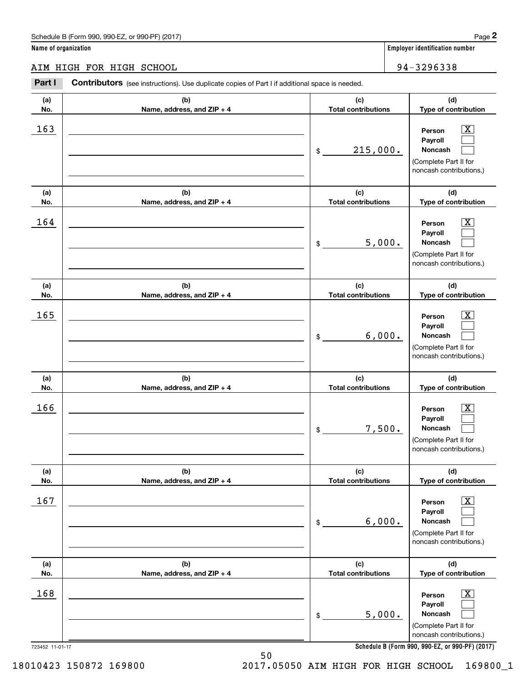#### AIM HIGH FOR HIGH SCHOOL 94 -32 96 33 8 AIM HIGH FOR HIGH SCHOOL 94-3296338

|                      | Schedule B (Form 990, 990-EZ, or 990-PF) (2017)                                                |                                   |        | Page 2                                                                                                    |
|----------------------|------------------------------------------------------------------------------------------------|-----------------------------------|--------|-----------------------------------------------------------------------------------------------------------|
| Name of organization |                                                                                                |                                   |        | Employer identification number                                                                            |
|                      | AIM HIGH FOR HIGH SCHOOL                                                                       |                                   |        | 94-3296338                                                                                                |
| Part I               | Contributors (see instructions). Use duplicate copies of Part I if additional space is needed. |                                   |        |                                                                                                           |
| (a)<br>No.           | (b)<br>Name, address, and ZIP + 4                                                              | (c)<br><b>Total contributions</b> |        | (d)<br>Type of contribution                                                                               |
| 163                  |                                                                                                | 215,000.<br>\$                    |        | $\overline{\text{X}}$<br>Person<br>Payroll<br>Noncash<br>(Complete Part II for<br>noncash contributions.) |
| (a)<br>No.           | (b)<br>Name, address, and ZIP + 4                                                              | (c)<br><b>Total contributions</b> |        | (d)<br>Type of contribution                                                                               |
| 164                  |                                                                                                | \$                                | 5,000. | $\overline{\text{X}}$<br>Person<br>Payroll<br>Noncash<br>(Complete Part II for<br>noncash contributions.) |
| (a)<br>No.           | (b)<br>Name, address, and ZIP + 4                                                              | (c)<br><b>Total contributions</b> |        | (d)<br>Type of contribution                                                                               |
| 165                  |                                                                                                | \$                                | 6,000. | X<br>Person<br>Payroll<br>Noncash<br>(Complete Part II for<br>noncash contributions.)                     |
| (a)<br>No.           | (b)<br>Name, address, and ZIP + 4                                                              | (c)<br><b>Total contributions</b> |        | (d)<br>Type of contribution                                                                               |
| 166                  |                                                                                                | 7,500.<br>\$                      |        | $\overline{\text{X}}$<br>Person<br>Payroll<br>Noncash<br>(Complete Part II for<br>noncash contributions.) |
| (a)<br>No.           | (b)<br>Name, address, and ZIP + 4                                                              | (c)<br><b>Total contributions</b> |        | (d)<br>Type of contribution                                                                               |
| 167                  |                                                                                                | \$                                | 6,000. | $\overline{\text{X}}$<br>Person<br>Payroll<br>Noncash<br>(Complete Part II for<br>noncash contributions.) |
| (a)<br>No.           | (b)<br>Name, address, and ZIP + 4                                                              | (c)<br><b>Total contributions</b> |        | (d)<br>Type of contribution                                                                               |
| 168                  |                                                                                                | 5,000.<br>\$                      |        | $\overline{\text{X}}$<br>Person<br>Payroll<br>Noncash<br>(Complete Part II for<br>noncash contributions.) |
| 723452 11-01-17      |                                                                                                |                                   |        | Schedule B (Form 990, 990-EZ, or 990-PF) (2017)                                                           |

**Schedule B (Form 990 , 990-EZ, or 990-PF) (2017) Schedule B (Form 990, 990-EZ, or 990-PF) (2017)**

50 50

18010423 150872 169800

2017.05050 AIM HIGH FOR HIGH SCHOOL 169800\_1 18010423 150872 169800 2017.05050 AIM HIGH FOR HIGH SCHOOL 169800\_1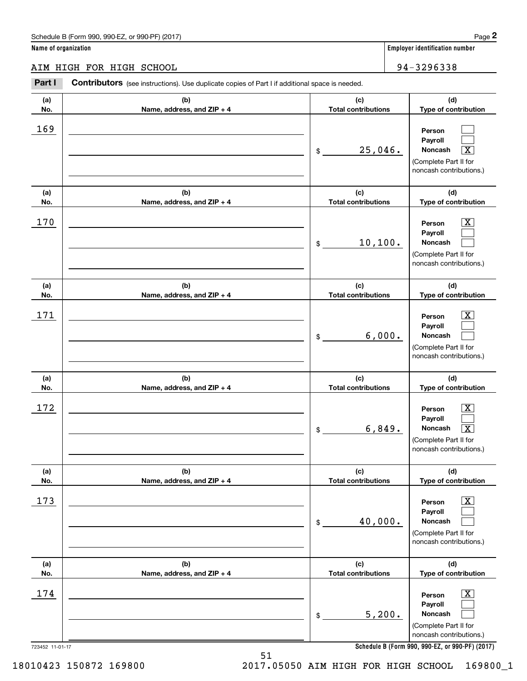AIM HIGH FOR HIGH SCHOOL 94-32 96 33 8 AIM HIGH FOR HIGH SCHOOL 94-3296338

#### **Part I Contributors** (see instructions). Use duplicate copies of Part I if additional space is needed. **(a) (b) (c) (d) No. Name, address, and ZIP + 4 Total contributions Type of contribution Name, address, and ZIP + 4** 169 \_\_\_\_\_\_\_\_\_\_\_\_\_\_\_\_\_\_\_\_\_\_\_\_\_\_\_\_\_\_\_\_\_\_\_\_\_\_\_\_\_\_\_\_\_\_ **Person Payroll Payroll**\_\_\_\_\_\_\_\_\_\_\_\_\_\_\_\_\_\_\_\_\_\_\_\_\_\_\_\_\_\_\_\_\_\_\_\_\_\_\_\_\_\_ \$ 25, 046. **Noncash** X (Complete Part II for (Complete Part II for noncash contributions.) noncash contributions.) **(a) (b) (c) (d) No.** Name, address, and ZIP + 4 **1 <b>1 Total contributions** Type of contribution 170 \_\_\_\_\_\_\_\_\_\_\_\_\_\_\_\_\_\_\_\_\_\_\_\_\_\_\_\_\_\_\_\_\_\_\_\_\_\_\_\_\_\_\_\_\_\_ **Person** X **Payroll Payroll**\_\_\_\_\_\_\_\_\_\_\_\_\_\_\_\_\_\_\_\_\_\_\_\_\_\_\_\_\_\_\_\_\_\_\_\_\_\_\_\_\_\_\_\_ \$ 10,100. **Noncash**  (Complete Part II for (Complete Part II for noncash contributions.) noncash contributions.) **(a) (a)No. No.**171 **(a) (a) No. No.**172 **(b) (b)e ss, and ZIP + 4 Name, address, and ZIP + 4 (b) (b) e ss, and ZIP + 4 Name, address, and ZIP + 4 (c) (d) Total contributions Type of contribution Type of contribution Person** X **PersonPayroll Payroll**\$ 6, 000. **Noncash**  6,000. (Complete Part II for (Complete Part II for noncash contributions.) noncash contributions.) **(c) (d) Total contributions Type of contribution Type of contribution Person** X **PersonPayroll Payroll**\$ 6, 849. **Noncash** X 6,849. X (Complete Part II for (Complete Part II for noncash contributions.) noncash contributions.) **(a) (a) No. No.**173 **(a) (a) No. No.**174 723452 11-01-17 723452 11-01-17 **(b) (c) (d) e ss, and ZIP + 4 Total contributions Type of contribution Type of contribution** \_\_\_\_\_\_\_\_\_\_\_\_\_\_\_\_\_\_\_\_\_\_\_\_\_\_\_\_\_\_\_ **Person** X **Payroll Payroll**\_\_\_\_\_\_\_\_\_\_\_\_\_\_\_\_\_\_\_\_\_\_ \$ 40, 000. **Noncash**  40,000. (Complete Part II for (Complete Part II for noncash contributions.) noncash contributions.) **(b) (c) (d) e ss, and ZIP + 4 Total contributions Type of contribution Type of contribution** \_\_\_\_\_\_\_\_\_\_\_\_\_\_\_\_\_\_\_\_\_\_\_\_\_\_\_\_\_\_\_ **Person** X **Payroll Payroll**\_\_\_\_\_\_\_\_\_\_\_\_\_\_\_\_\_\_\_\_\_\_ \$ 5,200. **Noncash**  (Complete Part II for (Complete Part II for noncash contributions.) noncash contributions.) **(a)No.(b)(c)Total contributions (d)Type of contribution PersonNoncash (a)No.(b)(c)Total contributions (d)Type of contribution PersonNoncash (c)Total contributions (d)Noncash (c) Total contributions (d) Noncash(b) Name, address, and ZIP + 4 (c) Total contributions (d) PersonNoncash (b)Name, address, and ZIP + 4 (c) Total contributions (d)PersonNoncash** \$\$\$\$\$\$Employer identification Page 2<br> **2** ame of organization<br> **2Part I Contributors** (see instructions). Use duplicate copies of Part I if additional space is needed.<br>
2Part I **Contributors** (see instructions). Use duplicate  $\mathcal{L}^{\text{max}}$  $\mathcal{L}^{\text{max}}$  $\boxed{\text{X}}$  $\boxed{\text{X}}$  $\mathcal{L}^{\text{max}}$  $\mathcal{L}^{\text{max}}$  $|X|$  $\mathcal{L}^{\text{max}}$  $\mathcal{L}^{\text{max}}$  $\boxed{\text{X}}$  $\mathcal{L}^{\text{max}}$  $\lceil \text{X} \rceil$  $\boxed{\text{X}}$  $\mathcal{L}^{\text{max}}$  $\mathcal{L}^{\text{max}}$  $\boxed{\text{X}}$  $\mathcal{L}^{\text{max}}$  $\mathcal{L}^{\text{max}}$ 169  $25,046$ . 170 X 10,100.  $171$  | Person  $\overline{\text{X}}$  $172$  | Person  $\overline{\text{X}}$ 173 X  $174$  | Person  $\overline{\text{X}}$ 5,200.

**Schedule B (Form 990 , 990-EZ, or 990-PF) (2017) Schedule B (Form 990, 990-EZ, or 990-PF) (2017)**

2017.05050 AIM HIGH FOR HIGH SCHOOL 169800\_1 18010423 150872 169800 2017.05050 AIM HIGH FOR HIGH SCHOOL 169800\_1

18010423 150872 169800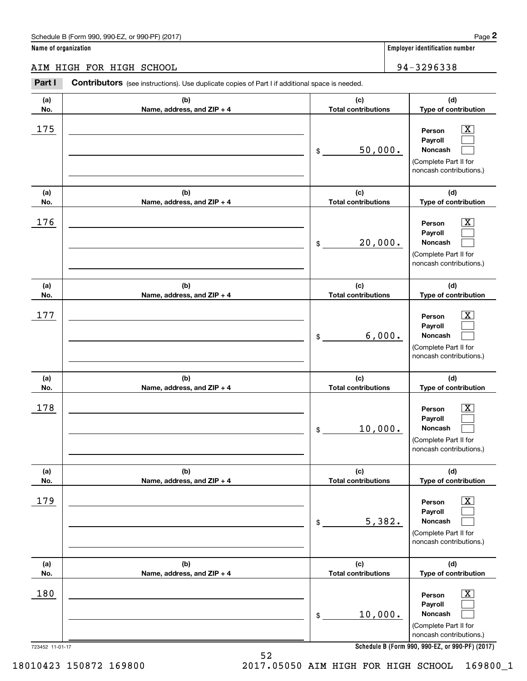|                      | Schedule B (Form 990, 990-EZ, or 990-PF) (2017)                                                |                                   | Page 2                                                                                                             |
|----------------------|------------------------------------------------------------------------------------------------|-----------------------------------|--------------------------------------------------------------------------------------------------------------------|
| Name of organization |                                                                                                |                                   | <b>Employer identification number</b>                                                                              |
|                      | AIM HIGH FOR HIGH SCHOOL                                                                       |                                   | 94-3296338                                                                                                         |
| Part I               | Contributors (see instructions). Use duplicate copies of Part I if additional space is needed. |                                   |                                                                                                                    |
| (a)                  | (b)                                                                                            | (c)                               | (d)                                                                                                                |
| No.                  | Name, address, and ZIP + 4                                                                     | <b>Total contributions</b>        | Type of contribution                                                                                               |
| 175                  |                                                                                                | 50,000.<br>\$                     | $\overline{\mathbf{X}}$<br>Person<br>Payroll<br><b>Noncash</b><br>(Complete Part II for<br>noncash contributions.) |
| (a)                  | (b)                                                                                            | (c)                               | (d)                                                                                                                |
| No.                  | Name, address, and ZIP + 4                                                                     | <b>Total contributions</b>        | Type of contribution                                                                                               |
| 176                  |                                                                                                | 20,000.<br>\$                     | $\mathbf{X}$<br>Person<br>Payroll<br><b>Noncash</b><br>(Complete Part II for<br>noncash contributions.)            |
| (a)                  | (b)                                                                                            | (c)                               | (d)                                                                                                                |
| No.                  | Name, address, and ZIP + 4                                                                     | <b>Total contributions</b>        | Type of contribution                                                                                               |
| 177                  |                                                                                                | 6,000.<br>\$                      | $\overline{\mathbf{X}}$<br>Person<br>Payroll<br><b>Noncash</b><br>(Complete Part II for<br>noncash contributions.) |
| (a)<br>No.           | (b)<br>Name, address, and ZIP + 4                                                              | (c)<br><b>Total contributions</b> | (d)<br>Type of contribution                                                                                        |
| 178                  |                                                                                                | 10,000.<br>\$                     | X<br>Person<br>Payroll<br>Noncash<br>(Complete Part II for<br>noncash contributions.)                              |
| (a)<br>No.           | (b)<br>Name, address, and ZIP + 4                                                              | (c)<br><b>Total contributions</b> | (d)<br>Type of contribution                                                                                        |
| 179                  |                                                                                                | 5,382.<br>\$                      | $\boxed{\text{X}}$<br>Person<br>Payroll<br>Noncash<br>(Complete Part II for<br>noncash contributions.)             |
| (a)<br>No.           | (b)<br>Name, address, and ZIP + 4                                                              | (c)<br><b>Total contributions</b> | (d)<br>Type of contribution                                                                                        |
|                      |                                                                                                |                                   |                                                                                                                    |
| 180                  |                                                                                                |                                   | $\boxed{\text{X}}$<br>Person                                                                                       |

\_\_\_\_\_\_\_\_\_\_\_\_\_\_\_\_\_\_\_\_\_\_ \$ 10, 000. **Noncash**  10,000. (Complete Part II for (Complete Part II for noncash contributions.) noncash contributions.) **Noncash** \$ $\mathcal{L}^{\text{max}}$ 

723452 11-01-17 723452 11-01-17

**Schedule B (Form 990 , 990-EZ, or 990-PF) (2017) Schedule B (Form 990, 990-EZ, or 990-PF) (2017)**

**Payroll Payroll**

 $\mathcal{L}^{\text{max}}$ 

2017.05050 AIM HIGH FOR HIGH SCHOOL 169800\_1 18010423 150872 169800 2017.05050 AIM HIGH FOR HIGH SCHOOL 169800\_1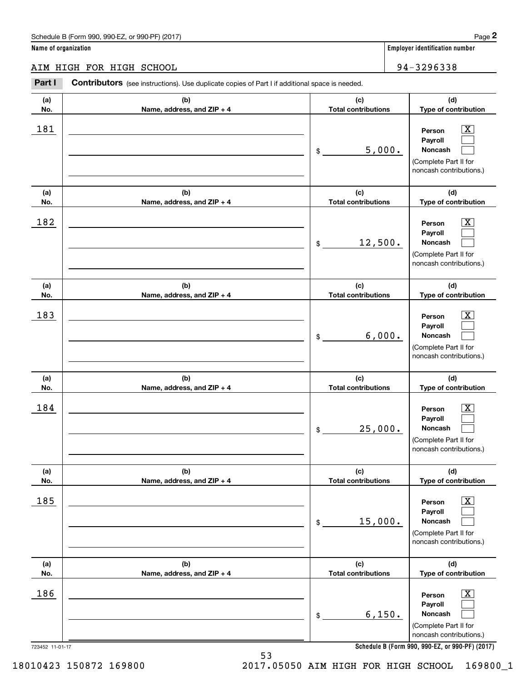#### AIM HIGH FOR HIGH SCHOOL 94-32 96 33 8 AIM HIGH FOR HIGH SCHOOL 94-3296338

**Part I Contributors** (see instructions). Use duplicate copies of Part I if additional space is needed. **(a) (b) (c) (d) No. Name, address, and ZIP + 4 Total contributions Type of contribution Name, address, and ZIP + 4** 181 \_\_\_\_\_\_\_\_\_\_\_\_\_\_\_\_\_\_\_\_\_\_\_\_\_\_\_\_\_\_\_\_\_\_\_\_\_\_\_\_\_\_\_\_\_\_ **Person** X **Payroll Payroll**\_\_\_\_\_\_\_\_\_\_\_\_\_\_\_\_\_\_\_\_\_\_\_\_\_\_\_\_\_\_\_\_\_\_\_\_\_\_\_\_\_\_ \$ 5, 000. **Noncash**  (Complete Part II for (Complete Part II for noncash contributions.) noncash contributions.) **(a) (b) (c) (d) No.** Name, address, and ZIP + 4 **1 <b>1 Total contributions** Type of contribution 182 \_\_\_\_\_\_\_\_\_\_\_\_\_\_\_\_\_\_\_\_\_\_\_\_\_\_\_\_\_\_\_\_\_\_\_\_\_\_\_\_\_\_\_\_\_\_ **Person** X **Payroll Payroll**\_\_\_\_\_\_\_\_\_\_\_\_\_\_\_\_\_\_\_\_\_\_\_\_\_\_\_\_\_\_\_\_\_\_\_\_\_\_\_\_\_\_\_\_ \$ 12,500. **Noncash**  (Complete Part II for (Complete Part II for noncash contributions.) noncash contributions.) **(a) (a)No. No.**183 **(a) (a) No. No.**184 **(b) (b)e ss, and ZIP + 4 Name, address, and ZIP + 4 (b) (b) e ss, and ZIP + 4 Name, address, and ZIP + 4 (c) (d) Total contributions Type of contribution Type of contribution Person** X **PersonPayroll Payroll**\$ 6, 000. **Noncash**  6,000. (Complete Part II for (Complete Part II for noncash contributions.) noncash contributions.) **(c) (d) Total contributions Type of contribution Type of contribution Person** X **PersonPayroll Payroll**\$ 25, 000. **Noncash**  25,000. (Complete Part II for (Complete Part II for noncash contributions.) noncash contributions.) **(a) (a) No. No.**185 **(a) (a) No. No.**186 723452 11-01-17 723452 11-01-17 **(b) (c) (d) e ss, and ZIP + 4 Total contributions Type of contribution Type of contribution** \_\_\_\_\_\_\_\_\_\_\_\_\_\_\_\_\_\_\_\_\_\_\_\_\_\_\_\_\_\_\_ **Person** X **Payroll Payroll**\_\_\_\_\_\_\_\_\_\_\_\_\_\_\_\_\_\_\_\_\_\_ \$ 15, 000. **Noncash**  15,000. (Complete Part II for (Complete Part II for noncash contributions.) noncash contributions.) **(b) (c) (d) e ss, and ZIP + 4 Total contributions Type of contribution Type of contribution** \_\_\_\_\_\_\_\_\_\_\_\_\_\_\_\_\_\_\_\_\_\_\_\_\_\_\_\_\_\_\_ **Person** X **Payroll Payroll**\_\_\_\_\_\_\_\_\_\_\_\_\_\_\_\_\_\_\_\_\_\_\_ \$ 6,150. **Noncash**  (Complete Part II for (Complete Part II for noncash contributions.) noncash contributions.) **Schedule B (Form 990 , 990-EZ, or 990-PF) (2017) Schedule B (Form 990, 990-EZ, or 990-PF) (2017) (a)No.(b)(c)Total contributions (d)Type of contribution PersonNoncash (a)No.(b)(c)Total contributions (d)Type of contribution PersonNoncash (c)Total contributions (d)Noncash (c) Total contributions (d) Noncash (b) Name, address, and ZIP + 4 (c) Total contributions (d) PersonNoncash (b)Name, address, and ZIP + 4 (c) Total contributions (d)PersonNoncash** \$\$\$\$\$\$Employer identification Page 2<br> **2** ame of organization<br> **2Part I Contributors** (see instructions). Use duplicate copies of Part I if additional space is needed.<br>
2Part I **Contributors** (see instructions). Use duplicate  $|X|$  $\mathcal{L}^{\text{max}}$  $\mathcal{L}^{\text{max}}$  $\boxed{\text{X}}$  $\mathcal{L}^{\text{max}}$  $\mathcal{L}^{\text{max}}$  $|X|$  $\mathcal{L}^{\text{max}}$  $\mathcal{L}^{\text{max}}$  $\boxed{\text{X}}$  $\mathcal{L}^{\text{max}}$  $\mathcal{L}^{\text{max}}$  $\boxed{\text{X}}$  $\mathcal{L}^{\text{max}}$  $\mathcal{L}^{\text{max}}$  $\boxed{\text{X}}$  $\mathcal{L}^{\text{max}}$  $\mathcal{L}^{\text{max}}$ 181 X 5,000.  $182$  Person  $\overline{\text{X}}$ 12,500. 183 X  $184$  | Person  $\overline{\text{X}}$  $185$  | Person  $\overline{\text{X}}$ 186 X 6,150.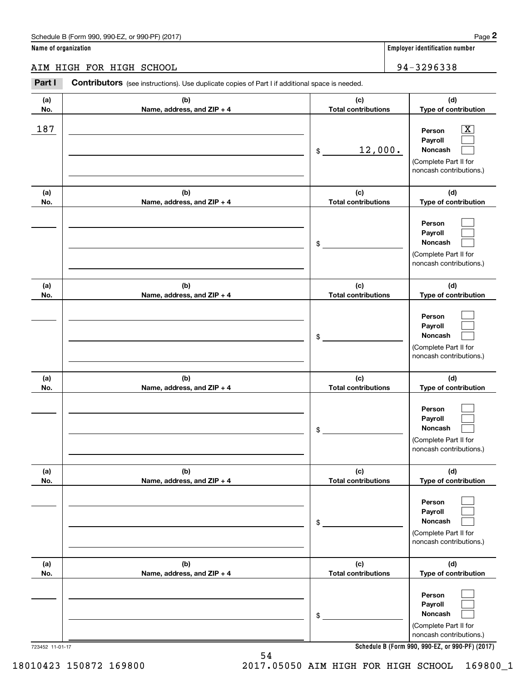|                      | Schedule B (Form 990, 990-EZ, or 990-PF) (2017)                                                |                                   | Page 2                                                                                                                              |
|----------------------|------------------------------------------------------------------------------------------------|-----------------------------------|-------------------------------------------------------------------------------------------------------------------------------------|
| Name of organization |                                                                                                |                                   | <b>Employer identification number</b>                                                                                               |
|                      | AIM HIGH FOR HIGH SCHOOL                                                                       |                                   | 94-3296338                                                                                                                          |
| Part I               | Contributors (see instructions). Use duplicate copies of Part I if additional space is needed. |                                   |                                                                                                                                     |
| (a)<br>No.           | (b)<br>Name, address, and ZIP + 4                                                              | (c)<br><b>Total contributions</b> | (d)<br>Type of contribution                                                                                                         |
| 187                  |                                                                                                | 12,000.<br>\$                     | $\overline{\text{X}}$<br>Person<br>Payroll<br>Noncash<br>(Complete Part II for<br>noncash contributions.)                           |
| (a)<br>No.           | (b)<br>Name, address, and ZIP + 4                                                              | (c)<br><b>Total contributions</b> | (d)<br>Type of contribution                                                                                                         |
|                      |                                                                                                | \$                                | Person<br>Payroll<br>Noncash<br>(Complete Part II for<br>noncash contributions.)                                                    |
| (a)<br>No.           | (b)<br>Name, address, and ZIP + 4                                                              | (c)<br><b>Total contributions</b> | (d)<br>Type of contribution                                                                                                         |
|                      |                                                                                                | \$                                | Person<br>Payroll<br>Noncash<br>(Complete Part II for<br>noncash contributions.)                                                    |
| (a)<br>No.           | (b)<br>Name, address, and ZIP + 4                                                              | (c)<br><b>Total contributions</b> | (d)<br>Type of contribution                                                                                                         |
|                      |                                                                                                | \$                                | Person<br>Payroll<br>Noncash<br>(Complete Part II for<br>noncash contributions.)                                                    |
| (a)<br>No.           | (b)<br>Name, address, and ZIP + 4                                                              | (c)<br><b>Total contributions</b> | (d)<br>Type of contribution                                                                                                         |
|                      |                                                                                                | \$                                | Person<br>Payroll<br>Noncash<br>(Complete Part II for<br>noncash contributions.)                                                    |
| (a)<br>No.           | (b)<br>Name, address, and ZIP + 4                                                              | (c)<br><b>Total contributions</b> | (d)<br>Type of contribution                                                                                                         |
|                      |                                                                                                | \$                                | Person<br>Payroll<br>Noncash<br>(Complete Part II for<br>noncash contributions.)<br>Schedule B (Form 990, 990-EZ, or 990-PF) (2017) |

**Schedule B (Form 990 , 990-EZ, or 990-PF) (2017) Schedule B (Form 990, 990-EZ, or 990-PF) (2017)**

54 54

2017.05050 AIM HIGH FOR HIGH SCHOOL 169800\_1 18010423 150872 169800 2017.05050 AIM HIGH FOR HIGH SCHOOL 169800\_1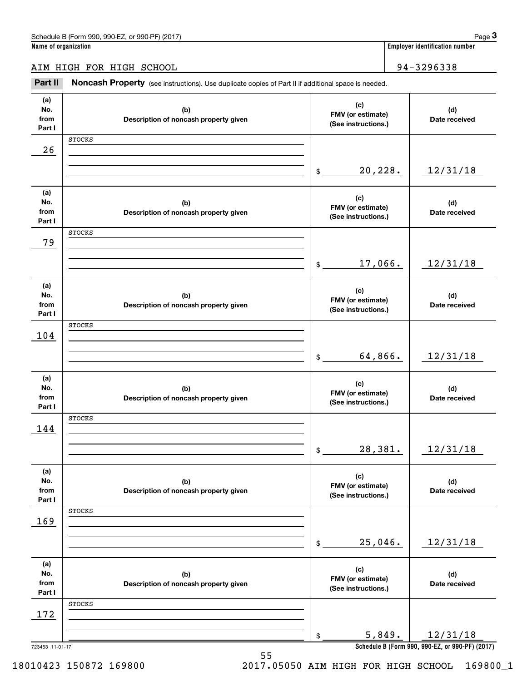AIM HIGH FOR HIGH SCHOOL 94-32 96 33 8 AIM HIGH FOR HIGH SCHOOL 94-3296338

Employer identification number<br>Iame of organization<br>TM HIGH FOR HIGH SCHOOL 94-3296338<br>Part II Noncash Property (see instructions). Use duplicate copies of Part II if additional space is needed.

| (a)             |                                       | (c)                                      |                                                             |
|-----------------|---------------------------------------|------------------------------------------|-------------------------------------------------------------|
| No.             | (b)                                   | FMV (or estimate)                        | (d)                                                         |
| from            | Description of noncash property given | (See instructions.)                      | Date received                                               |
| Part I          |                                       |                                          |                                                             |
|                 | <b>STOCKS</b>                         |                                          |                                                             |
| 26              |                                       |                                          |                                                             |
|                 |                                       |                                          |                                                             |
|                 |                                       | 20,228.                                  | 12/31/18                                                    |
|                 |                                       | \$                                       |                                                             |
|                 |                                       |                                          |                                                             |
| (a)             |                                       | (c)                                      |                                                             |
| No.             | (b)                                   | FMV (or estimate)                        | (d)                                                         |
| from            | Description of noncash property given | (See instructions.)                      | Date received                                               |
| Part I          |                                       |                                          |                                                             |
|                 | <b>STOCKS</b>                         |                                          |                                                             |
| 79              |                                       |                                          |                                                             |
|                 |                                       |                                          |                                                             |
|                 |                                       | 17,066.<br>\$                            | 12/31/18                                                    |
|                 |                                       |                                          |                                                             |
|                 |                                       |                                          |                                                             |
| (a)             |                                       | (c)                                      |                                                             |
| No.             | (b)                                   | FMV (or estimate)                        | (d)                                                         |
| from            | Description of noncash property given | (See instructions.)                      | Date received                                               |
| Part I          |                                       |                                          |                                                             |
|                 | <b>STOCKS</b>                         |                                          |                                                             |
| 104             |                                       |                                          |                                                             |
|                 |                                       |                                          |                                                             |
|                 |                                       | 64,866.<br>\$                            | 12/31/18                                                    |
|                 |                                       |                                          |                                                             |
|                 |                                       |                                          |                                                             |
| (a)             |                                       | (c)                                      |                                                             |
| No.             |                                       |                                          |                                                             |
|                 | (b)                                   |                                          | (d)                                                         |
| from            | Description of noncash property given | FMV (or estimate)<br>(See instructions.) | Date received                                               |
| Part I          |                                       |                                          |                                                             |
|                 | <b>STOCKS</b>                         |                                          |                                                             |
| 144             |                                       |                                          |                                                             |
|                 |                                       |                                          |                                                             |
|                 |                                       | 28,381.<br>\$                            | 12/31/18                                                    |
|                 |                                       |                                          |                                                             |
|                 |                                       |                                          |                                                             |
| (a)             |                                       | (c)                                      |                                                             |
| No.             | (b)                                   | FMV (or estimate)                        | (d)                                                         |
| from            | Description of noncash property given | (See instructions.)                      | Date received                                               |
| Part I          |                                       |                                          |                                                             |
|                 | <b>STOCKS</b>                         |                                          |                                                             |
| 169             |                                       |                                          |                                                             |
|                 |                                       |                                          |                                                             |
|                 |                                       | 25,046.<br>\$                            | 12/31/18                                                    |
|                 |                                       |                                          |                                                             |
| (a)             |                                       |                                          |                                                             |
| No.             | (b)                                   | (c)                                      | (d)                                                         |
| from            | Description of noncash property given | FMV (or estimate)                        | Date received                                               |
| Part I          |                                       | (See instructions.)                      |                                                             |
|                 | <b>STOCKS</b>                         |                                          |                                                             |
|                 |                                       |                                          |                                                             |
| 172             |                                       |                                          |                                                             |
|                 |                                       |                                          |                                                             |
| 723453 11-01-17 |                                       | 5,849.<br>\$                             | 12/31/18<br>Schedule B (Form 990, 990-EZ, or 990-PF) (2017) |

## 18010423 150872 169800

55 55 2017.05050 AIM HIGH FOR HIGH SCHOOL 169800\_1 18010423 150872 169800 2017.05050 AIM HIGH FOR HIGH SCHOOL 169800\_1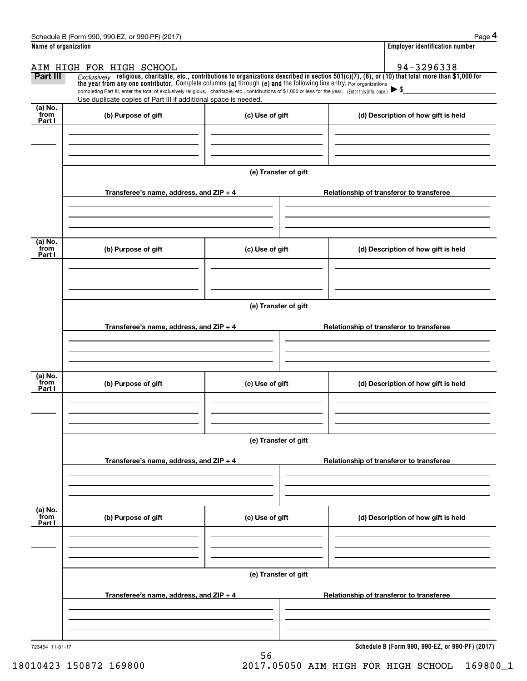|                             | Schedule B (Form 990, 990-EZ, or 990-PF) (2017)                                                                                                                                                                             |                      | Page 4                                                                                                                                                                |  |  |  |
|-----------------------------|-----------------------------------------------------------------------------------------------------------------------------------------------------------------------------------------------------------------------------|----------------------|-----------------------------------------------------------------------------------------------------------------------------------------------------------------------|--|--|--|
| Name of organization        |                                                                                                                                                                                                                             |                      | <b>Employer identification number</b>                                                                                                                                 |  |  |  |
| Part III                    | AIM HIGH FOR HIGH SCHOOL<br>the year from any one contributor. Complete columns (a) through (e) and the following line entry. For organizations                                                                             |                      | 94-3296338<br>$Exclusively$ religious, charitable, etc., contributions to organizations described in section 501(c)(7), (8), or (10) that total more than \$1,000 for |  |  |  |
|                             | completing Part III, enter the total of exclusively religious, charitable, etc., contributions of \$1,000 or less for the year. (Enter this info. once.)<br>Use duplicate copies of Part III if additional space is needed. |                      |                                                                                                                                                                       |  |  |  |
| $(a)$ No.<br>from<br>Part I | (b) Purpose of gift                                                                                                                                                                                                         | (c) Use of gift      | (d) Description of how gift is held                                                                                                                                   |  |  |  |
|                             |                                                                                                                                                                                                                             |                      |                                                                                                                                                                       |  |  |  |
|                             |                                                                                                                                                                                                                             | (e) Transfer of gift |                                                                                                                                                                       |  |  |  |
|                             | Transferee's name, address, and ZIP + 4                                                                                                                                                                                     |                      | Relationship of transferor to transferee                                                                                                                              |  |  |  |
| (a) No.                     |                                                                                                                                                                                                                             |                      |                                                                                                                                                                       |  |  |  |
| from<br>Part I              | (b) Purpose of gift                                                                                                                                                                                                         | (c) Use of gift      | (d) Description of how gift is held                                                                                                                                   |  |  |  |
|                             |                                                                                                                                                                                                                             |                      |                                                                                                                                                                       |  |  |  |
|                             | (e) Transfer of gift                                                                                                                                                                                                        |                      |                                                                                                                                                                       |  |  |  |
|                             | Transferee's name, address, and ZIP + 4                                                                                                                                                                                     |                      | Relationship of transferor to transferee                                                                                                                              |  |  |  |
| (a) No.<br>from             | (b) Purpose of gift                                                                                                                                                                                                         | (c) Use of gift      | (d) Description of how gift is held                                                                                                                                   |  |  |  |
| Part I                      |                                                                                                                                                                                                                             |                      |                                                                                                                                                                       |  |  |  |
|                             |                                                                                                                                                                                                                             | (e) Transfer of gift |                                                                                                                                                                       |  |  |  |
|                             | Transferee's name, address, and ZIP + 4                                                                                                                                                                                     |                      | Relationship of transferor to transferee                                                                                                                              |  |  |  |
|                             |                                                                                                                                                                                                                             |                      |                                                                                                                                                                       |  |  |  |
| (a) No.<br>from<br>Part I   | (b) Purpose of gift                                                                                                                                                                                                         | (c) Use of gift      | (d) Description of how gift is held                                                                                                                                   |  |  |  |
|                             |                                                                                                                                                                                                                             |                      |                                                                                                                                                                       |  |  |  |
|                             | (e) Transfer of gift                                                                                                                                                                                                        |                      |                                                                                                                                                                       |  |  |  |
|                             | Transferee's name, address, and ZIP + 4                                                                                                                                                                                     |                      | Relationship of transferor to transferee                                                                                                                              |  |  |  |
|                             |                                                                                                                                                                                                                             |                      |                                                                                                                                                                       |  |  |  |
| 723454 11-01-17             |                                                                                                                                                                                                                             |                      | Schedule B (Form 990, 990-EZ, or 990-PF) (2017)                                                                                                                       |  |  |  |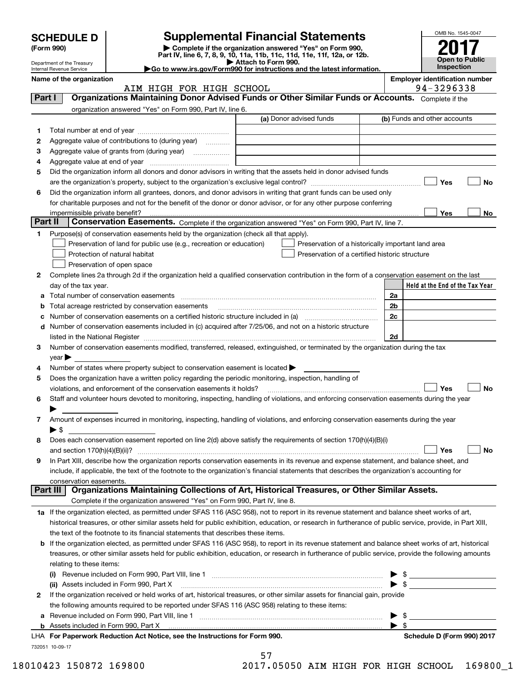|                                                                                                                                                         |                                                                                                                                                    |                                                                                                                                                                                                             |                                                                                                                                                                                                                               |                         | OMB No. 1545-0047                     |
|---------------------------------------------------------------------------------------------------------------------------------------------------------|----------------------------------------------------------------------------------------------------------------------------------------------------|-------------------------------------------------------------------------------------------------------------------------------------------------------------------------------------------------------------|-------------------------------------------------------------------------------------------------------------------------------------------------------------------------------------------------------------------------------|-------------------------|---------------------------------------|
|                                                                                                                                                         | <b>SCHEDULE D</b>                                                                                                                                  |                                                                                                                                                                                                             | <b>Supplemental Financial Statements</b>                                                                                                                                                                                      |                         |                                       |
|                                                                                                                                                         | Complete if the organization answered "Yes" on Form 990,<br>(Form 990)<br>Part IV, line 6, 7, 8, 9, 10, 11a, 11b, 11c, 11d, 11e, 11f, 12a, or 12b. |                                                                                                                                                                                                             |                                                                                                                                                                                                                               |                         |                                       |
| Attach to Form 990.<br>Department of the Treasury<br>Go to www.irs.gov/Form990 for instructions and the latest information.<br>Internal Revenue Service |                                                                                                                                                    |                                                                                                                                                                                                             |                                                                                                                                                                                                                               |                         | Open to Public<br>Inspection          |
|                                                                                                                                                         | Name of the organization                                                                                                                           |                                                                                                                                                                                                             |                                                                                                                                                                                                                               |                         | <b>Employer identification number</b> |
| Part I                                                                                                                                                  |                                                                                                                                                    | AIM HIGH FOR HIGH SCHOOL                                                                                                                                                                                    | Organizations Maintaining Donor Advised Funds or Other Similar Funds or Accounts. Complete if the                                                                                                                             |                         | 94-3296338                            |
|                                                                                                                                                         |                                                                                                                                                    | organization answered "Yes" on Form 990, Part IV, line 6.                                                                                                                                                   |                                                                                                                                                                                                                               |                         |                                       |
|                                                                                                                                                         |                                                                                                                                                    |                                                                                                                                                                                                             | (a) Donor advised funds                                                                                                                                                                                                       |                         | (b) Funds and other accounts          |
| 1                                                                                                                                                       |                                                                                                                                                    |                                                                                                                                                                                                             |                                                                                                                                                                                                                               |                         |                                       |
| 2                                                                                                                                                       |                                                                                                                                                    | Aggregate value of contributions to (during year)                                                                                                                                                           |                                                                                                                                                                                                                               |                         |                                       |
| з                                                                                                                                                       |                                                                                                                                                    | Aggregate value of grants from (during year)                                                                                                                                                                |                                                                                                                                                                                                                               |                         |                                       |
| 4                                                                                                                                                       |                                                                                                                                                    |                                                                                                                                                                                                             |                                                                                                                                                                                                                               |                         |                                       |
| 5                                                                                                                                                       |                                                                                                                                                    |                                                                                                                                                                                                             | Did the organization inform all donors and donor advisors in writing that the assets held in donor advised funds                                                                                                              |                         |                                       |
| 6                                                                                                                                                       |                                                                                                                                                    |                                                                                                                                                                                                             | Did the organization inform all grantees, donors, and donor advisors in writing that grant funds can be used only                                                                                                             |                         | Yes<br>No                             |
|                                                                                                                                                         |                                                                                                                                                    |                                                                                                                                                                                                             | for charitable purposes and not for the benefit of the donor or donor advisor, or for any other purpose conferring                                                                                                            |                         |                                       |
|                                                                                                                                                         | impermissible private benefit?                                                                                                                     |                                                                                                                                                                                                             |                                                                                                                                                                                                                               |                         | Yes<br>No                             |
| Part II                                                                                                                                                 |                                                                                                                                                    |                                                                                                                                                                                                             | Conservation Easements. Complete if the organization answered "Yes" on Form 990, Part IV, line 7.                                                                                                                             |                         |                                       |
| 1.                                                                                                                                                      |                                                                                                                                                    | Purpose(s) of conservation easements held by the organization (check all that apply).                                                                                                                       |                                                                                                                                                                                                                               |                         |                                       |
|                                                                                                                                                         |                                                                                                                                                    | Preservation of land for public use (e.g., recreation or education)                                                                                                                                         | Preservation of a historically important land area                                                                                                                                                                            |                         |                                       |
|                                                                                                                                                         |                                                                                                                                                    | Protection of natural habitat                                                                                                                                                                               | Preservation of a certified historic structure                                                                                                                                                                                |                         |                                       |
|                                                                                                                                                         |                                                                                                                                                    | Preservation of open space                                                                                                                                                                                  |                                                                                                                                                                                                                               |                         |                                       |
| 2                                                                                                                                                       | day of the tax year.                                                                                                                               |                                                                                                                                                                                                             | Complete lines 2a through 2d if the organization held a qualified conservation contribution in the form of a conservation easement on the last                                                                                |                         | Held at the End of the Tax Year       |
| a                                                                                                                                                       |                                                                                                                                                    |                                                                                                                                                                                                             |                                                                                                                                                                                                                               | 2a                      |                                       |
| b                                                                                                                                                       |                                                                                                                                                    | Total acreage restricted by conservation easements                                                                                                                                                          |                                                                                                                                                                                                                               | 2b                      |                                       |
| c                                                                                                                                                       |                                                                                                                                                    |                                                                                                                                                                                                             |                                                                                                                                                                                                                               | 2 <sub>c</sub>          |                                       |
| d                                                                                                                                                       |                                                                                                                                                    |                                                                                                                                                                                                             | Number of conservation easements included in (c) acquired after 7/25/06, and not on a historic structure                                                                                                                      |                         |                                       |
|                                                                                                                                                         |                                                                                                                                                    |                                                                                                                                                                                                             | listed in the National Register [111] Marshall Register [11] Marshall Register [11] Marshall Register [11] Marshall Register [11] Marshall Register [11] Marshall Register [11] Marshall Register [11] Marshall Register [11] | 2d                      |                                       |
| 3                                                                                                                                                       |                                                                                                                                                    |                                                                                                                                                                                                             | Number of conservation easements modified, transferred, released, extinguished, or terminated by the organization during the tax                                                                                              |                         |                                       |
|                                                                                                                                                         | $year \blacktriangleright$                                                                                                                         |                                                                                                                                                                                                             |                                                                                                                                                                                                                               |                         |                                       |
| 4<br>5                                                                                                                                                  |                                                                                                                                                    | Number of states where property subject to conservation easement is located $\blacktriangleright$<br>Does the organization have a written policy regarding the periodic monitoring, inspection, handling of |                                                                                                                                                                                                                               |                         |                                       |
|                                                                                                                                                         |                                                                                                                                                    | violations, and enforcement of the conservation easements it holds?                                                                                                                                         |                                                                                                                                                                                                                               |                         | No<br>Yes                             |
| 6                                                                                                                                                       |                                                                                                                                                    |                                                                                                                                                                                                             | Staff and volunteer hours devoted to monitoring, inspecting, handling of violations, and enforcing conservation easements during the year                                                                                     |                         |                                       |
|                                                                                                                                                         |                                                                                                                                                    |                                                                                                                                                                                                             |                                                                                                                                                                                                                               |                         |                                       |
| 7                                                                                                                                                       |                                                                                                                                                    |                                                                                                                                                                                                             | Amount of expenses incurred in monitoring, inspecting, handling of violations, and enforcing conservation easements during the year                                                                                           |                         |                                       |
|                                                                                                                                                         | $\blacktriangleright$ \$                                                                                                                           |                                                                                                                                                                                                             |                                                                                                                                                                                                                               |                         |                                       |
| 8                                                                                                                                                       |                                                                                                                                                    |                                                                                                                                                                                                             | Does each conservation easement reported on line 2(d) above satisfy the requirements of section 170(h)(4)(B)(i)                                                                                                               |                         |                                       |
|                                                                                                                                                         |                                                                                                                                                    |                                                                                                                                                                                                             |                                                                                                                                                                                                                               |                         | Yes<br>No                             |
| 9                                                                                                                                                       |                                                                                                                                                    |                                                                                                                                                                                                             | In Part XIII, describe how the organization reports conservation easements in its revenue and expense statement, and balance sheet, and                                                                                       |                         |                                       |
|                                                                                                                                                         | conservation easements.                                                                                                                            |                                                                                                                                                                                                             | include, if applicable, the text of the footnote to the organization's financial statements that describes the organization's accounting for                                                                                  |                         |                                       |
|                                                                                                                                                         | Part III                                                                                                                                           |                                                                                                                                                                                                             | Organizations Maintaining Collections of Art, Historical Treasures, or Other Similar Assets.                                                                                                                                  |                         |                                       |
|                                                                                                                                                         |                                                                                                                                                    | Complete if the organization answered "Yes" on Form 990, Part IV, line 8.                                                                                                                                   |                                                                                                                                                                                                                               |                         |                                       |
|                                                                                                                                                         |                                                                                                                                                    |                                                                                                                                                                                                             | 1a If the organization elected, as permitted under SFAS 116 (ASC 958), not to report in its revenue statement and balance sheet works of art,                                                                                 |                         |                                       |
|                                                                                                                                                         |                                                                                                                                                    |                                                                                                                                                                                                             | historical treasures, or other similar assets held for public exhibition, education, or research in furtherance of public service, provide, in Part XIII,                                                                     |                         |                                       |
|                                                                                                                                                         |                                                                                                                                                    | the text of the footnote to its financial statements that describes these items.                                                                                                                            |                                                                                                                                                                                                                               |                         |                                       |
| b                                                                                                                                                       |                                                                                                                                                    |                                                                                                                                                                                                             | If the organization elected, as permitted under SFAS 116 (ASC 958), to report in its revenue statement and balance sheet works of art, historical                                                                             |                         |                                       |
|                                                                                                                                                         |                                                                                                                                                    |                                                                                                                                                                                                             | treasures, or other similar assets held for public exhibition, education, or research in furtherance of public service, provide the following amounts                                                                         |                         |                                       |
|                                                                                                                                                         | relating to these items:                                                                                                                           |                                                                                                                                                                                                             | (i) Revenue included on Form 990, Part VIII, line 1 [2000] [2010] Contract the included on Form 990, Part VIII, line 1                                                                                                        |                         | $\triangleright$ \$                   |
|                                                                                                                                                         |                                                                                                                                                    | (ii) Assets included in Form 990, Part X                                                                                                                                                                    |                                                                                                                                                                                                                               |                         |                                       |
| 2                                                                                                                                                       |                                                                                                                                                    |                                                                                                                                                                                                             | If the organization received or held works of art, historical treasures, or other similar assets for financial gain, provide                                                                                                  |                         |                                       |
|                                                                                                                                                         |                                                                                                                                                    | the following amounts required to be reported under SFAS 116 (ASC 958) relating to these items:                                                                                                             |                                                                                                                                                                                                                               |                         |                                       |
| а                                                                                                                                                       |                                                                                                                                                    |                                                                                                                                                                                                             |                                                                                                                                                                                                                               |                         | $\frac{1}{2}$                         |
|                                                                                                                                                         |                                                                                                                                                    |                                                                                                                                                                                                             |                                                                                                                                                                                                                               | $\blacktriangleright$ s |                                       |
|                                                                                                                                                         |                                                                                                                                                    | LHA For Paperwork Reduction Act Notice, see the Instructions for Form 990.                                                                                                                                  |                                                                                                                                                                                                                               |                         | Schedule D (Form 990) 2017            |
|                                                                                                                                                         | 732051 10-09-17                                                                                                                                    |                                                                                                                                                                                                             |                                                                                                                                                                                                                               |                         |                                       |

| 2 If the organization received or held works of art, historical treasures, or other similar assets for financial gain, provide |
|--------------------------------------------------------------------------------------------------------------------------------|
| the following amounts required to be reported under SFAS 116 (ASC 958) relating to these items:                                |
| Revenue included on Form 990, Part VIII, line 1                                                                                |

57 57

18010423 150872 169800 2017.05050 AIM HIGH FOR HIGH SCHOOL 169800\_1 18010423 150872 169800 2017.05050 AIM HIGH FOR HIGH SCHOOL 169800\_1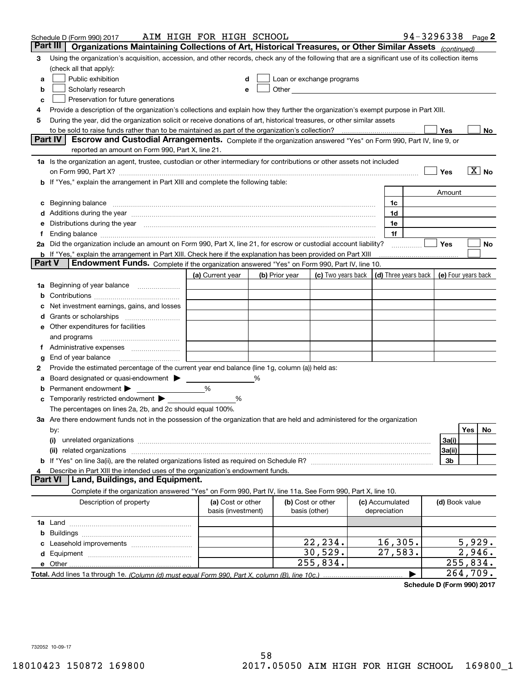|        | Schedule D (Form 990) 2017                                                                                                                                                                                                    | AIM HIGH FOR HIGH SCHOOL                |   |                                    |                                                                                                                                                                                                                                |                                 | 94-3296338 Page 2                          |                                   |                       |    |
|--------|-------------------------------------------------------------------------------------------------------------------------------------------------------------------------------------------------------------------------------|-----------------------------------------|---|------------------------------------|--------------------------------------------------------------------------------------------------------------------------------------------------------------------------------------------------------------------------------|---------------------------------|--------------------------------------------|-----------------------------------|-----------------------|----|
|        | Part III<br>Organizations Maintaining Collections of Art, Historical Treasures, or Other Similar Assets (continued)                                                                                                           |                                         |   |                                    |                                                                                                                                                                                                                                |                                 |                                            |                                   |                       |    |
| з      | Using the organization's acquisition, accession, and other records, check any of the following that are a significant use of its collection items<br>(check all that apply):                                                  |                                         |   |                                    |                                                                                                                                                                                                                                |                                 |                                            |                                   |                       |    |
| а      | Public exhibition                                                                                                                                                                                                             | d                                       |   |                                    | Loan or exchange programs                                                                                                                                                                                                      |                                 |                                            |                                   |                       |    |
| b      | Scholarly research                                                                                                                                                                                                            | e                                       |   |                                    | Other experiences and the state of the state of the state of the state of the state of the state of the state of the state of the state of the state of the state of the state of the state of the state of the state of the s |                                 |                                            |                                   |                       |    |
| c      | Preservation for future generations                                                                                                                                                                                           |                                         |   |                                    |                                                                                                                                                                                                                                |                                 |                                            |                                   |                       |    |
| 4      | Provide a description of the organization's collections and explain how they further the organization's exempt purpose in Part XIII.                                                                                          |                                         |   |                                    |                                                                                                                                                                                                                                |                                 |                                            |                                   |                       |    |
| 5      | During the year, did the organization solicit or receive donations of art, historical treasures, or other similar assets                                                                                                      |                                         |   |                                    |                                                                                                                                                                                                                                |                                 |                                            |                                   |                       |    |
|        | to be sold to raise funds rather than to be maintained as part of the organization's collection?                                                                                                                              |                                         |   |                                    |                                                                                                                                                                                                                                | . <u>.</u>                      |                                            | Yes                               |                       | No |
|        | Part IV<br>Escrow and Custodial Arrangements. Complete if the organization answered "Yes" on Form 990, Part IV, line 9, or                                                                                                    |                                         |   |                                    |                                                                                                                                                                                                                                |                                 |                                            |                                   |                       |    |
|        | reported an amount on Form 990, Part X, line 21.                                                                                                                                                                              |                                         |   |                                    |                                                                                                                                                                                                                                |                                 |                                            |                                   |                       |    |
|        | 1a Is the organization an agent, trustee, custodian or other intermediary for contributions or other assets not included                                                                                                      |                                         |   |                                    |                                                                                                                                                                                                                                |                                 |                                            |                                   |                       |    |
|        | on Form 990, Part X? [11] matter contracts and contracts and contracts are contracted as a form 990, Part X?                                                                                                                  |                                         |   |                                    |                                                                                                                                                                                                                                |                                 |                                            | Yes                               | $\boxed{\text{X}}$ No |    |
|        | b If "Yes," explain the arrangement in Part XIII and complete the following table:                                                                                                                                            |                                         |   |                                    |                                                                                                                                                                                                                                |                                 |                                            |                                   |                       |    |
|        |                                                                                                                                                                                                                               |                                         |   |                                    |                                                                                                                                                                                                                                |                                 |                                            | Amount                            |                       |    |
| c      | Beginning balance <b>contract to the contract of the contract of the contract of the contract of the contract of t</b>                                                                                                        |                                         |   |                                    |                                                                                                                                                                                                                                | 1c                              |                                            |                                   |                       |    |
|        | d Additions during the year measurement contracts and a state of the year.                                                                                                                                                    |                                         |   |                                    |                                                                                                                                                                                                                                | 1d                              |                                            |                                   |                       |    |
|        | e Distributions during the year manufactured and continuum control of the control of the control of the state of the control of the control of the control of the control of the control of the control of the control of the |                                         |   |                                    |                                                                                                                                                                                                                                | 1e                              |                                            |                                   |                       |    |
| Ť.     |                                                                                                                                                                                                                               |                                         |   |                                    |                                                                                                                                                                                                                                | 1f                              |                                            |                                   |                       |    |
|        | 2a Did the organization include an amount on Form 990, Part X, line 21, for escrow or custodial account liability?                                                                                                            |                                         |   |                                    |                                                                                                                                                                                                                                |                                 |                                            | Yes                               |                       | No |
|        | b If "Yes," explain the arrangement in Part XIII. Check here if the explanation has been provided on Part XIII                                                                                                                |                                         |   |                                    |                                                                                                                                                                                                                                |                                 |                                            |                                   |                       |    |
| Part V | Endowment Funds. Complete if the organization answered "Yes" on Form 990, Part IV, line 10.                                                                                                                                   |                                         |   |                                    |                                                                                                                                                                                                                                |                                 |                                            |                                   |                       |    |
|        |                                                                                                                                                                                                                               | (a) Current year                        |   | (b) Prior year                     | (c) Two years back                                                                                                                                                                                                             |                                 | (d) Three years back   (e) Four years back |                                   |                       |    |
|        | 1a Beginning of year balance                                                                                                                                                                                                  |                                         |   |                                    |                                                                                                                                                                                                                                |                                 |                                            |                                   |                       |    |
| b      |                                                                                                                                                                                                                               |                                         |   |                                    |                                                                                                                                                                                                                                |                                 |                                            |                                   |                       |    |
| с      | Net investment earnings, gains, and losses                                                                                                                                                                                    |                                         |   |                                    |                                                                                                                                                                                                                                |                                 |                                            |                                   |                       |    |
| d      |                                                                                                                                                                                                                               |                                         |   |                                    |                                                                                                                                                                                                                                |                                 |                                            |                                   |                       |    |
|        | e Other expenditures for facilities                                                                                                                                                                                           |                                         |   |                                    |                                                                                                                                                                                                                                |                                 |                                            |                                   |                       |    |
|        | and programs                                                                                                                                                                                                                  |                                         |   |                                    |                                                                                                                                                                                                                                |                                 |                                            |                                   |                       |    |
|        |                                                                                                                                                                                                                               |                                         |   |                                    |                                                                                                                                                                                                                                |                                 |                                            |                                   |                       |    |
| g      |                                                                                                                                                                                                                               |                                         |   |                                    |                                                                                                                                                                                                                                |                                 |                                            |                                   |                       |    |
| 2      | Provide the estimated percentage of the current year end balance (line 1g, column (a)) held as:                                                                                                                               |                                         |   |                                    |                                                                                                                                                                                                                                |                                 |                                            |                                   |                       |    |
| а      | Board designated or quasi-endowment >                                                                                                                                                                                         |                                         | % |                                    |                                                                                                                                                                                                                                |                                 |                                            |                                   |                       |    |
| b      | Permanent endowment                                                                                                                                                                                                           | %                                       |   |                                    |                                                                                                                                                                                                                                |                                 |                                            |                                   |                       |    |
| c      | Temporarily restricted endowment                                                                                                                                                                                              | %                                       |   |                                    |                                                                                                                                                                                                                                |                                 |                                            |                                   |                       |    |
|        | The percentages on lines 2a, 2b, and 2c should equal 100%.                                                                                                                                                                    |                                         |   |                                    |                                                                                                                                                                                                                                |                                 |                                            |                                   |                       |    |
|        | 3a Are there endowment funds not in the possession of the organization that are held and administered for the organization                                                                                                    |                                         |   |                                    |                                                                                                                                                                                                                                |                                 |                                            |                                   |                       |    |
|        | by:                                                                                                                                                                                                                           |                                         |   |                                    |                                                                                                                                                                                                                                |                                 |                                            |                                   | Yes                   | No |
|        | (i)                                                                                                                                                                                                                           |                                         |   |                                    |                                                                                                                                                                                                                                |                                 |                                            | 3a(i)                             |                       |    |
|        |                                                                                                                                                                                                                               |                                         |   |                                    |                                                                                                                                                                                                                                |                                 |                                            | 3a(ii)                            |                       |    |
|        |                                                                                                                                                                                                                               |                                         |   |                                    |                                                                                                                                                                                                                                |                                 |                                            | 3b                                |                       |    |
| 4      | Describe in Part XIII the intended uses of the organization's endowment funds.                                                                                                                                                |                                         |   |                                    |                                                                                                                                                                                                                                |                                 |                                            |                                   |                       |    |
|        | Land, Buildings, and Equipment.<br>Part VI                                                                                                                                                                                    |                                         |   |                                    |                                                                                                                                                                                                                                |                                 |                                            |                                   |                       |    |
|        | Complete if the organization answered "Yes" on Form 990, Part IV, line 11a. See Form 990, Part X, line 10.                                                                                                                    |                                         |   |                                    |                                                                                                                                                                                                                                |                                 |                                            |                                   |                       |    |
|        | Description of property                                                                                                                                                                                                       | (a) Cost or other<br>basis (investment) |   | (b) Cost or other<br>basis (other) |                                                                                                                                                                                                                                | (c) Accumulated<br>depreciation |                                            | (d) Book value                    |                       |    |
|        |                                                                                                                                                                                                                               |                                         |   |                                    |                                                                                                                                                                                                                                |                                 |                                            |                                   |                       |    |
| b      |                                                                                                                                                                                                                               |                                         |   |                                    |                                                                                                                                                                                                                                |                                 |                                            |                                   |                       |    |
| c      |                                                                                                                                                                                                                               |                                         |   |                                    | 22,234.                                                                                                                                                                                                                        | 16, 305.                        |                                            |                                   | 5,929.                |    |
|        |                                                                                                                                                                                                                               |                                         |   |                                    | 30,529.                                                                                                                                                                                                                        | 27,583.                         |                                            |                                   | 2,946.                |    |
|        |                                                                                                                                                                                                                               |                                         |   |                                    | 255,834.                                                                                                                                                                                                                       |                                 |                                            | 255,834.                          |                       |    |
|        |                                                                                                                                                                                                                               |                                         |   |                                    |                                                                                                                                                                                                                                |                                 |                                            |                                   | 264,709.              |    |
|        |                                                                                                                                                                                                                               |                                         |   |                                    |                                                                                                                                                                                                                                |                                 |                                            | $div A \nabla (F_{num} 000) 0047$ |                       |    |

**Schedule D (Form 990) <sup>2017</sup> Schedule D (Form 990) 2017**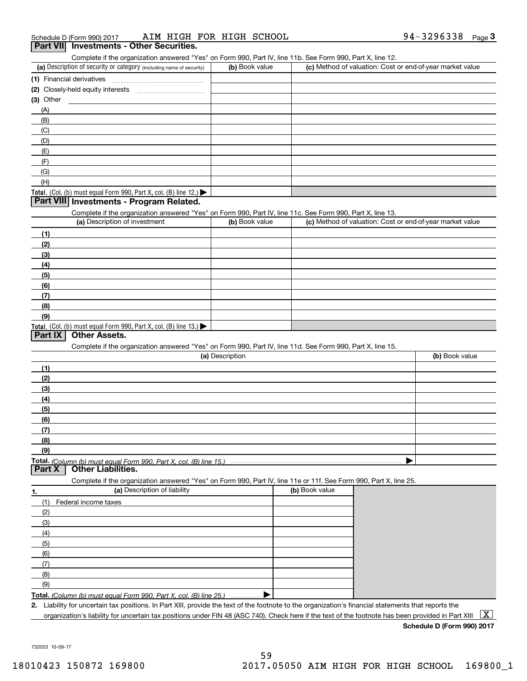### Schedule D (Form 990) 2017 AIM HIGH FOR HIGH SCHOOL **194-3296338** Page 3 **Part VII Investments - Other Securities. 3Part VII Investments - Other Securities.** Complete if the organization answered "Yes" on Form 990, Part IV, line 11b. See Form 990, Part X, line 12. (a) Description of security or category (including name of security)  $\vert$  (b) Book value  $\vert$  (c) Method of valuation: Cost or end-Book value **C** (c) Method of valuation: Cost or end-of-year market value (1) Financial derivatives ~ ~ ~ ~ ~ ~ ~ ~ ~ ~ ~ ~ ~ ~ ~ **(1)** Financial derivatives ~~~~~~~~~~~~~~~ (2) Closely-held equity interests **was also also also construently** (3) Other **(3)**Other**Investments - Program Related. Part VIII Investments - Program Related.** Complete if the organization answered "Yes" on Form 990, Part IV, line 11d. See Form 990, Part X, line 15. Total. (Col. (b) must equal Form 990, Part X, col. (B) line 12.) Total. (Col. (b) must equal Form 990, Part X, col. (B) line 13.) **(a)** Description of investment **being the control (c) (c) (c) (c) (1)(2)(3)(4)(5)(6)(7)(8)(9)** (a) Description **(b) (b) (c) (c) (b) (b) (1)(2)(3)(4)(5)**(A)(B)(C)(D)(E)(F)(G)(H)Complete if the organization answered "Yes" on Form 990, Part IV, line 11c. See Form 990, Part X, line 13. Description**Part IX Other Assets.**

| (a) Description of investment | (b) Book value | (c) Method of valuation: Cost or end-of-year market value |
|-------------------------------|----------------|-----------------------------------------------------------|
| (1)                           |                |                                                           |
| (2)                           |                |                                                           |
| $\left(3\right)$              |                |                                                           |
| (4)                           |                |                                                           |
| (5)                           |                |                                                           |
| (6)                           |                |                                                           |
| 171                           |                |                                                           |

| (a) Description | (b) Book value |
|-----------------|----------------|
| (1)             |                |
| (2)             |                |
| (3)             |                |
| (4)             |                |
| $\frac{1}{2}$   |                |
| (6)             |                |
|                 |                |
| (8)             |                |
| (9)             |                |
|                 |                |

#### **Part X Other Liabilities.**

Complete if the organization answered "Yes" on Form 990, Part IV, line 11e or 11f. See Form 990, Part X, line 25.

| 1.  | (a) Description of liability                                       | (b) Book value |
|-----|--------------------------------------------------------------------|----------------|
| (1) | Federal income taxes                                               |                |
| (2) |                                                                    |                |
| (3) |                                                                    |                |
| (4) |                                                                    |                |
| (5) |                                                                    |                |
| (6) |                                                                    |                |
| (7) |                                                                    |                |
| (8) |                                                                    |                |
| (9) |                                                                    |                |
|     | Total. (Column (b) must equal Form 990, Part X, col. (B) line 25.) |                |

2. Liability for uncertain tax positions. In Part XIII, provide the text of the footnote to the organization's financial statements that reports the organization's liability for uncertain tax positions under FIN 48 (ASC 740). Check here if the text of the footnote has been provided in Part XIII  $~\fbox{X}$ 

**Schedule D (Form 990) 2017 Schedule D (Form 990) 2017**

732053 10-09-17 732053 10-09-17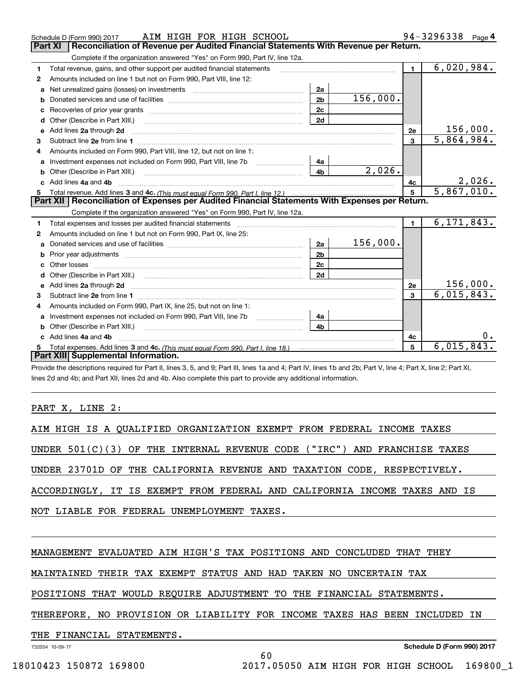|    | AIM HIGH FOR HIGH SCHOOL<br>Schedule D (Form 990) 2017                                                                                                                                                                         |                |          |                 | $94 - 3296338$ Page 4     |
|----|--------------------------------------------------------------------------------------------------------------------------------------------------------------------------------------------------------------------------------|----------------|----------|-----------------|---------------------------|
|    | Reconciliation of Revenue per Audited Financial Statements With Revenue per Return.<br><b>Part XI</b>                                                                                                                          |                |          |                 |                           |
|    | Complete if the organization answered "Yes" on Form 990, Part IV, line 12a.                                                                                                                                                    |                |          |                 |                           |
| 1  | Total revenue, gains, and other support per audited financial statements                                                                                                                                                       |                |          | $\mathbf{1}$    | 6,020,984.                |
| 2  | Amounts included on line 1 but not on Form 990, Part VIII, line 12:                                                                                                                                                            |                |          |                 |                           |
| a  | Net unrealized gains (losses) on investments [11] matter contracts and the unrealized gains (losses) on investments                                                                                                            | 2a             |          |                 |                           |
| b  |                                                                                                                                                                                                                                | 2 <sub>b</sub> | 156,000. |                 |                           |
| c  | Recoveries of prior year grants [11] matter contracts and prior year grants [11] matter contracts and all the contracts and all the contracts and all the contracts and all the contracts and all the contracts and all the co | 2c             |          |                 |                           |
| d  | Other (Describe in Part XIII.)                                                                                                                                                                                                 | 2d             |          |                 |                           |
| е  | Add lines 2a through 2d                                                                                                                                                                                                        |                |          | 2е              | 156,000.                  |
| 3  | Subtract line 2e from line 1 <b>Manual Community and Community</b> Subtract line 2e from line 1                                                                                                                                |                |          | 3               | $\overline{5,864}$ , 984. |
|    | Amounts included on Form 990, Part VIII, line 12, but not on line 1:                                                                                                                                                           |                |          |                 |                           |
| a  | Investment expenses not included on Form 990, Part VIII, line 7b [11, 111, 111, 111]                                                                                                                                           | 4a             |          |                 |                           |
| b  | Other (Describe in Part XIII.) <b>Construction Contract Construction</b> Construction Construction Construction Constr                                                                                                         | 4 <sub>b</sub> | 2,026.   |                 |                           |
| c. | Add lines 4a and 4b                                                                                                                                                                                                            |                |          | 4c              | 2,026.                    |
| 5  |                                                                                                                                                                                                                                |                |          | $5\overline{5}$ | 5,867,010.                |
|    | Part XII   Reconciliation of Expenses per Audited Financial Statements With Expenses per Return.                                                                                                                               |                |          |                 |                           |
|    | Complete if the organization answered "Yes" on Form 990, Part IV, line 12a.                                                                                                                                                    |                |          |                 |                           |
| 1  |                                                                                                                                                                                                                                |                |          | $\blacksquare$  | 6, 171, 843.              |
| 2  | Amounts included on line 1 but not on Form 990, Part IX, line 25:                                                                                                                                                              |                |          |                 |                           |
| a  |                                                                                                                                                                                                                                | 2a             | 156,000. |                 |                           |
| b  |                                                                                                                                                                                                                                | 2 <sub>b</sub> |          |                 |                           |
| c  |                                                                                                                                                                                                                                | 2c             |          |                 |                           |
| d  |                                                                                                                                                                                                                                | 2d             |          |                 |                           |
|    |                                                                                                                                                                                                                                |                |          | 2e              | 156,000.                  |
| 3  |                                                                                                                                                                                                                                |                |          | 3               | 6,015,843.                |
| 4  | Amounts included on Form 990, Part IX, line 25, but not on line 1:                                                                                                                                                             |                |          |                 |                           |
| a  | Investment expenses not included on Form 990, Part VIII, line 7b [1000000000000000000000000000000000                                                                                                                           | 4a             |          |                 |                           |
| b  | Other (Describe in Part XIII.) <b>Construction Contract Construction</b> Chern Construction Construction Construction                                                                                                          | 4h             |          |                 |                           |
| c. | Add lines 4a and 4b                                                                                                                                                                                                            |                |          | 4с              |                           |
|    |                                                                                                                                                                                                                                |                |          | 5               | 6,015,843                 |
|    | Part XIII Supplemental Information.                                                                                                                                                                                            |                |          |                 |                           |

-<br>Provide the descriptions required for Part II, lines 3, 5, and 9; Part III, lines 1a and 4; Part IV, lines 1b and 2b; Part V, line 4; Part X, line 2; Part XI, lines 2d and 4b; and Part XII, lines 2d and 4b. Also complete this part to provide any additional information.

## PART X, LINE 2:

|  |  |  |  |  | AIM HIGH IS A QUALIFIED ORGANIZATION EXEMPT FROM FEDERAL INCOME TAXES   |                                                                            |
|--|--|--|--|--|-------------------------------------------------------------------------|----------------------------------------------------------------------------|
|  |  |  |  |  |                                                                         |                                                                            |
|  |  |  |  |  |                                                                         | UNDER $501(C)(3)$ OF THE INTERNAL REVENUE CODE ("IRC") AND FRANCHISE TAXES |
|  |  |  |  |  |                                                                         |                                                                            |
|  |  |  |  |  | UNDER 23701D OF THE CALIFORNIA REVENUE AND TAXATION CODE, RESPECTIVELY. |                                                                            |
|  |  |  |  |  |                                                                         |                                                                            |

ACCORDINGLY, IT IS EXEMPT FROM FEDERAL AND CALIFORNIA INCOME TAXES AND IS ACCORDINGLY, IT IS EXEMPT FROM FEDERAL AND CALIFORNIA INCOME TAXES AND IS

NOT LIABLE FOR FEDERAL UNEMPLOYMENT TAXES. NOT LIABLE FOR FEDERAL UNEMPLOYMENT TAXES.

### MANAGEMENT EVALUATED AIM HIGH'S TAX POSITIONS AND CONCLUDED THAT THEY MANAGEMENT EVALUATED AIM HIGH'S TAX POSITIONS AND CONCLUDED THAT THEY

MAINTAINED THEIR TAX EXEMPT STATUS AND HAD TAKEN NO UNCERTAIN TAX MAINTAINED THEIR TAX EXEMPT STATUS AND HAD TAKEN NO UNCERTAIN TAX

POSITIONS THAT WOULD REQUIRE ADJUSTMENT TO THE FINANCIAL STATEMENTS. POSITIONS THAT WOULD REQUIRE ADJUSTMENT TO THE FINANCIAL STATEMENTS.

## THEREFORE, NO PROVISION OR LIABILITY FOR INCOME TAXES HAS BEEN INCLUDED IN THEREFORE, NO PROVISION OR LIABILITY FOR INCOME TAXES HAS BEEN INCLUDED IN

60 60

|  |  | THE FINANCIAL STATEMENTS. |
|--|--|---------------------------|
|--|--|---------------------------|

732054 10-09-17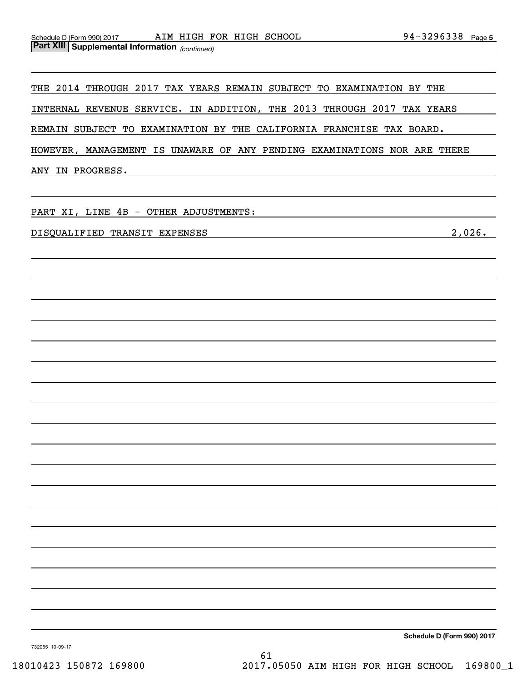THE 2014 THROUGH 2017 TAX YEARS REMAIN SUBJECT TO EXAMINATION BY THE THE 2014 THROUGH 2017 TAX YEARS REMAIN SUBJECT TO EXAMINATION BY THE

INTERNAL REVENUE SERVICE. IN ADDITION, THE 2013 THROUGH 2017 TAX YEARS INTERNAL REVENUE SERVICE. IN ADDITION, THE 2013 THROUGH 2017 TAX YEARS

REMAIN SUBJECT TO EXAMINATION BY THE CALIFORNIA FRANCHISE TAX BOARD. REMAIN SUBJECT TO EXAMINATION BY THE CALIFORNIA FRANCHISE TAX BOARD.

HOWEVER, MANAGEMENT IS UNAWARE OF ANY PENDING EXAMINATIONS NOR ARE THERE HOWEVER, MANAGEMENT IS UNAWARE OF ANY PENDING EXAMINATIONS NOR ARE THERE

ANY IN PROGRESS. ANY IN PROGRESS.

PART XI , LINE 4B - OTHER ADJUSTMENTS: PART XI, LINE 4B - OTHER ADJUSTMENTS:

DISQUALIFIED TRANSIT EXPENSES 2 ,026 . DISQUALIFIED TRANSIT EXPENSES 2,026.

**Schedule D (Form 990) <sup>2017</sup> Schedule D (Form 990) 2017**

732055 10-09-17 732055 10-09-17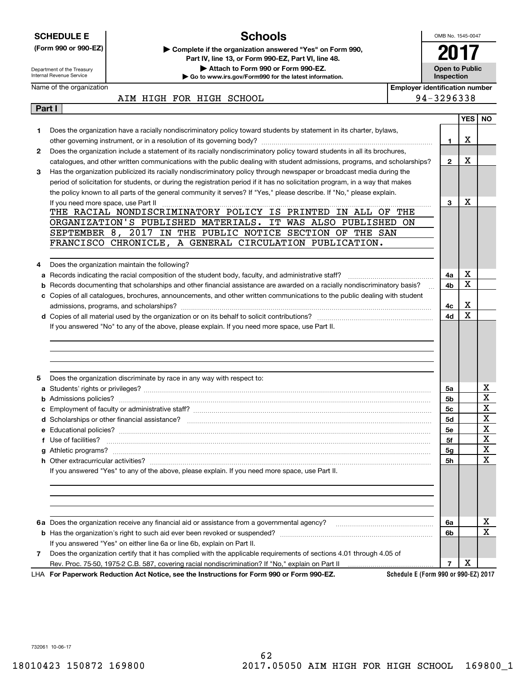|                                                                                                                                                       | <b>SCHEDULE E</b>                   | <b>Schools</b>                                                                                                                                                                                                                                         |                                       | OMB No. 1545-0047 |                                     |             |
|-------------------------------------------------------------------------------------------------------------------------------------------------------|-------------------------------------|--------------------------------------------------------------------------------------------------------------------------------------------------------------------------------------------------------------------------------------------------------|---------------------------------------|-------------------|-------------------------------------|-------------|
|                                                                                                                                                       | (Form 990 or 990-EZ)                | Complete if the organization answered "Yes" on Form 990,                                                                                                                                                                                               |                                       |                   |                                     |             |
|                                                                                                                                                       |                                     | Part IV, line 13, or Form 990-EZ, Part VI, line 48.                                                                                                                                                                                                    |                                       |                   |                                     |             |
| Attach to Form 990 or Form 990-EZ.<br>Department of the Treasury<br>Internal Revenue Service<br>Go to www.irs.gov/Form990 for the latest information. |                                     |                                                                                                                                                                                                                                                        |                                       |                   | <b>Open to Public</b><br>Inspection |             |
|                                                                                                                                                       | Name of the organization            |                                                                                                                                                                                                                                                        | <b>Employer identification number</b> |                   |                                     |             |
|                                                                                                                                                       |                                     | AIM HIGH FOR HIGH SCHOOL                                                                                                                                                                                                                               |                                       | 94-3296338        |                                     |             |
| Part I                                                                                                                                                |                                     |                                                                                                                                                                                                                                                        |                                       |                   |                                     |             |
|                                                                                                                                                       |                                     |                                                                                                                                                                                                                                                        |                                       |                   | <b>YES</b>                          | NO.         |
| 1.                                                                                                                                                    |                                     | Does the organization have a racially nondiscriminatory policy toward students by statement in its charter, bylaws,                                                                                                                                    |                                       |                   |                                     |             |
|                                                                                                                                                       |                                     |                                                                                                                                                                                                                                                        |                                       | 1                 | х                                   |             |
| $\mathbf{2}$                                                                                                                                          |                                     | Does the organization include a statement of its racially nondiscriminatory policy toward students in all its brochures,                                                                                                                               |                                       |                   | х                                   |             |
| 3                                                                                                                                                     |                                     | catalogues, and other written communications with the public dealing with student admissions, programs, and scholarships?                                                                                                                              |                                       | $\mathbf{2}$      |                                     |             |
|                                                                                                                                                       |                                     | Has the organization publicized its racially nondiscriminatory policy through newspaper or broadcast media during the<br>period of solicitation for students, or during the registration period if it has no solicitation program, in a way that makes |                                       |                   |                                     |             |
|                                                                                                                                                       |                                     | the policy known to all parts of the general community it serves? If "Yes," please describe. If "No," please explain.                                                                                                                                  |                                       |                   |                                     |             |
|                                                                                                                                                       | If you need more space, use Part II | <u> 1999 - 1999 - 1999 - 1999 - 1999 - 1999 - 1999 - 1999 - 1999 - 1999 - 1999 - 1999 - 1999 - 1999 - 1999 - 199</u>                                                                                                                                   |                                       | 3                 | Х                                   |             |
|                                                                                                                                                       |                                     | THE RACIAL NONDISCRIMINATORY POLICY IS PRINTED IN ALL OF THE                                                                                                                                                                                           |                                       |                   |                                     |             |
|                                                                                                                                                       |                                     | ORGANIZATION'S PUBLISHED MATERIALS. IT WAS ALSO PUBLISHED ON                                                                                                                                                                                           |                                       |                   |                                     |             |
|                                                                                                                                                       |                                     | SEPTEMBER 8, 2017 IN THE PUBLIC NOTICE SECTION OF THE SAN                                                                                                                                                                                              |                                       |                   |                                     |             |
|                                                                                                                                                       |                                     | FRANCISCO CHRONICLE, A GENERAL CIRCULATION PUBLICATION.                                                                                                                                                                                                |                                       |                   |                                     |             |
|                                                                                                                                                       |                                     |                                                                                                                                                                                                                                                        |                                       |                   |                                     |             |
| 4                                                                                                                                                     |                                     | Does the organization maintain the following?                                                                                                                                                                                                          |                                       |                   |                                     |             |
| а                                                                                                                                                     |                                     | Records indicating the racial composition of the student body, faculty, and administrative staff?                                                                                                                                                      |                                       | 4a                | х                                   |             |
| b                                                                                                                                                     |                                     | Records documenting that scholarships and other financial assistance are awarded on a racially nondiscriminatory basis?                                                                                                                                |                                       | 4b                | $\mathbf x$                         |             |
|                                                                                                                                                       |                                     | c Copies of all catalogues, brochures, announcements, and other written communications to the public dealing with student                                                                                                                              |                                       | 4с                | X                                   |             |
|                                                                                                                                                       |                                     |                                                                                                                                                                                                                                                        |                                       |                   |                                     |             |
|                                                                                                                                                       |                                     | If you answered "No" to any of the above, please explain. If you need more space, use Part II.                                                                                                                                                         |                                       | 4d                | $\mathbf X$                         |             |
|                                                                                                                                                       |                                     |                                                                                                                                                                                                                                                        |                                       |                   |                                     |             |
|                                                                                                                                                       |                                     |                                                                                                                                                                                                                                                        |                                       |                   |                                     |             |
|                                                                                                                                                       |                                     |                                                                                                                                                                                                                                                        |                                       |                   |                                     |             |
|                                                                                                                                                       |                                     |                                                                                                                                                                                                                                                        |                                       |                   |                                     |             |
|                                                                                                                                                       |                                     |                                                                                                                                                                                                                                                        |                                       |                   |                                     |             |
| 5                                                                                                                                                     |                                     | Does the organization discriminate by race in any way with respect to:                                                                                                                                                                                 |                                       |                   |                                     |             |
|                                                                                                                                                       |                                     |                                                                                                                                                                                                                                                        |                                       | 5a                |                                     | х           |
|                                                                                                                                                       |                                     |                                                                                                                                                                                                                                                        |                                       | 5b                |                                     | $\mathbf X$ |
|                                                                                                                                                       |                                     | <b>c</b> Employment of faculty or administrative staff?                                                                                                                                                                                                |                                       | 5 <sub>c</sub>    |                                     | $\mathbf X$ |
|                                                                                                                                                       |                                     |                                                                                                                                                                                                                                                        |                                       | 5d                |                                     | х           |
|                                                                                                                                                       |                                     |                                                                                                                                                                                                                                                        |                                       | 5е                |                                     | X           |
|                                                                                                                                                       | f Use of facilities?                |                                                                                                                                                                                                                                                        |                                       | 5f                |                                     | X           |
|                                                                                                                                                       |                                     |                                                                                                                                                                                                                                                        |                                       | 5g                |                                     | X           |
|                                                                                                                                                       |                                     |                                                                                                                                                                                                                                                        |                                       | <b>5h</b>         |                                     | X           |
|                                                                                                                                                       |                                     | If you answered "Yes" to any of the above, please explain. If you need more space, use Part II.                                                                                                                                                        |                                       |                   |                                     |             |
|                                                                                                                                                       |                                     |                                                                                                                                                                                                                                                        |                                       |                   |                                     |             |
|                                                                                                                                                       |                                     |                                                                                                                                                                                                                                                        |                                       |                   |                                     |             |
|                                                                                                                                                       |                                     |                                                                                                                                                                                                                                                        |                                       |                   |                                     |             |
|                                                                                                                                                       |                                     | 6a Does the organization receive any financial aid or assistance from a governmental agency?                                                                                                                                                           |                                       | 6a                |                                     | х           |
|                                                                                                                                                       |                                     |                                                                                                                                                                                                                                                        |                                       | 6b                |                                     | $\mathbf x$ |
|                                                                                                                                                       |                                     | If you answered "Yes" on either line 6a or line 6b, explain on Part II.                                                                                                                                                                                |                                       |                   |                                     |             |
| 7                                                                                                                                                     |                                     | Does the organization certify that it has complied with the applicable requirements of sections 4.01 through 4.05 of<br>Rev. Proc. 75-50, 1975-2 C.B. 587, covering racial nondiscrimination? If "No," explain on Part II                              |                                       | 7                 | х                                   |             |

732061 10-06-17 732061 10-06-17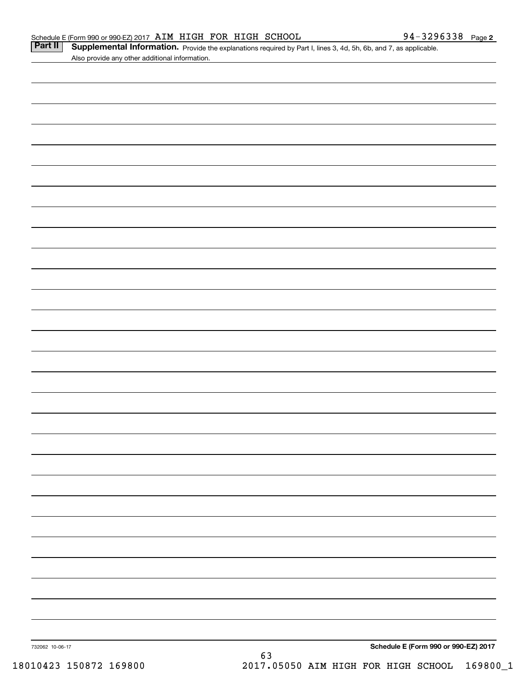| Schedule E (Form 990 or 990-EZ) 2017 AIM HIGH FOR HIGH SCHOOL |  |  |                                                                                                                                  | 94-3296338 $_{Page 2}$ |  |
|---------------------------------------------------------------|--|--|----------------------------------------------------------------------------------------------------------------------------------|------------------------|--|
|                                                               |  |  | <b>Part II</b> Supplemental Information. Provide the explanations required by Part I, lines 3, 4d, 5h, 6b, and 7, as applicable. |                        |  |

| Part II | Supplemental Information. Provide the explanations required by Part I, lines 3, 4d, 5h, 6b, and 7, as applicable. |  |
|---------|-------------------------------------------------------------------------------------------------------------------|--|
|         | Also provide any other additional information.                                                                    |  |

| 732062 10-06-17 | 63 | Schedule E (Form 990 or 990-EZ) 2017 |
|-----------------|----|--------------------------------------|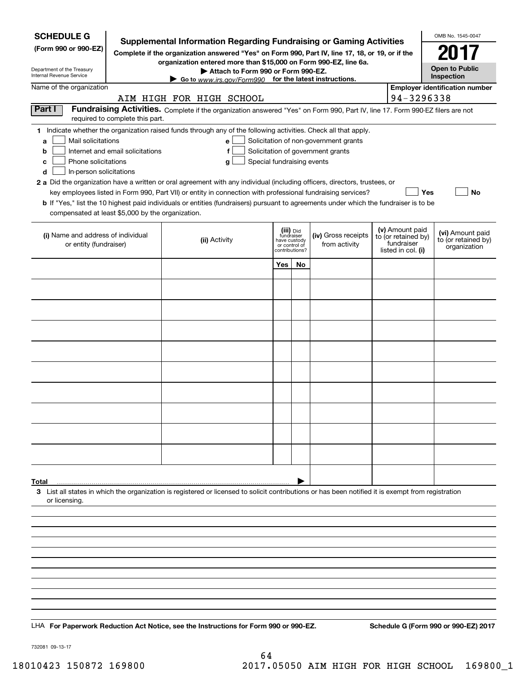| <b>SCHEDULE G</b>                                                                                                                                                                                                                                                                                                                                                                                                                                                                                                                                                                  |                                                                                                                                                                               |                                                               |           |                                                                            |                                                                            |            | OMB No. 1545-0047                                       |
|------------------------------------------------------------------------------------------------------------------------------------------------------------------------------------------------------------------------------------------------------------------------------------------------------------------------------------------------------------------------------------------------------------------------------------------------------------------------------------------------------------------------------------------------------------------------------------|-------------------------------------------------------------------------------------------------------------------------------------------------------------------------------|---------------------------------------------------------------|-----------|----------------------------------------------------------------------------|----------------------------------------------------------------------------|------------|---------------------------------------------------------|
| (Form 990 or 990-EZ)                                                                                                                                                                                                                                                                                                                                                                                                                                                                                                                                                               | <b>Supplemental Information Regarding Fundraising or Gaming Activities</b><br>Complete if the organization answered "Yes" on Form 990, Part IV, line 17, 18, or 19, or if the |                                                               |           |                                                                            |                                                                            |            | 2017                                                    |
| Department of the Treasury                                                                                                                                                                                                                                                                                                                                                                                                                                                                                                                                                         | organization entered more than \$15,000 on Form 990-EZ, line 6a.<br>Attach to Form 990 or Form 990-EZ.                                                                        |                                                               |           |                                                                            |                                                                            |            | <b>Open to Public</b>                                   |
| <b>Internal Revenue Service</b><br>Name of the organization                                                                                                                                                                                                                                                                                                                                                                                                                                                                                                                        | Go to www.irs.gov/Form990 for the latest instructions.                                                                                                                        |                                                               |           |                                                                            |                                                                            |            | Inspection<br><b>Employer identification number</b>     |
|                                                                                                                                                                                                                                                                                                                                                                                                                                                                                                                                                                                    | AIM HIGH FOR HIGH SCHOOL                                                                                                                                                      |                                                               |           |                                                                            |                                                                            | 94-3296338 |                                                         |
| Part I<br>required to complete this part.                                                                                                                                                                                                                                                                                                                                                                                                                                                                                                                                          | Fundraising Activities. Complete if the organization answered "Yes" on Form 990, Part IV, line 17. Form 990-EZ filers are not                                                 |                                                               |           |                                                                            |                                                                            |            |                                                         |
| 1 Indicate whether the organization raised funds through any of the following activities. Check all that apply.<br>Mail solicitations<br>a<br>Internet and email solicitations<br>b<br>Phone solicitations<br>c<br>In-person solicitations<br>d<br>2 a Did the organization have a written or oral agreement with any individual (including officers, directors, trustees, or<br><b>b</b> If "Yes," list the 10 highest paid individuals or entities (fundraisers) pursuant to agreements under which the fundraiser is to be<br>compensated at least \$5,000 by the organization. | е<br>f<br>Special fundraising events<br>g<br>key employees listed in Form 990, Part VII) or entity in connection with professional fundraising services?                      |                                                               |           | Solicitation of non-government grants<br>Solicitation of government grants |                                                                            |            | Yes<br>No                                               |
| (i) Name and address of individual<br>or entity (fundraiser)                                                                                                                                                                                                                                                                                                                                                                                                                                                                                                                       | (ii) Activity                                                                                                                                                                 | fundraiser<br>have custody<br>or control of<br>contributions? | (iii) Did | (iv) Gross receipts<br>from activity                                       | (v) Amount paid<br>to (or retained by)<br>fundraiser<br>listed in col. (i) |            | (vi) Amount paid<br>to (or retained by)<br>organization |
|                                                                                                                                                                                                                                                                                                                                                                                                                                                                                                                                                                                    |                                                                                                                                                                               | Yes                                                           | <b>No</b> |                                                                            |                                                                            |            |                                                         |
|                                                                                                                                                                                                                                                                                                                                                                                                                                                                                                                                                                                    |                                                                                                                                                                               |                                                               |           |                                                                            |                                                                            |            |                                                         |
|                                                                                                                                                                                                                                                                                                                                                                                                                                                                                                                                                                                    |                                                                                                                                                                               |                                                               |           |                                                                            |                                                                            |            |                                                         |
|                                                                                                                                                                                                                                                                                                                                                                                                                                                                                                                                                                                    |                                                                                                                                                                               |                                                               |           |                                                                            |                                                                            |            |                                                         |
|                                                                                                                                                                                                                                                                                                                                                                                                                                                                                                                                                                                    |                                                                                                                                                                               |                                                               |           |                                                                            |                                                                            |            |                                                         |
|                                                                                                                                                                                                                                                                                                                                                                                                                                                                                                                                                                                    |                                                                                                                                                                               |                                                               |           |                                                                            |                                                                            |            |                                                         |
|                                                                                                                                                                                                                                                                                                                                                                                                                                                                                                                                                                                    |                                                                                                                                                                               |                                                               |           |                                                                            |                                                                            |            |                                                         |
|                                                                                                                                                                                                                                                                                                                                                                                                                                                                                                                                                                                    |                                                                                                                                                                               |                                                               |           |                                                                            |                                                                            |            |                                                         |
|                                                                                                                                                                                                                                                                                                                                                                                                                                                                                                                                                                                    |                                                                                                                                                                               |                                                               |           |                                                                            |                                                                            |            |                                                         |
|                                                                                                                                                                                                                                                                                                                                                                                                                                                                                                                                                                                    |                                                                                                                                                                               |                                                               |           |                                                                            |                                                                            |            |                                                         |
|                                                                                                                                                                                                                                                                                                                                                                                                                                                                                                                                                                                    |                                                                                                                                                                               |                                                               |           |                                                                            |                                                                            |            |                                                         |
| Total<br>3 List all states in which the organization is registered or licensed to solicit contributions or has been notified it is exempt from registration                                                                                                                                                                                                                                                                                                                                                                                                                        |                                                                                                                                                                               |                                                               |           |                                                                            |                                                                            |            |                                                         |
| or licensing.                                                                                                                                                                                                                                                                                                                                                                                                                                                                                                                                                                      |                                                                                                                                                                               |                                                               |           |                                                                            |                                                                            |            |                                                         |
|                                                                                                                                                                                                                                                                                                                                                                                                                                                                                                                                                                                    |                                                                                                                                                                               |                                                               |           |                                                                            |                                                                            |            |                                                         |
|                                                                                                                                                                                                                                                                                                                                                                                                                                                                                                                                                                                    |                                                                                                                                                                               |                                                               |           |                                                                            |                                                                            |            |                                                         |
|                                                                                                                                                                                                                                                                                                                                                                                                                                                                                                                                                                                    |                                                                                                                                                                               |                                                               |           |                                                                            |                                                                            |            |                                                         |
|                                                                                                                                                                                                                                                                                                                                                                                                                                                                                                                                                                                    |                                                                                                                                                                               |                                                               |           |                                                                            |                                                                            |            |                                                         |
|                                                                                                                                                                                                                                                                                                                                                                                                                                                                                                                                                                                    |                                                                                                                                                                               |                                                               |           |                                                                            |                                                                            |            |                                                         |
|                                                                                                                                                                                                                                                                                                                                                                                                                                                                                                                                                                                    |                                                                                                                                                                               |                                                               |           |                                                                            |                                                                            |            |                                                         |
| LHA For Paperwork Reduction Act Notice, see the Instructions for Form 990 or 990-EZ.                                                                                                                                                                                                                                                                                                                                                                                                                                                                                               |                                                                                                                                                                               |                                                               |           |                                                                            |                                                                            |            | Schedule G (Form 990 or 990-EZ) 2017                    |

732081 09-13-17 732081 09-13-17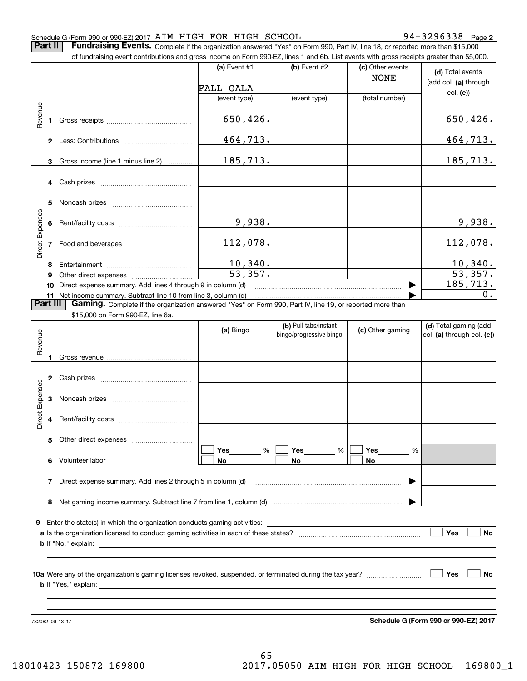# Schedule G (Form 990 or 990-EZ) 2017 AIM HIGH FOR HIGH SCHOOL 990-3296338 Page 3296338 Page

Page **2 2**

Part II Fundraising Events. Complete if the organization answered "Yes" on Form 990, Part IV, line 18, or reported more than \$15,000 000

|                 |          | of fundraising event contributions and gross income on Form 990-EZ, lines 1 and 6b. List events with gross receipts greater than \$5,000. |                           |                                                  |                                 |                                                     |
|-----------------|----------|-------------------------------------------------------------------------------------------------------------------------------------------|---------------------------|--------------------------------------------------|---------------------------------|-----------------------------------------------------|
|                 |          |                                                                                                                                           | (a) Event $#1$            | (b) Event #2                                     | (c) Other events<br><b>NONE</b> | (d) Total events<br>(add col. (a) through           |
|                 |          |                                                                                                                                           | FALL GALA<br>(event type) | (event type)                                     | (total number)                  | col. (c)                                            |
|                 |          |                                                                                                                                           |                           |                                                  |                                 |                                                     |
| Revenue         |          |                                                                                                                                           | 650,426.                  |                                                  |                                 | 650,426.                                            |
|                 |          |                                                                                                                                           | 464,713.                  |                                                  |                                 | 464,713.                                            |
|                 | 3        | Gross income (line 1 minus line 2)                                                                                                        | 185,713.                  |                                                  |                                 | 185,713.                                            |
|                 |          |                                                                                                                                           |                           |                                                  |                                 |                                                     |
|                 |          |                                                                                                                                           |                           |                                                  |                                 |                                                     |
|                 |          |                                                                                                                                           | 9,938.                    |                                                  |                                 | 9,938.                                              |
| Direct Expenses |          | 7 Food and beverages                                                                                                                      | 112,078.                  |                                                  |                                 | 112,078.                                            |
|                 | 8        |                                                                                                                                           | 10,340.                   |                                                  |                                 | 10,340.                                             |
|                 | 9        |                                                                                                                                           | $\overline{53,357}$ .     |                                                  |                                 | 53,357.                                             |
|                 |          | 10 Direct expense summary. Add lines 4 through 9 in column (d)                                                                            |                           |                                                  |                                 | 185,713.                                            |
|                 |          | 11 Net income summary. Subtract line 10 from line 3, column (d)                                                                           |                           |                                                  |                                 | $0$ .                                               |
|                 | Part III | Gaming. Complete if the organization answered "Yes" on Form 990, Part IV, line 19, or reported more than                                  |                           |                                                  |                                 |                                                     |
|                 |          | \$15,000 on Form 990-EZ, line 6a.                                                                                                         |                           |                                                  |                                 |                                                     |
| Revenue         |          |                                                                                                                                           | (a) Bingo                 | (b) Pull tabs/instant<br>bingo/progressive bingo | (c) Other gaming                | (d) Total gaming (add<br>col. (a) through col. (c)) |
|                 |          |                                                                                                                                           |                           |                                                  |                                 |                                                     |
|                 |          |                                                                                                                                           |                           |                                                  |                                 |                                                     |
|                 |          |                                                                                                                                           |                           |                                                  |                                 |                                                     |
| Direct Expenses | 3        |                                                                                                                                           |                           |                                                  |                                 |                                                     |
|                 | 4        |                                                                                                                                           |                           |                                                  |                                 |                                                     |
|                 | 5.       | Other direct expenses                                                                                                                     |                           |                                                  |                                 |                                                     |
|                 |          | 6 Volunteer labor                                                                                                                         | Yes<br>%<br>No            | Yes<br>$\%$<br>No                                | Yes<br>%<br>No                  |                                                     |
|                 |          | 7 Direct expense summary. Add lines 2 through 5 in column (d)                                                                             |                           |                                                  |                                 |                                                     |
|                 | 8        |                                                                                                                                           |                           |                                                  |                                 |                                                     |
|                 |          |                                                                                                                                           |                           |                                                  |                                 |                                                     |
|                 |          | <b>9</b> Enter the state(s) in which the organization conducts gaming activities:                                                         |                           |                                                  |                                 | Yes<br>No                                           |
|                 |          |                                                                                                                                           |                           |                                                  |                                 |                                                     |
|                 |          |                                                                                                                                           |                           |                                                  |                                 | Yes<br>No                                           |
|                 |          |                                                                                                                                           |                           |                                                  |                                 |                                                     |

732082 09-13-17

732082 09-13-17 **Schedule G (Form 990 or 990-EZ) <sup>2017</sup> Schedule G (Form 990 or 990-EZ) 2017**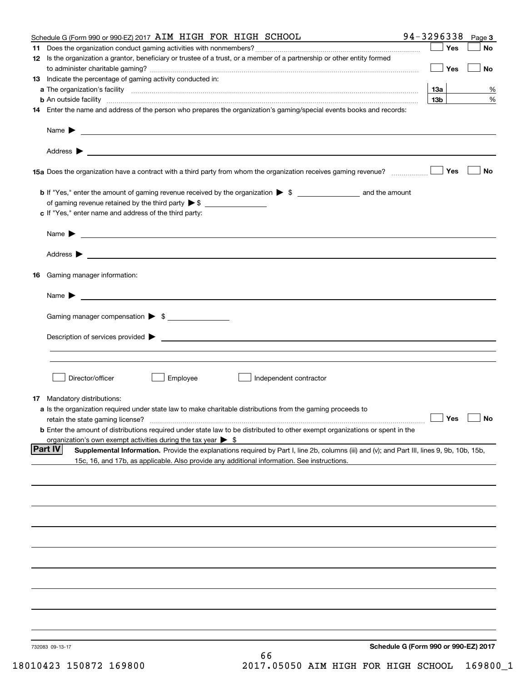| Schedule G (Form 990 or 990-EZ) 2017 AIM HIGH FOR HIGH SCHOOL                                                                                                                                                                                                                                                                                                                                                         | 94-3296338                           | Page 3    |
|-----------------------------------------------------------------------------------------------------------------------------------------------------------------------------------------------------------------------------------------------------------------------------------------------------------------------------------------------------------------------------------------------------------------------|--------------------------------------|-----------|
|                                                                                                                                                                                                                                                                                                                                                                                                                       | Yes                                  | <b>No</b> |
| 12 Is the organization a grantor, beneficiary or trustee of a trust, or a member of a partnership or other entity formed                                                                                                                                                                                                                                                                                              |                                      |           |
|                                                                                                                                                                                                                                                                                                                                                                                                                       | Yes                                  | No        |
| 13 Indicate the percentage of gaming activity conducted in:                                                                                                                                                                                                                                                                                                                                                           |                                      |           |
|                                                                                                                                                                                                                                                                                                                                                                                                                       | 13а                                  | %         |
|                                                                                                                                                                                                                                                                                                                                                                                                                       | 13 <sub>b</sub>                      | %         |
| 14 Enter the name and address of the person who prepares the organization's gaming/special events books and records:                                                                                                                                                                                                                                                                                                  |                                      |           |
|                                                                                                                                                                                                                                                                                                                                                                                                                       |                                      |           |
|                                                                                                                                                                                                                                                                                                                                                                                                                       |                                      |           |
|                                                                                                                                                                                                                                                                                                                                                                                                                       |                                      |           |
|                                                                                                                                                                                                                                                                                                                                                                                                                       |                                      |           |
|                                                                                                                                                                                                                                                                                                                                                                                                                       | Yes                                  | No        |
|                                                                                                                                                                                                                                                                                                                                                                                                                       |                                      |           |
|                                                                                                                                                                                                                                                                                                                                                                                                                       |                                      |           |
|                                                                                                                                                                                                                                                                                                                                                                                                                       |                                      |           |
| c If "Yes," enter name and address of the third party:                                                                                                                                                                                                                                                                                                                                                                |                                      |           |
|                                                                                                                                                                                                                                                                                                                                                                                                                       |                                      |           |
| Name $\blacktriangleright$ $\frac{1}{\sqrt{1-\frac{1}{2}}\sqrt{1-\frac{1}{2}}\sqrt{1-\frac{1}{2}}\sqrt{1-\frac{1}{2}}\sqrt{1-\frac{1}{2}}\sqrt{1-\frac{1}{2}}\sqrt{1-\frac{1}{2}}\sqrt{1-\frac{1}{2}}\sqrt{1-\frac{1}{2}}\sqrt{1-\frac{1}{2}}\sqrt{1-\frac{1}{2}}\sqrt{1-\frac{1}{2}}\sqrt{1-\frac{1}{2}}\sqrt{1-\frac{1}{2}}\sqrt{1-\frac{1}{2}}\sqrt{1-\frac{1}{2}}\sqrt{1-\frac{1}{2}}\sqrt{1-\frac{1}{2}}\sqrt{1$ |                                      |           |
|                                                                                                                                                                                                                                                                                                                                                                                                                       |                                      |           |
|                                                                                                                                                                                                                                                                                                                                                                                                                       |                                      |           |
| 16 Gaming manager information:                                                                                                                                                                                                                                                                                                                                                                                        |                                      |           |
|                                                                                                                                                                                                                                                                                                                                                                                                                       |                                      |           |
|                                                                                                                                                                                                                                                                                                                                                                                                                       |                                      |           |
| Gaming manager compensation > \$                                                                                                                                                                                                                                                                                                                                                                                      |                                      |           |
|                                                                                                                                                                                                                                                                                                                                                                                                                       |                                      |           |
|                                                                                                                                                                                                                                                                                                                                                                                                                       |                                      |           |
|                                                                                                                                                                                                                                                                                                                                                                                                                       |                                      |           |
|                                                                                                                                                                                                                                                                                                                                                                                                                       |                                      |           |
| Director/officer<br>Employee<br>Independent contractor                                                                                                                                                                                                                                                                                                                                                                |                                      |           |
|                                                                                                                                                                                                                                                                                                                                                                                                                       |                                      |           |
| 17 Mandatory distributions:                                                                                                                                                                                                                                                                                                                                                                                           |                                      |           |
| a Is the organization required under state law to make charitable distributions from the gaming proceeds to                                                                                                                                                                                                                                                                                                           |                                      |           |
| retain the state gaming license?                                                                                                                                                                                                                                                                                                                                                                                      | $\Box$ Yes                           | $\Box$ No |
| <b>b</b> Enter the amount of distributions required under state law to be distributed to other exempt organizations or spent in the                                                                                                                                                                                                                                                                                   |                                      |           |
| organization's own exempt activities during the tax year $\triangleright$ \$                                                                                                                                                                                                                                                                                                                                          |                                      |           |
| <b>Part IV</b><br>Supplemental Information. Provide the explanations required by Part I, line 2b, columns (iii) and (v); and Part III, lines 9, 9b, 10b, 15b,                                                                                                                                                                                                                                                         |                                      |           |
| 15c, 16, and 17b, as applicable. Also provide any additional information. See instructions.                                                                                                                                                                                                                                                                                                                           |                                      |           |
|                                                                                                                                                                                                                                                                                                                                                                                                                       |                                      |           |
|                                                                                                                                                                                                                                                                                                                                                                                                                       |                                      |           |
|                                                                                                                                                                                                                                                                                                                                                                                                                       |                                      |           |
|                                                                                                                                                                                                                                                                                                                                                                                                                       |                                      |           |
|                                                                                                                                                                                                                                                                                                                                                                                                                       |                                      |           |
|                                                                                                                                                                                                                                                                                                                                                                                                                       |                                      |           |
|                                                                                                                                                                                                                                                                                                                                                                                                                       |                                      |           |
|                                                                                                                                                                                                                                                                                                                                                                                                                       |                                      |           |
|                                                                                                                                                                                                                                                                                                                                                                                                                       |                                      |           |
|                                                                                                                                                                                                                                                                                                                                                                                                                       |                                      |           |
|                                                                                                                                                                                                                                                                                                                                                                                                                       |                                      |           |
|                                                                                                                                                                                                                                                                                                                                                                                                                       |                                      |           |
|                                                                                                                                                                                                                                                                                                                                                                                                                       |                                      |           |
|                                                                                                                                                                                                                                                                                                                                                                                                                       |                                      |           |
| 732083 09-13-17<br>66                                                                                                                                                                                                                                                                                                                                                                                                 | Schedule G (Form 990 or 990-EZ) 2017 |           |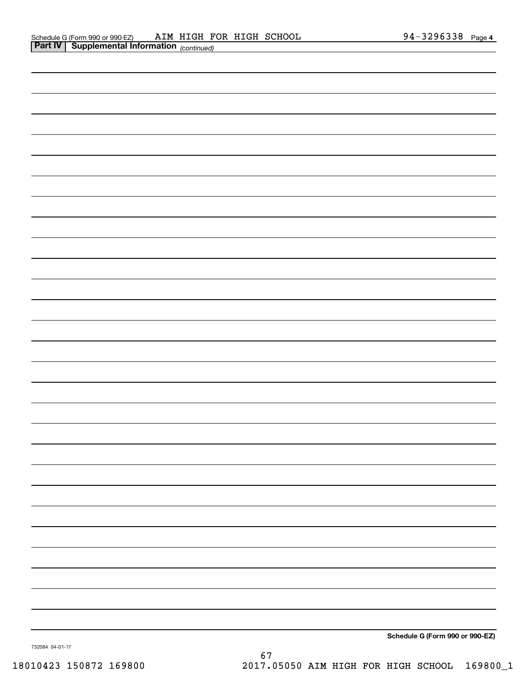|                 | Schedule G (Form 990 or 990-EZ) |
|-----------------|---------------------------------|
| 732084 04-01-17 |                                 |

67 67 18010423 150872 169800 2017.05050 AIM HIGH FOR HIGH SCHOOL 169800\_1 18010423 150872 169800 2017.05050 AIM HIGH FOR HIGH SCHOOL 169800\_1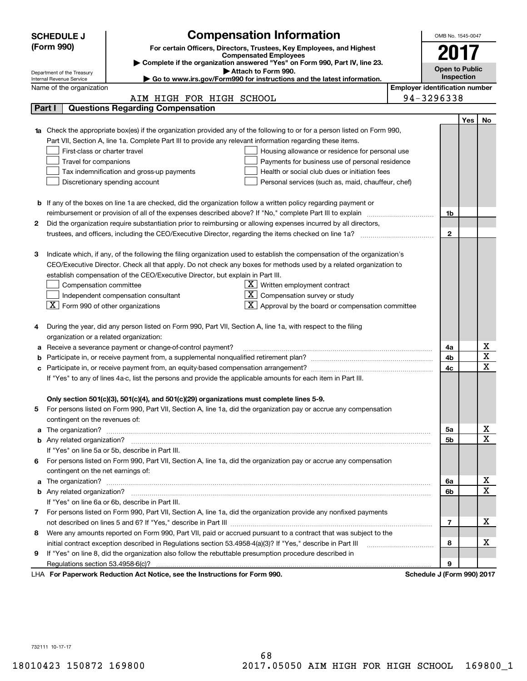|   | <b>SCHEDULE J</b><br>(Form 990)                                   |                                                                                                                                                                        | <b>Compensation Information</b><br>For certain Officers, Directors, Trustees, Key Employees, and Highest |  | OMB No. 1545-0047          |     |             |  |  |  |  |
|---|-------------------------------------------------------------------|------------------------------------------------------------------------------------------------------------------------------------------------------------------------|----------------------------------------------------------------------------------------------------------|--|----------------------------|-----|-------------|--|--|--|--|
|   |                                                                   |                                                                                                                                                                        | <b>Compensated Employees</b>                                                                             |  | 2017                       |     |             |  |  |  |  |
|   |                                                                   |                                                                                                                                                                        | > Complete if the organization answered "Yes" on Form 990, Part IV, line 23.<br>Attach to Form 990.      |  | <b>Open to Public</b>      |     |             |  |  |  |  |
|   | Department of the Treasury<br>Internal Revenue Service            |                                                                                                                                                                        | Inspection                                                                                               |  |                            |     |             |  |  |  |  |
|   | <b>Employer identification number</b><br>Name of the organization |                                                                                                                                                                        |                                                                                                          |  |                            |     |             |  |  |  |  |
|   |                                                                   | AIM HIGH FOR HIGH SCHOOL                                                                                                                                               |                                                                                                          |  | 94-3296338                 |     |             |  |  |  |  |
|   | Part I                                                            | <b>Questions Regarding Compensation</b>                                                                                                                                |                                                                                                          |  |                            |     |             |  |  |  |  |
|   |                                                                   |                                                                                                                                                                        |                                                                                                          |  |                            | Yes | No          |  |  |  |  |
|   |                                                                   | 1a Check the appropriate box(es) if the organization provided any of the following to or for a person listed on Form 990,                                              |                                                                                                          |  |                            |     |             |  |  |  |  |
|   |                                                                   | Part VII, Section A, line 1a. Complete Part III to provide any relevant information regarding these items.                                                             | Housing allowance or residence for personal use                                                          |  |                            |     |             |  |  |  |  |
|   | First-class or charter travel                                     |                                                                                                                                                                        |                                                                                                          |  |                            |     |             |  |  |  |  |
|   |                                                                   | Travel for companions<br>Payments for business use of personal residence<br>Tax indemnification and gross-up payments<br>Health or social club dues or initiation fees |                                                                                                          |  |                            |     |             |  |  |  |  |
|   |                                                                   |                                                                                                                                                                        |                                                                                                          |  |                            |     |             |  |  |  |  |
|   |                                                                   | Discretionary spending account                                                                                                                                         | Personal services (such as, maid, chauffeur, chef)                                                       |  |                            |     |             |  |  |  |  |
|   |                                                                   |                                                                                                                                                                        |                                                                                                          |  |                            |     |             |  |  |  |  |
|   |                                                                   | <b>b</b> If any of the boxes on line 1a are checked, did the organization follow a written policy regarding payment or                                                 |                                                                                                          |  | 1b                         |     |             |  |  |  |  |
| 2 |                                                                   | Did the organization require substantiation prior to reimbursing or allowing expenses incurred by all directors,                                                       |                                                                                                          |  |                            |     |             |  |  |  |  |
|   |                                                                   |                                                                                                                                                                        |                                                                                                          |  | $\mathbf{2}$               |     |             |  |  |  |  |
|   |                                                                   |                                                                                                                                                                        |                                                                                                          |  |                            |     |             |  |  |  |  |
| з |                                                                   | Indicate which, if any, of the following the filing organization used to establish the compensation of the organization's                                              |                                                                                                          |  |                            |     |             |  |  |  |  |
|   |                                                                   | CEO/Executive Director. Check all that apply. Do not check any boxes for methods used by a related organization to                                                     |                                                                                                          |  |                            |     |             |  |  |  |  |
|   |                                                                   | establish compensation of the CEO/Executive Director, but explain in Part III.                                                                                         |                                                                                                          |  |                            |     |             |  |  |  |  |
|   | Compensation committee                                            |                                                                                                                                                                        | ΧI<br>Written employment contract                                                                        |  |                            |     |             |  |  |  |  |
|   |                                                                   | Independent compensation consultant                                                                                                                                    | Compensation survey or study                                                                             |  |                            |     |             |  |  |  |  |
|   | $ \mathbf{X} $ Form 990 of other organizations                    |                                                                                                                                                                        | X  <br>Approval by the board or compensation committee                                                   |  |                            |     |             |  |  |  |  |
|   |                                                                   |                                                                                                                                                                        |                                                                                                          |  |                            |     |             |  |  |  |  |
| 4 |                                                                   | During the year, did any person listed on Form 990, Part VII, Section A, line 1a, with respect to the filing                                                           |                                                                                                          |  |                            |     |             |  |  |  |  |
|   | organization or a related organization:                           |                                                                                                                                                                        |                                                                                                          |  |                            |     |             |  |  |  |  |
|   |                                                                   | Receive a severance payment or change-of-control payment?                                                                                                              |                                                                                                          |  | 4a                         |     | х           |  |  |  |  |
|   |                                                                   | Participate in, or receive payment from, a supplemental nonqualified retirement plan?                                                                                  |                                                                                                          |  | 4b                         |     | $\bf{X}$    |  |  |  |  |
|   |                                                                   |                                                                                                                                                                        |                                                                                                          |  | 4c                         |     | $\mathbf X$ |  |  |  |  |
|   |                                                                   | If "Yes" to any of lines 4a-c, list the persons and provide the applicable amounts for each item in Part III.                                                          |                                                                                                          |  |                            |     |             |  |  |  |  |
|   |                                                                   |                                                                                                                                                                        |                                                                                                          |  |                            |     |             |  |  |  |  |
|   |                                                                   | Only section 501(c)(3), 501(c)(4), and 501(c)(29) organizations must complete lines 5-9.                                                                               |                                                                                                          |  |                            |     |             |  |  |  |  |
| 5 |                                                                   | For persons listed on Form 990, Part VII, Section A, line 1a, did the organization pay or accrue any compensation                                                      |                                                                                                          |  |                            |     |             |  |  |  |  |
|   | contingent on the revenues of:                                    |                                                                                                                                                                        |                                                                                                          |  | 5a                         |     | х           |  |  |  |  |
| а |                                                                   |                                                                                                                                                                        |                                                                                                          |  | 5b                         |     | $\mathbf X$ |  |  |  |  |
|   |                                                                   | If "Yes" on line 5a or 5b, describe in Part III.                                                                                                                       |                                                                                                          |  |                            |     |             |  |  |  |  |
| 6 |                                                                   | For persons listed on Form 990, Part VII, Section A, line 1a, did the organization pay or accrue any compensation                                                      |                                                                                                          |  |                            |     |             |  |  |  |  |
|   | contingent on the net earnings of:                                |                                                                                                                                                                        |                                                                                                          |  |                            |     |             |  |  |  |  |
| а |                                                                   |                                                                                                                                                                        |                                                                                                          |  | 6а                         |     | X           |  |  |  |  |
|   |                                                                   |                                                                                                                                                                        |                                                                                                          |  | 6b                         |     | X           |  |  |  |  |
|   |                                                                   | If "Yes" on line 6a or 6b, describe in Part III.                                                                                                                       |                                                                                                          |  |                            |     |             |  |  |  |  |
|   |                                                                   | 7 For persons listed on Form 990, Part VII, Section A, line 1a, did the organization provide any nonfixed payments                                                     |                                                                                                          |  |                            |     |             |  |  |  |  |
|   |                                                                   |                                                                                                                                                                        |                                                                                                          |  | 7                          |     | х           |  |  |  |  |
| 8 |                                                                   | Were any amounts reported on Form 990, Part VII, paid or accrued pursuant to a contract that was subject to the                                                        |                                                                                                          |  |                            |     |             |  |  |  |  |
|   |                                                                   | initial contract exception described in Regulations section 53.4958-4(a)(3)? If "Yes," describe in Part III                                                            |                                                                                                          |  | 8                          |     | х           |  |  |  |  |
| 9 |                                                                   | If "Yes" on line 8, did the organization also follow the rebuttable presumption procedure described in                                                                 |                                                                                                          |  |                            |     |             |  |  |  |  |
|   | Regulations section 53.4958-6(c)?                                 |                                                                                                                                                                        |                                                                                                          |  | 9                          |     |             |  |  |  |  |
|   |                                                                   | LHA For Paperwork Reduction Act Notice, see the Instructions for Form 990.                                                                                             |                                                                                                          |  | Schedule J (Form 990) 2017 |     |             |  |  |  |  |

**. Schedule J (Form 990) <sup>2017</sup>**

732111 10-17-17 732111 10-17-17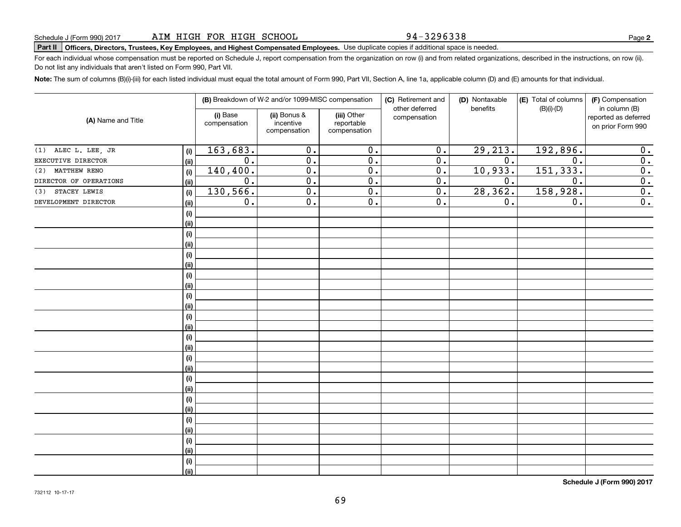94-3296338

## Schedule J (Form 990) 2017 ALM HIGH FOR HIGH SCHOOL 94-3296338<br>Part II Officers, Directors, Trustees, Key Employees, and Highest Compensated Employees. Use duplicate copies if additional space is needed.

For each individual whose compensation must be reported on Schedule J, report compensation from the organization on row (i) and from related organizations, described in the instructions, on row (ii). Do not list any individuals that aren't listed on Form 990, Part VII. Do not list any individuals that aren't listed on Form 990, Part VII.

Note: The sum of columns (B)(i)-(iii) for each listed individual must equal the total amount of Form 990, Part VII, Section A, line 1a, applicable column (D) and (E) amounts for that individual.

|                            |      |                          | (B) Breakdown of W-2 and/or 1099-MISC compensation |                                           | (C) Retirement and<br>other deferred | (D) Nontaxable<br>benefits | (E) Total of columns<br>$(B)(i)-(D)$ | (F) Compensation<br>in column (B)         |  |  |
|----------------------------|------|--------------------------|----------------------------------------------------|-------------------------------------------|--------------------------------------|----------------------------|--------------------------------------|-------------------------------------------|--|--|
| (A) Name and Title         |      | (i) Base<br>compensation | (ii) Bonus &<br>incentive<br>compensation          | (iii) Other<br>reportable<br>compensation | compensation                         |                            |                                      | reported as deferred<br>on prior Form 990 |  |  |
| (1) ALEC L. LEE, JR        | (i)  | 163,683.                 | $\overline{0}$ .                                   | $\overline{0}$ .                          | $\overline{0}$ .                     | 29,213.                    | 192,896.                             | 0.                                        |  |  |
| EXECUTIVE DIRECTOR         | (ii) | $\overline{0}$ .         | $\overline{0}$ .                                   | $\overline{0}$ .                          | $\overline{0}$ .                     | $\overline{0}$ .           | $\overline{0}$ .                     | $\overline{0}$ .                          |  |  |
| <b>MATTHEW RENO</b><br>(2) | (i)  | 140,400.                 | $\overline{0}$ .                                   | $\overline{0}$ .                          | $\overline{0}$ .                     | 10,933.                    | 151,333.                             | $\overline{0}$ .                          |  |  |
| DIRECTOR OF OPERATIONS     | (ii) | $\overline{0}$ .         | $\overline{0}$ .                                   | $\overline{0}$ .                          | $\overline{0}$ .                     | 0.                         | $\overline{0}$ .                     | $\overline{0}$ .                          |  |  |
| STACEY LEWIS<br>(3)        | (i)  | 130,566.                 | $\overline{0}$ .                                   | $\overline{0}$ .                          | $\overline{0}$ .                     | 28, 362.                   | 158,928.                             | $\overline{0}$ .                          |  |  |
| DEVELOPMENT DIRECTOR       | (ii) | 0.                       | $\overline{0}$ .                                   | $\overline{0}$ .                          | 0.                                   | 0.                         | 0.                                   | $\overline{0}$ .                          |  |  |
|                            | (i)  |                          |                                                    |                                           |                                      |                            |                                      |                                           |  |  |
|                            | (ii) |                          |                                                    |                                           |                                      |                            |                                      |                                           |  |  |
|                            | (i)  |                          |                                                    |                                           |                                      |                            |                                      |                                           |  |  |
|                            | (ii) |                          |                                                    |                                           |                                      |                            |                                      |                                           |  |  |
|                            | (i)  |                          |                                                    |                                           |                                      |                            |                                      |                                           |  |  |
|                            | (ii) |                          |                                                    |                                           |                                      |                            |                                      |                                           |  |  |
|                            | (i)  |                          |                                                    |                                           |                                      |                            |                                      |                                           |  |  |
|                            | (ii) |                          |                                                    |                                           |                                      |                            |                                      |                                           |  |  |
|                            | (i)  |                          |                                                    |                                           |                                      |                            |                                      |                                           |  |  |
|                            | (ii) |                          |                                                    |                                           |                                      |                            |                                      |                                           |  |  |
|                            | (i)  |                          |                                                    |                                           |                                      |                            |                                      |                                           |  |  |
|                            | (ii) |                          |                                                    |                                           |                                      |                            |                                      |                                           |  |  |
|                            | (i)  |                          |                                                    |                                           |                                      |                            |                                      |                                           |  |  |
|                            | (ii) |                          |                                                    |                                           |                                      |                            |                                      |                                           |  |  |
|                            | (i)  |                          |                                                    |                                           |                                      |                            |                                      |                                           |  |  |
|                            | (ii) |                          |                                                    |                                           |                                      |                            |                                      |                                           |  |  |
|                            | (i)  |                          |                                                    |                                           |                                      |                            |                                      |                                           |  |  |
|                            | (ii) |                          |                                                    |                                           |                                      |                            |                                      |                                           |  |  |
|                            | (i)  |                          |                                                    |                                           |                                      |                            |                                      |                                           |  |  |
|                            | (ii) |                          |                                                    |                                           |                                      |                            |                                      |                                           |  |  |
|                            | (i)  |                          |                                                    |                                           |                                      |                            |                                      |                                           |  |  |
|                            | (ii) |                          |                                                    |                                           |                                      |                            |                                      |                                           |  |  |
|                            | (i)  |                          |                                                    |                                           |                                      |                            |                                      |                                           |  |  |
|                            | (ii) |                          |                                                    |                                           |                                      |                            |                                      |                                           |  |  |
|                            | (i)  |                          |                                                    |                                           |                                      |                            |                                      |                                           |  |  |
|                            | (ii) |                          |                                                    |                                           |                                      |                            |                                      |                                           |  |  |

**Schedule J (Form 990) <sup>2017</sup> Schedule J (Form 990) 2017**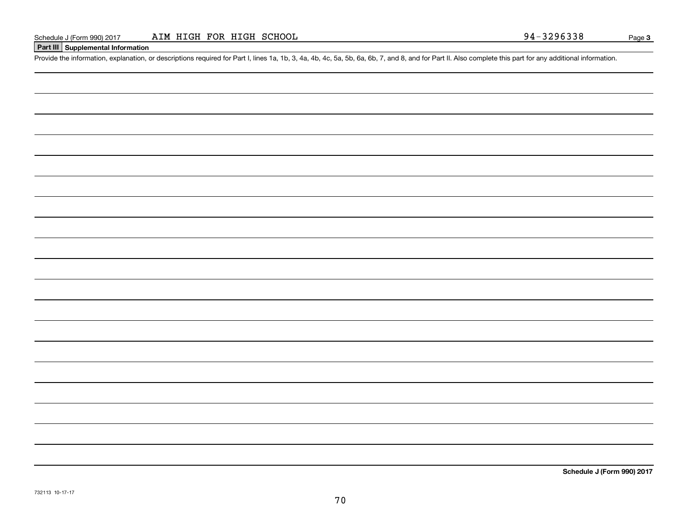#### **<sup>I</sup>Part III I Supplemental Information Part III Supplemental Information**

Schedule J (Form 990) 2017 ALM HIGH FOR HIGH SCHOOL<br>Part III Supplemental Information<br>Provide the information, explanation, or descriptions required for Part I, lines 1a, 1b, 3, 4a, 4b, 4c, 5a, 5b, 6a, 6b, 7, and 8, and fo

**Schedule J (Form 990) <sup>2017</sup> Schedule J (Form 990) 2017**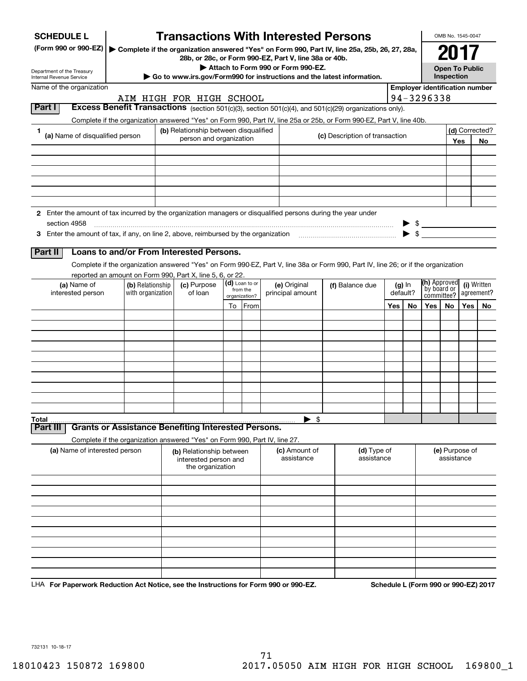| <b>SCHEDULE L</b><br>(Form 990 or 990-EZ)<br>Department of the Treasury<br>Internal Revenue Service           |                                                                            |  |                                                                       |                          |                            | <b>Transactions With Interested Persons</b><br>▶ Complete if the organization answered "Yes" on Form 990, Part IV, line 25a, 25b, 26, 27, 28a,<br>28b, or 28c, or Form 990-EZ, Part V, line 38a or 40b.<br>Attach to Form 990 or Form 990-EZ.<br>Go to www.irs.gov/Form990 for instructions and the latest information. |  |                                |  |                      |                                           | OMB No. 1545-0047<br>2017<br><b>Open To Public</b><br>Inspection |     |                           |  |
|---------------------------------------------------------------------------------------------------------------|----------------------------------------------------------------------------|--|-----------------------------------------------------------------------|--------------------------|----------------------------|-------------------------------------------------------------------------------------------------------------------------------------------------------------------------------------------------------------------------------------------------------------------------------------------------------------------------|--|--------------------------------|--|----------------------|-------------------------------------------|------------------------------------------------------------------|-----|---------------------------|--|
| Name of the organization                                                                                      |                                                                            |  |                                                                       |                          |                            |                                                                                                                                                                                                                                                                                                                         |  |                                |  |                      | <b>Employer identification number</b>     |                                                                  |     |                           |  |
| Part I                                                                                                        |                                                                            |  | AIM HIGH FOR HIGH SCHOOL                                              |                          |                            | Excess Benefit Transactions (section 501(c)(3), section 501(c)(4), and 501(c)(29) organizations only).                                                                                                                                                                                                                  |  |                                |  |                      | 94-3296338                                |                                                                  |     |                           |  |
|                                                                                                               |                                                                            |  |                                                                       |                          |                            | Complete if the organization answered "Yes" on Form 990, Part IV, line 25a or 25b, or Form 990-EZ, Part V, line 40b.                                                                                                                                                                                                    |  |                                |  |                      |                                           |                                                                  |     |                           |  |
| 1<br>(a) Name of disqualified person                                                                          |                                                                            |  | (b) Relationship between disqualified<br>person and organization      |                          |                            |                                                                                                                                                                                                                                                                                                                         |  | (c) Description of transaction |  |                      | (d) Corrected?<br>Yes                     |                                                                  |     | No.                       |  |
|                                                                                                               |                                                                            |  |                                                                       |                          |                            |                                                                                                                                                                                                                                                                                                                         |  |                                |  |                      |                                           |                                                                  |     |                           |  |
|                                                                                                               |                                                                            |  |                                                                       |                          |                            |                                                                                                                                                                                                                                                                                                                         |  |                                |  |                      |                                           |                                                                  |     |                           |  |
|                                                                                                               |                                                                            |  |                                                                       |                          |                            |                                                                                                                                                                                                                                                                                                                         |  |                                |  |                      |                                           |                                                                  |     |                           |  |
|                                                                                                               |                                                                            |  |                                                                       |                          |                            |                                                                                                                                                                                                                                                                                                                         |  |                                |  |                      |                                           |                                                                  |     |                           |  |
| 2 Enter the amount of tax incurred by the organization managers or disqualified persons during the year under |                                                                            |  |                                                                       |                          |                            |                                                                                                                                                                                                                                                                                                                         |  |                                |  |                      |                                           |                                                                  |     |                           |  |
| section 4958                                                                                                  |                                                                            |  |                                                                       |                          |                            |                                                                                                                                                                                                                                                                                                                         |  |                                |  |                      | $\triangleright$ \$                       |                                                                  |     |                           |  |
|                                                                                                               |                                                                            |  |                                                                       |                          |                            |                                                                                                                                                                                                                                                                                                                         |  |                                |  |                      | $\blacktriangleright$ \$                  |                                                                  |     |                           |  |
| Part II                                                                                                       | Loans to and/or From Interested Persons.                                   |  |                                                                       |                          |                            |                                                                                                                                                                                                                                                                                                                         |  |                                |  |                      |                                           |                                                                  |     |                           |  |
|                                                                                                               |                                                                            |  |                                                                       |                          |                            | Complete if the organization answered "Yes" on Form 990-EZ, Part V, line 38a or Form 990, Part IV, line 26; or if the organization                                                                                                                                                                                      |  |                                |  |                      |                                           |                                                                  |     |                           |  |
|                                                                                                               | reported an amount on Form 990, Part X, line 5, 6, or 22.                  |  |                                                                       |                          |                            |                                                                                                                                                                                                                                                                                                                         |  |                                |  |                      |                                           |                                                                  |     |                           |  |
| (a) Name of<br>interested person                                                                              | (b) Relationship<br>with organization                                      |  | (c) Purpose<br>of loan                                                |                          | (d) Loan to or<br>from the | (e) Original<br>principal amount                                                                                                                                                                                                                                                                                        |  | (f) Balance due                |  | $(g)$ In<br>default? | (h) Approved<br>by board or<br>committee? |                                                                  |     | (i) Written<br>agreement? |  |
|                                                                                                               |                                                                            |  |                                                                       | organization?<br>To From |                            |                                                                                                                                                                                                                                                                                                                         |  |                                |  | Yes<br>No.           |                                           | No.                                                              | Yes | No                        |  |
|                                                                                                               |                                                                            |  |                                                                       |                          |                            |                                                                                                                                                                                                                                                                                                                         |  |                                |  |                      | Yes                                       |                                                                  |     |                           |  |
|                                                                                                               |                                                                            |  |                                                                       |                          |                            |                                                                                                                                                                                                                                                                                                                         |  |                                |  |                      |                                           |                                                                  |     |                           |  |
|                                                                                                               |                                                                            |  |                                                                       |                          |                            |                                                                                                                                                                                                                                                                                                                         |  |                                |  |                      |                                           |                                                                  |     |                           |  |
|                                                                                                               |                                                                            |  |                                                                       |                          |                            |                                                                                                                                                                                                                                                                                                                         |  |                                |  |                      |                                           |                                                                  |     |                           |  |
|                                                                                                               |                                                                            |  |                                                                       |                          |                            |                                                                                                                                                                                                                                                                                                                         |  |                                |  |                      |                                           |                                                                  |     |                           |  |
|                                                                                                               |                                                                            |  |                                                                       |                          |                            |                                                                                                                                                                                                                                                                                                                         |  |                                |  |                      |                                           |                                                                  |     |                           |  |
|                                                                                                               |                                                                            |  |                                                                       |                          |                            |                                                                                                                                                                                                                                                                                                                         |  |                                |  |                      |                                           |                                                                  |     |                           |  |
|                                                                                                               |                                                                            |  |                                                                       |                          |                            |                                                                                                                                                                                                                                                                                                                         |  |                                |  |                      |                                           |                                                                  |     |                           |  |
|                                                                                                               |                                                                            |  |                                                                       |                          |                            |                                                                                                                                                                                                                                                                                                                         |  |                                |  |                      |                                           |                                                                  |     |                           |  |
| Total<br>Part III                                                                                             | <b>Grants or Assistance Benefiting Interested Persons.</b>                 |  |                                                                       |                          |                            | \$                                                                                                                                                                                                                                                                                                                      |  |                                |  |                      |                                           |                                                                  |     |                           |  |
|                                                                                                               | Complete if the organization answered "Yes" on Form 990, Part IV, line 27. |  |                                                                       |                          |                            |                                                                                                                                                                                                                                                                                                                         |  |                                |  |                      |                                           |                                                                  |     |                           |  |
| (a) Name of interested person                                                                                 |                                                                            |  | (b) Relationship between<br>interested person and<br>the organization |                          |                            | (c) Amount of<br>assistance                                                                                                                                                                                                                                                                                             |  | (d) Type of<br>assistance      |  |                      |                                           | (e) Purpose of<br>assistance                                     |     |                           |  |
|                                                                                                               |                                                                            |  |                                                                       |                          |                            |                                                                                                                                                                                                                                                                                                                         |  |                                |  |                      |                                           |                                                                  |     |                           |  |
|                                                                                                               |                                                                            |  |                                                                       |                          |                            |                                                                                                                                                                                                                                                                                                                         |  |                                |  |                      |                                           |                                                                  |     |                           |  |
|                                                                                                               |                                                                            |  |                                                                       |                          |                            |                                                                                                                                                                                                                                                                                                                         |  |                                |  |                      |                                           |                                                                  |     |                           |  |
|                                                                                                               |                                                                            |  |                                                                       |                          |                            |                                                                                                                                                                                                                                                                                                                         |  |                                |  |                      |                                           |                                                                  |     |                           |  |
|                                                                                                               |                                                                            |  |                                                                       |                          |                            |                                                                                                                                                                                                                                                                                                                         |  |                                |  |                      |                                           |                                                                  |     |                           |  |
|                                                                                                               |                                                                            |  |                                                                       |                          |                            |                                                                                                                                                                                                                                                                                                                         |  |                                |  |                      |                                           |                                                                  |     |                           |  |
|                                                                                                               |                                                                            |  |                                                                       |                          |                            |                                                                                                                                                                                                                                                                                                                         |  |                                |  |                      |                                           |                                                                  |     |                           |  |
|                                                                                                               |                                                                            |  |                                                                       |                          |                            |                                                                                                                                                                                                                                                                                                                         |  |                                |  |                      |                                           |                                                                  |     |                           |  |
|                                                                                                               |                                                                            |  |                                                                       |                          |                            |                                                                                                                                                                                                                                                                                                                         |  |                                |  |                      |                                           |                                                                  |     |                           |  |

LHA For Paperwork Reduction Act Notice, see the Instructions for Form 990 or 990-EZ. Schedule L (Form 990 or 990-EZ) 2017

732131 10-18-17 732131 10-18-17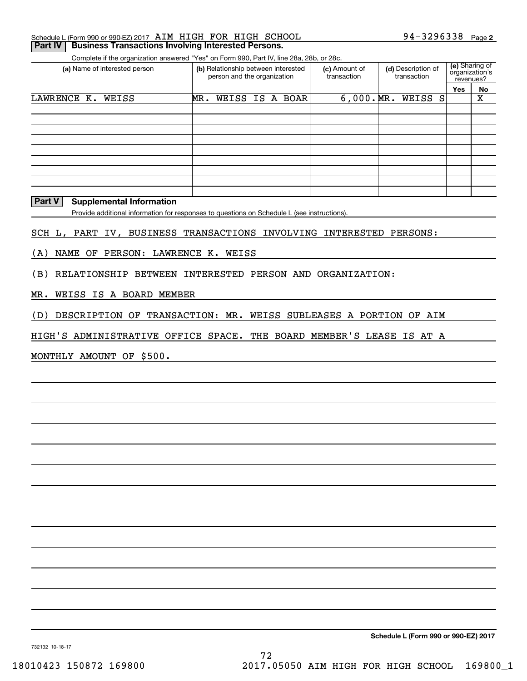| Schedule L (Form 990 or 990-EZ) 2017 AIM HIGH FOR HIGH SCHOOL        |  |  | 94-3296338 $_{Page 2}$ |  |
|----------------------------------------------------------------------|--|--|------------------------|--|
| <b>Part IV   Business Transactions Involving Interested Persons.</b> |  |  |                        |  |

Complete if the organization answered "Yes" on Form 990, Part IV, line 28a, 28b, or 28c. Complete if the organization answered "Yes" on Form 990, Part IV, line 28a, 28b, or 28c.

| (a) Name of interested person | (b) Relationship between interested<br>person and the organization |  |                 | (c) Amount of<br>transaction | (d) Description of<br>transaction |     | (e) Sharing of<br>organization's<br>revenues? |
|-------------------------------|--------------------------------------------------------------------|--|-----------------|------------------------------|-----------------------------------|-----|-----------------------------------------------|
|                               |                                                                    |  |                 |                              |                                   | Yes | No                                            |
| LAWRENCE K.<br>WEISS          | MR.                                                                |  | WEISS IS A BOAR | $6,000 \cdot MR.$            | WEISS S                           |     | х                                             |
|                               |                                                                    |  |                 |                              |                                   |     |                                               |
|                               |                                                                    |  |                 |                              |                                   |     |                                               |
|                               |                                                                    |  |                 |                              |                                   |     |                                               |
|                               |                                                                    |  |                 |                              |                                   |     |                                               |
|                               |                                                                    |  |                 |                              |                                   |     |                                               |
|                               |                                                                    |  |                 |                              |                                   |     |                                               |
|                               |                                                                    |  |                 |                              |                                   |     |                                               |
|                               |                                                                    |  |                 |                              |                                   |     |                                               |
|                               |                                                                    |  |                 |                              |                                   |     |                                               |

#### **I Part V I Supplemental Information Part V Supplemental Information**

Provide additional information for responses to questions on Schedule L (see instructions). Provide additional information for responses to questions on Schedule L (see instructions).

SCH L, PART IV, BUSINESS TRANSACTIONS INVOLVING INTERESTED PERSONS: SCH L, PART IV, BUSINESS TRANSACTIONS INVOLVING INTERESTED PERSONS:

(A) NAME OF PERSON: LAWRENCE K. WEISS (A) NAME OF PERSON: LAWRENCE K. WEISS

(B) RELATIONSHIP BETWEEN INTERESTED PERSON AND ORGANIZATION: (B) RELATIONSHIP BETWEEN INTERESTED PERSON AND ORGANIZATION:

MR. WEISS IS A BOARD MEMBER MR. WEISS IS A BOARD MEMBER

( D) DESCRIPTION OF TRANSACTION: MR. WEISS SUBLEASES A PORTION OF AIM (D) DESCRIPTION OF TRANSACTION: MR. WEISS SUBLEASES A PORTION OF AIM

HIGH'S ADMINISTRATIVE OFFICE SPACE. THE BOARD MEMBER'S LEASE IS AT A HIGH'S ADMINISTRATIVE OFFICE SPACE. THE BOARD MEMBER'S LEASE IS AT A

MONTHLY AMOUNT OF \$500. MONTHLY AMOUNT OF \$500.

**Schedule L (Form 990 or 990-EZ) <sup>2017</sup> Schedule L (Form 990 or 990-EZ) 2017**

732132 10-18-17 732132 10-18-17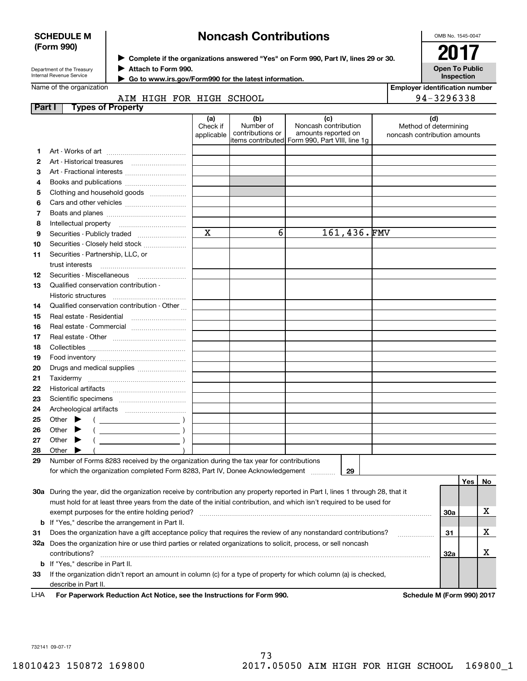| <b>SCHEDULE M</b><br>(Form 990)                                               |                                                                                                                      |                                                                                                                                | <b>Noncash Contributions</b> |                                                                                                                                                           |             |  |                                                       | OMB No. 1545-0047                          |     |    |
|-------------------------------------------------------------------------------|----------------------------------------------------------------------------------------------------------------------|--------------------------------------------------------------------------------------------------------------------------------|------------------------------|-----------------------------------------------------------------------------------------------------------------------------------------------------------|-------------|--|-------------------------------------------------------|--------------------------------------------|-----|----|
|                                                                               |                                                                                                                      |                                                                                                                                |                              |                                                                                                                                                           |             |  |                                                       | 201                                        |     |    |
| Attach to Form 990.<br>Department of the Treasury<br>Internal Revenue Service |                                                                                                                      |                                                                                                                                |                              | > Complete if the organizations answered "Yes" on Form 990, Part IV, lines 29 or 30.                                                                      |             |  |                                                       | <b>Open To Public</b><br><b>Inspection</b> |     |    |
|                                                                               |                                                                                                                      |                                                                                                                                |                              |                                                                                                                                                           |             |  |                                                       |                                            |     |    |
|                                                                               | Name of the organization                                                                                             |                                                                                                                                |                              | Go to www.irs.gov/Form990 for the latest information.                                                                                                     |             |  |                                                       | <b>Employer identification number</b>      |     |    |
|                                                                               |                                                                                                                      | AIM HIGH FOR HIGH SCHOOL                                                                                                       |                              |                                                                                                                                                           |             |  |                                                       | 94-3296338                                 |     |    |
| <b>Part I</b>                                                                 |                                                                                                                      | <b>Types of Property</b>                                                                                                       |                              |                                                                                                                                                           |             |  |                                                       |                                            |     |    |
|                                                                               |                                                                                                                      |                                                                                                                                | (a)                          | (b)                                                                                                                                                       | (c)         |  |                                                       | (d)                                        |     |    |
|                                                                               |                                                                                                                      |                                                                                                                                |                              | Noncash contribution<br>Number of<br>Check if<br>contributions or<br>amounts reported on<br>applicable<br>litems contributed Form 990, Part VIII, line 1q |             |  | Method of determining<br>noncash contribution amounts |                                            |     |    |
| 1.                                                                            |                                                                                                                      |                                                                                                                                |                              |                                                                                                                                                           |             |  |                                                       |                                            |     |    |
| 2                                                                             |                                                                                                                      |                                                                                                                                |                              |                                                                                                                                                           |             |  |                                                       |                                            |     |    |
| 3                                                                             |                                                                                                                      | Art - Fractional interests                                                                                                     |                              |                                                                                                                                                           |             |  |                                                       |                                            |     |    |
| 4                                                                             | Books and publications                                                                                               |                                                                                                                                |                              |                                                                                                                                                           |             |  |                                                       |                                            |     |    |
| 5                                                                             | Clothing and household goods                                                                                         |                                                                                                                                |                              |                                                                                                                                                           |             |  |                                                       |                                            |     |    |
| 6                                                                             |                                                                                                                      |                                                                                                                                |                              |                                                                                                                                                           |             |  |                                                       |                                            |     |    |
| 7                                                                             |                                                                                                                      |                                                                                                                                |                              |                                                                                                                                                           |             |  |                                                       |                                            |     |    |
| 8                                                                             | Intellectual property                                                                                                |                                                                                                                                |                              |                                                                                                                                                           |             |  |                                                       |                                            |     |    |
| 9                                                                             |                                                                                                                      |                                                                                                                                | $\mathbf X$                  | 6                                                                                                                                                         | 161,436.FMV |  |                                                       |                                            |     |    |
| 10                                                                            |                                                                                                                      | Securities - Closely held stock                                                                                                |                              |                                                                                                                                                           |             |  |                                                       |                                            |     |    |
| 11                                                                            |                                                                                                                      | Securities - Partnership, LLC, or                                                                                              |                              |                                                                                                                                                           |             |  |                                                       |                                            |     |    |
|                                                                               | trust interests                                                                                                      |                                                                                                                                |                              |                                                                                                                                                           |             |  |                                                       |                                            |     |    |
| 12                                                                            | Securities - Miscellaneous                                                                                           |                                                                                                                                |                              |                                                                                                                                                           |             |  |                                                       |                                            |     |    |
| 13                                                                            |                                                                                                                      | Qualified conservation contribution -                                                                                          |                              |                                                                                                                                                           |             |  |                                                       |                                            |     |    |
|                                                                               | Historic structures                                                                                                  |                                                                                                                                |                              |                                                                                                                                                           |             |  |                                                       |                                            |     |    |
| 14                                                                            |                                                                                                                      | Qualified conservation contribution - Other                                                                                    |                              |                                                                                                                                                           |             |  |                                                       |                                            |     |    |
| 15                                                                            | Real estate - Residential                                                                                            |                                                                                                                                |                              |                                                                                                                                                           |             |  |                                                       |                                            |     |    |
| 16                                                                            |                                                                                                                      |                                                                                                                                |                              |                                                                                                                                                           |             |  |                                                       |                                            |     |    |
| 17                                                                            |                                                                                                                      |                                                                                                                                |                              |                                                                                                                                                           |             |  |                                                       |                                            |     |    |
| 18                                                                            |                                                                                                                      |                                                                                                                                |                              |                                                                                                                                                           |             |  |                                                       |                                            |     |    |
| 19                                                                            |                                                                                                                      |                                                                                                                                |                              |                                                                                                                                                           |             |  |                                                       |                                            |     |    |
| 20                                                                            | Drugs and medical supplies                                                                                           |                                                                                                                                |                              |                                                                                                                                                           |             |  |                                                       |                                            |     |    |
| 21                                                                            |                                                                                                                      |                                                                                                                                |                              |                                                                                                                                                           |             |  |                                                       |                                            |     |    |
| 22                                                                            |                                                                                                                      |                                                                                                                                |                              |                                                                                                                                                           |             |  |                                                       |                                            |     |    |
| 23                                                                            |                                                                                                                      |                                                                                                                                |                              |                                                                                                                                                           |             |  |                                                       |                                            |     |    |
| 24                                                                            |                                                                                                                      |                                                                                                                                |                              |                                                                                                                                                           |             |  |                                                       |                                            |     |    |
| 25<br>26                                                                      | Other<br>Other                                                                                                       |                                                                                                                                |                              |                                                                                                                                                           |             |  |                                                       |                                            |     |    |
| 27                                                                            | Other                                                                                                                | $\overline{\phantom{a}}$ )                                                                                                     |                              |                                                                                                                                                           |             |  |                                                       |                                            |     |    |
| 28                                                                            | Other                                                                                                                |                                                                                                                                |                              |                                                                                                                                                           |             |  |                                                       |                                            |     |    |
| 29                                                                            |                                                                                                                      | Number of Forms 8283 received by the organization during the tax year for contributions                                        |                              |                                                                                                                                                           |             |  |                                                       |                                            |     |    |
|                                                                               |                                                                                                                      | for which the organization completed Form 8283, Part IV, Donee Acknowledgement                                                 |                              |                                                                                                                                                           | 29          |  |                                                       |                                            |     |    |
|                                                                               |                                                                                                                      |                                                                                                                                |                              |                                                                                                                                                           |             |  |                                                       |                                            | Yes | No |
|                                                                               |                                                                                                                      | 30a During the year, did the organization receive by contribution any property reported in Part I, lines 1 through 28, that it |                              |                                                                                                                                                           |             |  |                                                       |                                            |     |    |
|                                                                               |                                                                                                                      | must hold for at least three years from the date of the initial contribution, and which isn't required to be used for          |                              |                                                                                                                                                           |             |  |                                                       |                                            |     |    |
|                                                                               |                                                                                                                      | exempt purposes for the entire holding period?                                                                                 |                              |                                                                                                                                                           |             |  |                                                       | 30a                                        |     | х  |
| b                                                                             |                                                                                                                      | If "Yes," describe the arrangement in Part II.                                                                                 |                              |                                                                                                                                                           |             |  |                                                       |                                            |     |    |
| 31                                                                            | Does the organization have a gift acceptance policy that requires the review of any nonstandard contributions?<br>31 |                                                                                                                                |                              |                                                                                                                                                           |             |  |                                                       |                                            |     | х  |
|                                                                               |                                                                                                                      | 32a Does the organization hire or use third parties or related organizations to solicit, process, or sell noncash              |                              |                                                                                                                                                           |             |  |                                                       |                                            |     |    |
|                                                                               | contributions?                                                                                                       |                                                                                                                                |                              |                                                                                                                                                           |             |  |                                                       | 32a                                        |     | х  |
| b                                                                             | If "Yes," describe in Part II.                                                                                       |                                                                                                                                |                              |                                                                                                                                                           |             |  |                                                       |                                            |     |    |
| 33                                                                            |                                                                                                                      | If the organization didn't report an amount in column (c) for a type of property for which column (a) is checked,              |                              |                                                                                                                                                           |             |  |                                                       |                                            |     |    |
|                                                                               | describe in Part II.                                                                                                 |                                                                                                                                |                              |                                                                                                                                                           |             |  |                                                       |                                            |     |    |

LHA **For Paperwork Reduction Act Notice, see the Instructions for Form 990 For Paperwork Reduction Act Notice, see the Instructions for Form 990. Schedule M (Form 990) 2017** LHA

**. Schedule M (Form 990) 2017** 

732141 09-07-17 732141 09-07-17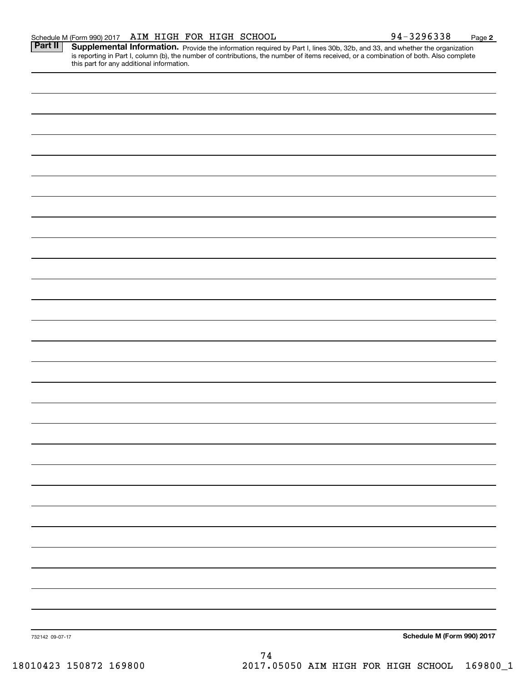**Part II** Supplemental Information. Provide the information required by Part I, lines 30b, 32b, and 33, and whether the organization is reporting in Part I, column (b), the number of contributions, the number of items received, or a combination of both. Also complete this part for any additional information. this part for any additional information.

732142 09-07-17 **Schedule M (Form 990) <sup>2017</sup> Schedule M (Form 990) 2017** 74 74 732142 09-07-17

18010423 150872 169800 2017.05050 AIM HIGH FOR HIGH SCHOOL 169800\_1 18010423 150872 169800 2017.05050 AIM HIGH FOR HIGH SCHOOL 169800\_1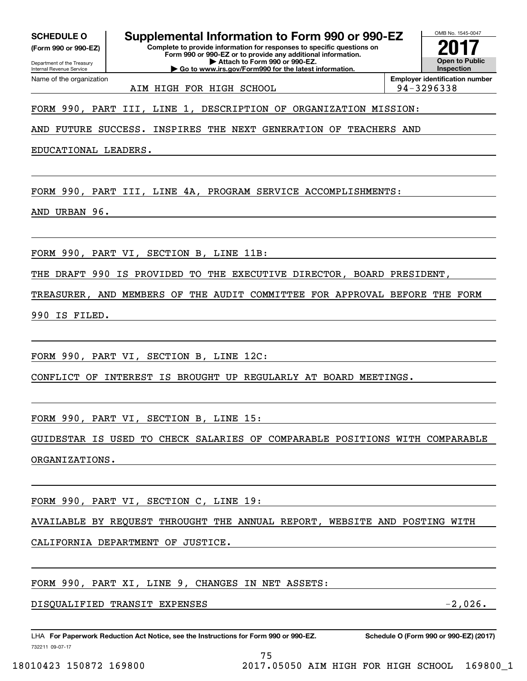**(Form 990 or 990-EZ)**

**SCHEDULE O Supplemental Information to Form 990 or 990-EZ SCHEDULE O Supplemental Information to Form 990 or 990-EZ (Form 990 or 990-EZ) Complete to provide information for responses to specific questions on Complete to provide information for responses to specific questions on Form 990 or 990-EZ or to provide any additional information. Form 990 or 990-EZ or to provide any additional information.** Department of the Treasury **and Personal Property of the Treasury <b>Attach to Form 990 or 990-EZ. CONSERVISION CONSERVER SUPPLEMENTAL INTERNATION COMPLETE CONSERVANCE CONSERVANCE CONSUMINATION CONSUMINATION THE REGAL PROPERTY CONSUMINATION THE REGAL PROPERTY OF THE REGAL PROPERTY OF THE REGAL PROPERTY OF THE REGAL PR** 

Attach to Form 990 or 990-EZ.<br>Go to www.irs.gov/Form990 for the latest information.

Department of the Treasi<br>Internal Revenue Service Department of the Treasury Name of the organization

Name of the organization **Employer identification number Employer identification number** AIM HIGH FOR HIGH SCHOOL | 94-3296338

OMB No. 1545-0047 OMB No. 1545-0047 **2017 Open to Public Open to Public**

**2017**

**Inspection**

FORM 990, PART III, LINE 1, DESCRIPTION OF ORGANIZATION MISSION: FORM 990, PART III, LINE 1, DESCRIPTION OF ORGANIZATION MISSION:

AND FUTURE SUCCESS. INSPIRES THE NEXT GENERATION OF TEACHERS AND AND FUTURE SUCCESS. INSPIRES THE NEXT GENERATION OF TEACHERS AND

EDUCATIONAL LEADERS. EDUCATIONAL LEADERS.

FORM 990, PART III, LINE 4A, PROGRAM SERVICE ACCOMPLISHMENTS: FORM 990, PART III, LINE 4A, PROGRAM SERVICE ACCOMPLISHMENTS:

AND URBAN 96. AND URBAN 96.

FORM 990, PART VI , SECTION B, LINE 11B: FORM 990, PART VI, SECTION B, LINE 11B:

THE DRAFT 990 IS PROVIDED TO THE EXECUTIVE DIRECTOR, BOARD PRESIDENT, THE DRAFT 990 IS PROVIDED TO THE EXECUTIVE DIRECTOR, BOARD PRESIDENT,

TREASURER, AND MEMBERS OF THE AUDIT COMMITTEE FOR APPROVAL BEFORE THE FORM TREASURER, AND MEMBERS OF THE AUDIT COMMITTEE FOR APPROVAL BEFORE THE FORM

990 IS FILED. 990 IS FILED.

FORM 990, PART VI , SECTION B, LINE 12C: FORM 990, PART VI, SECTION B, LINE 12C:

CONFLICT OF INTEREST IS BROUGHT UP REGULARLY AT BOARD MEETINGS. CONFLICT OF INTEREST IS BROUGHT UP REGULARLY AT BOARD MEETINGS.

FORM 990, PART VI , SECTION B, LINE 15 : FORM 990, PART VI, SECTION B, LINE 15:

GUIDESTAR IS USED TO CHECK SALARIES OF COMPARABLE POSITIONS WITH COMPARABLE GUIDESTAR IS USED TO CHECK SALARIES OF COMPARABLE POSITIONS WITH COMPARABLE ORGANIZATIONS. ORGANIZATIONS.

FORM 990, PART VI , SECTION C, LINE 19 : FORM 990, PART VI, SECTION C, LINE 19:

AVAILABLE BY REQUEST THROUGHT THE ANNUAL REPORT, WEBSITE AND POSTING WITH AVAILABLE BY REQUEST THROUGHT THE ANNUAL REPORT, WEBSITE AND POSTING WITH

CALIFORNIA DEPARTMENT OF JUSTICE. CALIFORNIA DEPARTMENT OF JUSTICE.

FORM 990, PART XI, LINE 9, CHANGES IN NET ASSETS:

DISQUALIFIED TRANSIT EXPENSES -2 ,026 . DISQUALIFIED TRANSIT EXPENSES -2,026.

LHA For Paperwork Reduction Act Notice, see the Instructions for Form 990 or 990-EZ. Schedule O (Form 990 or 990-EZ) (2017) 732211 09-07-17 732211 09-07-17

75 75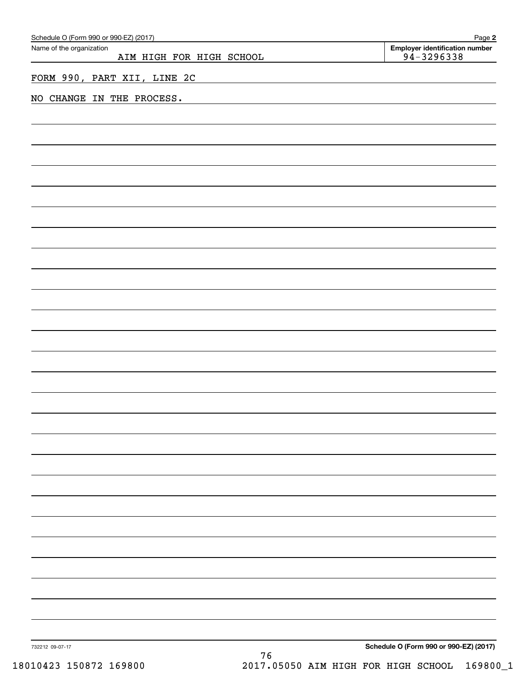| Schedule O (Form 990 or 990-EZ) (2017)               | Page 2                                                  |
|------------------------------------------------------|---------------------------------------------------------|
| Name of the organization<br>AIM HIGH FOR HIGH SCHOOL | <b>Employer identification number</b><br>$94 - 3296338$ |
|                                                      |                                                         |
| FORM 990, PART XII, LINE 2C                          |                                                         |
| NO CHANGE IN THE PROCESS.                            |                                                         |
|                                                      |                                                         |
|                                                      |                                                         |
|                                                      |                                                         |
|                                                      |                                                         |
|                                                      |                                                         |
|                                                      |                                                         |
|                                                      |                                                         |
|                                                      |                                                         |
|                                                      |                                                         |
|                                                      |                                                         |
|                                                      |                                                         |
|                                                      |                                                         |
|                                                      |                                                         |
|                                                      |                                                         |
|                                                      |                                                         |
|                                                      |                                                         |
|                                                      |                                                         |
|                                                      |                                                         |
|                                                      |                                                         |
|                                                      |                                                         |
|                                                      |                                                         |
|                                                      |                                                         |
|                                                      |                                                         |
|                                                      |                                                         |
|                                                      |                                                         |
|                                                      |                                                         |
|                                                      |                                                         |
|                                                      |                                                         |
|                                                      |                                                         |
|                                                      |                                                         |
|                                                      |                                                         |
|                                                      |                                                         |
|                                                      |                                                         |
|                                                      |                                                         |
|                                                      |                                                         |
|                                                      |                                                         |
|                                                      |                                                         |
| 732212 09-07-17<br>76                                | Schedule O (Form 990 or 990-EZ) (2017)                  |

18010423 150872 169800 2017.05050 AIM HIGH FOR HIGH SCHOOL 169800\_1 18010423 150872 169800 2017.05050 AIM HIGH FOR HIGH SCHOOL 169800\_1